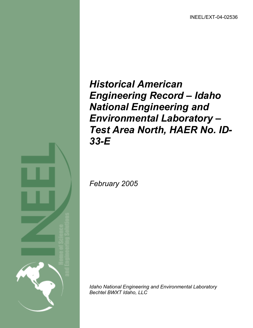INEEL/EXT-04-02536

# *Historical American Engineering Record – Idaho National Engineering and Environmental Laboratory – Test Area North, HAER No. ID-33-E*

*February 2005* 

*Idaho National Engineering and Environmental Laboratory Bechtel BWXT Idaho, LLC*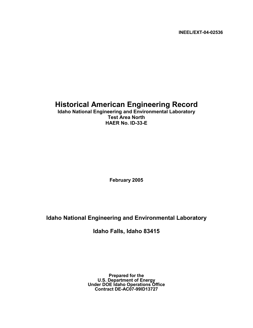**INEEL/EXT-04-02536**

# **Historical American Engineering Record**

**Idaho National Engineering and Environmental Laboratory Test Area North HAER No. ID-33-E** 

**February 2005** 

**Idaho National Engineering and Environmental Laboratory** 

**Idaho Falls, Idaho 83415** 

**Prepared for the U.S. Department of Energy Under DOE Idaho Operations Office Contract DE-AC07-99ID13727**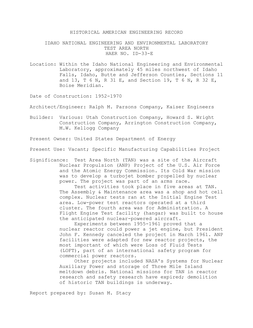# HISTORICAL AMERICAN ENGINEERING RECORD

# IDAHO NATIONAL ENGINEERING AND ENVIRONMENTAL LABORATORY TEST AREA NORTH HAER NO. ID-33-E

Location: Within the Idaho National Engineering and Environmental Laboratory, approximately 45 miles northwest of Idaho Falls, Idaho, Butte and Jefferson Counties, Sections 11 and 13, T 6 N, R 31 E, and Section 19, T 6 N, R 32 E, Boise Meridian.

Date of Construction: 1952-1970

Architect/Engineer: Ralph M. Parsons Company, Kaiser Engineers

Builder: Various: Utah Construction Company, Howard S. Wright Construction Company, Arrington Construction Company, M.W. Kellogg Company

Present Owner: United States Department of Energy

Present Use: Vacant; Specific Manufacturing Capabilities Project

Significance: Test Area North (TAN) was a site of the Aircraft Nuclear Propulsion (ANP) Project of the U.S. Air Force and the Atomic Energy Commission. Its Cold War mission was to develop a turbojet bomber propelled by nuclear power. The project was part of an arms race.

> Test activities took place in five areas at TAN. The Assembly & Maintenance area was a shop and hot cell complex. Nuclear tests ran at the Initial Engine Test area. Low-power test reactors operated at a third cluster. The fourth area was for Administration. A Flight Engine Test facility (hangar) was built to house the anticipated nuclear-powered aircraft.

> Experiments between 1955-1961 proved that a nuclear reactor could power a jet engine, but President John F. Kennedy canceled the project in March 1961. ANP facilities were adapted for new reactor projects, the most important of which were Loss of Fluid Tests (LOFT), part of an international safety program for commercial power reactors.

> Other projects included NASA's Systems for Nuclear Auxiliary Power and storage of Three Mile Island meltdown debris. National missions for TAN in reactor research and safety research have expired; demolition of historic TAN buildings is underway.

Report prepared by: Susan M. Stacy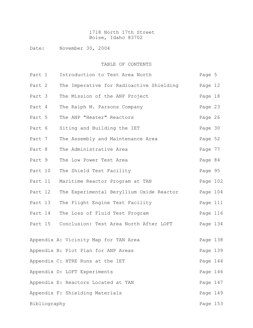# 1718 North 17th Street Boise, Idaho 83702

Date: November 30, 2004

# TABLE OF CONTENTS

| Part 1       |  | Introduction to Test Area North          | Page 5   |          |
|--------------|--|------------------------------------------|----------|----------|
| Part 2       |  | The Imperative for Radioactive Shielding | Page 12  |          |
| Part 3       |  | The Mission of the ANP Project           | Page 18  |          |
| Part 4       |  | The Ralph M. Parsons Company             | Page 23  |          |
| Part 5       |  | The ANP "Heater" Reactors                | Page 26  |          |
| Part 6       |  | Siting and Building the IET              | Page 30  |          |
| Part 7       |  | The Assembly and Maintenance Area        | Page 52  |          |
| Part 8       |  | The Administrative Area                  | Page 77  |          |
| Part 9       |  | The Low Power Test Area                  | Page 84  |          |
| Part 10      |  | The Shield Test Facility                 | Page 95  |          |
| Part 11      |  | Maritime Reactor Program at TAN          | Page 102 |          |
| Part 12      |  | The Experimental Beryllium Oxide Reactor | Page 104 |          |
| Part 13      |  | The Flight Engine Test Facility          | Page 111 |          |
| Part 14      |  | The Loss of Fluid Test Program           | Page 116 |          |
| Part 15      |  | Conclusion: Test Area North After LOFT   | Page 134 |          |
|              |  | Appendix A: Vicinity Map for TAN Area    | Page 138 |          |
|              |  | Appendix B: Plot Plan for ANP Areas      | Page 139 |          |
|              |  | Appendix C: HTRE Runs at the IET         | Page 144 |          |
|              |  | Appendix D: LOFT Experiments             | Page 146 |          |
|              |  | Appendix E: Reactors Located at TAN      | Page 147 |          |
|              |  | Appendix F: Shielding Materials          | Page 149 |          |
| Bibliography |  |                                          |          | Page 153 |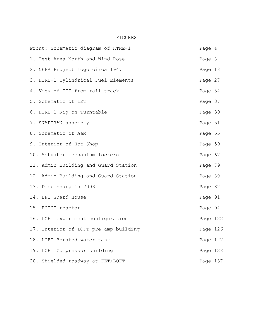# FIGURES

| Front: Schematic diagram of HTRE-1    | Page 4   |  |
|---------------------------------------|----------|--|
| 1. Test Area North and Wind Rose      | Page 8   |  |
| 2. NEPA Project logo circa 1947       | Page 18  |  |
| 3. HTRE-1 Cylindrical Fuel Elements   | Page 27  |  |
| 4. View of IET from rail track        | Page 34  |  |
| 5. Schematic of IET                   | Page 37  |  |
| 6. HTRE-1 Rig on Turntable            | Page 39  |  |
| 7. SNAPTRAN assembly                  | Page 51  |  |
| 8. Schematic of A&M                   | Page 55  |  |
| 9. Interior of Hot Shop               | Page 59  |  |
| 10. Actuator mechanism lockers        | Page 67  |  |
| 11. Admin Building and Guard Station  | Page 79  |  |
| 12. Admin Building and Guard Station  | Page 80  |  |
| 13. Dispensary in 2003                | Page 82  |  |
| 14. LPT Guard House                   | Page 91  |  |
| 15. HOTCE reactor                     | Page 94  |  |
| 16. LOFT experiment configuration     | Page 122 |  |
| 17. Interior of LOFT pre-amp building | Page 126 |  |
| 18. LOFT Borated water tank           | Page 127 |  |
| 19. LOFT Compressor building          | Page 128 |  |
| 20. Shielded roadway at FET/LOFT      | Page 137 |  |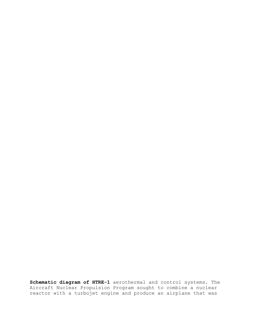**Schematic diagram of HTRE-1** aerothermal and control systems. The Aircraft Nuclear Propulsion Program sought to combine a nuclear reactor with a turbojet engine and produce an airplane that was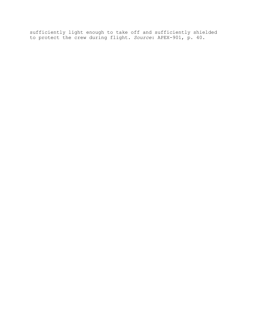sufficiently light enough to take off and sufficiently shielded to protect the crew during flight. *Source*: APEX-901, p. 40.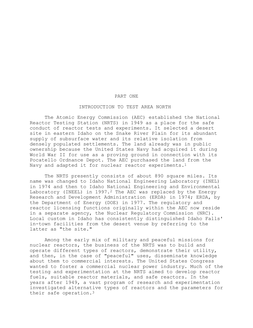#### PART ONE

# INTRODUCTION TO TEST AREA NORTH

The Atomic Energy Commission (AEC) established the National Reactor Testing Station (NRTS) in 1949 as a place for the safe conduct of reactor tests and experiments. It selected a desert site in eastern Idaho on the Snake River Plain for its abundant supply of subsurface water and its relative isolation from densely populated settlements. The land already was in public ownership because the United States Navy had acquired it during World War II for use as a proving ground in connection with its Pocatello Ordnance Depot. The AEC purchased the land from the Navy and adapted it for nuclear reactor experiments.1

The NRTS presently consists of about 890 square miles. Its name was changed to Idaho National Engineering Laboratory (INEL) in 1974 and then to Idaho National Engineering and Environmental Laboratory (INEEL) in 1997.2 The AEC was replaced by the Energy Research and Development Administration (ERDA) in 1974; ERDA, by the Department of Energy (DOE) in 1977. The regulatory and reactor licensing functions originally within the AEC now reside in a separate agency, the Nuclear Regulatory Commission (NRC). Local custom in Idaho has consistently distinguished Idaho Falls' in-town facilities from the desert venue by referring to the latter as "the site."

Among the early mix of military and peaceful missions for nuclear reactors, the business of the NRTS was to build and operate different types of reactors, demonstrate their utility, and then, in the case of "peaceful" uses, disseminate knowledge about them to commercial interests. The United States Congress wanted to foster a commercial nuclear power industry. Much of the testing and experimentation at the NRTS aimed to develop reactor fuels, suitable reactor materials, and safe reactors. In the years after 1949, a vast program of research and experimentation investigated alternative types of reactors and the parameters for their safe operation.3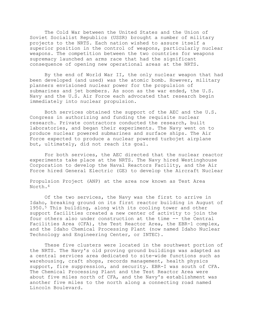The Cold War between the United States and the Union of Soviet Socialist Republics (USSR) brought a number of military projects to the NRTS. Each nation wished to assure itself a superior position in the control of weapons, particularly nuclear weapons. The competition between the two countries for weapons supremacy launched an arms race that had the significant consequence of opening new operational areas at the NRTS.

By the end of World War II, the only nuclear weapon that had been developed (and used) was the atomic bomb. However, military planners envisioned nuclear power for the propulsion of submarines and jet bombers. As soon as the war ended, the U.S. Navy and the U.S. Air Force each advocated that research begin immediately into nuclear propulsion.

Both services obtained the support of the AEC and the U.S. Congress in authorizing and funding the requisite nuclear research. Private contractors conducted the research, built laboratories, and began their experiments. The Navy went on to produce nuclear powered submarines and surface ships. The Air Force expected to produce a nuclear powered turbojet airplane but, ultimately, did not reach its goal.

For both services, the AEC directed that the nuclear reactor experiments take place at the NRTS. The Navy hired Westinghouse Corporation to develop the Naval Reactors Facility, and the Air Force hired General Electric (GE) to develop the Aircraft Nuclear

Propulsion Project (ANP) at the area now known as Test Area North.4

Of the two services, the Navy was the first to arrive in Idaho, breaking ground on its first reactor building in August of 1950.5 This building, along with its cooling tower and other support facilities created a new center of activity to join the four others also under construction at the time -- the Central Facilities Area (CFA), the Test Reactor Area, the EBR-1 complex, and the Idaho Chemical Processing Plant (now named Idaho Nuclear Technology and Engineering Center, or INTEC).

These five clusters were located in the southwest portion of the NRTS. The Navy's old proving ground buildings was adapted as a central services area dedicated to site-wide functions such as warehousing, craft shops, records management, health physics support, fire suppression, and security. EBR-I was south of CFA. The Chemical Processing Plant and the Test Reactor Area were about five miles north of CFA, and the Navy's establishment was another five miles to the north along a connecting road named Lincoln Boulevard.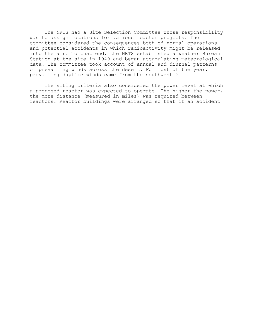The NRTS had a Site Selection Committee whose responsibility was to assign locations for various reactor projects. The committee considered the consequences both of normal operations and potential accidents in which radioactivity might be released into the air. To that end, the NRTS established a Weather Bureau Station at the site in 1949 and began accumulating meteorological data. The committee took account of annual and diurnal patterns of prevailing winds across the desert. For most of the year, prevailing daytime winds came from the southwest.6

The siting criteria also considered the power level at which a proposed reactor was expected to operate. The higher the power, the more distance (measured in miles) was required between reactors. Reactor buildings were arranged so that if an accident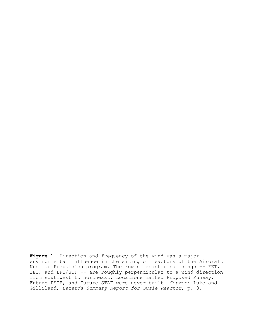**Figure 1**. Direction and frequency of the wind was a major environmental influence in the siting of reactors of the Aircraft Nuclear Propulsion program. The row of reactor buildings -- FET, IET, and LPT/STF -- are roughly perpendicular to a wind direction from southwest to northeast. Locations marked Proposed Runway, Future PSTF, and Future STAF were never built. *Source*: Luke and Gilliland, *Hazards Summary Report for Susie Reactor*, p. 8.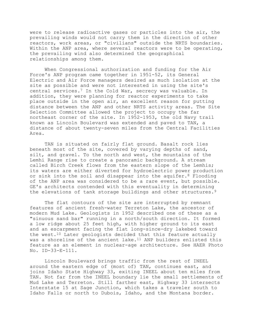were to release radioactive gases or particles into the air, the prevailing winds would not carry them in the direction of other reactors, work areas, or "civilians" outside the NRTS boundaries. Within the ANP area, where several reactors were to be operating, the prevailing wind also determined the geographical relationships among them.

When Congressional authorization and funding for the Air Force's ANP program came together in 1951-52, its General Electric and Air Force managers desired as much isolation at the site as possible and were not interested in using the site's central services.7 In the Cold War, secrecy was valuable. In addition, they were planning for reactor experiments to take place outside in the open air, an excellent reason for putting distance between the ANP and other NRTS activity areas. The Site Selection Committee allowed the project to occupy the far northeast corner of the site. In 1952-1953, the old Navy trail known as Lincoln Boulevard was extended and paved to TAN, a distance of about twenty-seven miles from the Central Facilities Area.

TAN is situated on fairly flat ground. Basalt rock lies beneath most of the site, covered by varying depths of sand, silt, and gravel. To the north and west, the mountains of the Lemhi Range rise to create a panoramic background. A stream called Birch Creek flows from the eastern slope of the Lemhis; its waters are either diverted for hydroelectric power production or sink into the soil and disappear into the aquifer.<sup>8</sup> Flooding of the ANP area was considered to be a rare event, but possible. GE's architects contended with this eventuality in determining the elevations of tank storage buildings and other structures.<sup>9</sup>

The flat contours of the site are interrupted by remnant features of ancient fresh-water Terreton Lake, the ancestor of modern Mud Lake. Geologists in 1952 described one of these as a "sinuous sand bar" running in a north/south direction. It formed a low ridge about 25 feet high, with higher ground to its east and an escarpment facing the flat long-since-dry lakebed toward the west.10 Later geologists decided that this feature actually was a shoreline of the ancient lake. $11$  ANP builders enlisted this feature as an element in nuclear-age architecture. See HAER Photo No. ID-33-E-111.

Lincoln Boulevard brings traffic from the rest of INEEL around the eastern edge of (most of) TAN, continues east, and joins Idaho State Highway 33, exiting INEEL about ten miles from TAN. Not far from the INEEL boundary lie the small settlements of Mud Lake and Terreton. Still farther east, Highway 33 intersects Interstate 15 at Sage Junction, which takes a traveler south to Idaho Falls or north to Dubois, Idaho, and the Montana border.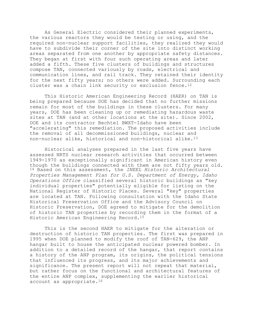As General Electric considered their planned experiments, the various reactors they would be testing or using, and the required non-nuclear support facilities, they realized they would have to subdivide their corner of the site into distinct working areas separated from one another by appropriate safety distances. They began at first with four such operating areas and later added a fifth. These five clusters of buildings and structures compose TAN, connected variously by roads, electrical and communication lines, and rail track. They retained their identity for the next fifty years; no others were added. Surrounding each cluster was a chain link security or exclusion fence.<sup>12</sup>

This Historic American Engineering Record (HAER) on TAN is being prepared because DOE has decided that no further missions remain for most of the buildings in these clusters. For many years, DOE has been cleaning up or remediating hazardous waste sites at TAN (and at other locations at the site). Since 2002, DOE and its contractor Bechtel BWXT-Idaho have been "accelerating" this remediation. The proposed activities include the removal of all decommissioned buildings, nuclear and non-nuclear alike, historical and non-historical alike.13

Historical analyses prepared in the last five years have assessed NRTS nuclear research activities that occurred between 1949-1970 as exceptionally significant in American history even though the buildings connected with them are not fifty years old. 14 Based on this assessment, the *INEEL Historic Architectural Properties Management Plan for U.S. Department of Energy, Idaho Operations Office* classified several historic buildings as "key individual properties" potentially eligible for listing on the National Register of Historic Places. Several "key" properties are located at TAN. Following consultation with the Idaho State Historical Preservation Office and the Advisory Council on Historic Preservation, DOE agreed to mitigate for the demolition of historic TAN properties by recording them in the format of a Historic American Engineering Record.15

This is the second HAER to mitigate for the alteration or destruction of historic TAN properties. The first was prepared in 1995 when DOE planned to modify the roof of TAN-629, the ANP hangar built to house the anticipated nuclear powered bomber. In addition to a detailed record of the hangar, that report contains a history of the ANP program, its origins, the political tensions that influenced its progress, and its major achievements and significance. The present report will not repeat that material, but rather focus on the functional and architectural features of the entire ANP complex, supplementing the earlier historical account as appropriate.16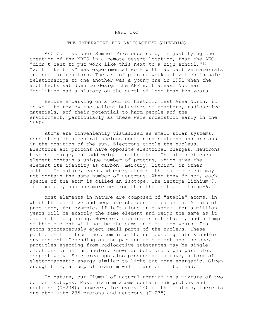#### PART TWO

#### THE IMPERATIVE FOR RADIOACTIVE SHIELDING

AEC Commissioner Sumner Pike once said, in justifying the creation of the NRTS in a remote desert location, that the AEC "didn't want to put work like this next to a high school."<sup>17</sup> "Work like this" was experimental work with radioactive materials and nuclear reactors. The art of placing work activities in safe relationships to one another was a young one in 1951 when the architects sat down to design the ANP work areas. Nuclear facilities had a history on the earth of less than ten years.

Before embarking on a tour of historic Test Area North, it is well to review the salient behaviors of reactors, radioactive materials, and their potential to harm people and the environment, particularly as these were understood early in the 1950s.

Atoms are conveniently visualized as small solar systems, consisting of a central nucleus containing neutrons and protons in the position of the sun. Electrons circle the nucleus. Electrons and protons have opposite electrical charges. Neutrons have no charge, but add weight to the atom. The atoms of each element contain a unique number of protons, which give the element its identity as carbon, mercury, lithium, or other matter. In nature, each and every atom of the same element may not contain the same number of neutrons. When they do not, each specie of the atom is called an isotope. The isotope lithium-7, for example, has one more neutron than the isotope lithium-6.18

Most elements in nature are composed of "stable" atoms, in which the positive and negative charges are balanced. A lump of pure iron, for example, if left alone in a vacuum for a million years will be exactly the same element and weigh the same as it did in the beginning. However, uranium is not stable, and a lump of this element will not be the same in a million years. Its atoms spontaneously eject small parts of the nucleus. These particles flee from the atom into the surrounding matrix and/or environment. Depending on the particular element and isotope, particles ejecting from radioactive substances may be single electrons or helium nuclei, known as beta and alpha particles respectively. Some breakups also produce gamma rays, a form of electromagnetic energy similar to light but more energetic. Given enough time, a lump of uranium will transform into lead.

In nature, our "lump" of natural uranium is a mixture of two common isotopes. Most uranium atoms contain 238 protons and neutrons (U-238); however, for every 140 of these atoms, there is one atom with 235 protons and neutrons (U-235).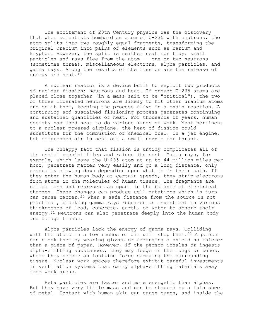The excitement of 20th Century physics was the discovery that when scientists bombard an atom of U-235 with neutrons, the atom splits into two roughly equal fragments, transforming the original uranium into pairs of elements such as barium and krypton. However, the split is neither neat nor tidy: small particles and rays flee from the atom -- one or two neutrons (sometimes three), miscellaneous electrons, alpha particles, and gamma rays. Among the results of the fission are the release of energy and heat.19

A nuclear reactor is a device built to exploit two products of nuclear fission: neutrons and heat. If enough U-235 atoms are placed close together (in a mass said to be "critical"), the two or three liberated neutrons are likely to hit other uranium atoms and split them, keeping the process alive in a chain reaction. A continuing and sustained fissioning process generates continuing and sustained quantities of heat. For thousands of years, human society has used heat to do various kinds of work. Most pertinent to a nuclear powered airplane, the heat of fission could substitute for the combustion of chemical fuel. In a jet engine, hot compressed air is sent out a small nozzle for thrust.

The unhappy fact that fission is untidy complicates all of its useful possibilities and raises its cost. Gamma rays, for example, which leave the U-235 atom at up to 44 million miles per hour, penetrate matter very easily and go a long distance, only gradually slowing down depending upon what is in their path. If they enter the human body at certain speeds, they strip electrons from atoms in the molecules of human tissue. The fragments are called ions and represent an upset in the balance of electrical charges. These changes can produce cell mutations which in turn can cause cancer.20 When a safe distance from the source is not practical, blocking gamma rays requires an investment in various thicknesses of lead, concrete, earth, or water to absorb their energy.<sup>21</sup> Neutrons can also penetrate deeply into the human body and damage tissue.

Alpha particles lack the energy of gamma rays. Colliding with the atoms in a few inches of air will stop them.<sup>22</sup> A person can block them by wearing gloves or arranging a shield no thicker than a piece of paper. However, if the person inhales or ingests alpha-emitting substances, they may lodge in the lungs or bones, where they become an ionizing force damaging the surrounding tissue. Nuclear work spaces therefore exhibit careful investments in ventilation systems that carry alpha-emitting materials away from work areas.

Beta particles are faster and more energetic than alphas. But they have very little mass and can be stopped by a thin sheet of metal. Contact with human skin can cause burns, and inside the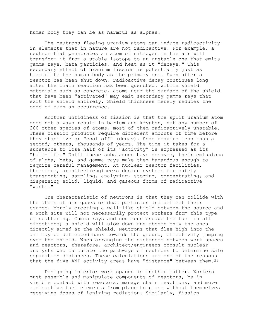human body they can be as harmful as alphas.

The neutrons fleeing uranium atoms can induce radioactivity in elements that in nature are not radioactive. For example, a neutron that penetrates an atom of nitrogen in the air will transform it from a stable isotope to an unstable one that emits gamma rays, beta particles, and heat as it "decays." This secondary effect of uranium fission is potentially just as harmful to the human body as the primary one. Even after a reactor has been shut down, radioactive decay continues long after the chain reaction has been quenched. Within shield materials such as concrete, atoms near the surface of the shield that have been "activated" may emit secondary gamma rays that exit the shield entirely. Shield thickness merely reduces the odds of such an occurrence.

Another untidiness of fission is that the split uranium atom does not always result in barium and krypton, but any number of 200 other species of atoms, most of them radioactively unstable. These fission products require different amounts of time before they stabilize or "cool off" (decay). Some require less than a second; others, thousands of years. The time it takes for a substance to lose half of its "activity" is expressed as its "half-life." Until these substances have decayed, their emissions of alpha, beta, and gamma rays make them hazardous enough to require careful management. At nuclear reactor facilities, therefore, architect/engineers design systems for safely transporting, sampling, analyzing, storing, concentrating, and dispersing solid, liquid, and gaseous forms of radioactive "waste."

One characteristic of neutrons is that they can collide with the atoms of air gases or dust particles and deflect their course. Merely erecting a wall-like shield between the source and a work site will not necessarily protect workers from this type of scattering. Gamma rays and neutrons escape the fuel in all directions; a shield will slow down and absorb only the ones directly aimed at the shield. Neutrons that flee high into the air may be deflected back towards the ground, effectively jumping over the shield. When arranging the distances between work spaces and reactors, therefore, architect/engineers consult nuclear analysts who calculate the pathways of neutrons to determine safe separation distances. These calculations are one of the reasons that the five ANP activity areas have "distance" between them.<sup>23</sup>

Designing interior work spaces is another matter. Workers must assemble and manipulate components of reactors, be in visible contact with reactors, manage chain reactions, and move radioactive fuel elements from place to place without themselves receiving doses of ionizing radiation. Similarly, fission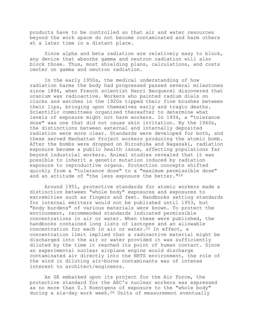products have to be controlled so that air and water resources beyond the work space do not become contaminated and harm others at a later time in a distant place.

Since alpha and beta radiation are relatively easy to block, any device that absorbs gamma and neutron radiation will also block those. Thus, most shielding plans, calculations, and costs center on gamma and neutron radiation.

In the early 1950s, the medical understanding of how radiation harms the body had progressed passed several milestones since 1896, when French scientist Henri Becquerel discovered that uranium was radioactive. Workers who painted radium dials on clocks and watches in the 1920s tipped their fine brushes between their lips, bringing upon themselves early and tragic deaths. Scientific committees organized thereafter to determine what levels of exposure might not harm workers. In 1934, a "tolerance dose" was one that did not cause skin irritation. By the 1940s, the distinctions between external and internally deposited radiation were more clear. Standards were developed for both, and these served Manhattan Project workers producing the atomic bomb. After the bombs were dropped on Hiroshima and Nagasaki, radiation exposure became a public health issue, affecting populations far beyond industrial workers. Animal studies revealed that it was possible to inherit a genetic mutation induced by radiation exposure to reproductive organs. Protection concepts shifted quickly from a "tolerance dose" to a "maximum permissible dose" and an attitude of "the less exposure the better."<sup>24</sup>

Around 1951, protective standards for atomic workers made a distinction between "whole body" exposures and exposures to extremities such as fingers and feet. Handbooks setting standards for internal emitters would not be published until 1953, but "body burdens" of various materials were known. To protect the environment, recommended standards indicated permissible concentrations in air or water. When these were published, the handbooks contained long lists of isotopes and an allowable concentration for each in air or water.25 In effect, a concentration limit implied that a radioactive material might be discharged into the air or water provided it was sufficiently diluted by the time it reached its point of human contact. Since an experimental nuclear airplane engine would discharge contaminated air directly into the NRTS environment, the role of the wind in diluting air-borne contaminants was of intense interest to architect/engineers.

As GE embarked upon its project for the Air Force, the protective standard for the AEC's nuclear workers was expressed as no more than 0.3 Roentgens of exposure to the "whole body" during a six-day work week.26 Units of measurement eventually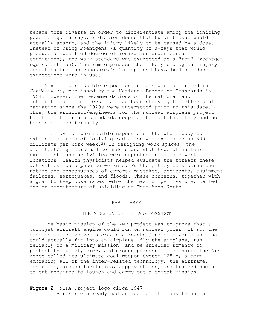became more diverse in order to differentiate among the ionizing power of gamma rays, radiation doses that human tissue would actually absorb, and the injury likely to be caused by a dose. Instead of using Roentgens (a quantity of X-rays that would produce a specified degree of ionization under certain conditions), the work standard was expressed as a "rem" (*r*oentgen *e*quivalent *m*an). The rem expresses the likely biological injury resulting from an exposure.27 During the 1950s, both of these expressions were in use.

Maximum permissible exposures in rems were described in *Handbook 59*, published by the National Bureau of Standards in 1954. However, the recommendations of the national and international committees that had been studying the effects of radiation since the 1920s were understood prior to this date.28 Thus, the architect/engineers for the nuclear airplane project had to meet certain standards despite the fact that they had not been published formally.

The maximum permissible exposure of the whole body to external sources of ionizing radiation was expressed as 300 millirems per work week.29 In designing work spaces, the architect/engineers had to understand what type of nuclear experiments and activities were expected in various work locations. Health physicists helped evaluate the threats these activities could pose to workers. Further, they considered the nature and consequences of errors, mistakes, accidents, equipment failures, earthquakes, and floods. These concerns, together with a goal to keep dose rates below the maximum permissible, called for an architecture of shielding at Test Area North.

# PART THREE

#### THE MISSION OF THE ANP PROJECT

The basic mission of the ANP project was to prove that a turbojet aircraft engine could run on nuclear power. If so, the mission would evolve to create a reactor/engine power plant that could actually fit into an airplane, fly the airplane, run reliably on a military mission, and be shielded somehow to protect the pilot, crew, and ground personnel from harm. The Air Force called its ultimate goal Weapon System 125-A, a term embracing all of the inter-related technology, the airframe, resources, ground facilities, supply chains, and trained human talent required to launch and carry out a combat mission.

**Figure 2**. NEPA Project logo circa 1947 The Air Force already had an idea of the many technical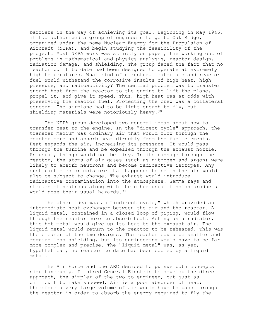barriers in the way of achieving its goal. Beginning in May 1946, it had authorized a group of engineers to go to Oak Ridge, organized under the name Nuclear Energy for the Propulsion of Aircraft (NEPA), and begin studying the feasibility of the project. Most NEPA work was strictly on paper, the working out of problems in mathematical and physics analysis, reactor design, radiation damage, and shielding. The group faced the fact that no reactor built to date had been designed to operate at extremely high temperatures. What kind of structural materials and reactor fuel would withstand the corrosive insults of high heat, high pressure, and radioactivity? The central problem was to transfer enough heat from the reactor to the engine to lift the plane, propel it, and give it speed. Thus, high heat was at odds with preserving the reactor fuel. Protecting the crew was a collateral concern. The airplane had to be light enough to fly, but shielding materials were notoriously heavy.<sup>30</sup>

The NEPA group developed two general ideas about how to transfer heat to the engine. In the "direct cycle" approach, the transfer medium was ordinary air that would flow through the reactor core and absorb heat directly from the fuel elements. Heat expands the air, increasing its pressure. It would pass through the turbine and be expelled through the exhaust nozzle. As usual, things would not be tidy. In its passage through the reactor, the atoms of air gases (such as nitrogen and argon) were likely to absorb neutrons and become radioactive isotopes. Any dust particles or moisture that happened to be in the air would also be subject to change. The exhaust would introduce radioactive contamination into the atmosphere. Gamma rays and streams of neutrons along with the other usual fission products would pose their usual hazards.31

The other idea was an "indirect cycle," which provided an intermediate heat exchanger between the air and the reactor. A liquid metal, contained in a closed loop of piping, would flow through the reactor core to absorb heat. Acting as a radiator, this hot metal would give up its heat to the exhaust air. The liquid metal would return to the reactor to be reheated. This was the cleaner of the two designs. The reactor could be smaller and require less shielding, but its engineering would have to be far more complex and precise. The "liquid metal" was, as yet, hypothetical; no reactor to date had been cooled by a liquid metal.

The Air Force and the AEC decided to pursue both concepts simultaneously. It hired General Electric to develop the direct approach, the simpler of the two to engineer, but just as difficult to make succeed. Air is a poor absorber of heat; therefore a very large volume of air would have to pass through the reactor in order to absorb the energy required to fly the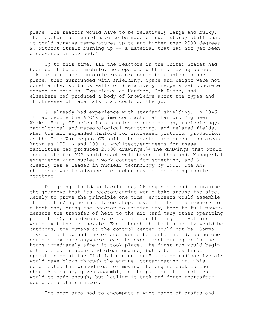plane. The reactor would have to be relatively large and bulky. The reactor fuel would have to be made of such sturdy stuff that it could survive temperatures up to and higher than 2000 degrees F. without itself burning up -- a material that had not yet been discovered or devised.32

Up to this time, all the reactors in the United States had been built to be immobile, not operate within a moving object like an airplane. Immobile reactors could be planted in one place, then surrounded with shielding. Space and weight were not constraints, so thick walls of (relatively inexpensive) concrete served as shields. Experience at Hanford, Oak Ridge, and elsewhere had produced a body of knowledge about the types and thicknesses of materials that could do the job.

GE already had experience with standard shielding. In 1946 it had become the AEC's prime contractor at Hanford Engineer Works. Here, GE scientists studied reactor design, radiobiology, radiological and meteorological monitoring, and related fields. When the AEC expanded Hanford for increased plutonium production as the Cold War began, GE built the reactor and production areas known as 100 DR and 100-H. Architect/engineers for these facilities had produced 2,500 drawings.33 The drawings that would accumulate for ANP would reach well beyond a thousand. Managerial experience with nuclear work counted for something, and GE clearly was a leader in nuclear technology by 1951. The ANP challenge was to advance the technology for shielding mobile reactors.

Designing its Idaho facilities, GE engineers had to imagine the journeys that its reactor/engine would take around the site. Merely to prove the principle one time, engineers would assemble the reactor/engine in a large shop, move it outside somewhere to a test pad, bring the reactor to criticality, then to full power, measure the transfer of heat to the air (and many other operating parameters), and demonstrate that it ran the engine. Hot air would exit the jet nozzle. Even though the test assembly would be outdoors, the humans at the control center could not be. Gamma rays would flow and the exhaust would be contaminated, so no one could be exposed anywhere near the experiment during or in the hours immediately after it took place. The first run would begin with a clean reactor and clean engine, but after its first operation -- at the "initial engine test" area -- radioactive air would have blown through the engine, contaminating it. This complicated the procedures for moving the engine back to the shop. Moving any given assembly to the pad for its first test would be safe enough, but hauling it back and forth thereafter would be another matter.

The shop area had to encompass a wide range of crafts and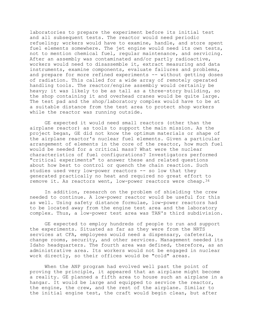laboratories to prepare the experiment before its initial test and all subsequent tests. The reactor would need periodic refueling; workers would have to examine, handle, and store spent fuel elements somewhere. The jet engine would need its own tests, not to mention chemical fuel, regular maintenance, and servicing. After an assembly was contaminated and/or partly radioactive, workers would need to disassemble it, extract measuring and data instruments, examine components, evaluate failures and problems, and prepare for more refined experiments -- without getting doses of radiation. This called for a wide array of remotely operated handling tools. The reactor/engine assembly would certainly be heavy; it was likely to be as tall as a three-story building, so the shop containing it and overhead cranes would be quite large. The test pad and the shop/laboratory complex would have to be at a suitable distance from the test area to protect shop workers while the reactor was running outside.

GE expected it would need small reactors (other than the airplane reactor) as tools to support the main mission. As the project began, GE did not know the optimum materials or shape of the airplane reactor's nuclear fuel elements. Given a particular arrangement of elements in the core of the reactor, how much fuel would be needed for a critical mass? What were the nuclear characteristics of fuel configurations? Investigators performed "critical experiments" to answer these and related questions about how best to control or quench the chain reaction. Such studies used very low-power reactors -- so low that they generated practically no heat and required no great effort to remove it. As reactors went, low-power reactors were cheap. 34

In addition, research on the problem of shielding the crew needed to continue. A low-power reactor would be useful for this as well. Using safety distance formulae, low-power reactors had to be located away from the engine test area and the laboratory complex. Thus, a low-power test area was TAN's third subdivision.

GE expected to employ hundreds of people to run and support the experiments. Situated as far as they were from the NRTS services at CFA, employees would need a dispensary, cafeteria, change rooms, security, and other services. Management needed its Idaho headquarters. The fourth area was defined, therefore, as an administrative area. Its workers would not be engaged in nuclear work directly, so their offices would be "cold" areas.

When the ANP program had evolved well past the point of proving the principle, it appeared that an airplane might become a reality. GE planned a fifth area to house such an airplane in a hangar. It would be large and equipped to service the reactor, the engine, the crew, and the rest of the airplane. Similar to the initial engine test, the craft would begin clean, but after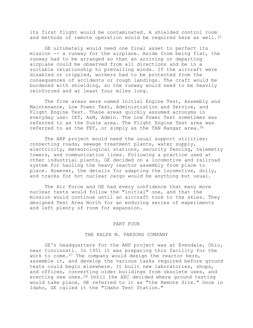its first flight would be contaminated. A shielded control room and methods of remote operation would be required here as well.  $35$ 

GE ultimately would need one final asset to perfect its mission -- a runway for the airplane. Aside from being flat, the runway had to be arranged so that an arriving or departing airplane could be observed from all directions and be in a suitable relationship to prevailing winds. If the aircraft were disabled or crippled, workers had to be protected from the consequences of accidents or rough landings. The craft would be burdened with shielding, so the runway would need to be heavily reinforced and at least four miles long.

The five areas were named Initial Engine Test, Assembly and Maintenance, Low Power Test, Administration and Service, and Flight Engine Test. These areas quickly assumed acronyms in everyday use: IET, A&M, Admin. The Low Power Test sometimes was referred to as the Susie area. The Flight Engine Test area was referred to as the FET, or simply as the TAN Hangar area.  $36$ 

The ANP project would need the usual support utilities: connecting roads, sewage treatment plants, water supply, electricity, meteorological stations, security fencing, telemetry towers, and communication lines. Following a practice used at other industrial plants, GE decided on a locomotive and railroad system for hauling the heavy reactor assembly from place to place. However, the details for adapting the locomotive, dolly, and tracks for hot nuclear cargo would be anything but usual.

The Air Force and GE had every confidence that many more nuclear tests would follow the "initial" one, and that the mission would continue until an aircraft took to the skies. They designed Test Area North for an enduring series of experiments and left plenty of room for expansion.

#### PART FOUR

# THE RALPH M. PARSONS COMPANY

GE's headquarters for the ANP project was at Evendale, Ohio, near Cincinnati. In 1951 it was preparing this facility for the work to come.<sup>37</sup> The company would design the reactor here, assemble it, and develop the various tasks required before ground tests could begin elsewhere. It built new laboratories, shops, and offices, converting older buildings from obsolete uses, and erecting new ones.38 Until the AEC decided where ground testing would take place, GE referred to it as "the Remote Site." Once in Idaho, GE called it the "Idaho Test Station."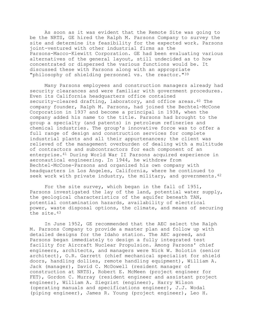As soon as it was evident that the Remote Site was going to be the NRTS, GE hired the Ralph M. Parsons Company to survey the site and determine its feasibility for the expected work. Parsons joint-ventured with other industrial firms as the Parsons-Macco-Kiewitt Corporation. GE had been evaluating various alternatives of the general layout, still undecided as to how concentrated or dispersed the various functions would be. It discussed these with Parsons along with an appropriate "philosophy of shielding personnel vs. the reactor."39

Many Parsons employees and construction managers already had security clearances and were familiar with government procedures. Even its California headquarters office contained security-cleared drafting, laboratory, and office areas.  $40$  The company founder, Ralph M. Parsons, had joined the Bechtel-McCone Corporation in 1937 and become a principal in 1938, when the company added his name to the title. Parsons had brought to the group a specialty (and patents) in petroleum refineries and chemical industries. The group's innovative force was to offer a full range of design and construction services for complete industrial plants and all their appurtenances; the client was relieved of the management overburden of dealing with a multitude of contractors and subcontractors for each component of an enterprise.41 During World War II Parsons acquired experience in aeronautical engineering. In 1944, he withdrew from Bechtel-McCone-Parsons and organized his own company with headquarters in Los Angeles, California, where he continued to seek work with private industry, the military, and governments.  $42$ 

For the site survey, which began in the fall of 1951, Parsons investigated the lay of the land, potential water supply, the geological characteristics of the aquifer beneath TAN, potential contamination hazards, availability of electrical power, waste disposal options, the climate, and means of securing the site.43

In June 1952, GE recommended that the AEC select the Ralph M. Parsons Company to provide a master plan and follow up with detailed designs for the Idaho station. The AEC agreed, and Parsons began immediately to design a fully integrated test facility for Aircraft Nuclear Propulsion. Among Parsons' chief engineers, architects, and managers were Nick W. Bolotin (senior architect), O.R. Garrett (chief mechanical specialist for shield doors, handling dollies, remote handling equipment), William A. Jack (manager), David C. McDowell (resident manager of construction at NRTS), Robert E. McMeen (project engineer for FET), Gordon C. Murray (resident engineer and assistant project engineer), William A. Siegrist (engineer), Harry Wilson (operating manuals and specifications engineer), J.J. Wodal (piping engineer), James R. Young (project engineer), Leo H.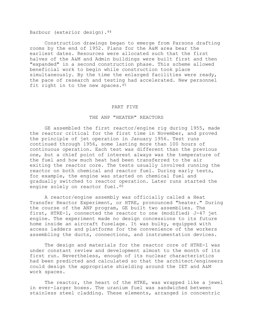Barbour (exterior design).44

Construction drawings began to emerge from Parsons drafting rooms by the end of 1952. Plans for the A&M area bear the earliest dates. Resources were allocated such that the first halves of the A&M and Admin buildings were built first and then "expanded" in a second construction phase. This scheme allowed beneficial work to begin while construction took place simultaneously. By the time the enlarged facilities were ready, the pace of research and testing had accelerated. New personnel fit right in to the new spaces.45

#### PART FIVE

#### THE ANP "HEATER" REACTORS

GE assembled the first reactor/engine rig during 1955, made the reactor critical for the first time in November, and proved the principle of jet operation in January 1956. Test runs continued through 1956, some lasting more than 100 hours of continuous operation. Each test was different than the previous one, but a chief point of interest always was the temperature of the fuel and how much heat had been transferred to the air exiting the reactor core. The tests usually involved running the reactor on both chemical and reactor fuel. During early tests, for example, the engine was started on chemical fuel and gradually switched to reactor operation. Later runs started the engine solely on reactor fuel.<sup>46</sup>

A reactor/engine assembly was officially called a Heat Transfer Reactor Experiment, or HTRE, pronounced "heater." During the course of the ANP program, GE built two assemblies. The first, HTRE-1, connected the reactor to one (modified) J-47 jet engine. The experiment made no design concessions to its future home inside an aircraft fuselage. It was bulky, equipped with access ladders and platforms for the convenience of the workers assembling the ducts, connections, and instrumentation devices.

The design and materials for the reactor core of HTRE-1 was under constant review and development almost to the month of its first run. Nevertheless, enough of its nuclear characteristics had been predicted and calculated so that the architect/engineers could design the appropriate shielding around the IET and A&M work spaces.

The reactor, the heart of the HTRE, was wrapped like a jewel in ever-larger boxes. The uranium fuel was sandwiched between stainless steel cladding. These elements, arranged in concentric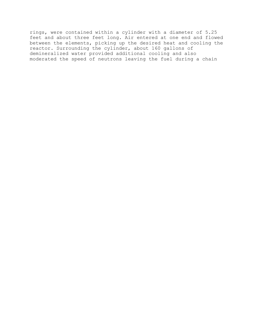rings, were contained within a cylinder with a diameter of 5.25 feet and about three feet long. Air entered at one end and flowed between the elements, picking up the desired heat and cooling the reactor. Surrounding the cylinder, about 160 gallons of demineralized water provided additional cooling and also moderated the speed of neutrons leaving the fuel during a chain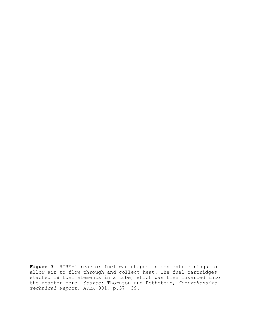**Figure 3**. HTRE-1 reactor fuel was shaped in concentric rings to allow air to flow through and collect heat. The fuel cartridges stacked 18 fuel elements in a tube, which was then inserted into the reactor core. *Source*: Thornton and Rothstein, *Comprehensive Technical Report,* APEX-901, p.37, 39.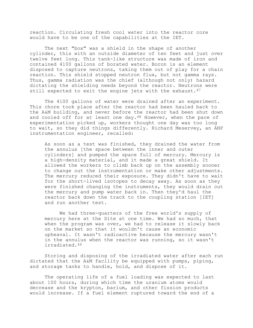reaction. Circulating fresh cool water into the reactor core would have to be one of the capabilities at the IET.

The next "box" was a shield in the shape of another cylinder, this with an outside diameter of ten feet and just over twelve feet long. This tank-like structure was made of iron and contained 4100 gallons of borated water. Boron is an element disposed to capture neutrons, taking them out of play for a chain reaction. This shield stopped neutron flux, but not gamma rays. Thus, gamma radiation was the chief (although not only) hazard dictating the shielding needs beyond the reactor. Neutrons were still expected to exit the engine jets with the exhaust. $47$ 

 The 4100 gallons of water were drained after an experiment. This chore took place after the reactor had been hauled back to the A&M building, and never before the reactor had been shut down and cooled off for at least one day.<sup>48</sup> However, when the pace of experimentation picked up, workers thought one day was too long to wait, so they did things differently. Richard Meservey, an ANP instrumentation engineer, recalled:

As soon as a test was finished, they drained the water from the annulus [the space between the inner and outer cylinders] and pumped the space full of mercury. Mercury is a high-density material, and it made a great shield. It allowed the workers to climb back up on the assembly sooner to change out the instrumentation or make other adjustments. The mercury reduced their exposure. They didn't have to wait for the short-lived isotopes to decay away. As soon as they were finished changing the instruments, they would drain out the mercury and pump water back in. Then they'd haul the reactor back down the track to the coupling station [IET] and run another test.

We had three-quarters of the free world's supply of mercury here at the Site at one time. We had so much, that when the program was over, we had to release it slowly back on the market so that it wouldn't cause an economic upheaval. It wasn't radioactive because the mercury wasn't in the annulus when the reactor was running, so it wasn't irradiated.49

Storing and disposing of the irradiated water after each run dictated that the A&M facility be equipped with pumps, piping, and storage tanks to handle, hold, and dispose of it.

The operating life of a fuel loading was expected to last about 100 hours, during which time the uranium atoms would decrease and the krypton, barium, and other fission products would increase. If a fuel element ruptured toward the end of a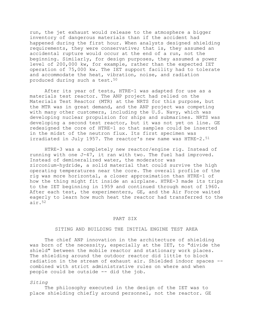run, the jet exhaust would release to the atmosphere a bigger inventory of dangerous materials than if the accident had happened during the first hour. When analysts designed shielding requirements, they were conservative; that is, they assumed an accidental rupture would occur at the end of a run, not the beginning. Similarly, for design purposes, they assumed a power level of 200,000 kw, for example, rather than the expected IET operation of 75,000 kw. The IET support facility had to tolerate and accommodate the heat, vibration, noise, and radiation produced during such a test.50

After its year of tests, HTRE-1 was adapted for use as a materials test reactor. The ANP project had relied on the Materials Test Reactor (MTR) at the NRTS for this purpose, but the MTR was in great demand, and the ANP project was competing with many other customers, including the U.S. Navy, which was developing nuclear propulsion for ships and submarines. NRTS was developing a second test reactor, but it was not yet on line. GE redesigned the core of HTRE-1 so that samples could be inserted in the midst of the neutron flux. Its first specimen was irradiated in July 1957. The reactor's new name was HTRE-2.51

HTRE-3 was a completely new reactor/engine rig. Instead of running with one J-47, it ran with two. The fuel had improved. Instead of demineralized water, the moderator was zirconium-hydride, a solid material that could survive the high operating temperatures near the core. The overall profile of the rig was more horizontal, a closer approximation than HTRE-1 of how the thing might fit inside an airplane. HTRE-3 made its trips to the IET beginning in 1959 and continued through most of 1960. After each test, the experimenters, GE, and the Air Force waited eagerly to learn how much heat the reactor had transferred to the air.52

#### PART SIX

#### SITING AND BUILDING THE INITIAL ENGINE TEST AREA

The chief ANP innovation in the architecture of shielding was born of the necessity, especially at the IET, to "divide the shield" between the mobile reactor and stationary work places. The shielding around the outdoor reactor did little to block radiation in the stream of exhaust air. Shielded indoor spaces - combined with strict administrative rules on where and when people could be outside -- did the job.

# *Siting*

The philosophy executed in the design of the IET was to place shielding chiefly around personnel, not the reactor. GE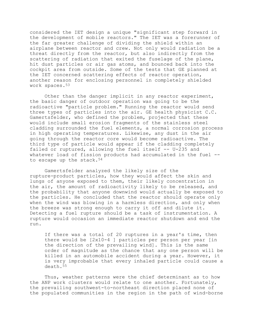considered the IET design a unique "significant step forward in the development of mobile reactors." The IET was a forerunner of the far greater challenge of dividing the shield within an airplane between reactor and crew. Not only would radiation be a threat directly from the reactor, but also indirectly from the scattering of radiation that exited the fuselage of the plane, hit dust particles or air gas atoms, and bounced back into the cockpit area from outside. Some of the tests that GE planned at the IET concerned scattering effects of reactor operation, another reason for enclosing personnel in completely shielded work spaces.53

Other than the danger implicit in any reactor experiment, the basic danger of outdoor operation was going to be the radioactive "particle problem." Running the reactor would send three types of particles into the air. GE health physicist C.C. Gamertsfelder, who defined the problem, projected that these would include small erosion fragments of the stainless steel cladding surrounded the fuel elements, a normal corrosion process in high operating temperatures. Likewise, any dust in the air going through the reactor core would become radioactive. The third type of particle would appear if the cladding completely failed or ruptured, allowing the fuel itself -- U-235 and whatever load of fission products had accumulated in the fuel -to escape up the stack.<sup>54</sup>

Gamertsfelder analyzed the likely size of the rupture-product particles, how they would affect the skin and lungs of anyone exposed to them, their likely concentration in the air, the amount of radioactivity likely to be released, and the probability that anyone downwind would actually be exposed to the particles. He concluded that the reactor should operate only when the wind was blowing in a harmless direction, and only when the breeze was strong enough to carry it off and dilute it. Detecting a fuel rupture should be a task of instrumentation. A rupture would occasion an immediate reactor shutdown and end the run.

If there was a total of 20 ruptures in a year's time, then there would be [2x10-4 ] particles per person per year [in the direction of the prevailing wind]. This is the same order of magnitude as the chance that any one person will be killed in an automobile accident during a year. However, it is very improbable that every inhaled particle could cause a death.55

Thus, weather patterns were the chief determinant as to how the ANP work clusters would relate to one another. Fortunately, the prevailing southwest-to-northeast direction placed none of the populated communities in the region in the path of wind-borne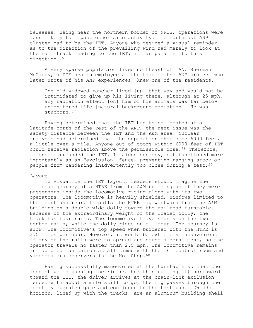releases. Being near the northern border of NRTS, operations were less likely to impact other site activity. The northmost ANP cluster had to be the IET. Anyone who desired a visual reminder as to the direction of the prevailing wind had merely to look at the rail track leading to the IET: it ran parallel to this direction.<sup>56</sup>

A very sparse population lived northeast of TAN. Sherman McGarry, a DOE health employee at the time of the ANP project who later wrote of his ANP experiences, knew one of the residents.

One old widowed rancher lived [up] that way and would not be intimidated to give up his living there, although at 25 mph, any radiation effect [on] him or his animals was far below unmonitored life [natural background radiation]. He was stubborn.57

Having determined that the IET had to be located at a latitude north of the rest of the ANP, the next issue was the safety distance between the IET and the A&M area. Nuclear analysis had determined that the separation should be 6000 feet, a little over a mile. Anyone out-of-doors within 6000 feet of IET could receive radiation above the permissible dose.58 Therefore, a fence surrounded the IET. It aided secrecy, but functioned more importantly as an "exclusion" fence, preventing ranging stock or people from wandering inadvertently too close during a test.<sup>59</sup>

#### *Layout*

To visualize the IET layout, readers should imagine the railroad journey of a HTRE from the A&M building as if they were passengers inside the locomotive riding along with its two operators. The locomotive is heavily shielded, windows limited to the front and rear. It pulls the HTRE rig westward from the A&M building on a double-wide dolly toward the railroad turntable. Because of the extraordinary weight of the loaded dolly, the track has four rails. The locomotive travels only on the two center rails, while the dolly rides on all four. The journey is slow. The locomotive's top speed when burdened with the HTRE is 3.5 miles per hour. However, it would be extremely inconvenient if any of the rails were to spread and cause a derailment, so the operator travels no faster than 2.5 mph. The locomotive remains in radio communication at all times with the IET control room and video-camera observers in the Hot Shop.<sup>60</sup>

Having successfully maneuvered at the turntable so that the locomotive is pushing the rig (rather than pulling it) northward toward the IET, the driver arrives at the chain-link exclusion fence. With about a mile still to go, the rig passes through the remotely operated gate and continues to the test pad.61 On the horizon, lined up with the tracks, are an aluminum building shell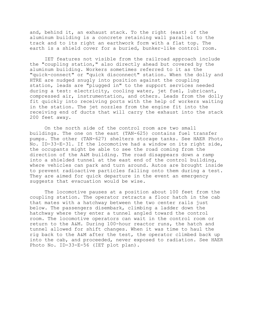and, behind it, an exhaust stack. To the right (east) of the aluminum building is a concrete retaining wall parallel to the track and to its right an earthwork form with a flat top. The earth is a shield cover for a buried, bunker-like control room.

IET features not visible from the railroad approach include the "coupling station," also directly ahead but covered by the aluminum building. Workers sometimes referred to it as the "quick-connect" or "quick disconnect" station. When the dolly and HTRE are nudged snugly into position against the coupling station, leads are "plugged in" to the support services needed during a test: electricity, cooling water, jet fuel, lubricant, compressed air, instrumentation, and others. Leads from the dolly fit quickly into receiving ports with the help of workers waiting in the station. The jet nozzles from the engine fit into the receiving end of ducts that will carry the exhaust into the stack 200 feet away.

On the north side of the control room are two small buildings. The one on the east (TAN-625) contains fuel transfer pumps. The other (TAN-627) shelters storage tanks. See HAER Photo No. ID-33-E-31. If the locomotive had a window on its right side, the occupants might be able to see the road coming from the direction of the A&M building. The road disappears down a ramp into a shielded tunnel at the east end of the control building, where vehicles can park and turn around. Autos are brought inside to prevent radioactive particles falling onto them during a test. They are aimed for quick departure in the event an emergency suggests that evacuation would be wise.

The locomotive pauses at a position about 100 feet from the coupling station. The operator retracts a floor hatch in the cab that mates with a hatchway between the two center rails just below. The passengers disembark, climbing a ladder down the hatchway where they enter a tunnel angled toward the control room. The locomotive operators can wait in the control room or return to the A&M. During 100-hour reactor runs, the hatch and tunnel allowed for shift changes. When it was time to haul the rig back to the A&M after the test, the operator climbed back up into the cab, and proceeded, never exposed to radiation. See HAER Photo No. ID-33-E-56 (IET plot plan).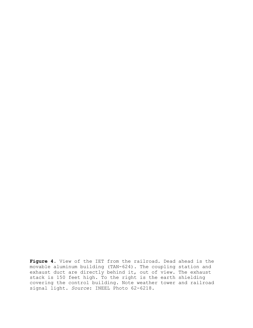**Figure 4**. View of the IET from the railroad. Dead ahead is the movable aluminum building (TAN-624). The coupling station and exhaust duct are directly behind it, out of view. The exhaust stack is 150 feet high. To the right is the earth shielding covering the control building. Note weather tower and railroad signal light. *Source*: INEEL Photo 62-6218.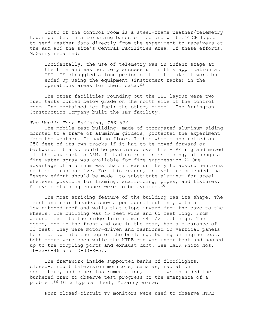South of the control room is a steel-frame weather/telemetry tower painted in alternating bands of red and white.<sup>62</sup> GE hoped to send weather data directly from the experiment to receivers at the A&M and the site's Central Facilities Area. Of these efforts, McGarry recalled:

Incidentally, the use of telemetry was in infant stage at the time and was not very successful in this application at IET. GE struggled a long period of time to make it work but ended up using the equipment (instrument racks) in the operations areas for their data.<sup>63</sup>

The other facilities rounding out the IET layout were two fuel tanks buried below grade on the north side of the control room. One contained jet fuel; the other, diesel. The Arrington Construction Company built the IET facility.

# *The Mobile Test Building, TAN-624*

The mobile test building, made of corrugated aluminum siding mounted to a frame of aluminum girders, protected the experiment from the weather. It had no floor. It had wheels and rolled on 250 feet of its own tracks if it had to be moved forward or backward. It also could be positioned over the HTRE rig and moved all the way back to A&M. It had no role in shielding, although a fine water spray was available for fire suppression.<sup>64</sup> One advantage of aluminum was that it was unlikely to absorb neutrons or become radioactive. For this reason, analysts recommended that "every effort should be made" to substitute aluminum for steel wherever possible for framing, scaffolding, pipes, and fixtures. Alloys containing copper were to be avoided.<sup>65</sup>

The most striking feature of the building was its shape. The front and rear facades show a pentagonal outline, with a low-pitched roof and walls that slope inward from the eave to the wheels. The building was 45 feet wide and 60 feet long. From ground level to the ridge line it was 44 1/2 feet high. The doors, one in the front and one in the rear, had a clearance of 33 feet. They were motor-driven and fashioned in vertical panels to slide up into the top of the building. During an engine test, both doors were open while the HTRE rig was under test and hooked up to the coupling ports and exhaust duct. See HAER Photo Nos. ID-33-E-46 and ID-33-E-57.

The framework inside supported banks of floodlights, closed-circuit television monitors, cameras, radiation dosimeters, and other instrumentation, all of which aided the bunkered crew to observe test progress or the emergence of a problem.<sup>66</sup> Of a typical test, McGarry wrote:

Four closed-circuit TV monitors were used to observe HTRE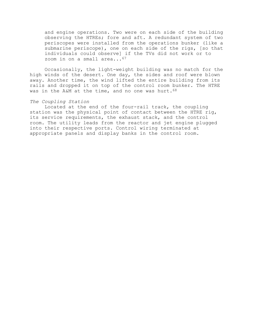and engine operations. Two were on each side of the building observing the HTREs; fore and aft. A redundant system of two periscopes were installed from the operations bunker (like a submarine periscope), one on each side of the rigs, [so that individuals could observe] if the TVs did not work or to zoom in on a small area...<sup>67</sup>

Occasionally, the light-weight building was no match for the high winds of the desert. One day, the sides and roof were blown away. Another time, the wind lifted the entire building from its rails and dropped it on top of the control room bunker. The HTRE was in the A&M at the time, and no one was hurt. 68

# *The Coupling Station*

Located at the end of the four-rail track, the coupling station was the physical point of contact between the HTRE rig, its service requirements, the exhaust stack, and the control room. The utility leads from the reactor and jet engine plugged into their respective ports. Control wiring terminated at appropriate panels and display banks in the control room.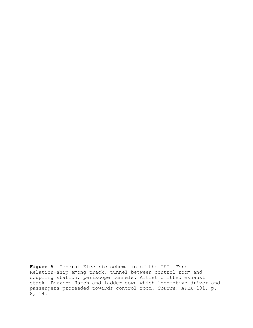**Figure 5.** General Electric schematic of the IET. *Top*: Relation-ship among track, tunnel between control room and coupling station, periscope tunnels. Artist omitted exhaust stack. *Bottom*: Hatch and ladder down which locomotive driver and passengers proceeded towards control room. *Source*: APEX-131, p. 8, 14.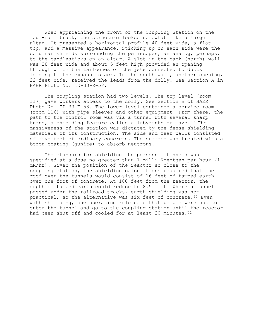When approaching the front of the Coupling Station on the four-rail track, the structure looked somewhat like a large altar. It presented a horizontal profile 40 feet wide, a flat top, and a massive appearance. Sticking up on each side were the columnar shields surrounding the periscopes, an analog, perhaps, to the candlesticks on an altar. A slot in the back (north) wall was 28 feet wide and about 5 feet high provided an opening through which the tailcones of the jets connected to ducts leading to the exhaust stack. In the south wall, another opening, 22 feet wide, received the leads from the dolly. See Section A in HAER Photo No. ID-33-E-58.

The coupling station had two levels. The top level (room 117) gave workers access to the dolly. See Section B of HAER Photo No. ID-33-E-58. The lower level contained a service room (room 116) with pipe sleeves and other equipment. From there, the path to the control room was via a tunnel with several sharp turns, a shielding feature called a labyrinth or maze.<sup>69</sup> The massiveness of the station was dictated by the dense shielding materials of its construction. The side and rear walls consisted of five feet of ordinary concrete. The surface was treated with a boron coating (gunite) to absorb neutrons.

The standard for shielding the personnel tunnels was specified at a dose no greater than 1 milli-Roentgen per hour (1 mR/hr). Given the position of the reactor so close to the coupling station, the shielding calculations required that the roof over the tunnels would consist of 16 feet of tamped earth over one foot of concrete. At 100 feet from the reactor, the depth of tamped earth could reduce to 8.5 feet. Where a tunnel passed under the railroad tracks, earth shielding was not practical, so the alternative was six feet of concrete.<sup>70</sup> Even with shielding, one operating rule said that people were not to enter the tunnel and go to the coupling station until the reactor had been shut off and cooled for at least 20 minutes.<sup>71</sup>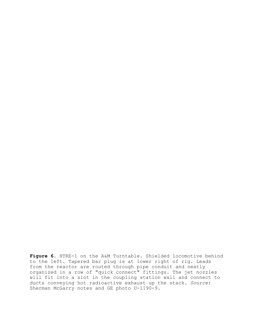**Figure 6**. HTRE-1 on the A&M Turntable. Shielded locomotive behind to the left. Tapered bar plug is at lower right of rig. Leads from the reactor are routed through pipe conduit and neatly organized in a row of "quick connect" fittings. The jet nozzles will fit into a slot in the coupling station wall and connect to ducts conveying hot radioactive exhaust up the stack. *Source*: Sherman McGarry notes and GE photo U-1190-9.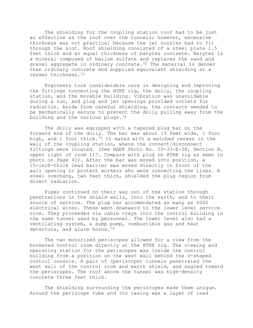The shielding for the coupling station roof had to be just as effective as the roof over the tunnels; however, excessive thickness was not practical because the jet nozzles had to fit through the slot. Roof shielding consisted of a steel plate 1.5 feet thick and an equal thickness of barytes concrete. Barytes is a mineral composed of barium sulfate and replaces the sand and gravel aggregate in ordinary concrete.<sup>72</sup> The material is denser than ordinary concrete and supplied equivalent shielding at a lesser thickness.73

Engineers took considerable care in designing and improving the fittings connecting the HTRE rig, the dolly, the coupling station, and the movable building. Vibration was unavoidable during a run, and plug and jet openings provided outlets for radiation. Aside from careful shielding, the contacts needed to be mechanically secure to prevent the dolly pulling away from the building and the various plugs.74

The dolly was equipped with a tapered plug bar on the forward end of the dolly. The bar was about 19 feet wide, 1 foot high, and 1 foot thick.<sup>75</sup> It mated with a matched recess in the wall of the coupling station, where the connect/disconnect fittings were located. (See HAER Photo No. ID-33-E-58, Section B, upper right of room 117. Compare with plug on HTRE rig as seen in photo on *Page 41)*. After the bar was moved into position, a 15-inch-thick lead barrier was moved directly in front of the wall opening to protect workers who were connecting the lines. A steel overhang, two feet thick, shielded the plug region from direct radiation.

Pipes continued on their way out of the station through penetrations in the shield walls, into the earth, and to their source of service. The plug bar accommodated as many as 6000 electrical wires. These went downward to the lower level service room. They proceeded via cable trays into the control building in the same tunnel used by personnel. The lower level also had a ventilating system, a sump pump, combustible gas and heat detectors, and alarm horns.<sup>76</sup>

The two motorized periscopes allowed for a view from the bunkered control room directly at the HTRE rig. The viewing and operating station for the periscopes was inside the control building from a position on the west wall behind the U-shaped control console. A pair of (periscope) tunnels penetrated the west wall of the control room and earth shield, and angled toward the periscopes. The roof above the tunnel was high-density concrete three feet thick.

The shielding surrounding the periscopes made them unique. Around the periscope tube and its casing was a layer of lead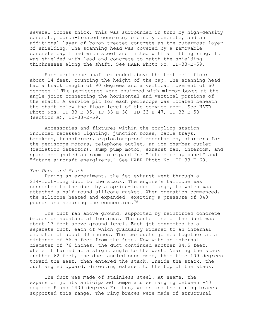several inches thick. This was surrounded in turn by high-density concrete, boron-treated concrete, ordinary concrete, and an additional layer of boron-treated concrete as the outermost layer of shielding. The scanning head was covered by a removable concrete cap lined with steel and fitted with a lifting ring. It was shielded with lead and concrete to match the shielding thicknesses along the shaft. See HAER Photo No. ID-33-E-59.

Each periscope shaft extended above the test cell floor about 14 feet, counting the height of the cap. The scanning head had a track length of 90 degrees and a vertical movement of 60 degrees.77 The periscopes were equipped with mirror boxes at the angle joint connecting the horizontal and vertical portions of the shaft. A service pit for each periscope was located beneath the shaft below the floor level of the service room. See HAER Photo Nos. ID-33-E-35, ID-33-E-38, ID-33-E-47, ID-33-E-58 (section A), ID-33-E-59.

Accessories and fixtures within the coupling station included recessed lighting, junction boxes, cable trays, breakers, transformer, explosion-proof receptacles, starters for the periscope motors, telephone outlet, an ion chamber outlet (radiation detector), sump pump motor, exhaust fan, intercom, and space designated as room to expand for "future relay panel" and "future aircraft energizers." See HAER Photo No. ID-33-E-60.

## *The Duct and Stack*

During an experiment, the jet exhaust went through a 214-foot-long duct to the stack. The engine's tailcone was connected to the duct by a spring-loaded flange, to which was attached a half-round silicone gasket. When operation commenced, the silicone heated and expanded, exerting a pressure of 340 pounds and securing the connection.78

The duct ran above ground, supported by reinforced concrete braces on substantial footings. The centerline of the duct was about 13 feet above ground level. Each jet connected to a separate duct, each of which gradually widened to an internal diameter of about 30 inches. The two ducts joined together at a distance of 56.5 feet from the jets. Now with an internal diameter of 76 inches, the duct continued another 84.5 feet, where it turned at a slight angle to the west. Nearing the stack another 62 feet, the duct angled once more, this time 109 degrees toward the east, then entered the stack. Inside the stack, the duct angled upward, directing exhaust to the top of the stack.

The duct was made of stainless steel. At seams, the expansion joints anticipated temperatures ranging between -40 degrees F and 1400 degrees F; thus, welds and their ring braces supported this range. The ring braces were made of structural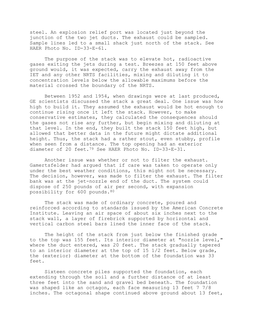steel. An explosion relief port was located just beyond the junction of the two jet ducts. The exhaust could be sampled. Sample lines led to a small shack just north of the stack. See HAER Photo No. ID-33-E-61.

The purpose of the stack was to elevate hot, radioactive gases exiting the jets during a test. Breezes at 150 feet above ground would, it was expected, carry the exhaust away from the IET and any other NRTS facilities, mixing and diluting it to concentration levels below the allowable maximums before the material crossed the boundary of the NRTS.

Between 1952 and 1954, when drawings were at last produced, GE scientists discussed the stack a great deal. One issue was how high to build it. They assumed the exhaust would be hot enough to continue rising once it left the stack. However, to make conservative estimates, they calculated the consequences should the gases not rise any further, but begin mixing and diluting at that level. In the end, they built the stack 150 feet high, but allowed that better data in the future might dictate additional height. Thus, the stack had a rather stout, even stubby, profile when seen from a distance. The top opening had an exterior diameter of 20 feet.79 See HAER Photo No. ID-33-E-31.

Another issue was whether or not to filter the exhaust. Gamertsfelder had argued that if care was taken to operate only under the best weather conditions, this might not be necessary. The decision, however, was made to filter the exhaust. The filter bank was at the jet-nozzle end of the duct. The system could dispose of 250 pounds of air per second, with expansion possibility for 600 pounds.80

The stack was made of ordinary concrete, poured and reinforced according to standards issued by the American Concrete Institute. Leaving an air space of about six inches next to the stack wall, a layer of firebrick supported by horizontal and vertical carbon steel bars lined the inner face of the stack.

The height of the stack from just below the finished grade to the top was 155 feet. Its interior diameter at "nozzle level," where the duct entered, was 20 feet. The stack gradually tapered to an interior diameter at the top of 15 1/2 feet. Below grade, the (exterior) diameter at the bottom of the foundation was 33 feet.

Sixteen concrete piles supported the foundation, each extending through the soil and a further distance of at least three feet into the sand and gravel bed beneath. The foundation was shaped like an octagon, each face measuring 13 feet 7 7/8 inches. The octagonal shape continued above ground about 13 feet,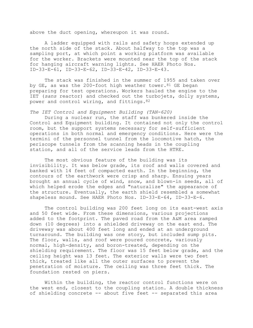above the duct opening, whereupon it was round.

A ladder equipped with rails and safety hoops extended up the north side of the stack. About halfway to the top was a sampling port, at which point a working platform was available for the worker. Brackets were mounted near the top of the stack for hanging aircraft warning lights. See HAER Photo Nos. ID-33-E-61, ID-33-E-62, ID-33-E-42, ID-33-E-43.

The stack was finished in the summer of 1955 and taken over by GE, as was the 200-foot high weather tower.  $81$  GE began preparing for test operations. Workers hauled the engine to the IET (*sans* reactor) and checked out the turbojets, dolly systems, power and control wiring, and fittings.82

## *The IET Control and Equipment Building (TAN-620)*

During a nuclear run, the staff was bunkered inside the Control and Equipment building. It contained not only the control room, but the support systems necessary for self-sufficient operations in both normal and emergency conditions. Here were the termini of the personnel tunnel from the locomotive hatch, the periscope tunnels from the scanning heads in the coupling station, and all of the service leads from the HTRE.

The most obvious feature of the building was its invisibility. It was below grade, its roof and walls covered and banked with 14 feet of compacted earth. In the beginning, the contours of the earthwork were crisp and sharp. Ensuing years brought an annual cycle of wind, snow, and blown-in seeds, all of which helped erode the edges and "naturalize" the appearance of the structure. Eventually, the earth shield resembled a somewhat shapeless mound. See HAER Photo Nos. ID-33-E-64, ID-33-E-6.

The control building was 200 feet long on its east-west axis and 50 feet wide. From these dimensions, various projections added to the footprint. The paved road from the A&M area ramped down (10 degrees) into a shielded driveway on the east end. The driveway was about 400 feet long and ended at an underground turnaround. The building was one story, but included sump pits. The floor, walls, and roof were poured concrete, variously normal, high-density, and boron-treated, depending on the shielding requirement. The floor was 15 feet below grade, and the ceiling height was 13 feet. The exterior walls were two feet thick, treated like all the outer surfaces to prevent the penetration of moisture. The ceiling was three feet thick. The foundation rested on piers.

Within the building, the reactor control functions were on the west end, closest to the coupling station. A double thickness of shielding concrete -- about five feet -- separated this area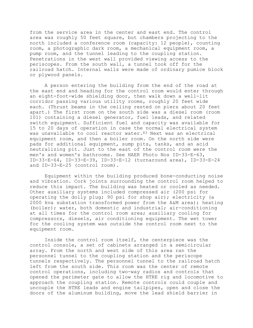from the service area in the center and east end. The control area was roughly 50 feet square, but chambers projecting to the north included a conference room (capacity: 12 people), counting room, a photographic dark room, a mechanical equipment room, a pump room, and the tunnel leading to the coupling station. Penetrations in the west wall provided viewing access to the periscopes. From the south wall, a tunnel took off for the railroad hatch. Internal walls were made of ordinary pumice block or plywood panels.

A person entering the building from the end of the road at the east end and heading for the control room would enter through an eight-foot-wide shielding door, then walk down a well-lit corridor passing various utility rooms, roughly 20 feet wide each. (Thrust beams in the ceiling rested on piers about 20 feet apart.) The first room on the south side was a diesel room (room 101) containing a diesel generator, fuel leads, and related switch equipment. Sufficient fuel and capacity was available for 15 to 20 days of operation in case the normal electrical system was unavailable to cool reactor water. 83 Next was an electrical equipment room, and then a boiler room. On the north side were pads for additional equipment, sump pits, tanks, and an acid neutralizing pit. Just to the east of the control room were the men's and women's bathrooms. See HAER Photo Nos ID-33-E-63, ID-33-E-64, ID-33-E-39, ID-33-E-12 (turnaround area), ID-33-E-24 and ID-33-E-25 (control room).

Equipment within the building produced bone-conducting noise and vibration. Cork joints surrounding the control room helped to reduce this impact. The building was heated or cooled as needed. Other auxiliary systems included compressed air (200 psi for operating the dolly plug; 90 psi for shop air); electricity (a 2000 kva substation transformed power from the A&M area); heating (boiler); water, both domestic and industrial; air-conditioning at all times for the control room area; auxiliary cooling for compressors, diesels, air conditioning equipment. The wet tower for the cooling system was outside the control room next to the equipment room.

Inside the control room itself, the centerpiece was the control console, a set of cabinets arranged in a semicircular array. From the north and west side of this area ran the personnel tunnel to the coupling station and the periscope tunnels respectively. The personnel tunnel to the railroad hatch left from the south side. This room was the center of remote control operations, including two-way radios and controls that opened the perimeter gate to allow the HTRE rig and locomotive to approach the coupling station. Remote controls could couple and uncouple the HTRE leads and engine tailpipes, open and close the doors of the aluminum building, move the lead shield barrier in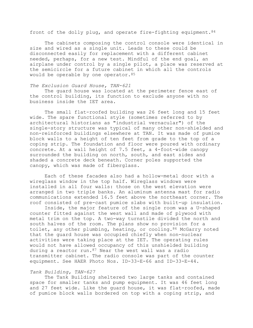front of the dolly plug, and operate fire-fighting equipment.  $84$ 

The cabinets composing the control console were identical in size and wired as a single unit. Leads to these could be disconnected easily for replacement with a different cabinet needed, perhaps, for a new test. Mindful of the end goal, an airplane under control by a single pilot, a place was reserved at the semicircle for a future cabinet in which all the controls would be operable by one operator.85

## *The Exclusion Guard House, TAN-621*

The guard house was located at the perimeter fence east of the control building, its function to exclude anyone with no business inside the IET area.

The small flat-roofed building was 26 feet long and 15 feet wide. The spare functional style (sometimes referred to by architectural historians as "industrial vernacular") of the single-story structure was typical of many other non-shielded and non-reinforced buildings elsewhere at TAN. It was made of pumice block walls to a height of ten feet from grade to the top of a coping strip. The foundation and floor were poured with ordinary concrete. At a wall height of 7.5 feet, a 4-foot-wide canopy surrounded the building on north, south, and east sides and shaded a concrete deck beneath. Corner poles supported the canopy, which was made of fiberglass.

Each of these facades also had a hollow-metal door with a wireglass window in the top half. Wireglass windows were installed in all four walls: those on the west elevation were arranged in two triple banks. An aluminum antenna mast for radio communications extended 16.5 feet above the northeast corner. The roof consisted of pre-cast pumice slabs with built-up insulation.

Inside, the major feature of the single room was a U-shaped counter fitted against the west wall and made of plywood with metal trim on the top. A two-way turnstile divided the north and south halves of the room. The plans show no provision for a toilet, any other plumbing, heating, or cooling. 86 McGarry noted that the guard house was occupied chiefly when non-nuclear activities were taking place at the IET. The operating rules would not have allowed occupancy of this unshielded building during a reactor run.  $87$  Near the west wall was a radio transmitter cabinet. The radio console was part of the counter equipment. See HAER Photo Nos. ID-33-E-66 and ID-33-E-44.

# *Tank Building, TAN-627*

The Tank Building sheltered two large tanks and contained space for smaller tanks and pump equipment. It was 46 feet long and 27 feet wide. Like the guard house, it was flat-roofed, made of pumice block walls bordered on top with a coping strip, and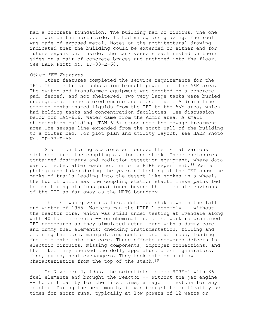had a concrete foundation. The building had no windows. The one door was on the north side. It had wireglass glazing. The roof was made of exposed metal. Notes on the architectural drawing indicated that the building could be extended on either end for future expansion. Inside, the tank vessels each rested on their sides on a pair of concrete braces and anchored into the floor. See HAER Photo No. ID-33-E-68.

# *Other IET Features*

Other features completed the service requirements for the IET. The electrical substation brought power from the A&M area. The switch and transformer equipment was erected on a concrete pad, fenced, and not sheltered. Two very large tanks were buried underground. These stored engine and diesel fuel. A drain line carried contaminated liquids from the IET to the A&M area, which had holding tanks and concentration facilities. See discussion below for TAN-616. Water came from the Admin area. A small chlorination building (TAN-626) stood near the sewage treatment area.The sewage line extended from the south wall of the building to a filter bed. For plot plan and utility layout, see HAER Photo No. ID-33-E-56.

Small monitoring stations surrounded the IET at various distances from the coupling station and stack. These enclosures contained dosimetry and radiation detection equipment, where data was collected after each hot run of a HTRE experiment. 88 Aerial photographs taken during the years of testing at the IET show the marks of trails leading into the desert like spokes in a wheel, the hub of which was the coupling station stack. These paths led to monitoring stations positioned beyond the immediate environs of the IET as far away as the NRTS boundary.

The IET was given its first detailed shakedown in the fall and winter of 1955. Workers ran the HTRE-1 assembly -- without the reactor core, which was still under testing at Evendale along with 40 fuel elements -- on chemical fuel. The workers practiced IET procedures as they simulated actual runs with a dummy core and dummy fuel elements: checking instrumentation, filling and draining the core, manipulating control and fuel rods, loading fuel elements into the core. These efforts uncovered defects in electric circuits, missing components, improper connections, and the like. They checked the dolly apparatus: diesel generators, fans, pumps, heat exchangers. They took data on airflow characteristics from the top of the stack.89

On November 4, 1955, the scientists loaded HTRE-1 with 36 fuel elements and brought the reactor -- without the jet engine -- to criticality for the first time, a major milestone for any reactor. During the next month, it was brought to criticality 50 times for short runs, typically at low powers of 12 watts or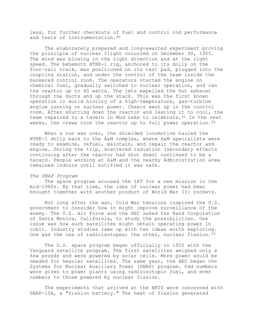less, for further checkouts of fuel and control rod performance and tests of instrumentation. 90

The elaborately prepared and long-awaited experiment proving the principle of nuclear flight occurred on December 30, 1955. The wind was blowing in the right direction and at the right speed. The behemoth HTRE-1 rig, anchored to its dolly on the four-rail track, was positioned on its test pad, plugged into the coupling station, and under the control of the team inside the bunkered control room. The operators started the engine on chemical fuel, gradually switched to nuclear operation, and ran the reactor up to 60 watts. The jets expelled the hot exhaust through the ducts and up the stack. This was the first known operation in world history of a high-temperature, gas-turbine engine running on nuclear power. Cheers went up in the control room. After shutting down the reactor and leaving it to cool, the team repaired to a tavern in Mud Lake to celebrate.<sup>91</sup> In the next weeks, the crews took the reactor up to full power operation. 92

When a run was over, the shielded locomotive hauled the HTRE-1 dolly back to the A&M complex, where A&M specialists were ready to examine, refuel, maintain, and repair the reactor and engine. During the trip, scattered radiation (secondary effects continuing after the reactor had shut down) continued to be a hazard. People working at A&M and the nearby Administration area remained indoors until notified it was safe.

## *The SNAP Program*

The space program aroused the IET for a new mission in the mid-1960s. By that time, the idea of nuclear power had been brought together with another product of World War II: rockets.

Not long after the war, Cold War tensions inspired the U.S. government to consider how it might improve surveillance of the enemy. The U.S. Air Force and the AEC asked the Rand Corporation of Santa Monica, California, to study the possibilities. One issue was how such satellites might obtain operating power in orbit. Industry studies came up with two ideas worth exploring. One was the use of radioisotopes; the other, nuclear fission.  $93$ 

The U.S. space program began officially in 1955 with the Vanguard satellite program. The first satellites weighed only a few pounds and were powered by solar cells. More power would be needed for heavier satellites. The same year, the AEC began the Systems for Nuclear Auxiliary Power (SNAP) program. Odd numbers were given to power plants using radioisotopic fuel, and even numbers to those powered by nuclear fission.

The experiments that arrived at the NRTS were concerned with SNAP-10A, a "fission battery." The heat of fission generated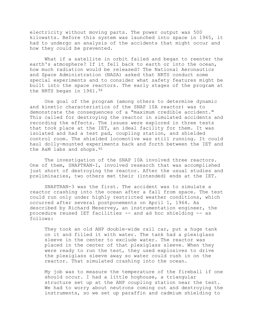electricity without moving parts. The power output was 500 kilowatts. Before this system was launched into space in 1965, it had to undergo an analysis of the accidents that might occur and how they could be prevented.

What if a satellite in orbit failed and began to reenter the earth's atmosphere? If it fell back to earth or into the ocean, how much radiation would be released? The National Aeronautics and Space Administration (NASA) asked that NRTS conduct some special experiments and to consider what safety features might be built into the space reactors. The early stages of the program at the NRTS began in 1961.94

One goal of the program (among others to determine dynamic and kinetic characteristics of the SNAP 10A reactor) was to demonstrate the consequences of a "maximum credible accident." This called for destroying the reactor in simulated accidents and recording the effects. The issues were explored in three tests that took place at the IET, an ideal facility for them. It was isolated and had a test pad, coupling station, and shielded control room. The shielded locomotive was still running. It could haul dolly-mounted experiments back and forth between the IET and the A&M labs and shops.95

The investigation of the SNAP 10A involved three reactors. One of them, SNAPTRAN-1, involved research that was accomplished just short of destroying the reactor. After the usual studies and preliminaries, two others met their (intended) ends at the IET.

SNAPTRAN-3 was the first. The accident was to simulate a reactor crashing into the ocean after a fall from space. The test could run only under highly restricted weather conditions, which occurred after several postponements on April 1, 1964. As described by Richard Meservey, an instrumentation engineer, the procedure reused IET facilities -- and ad hoc shielding -- as follows:

They took an old ANP double-wide rail car, put a huge tank on it and filled it with water. The tank had a plexiglass sleeve in the center to exclude water. The reactor was placed in the center of that plexiglass sleeve. When they were ready to run the test, they used explosives to drive the plexiglass sleeve away so water could rush in on the reactor. That simulated crashing into the ocean.

My job was to measure the temperature of the fireball if one should occur. I had a little hoghouse, a triangular structure set up at the ANP coupling station near the test. We had to worry about neutrons coming out and destroying the instruments, so we set up paraffin and cadmium shielding to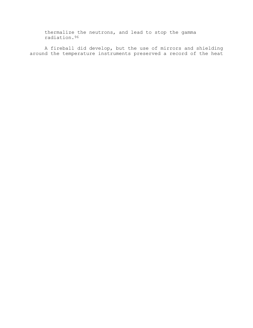thermalize the neutrons, and lead to stop the gamma radiation.96

A fireball did develop, but the use of mirrors and shielding around the temperature instruments preserved a record of the heat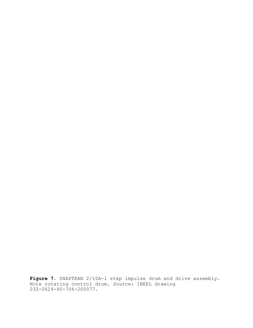**Figure 7.** SNAPTRAN 2/10A-1 step impulse drum and drive assembly. Note rotating control drum. *Source*: INEEL drawing 032-0624-40-706-200077.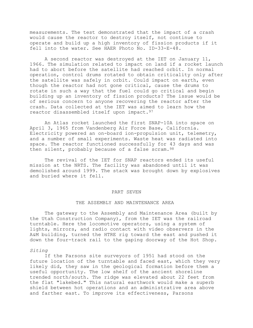measurements. The test demonstrated that the impact of a crash would cause the reactor to destroy itself, not continue to operate and build up a high inventory of fission products if it fell into the water. See HAER Photo No. ID-33-E-48.

A second reactor was destroyed at the IET on January 11, 1966. The simulation related to impact on land if a rocket launch had to abort before the satellite had reached orbit. In normal operation, control drums rotated to obtain criticality only after the satellite was safely in orbit. Could impact on earth, even though the reactor had not gone critical, cause the drums to rotate in such a way that the fuel could go critical and begin building up an inventory of fission products? The issue would be of serious concern to anyone recovering the reactor after the crash. Data collected at the IET was aimed to learn how the reactor disassembled itself upon impact.97

An Atlas rocket launched the first SNAP-10A into space on April 3, 1965 from Vandenberg Air Force Base, California. Electricity powered an on-board ion-propulsion unit, telemetry, and a number of small experiments. Waste heat was radiated into space. The reactor functioned successfully for 43 days and was then silent, probably because of a false scram. 98

The revival of the IET for SNAP reactors ended its useful mission at the NRTS. The facility was abandoned until it was demolished around 1999. The stack was brought down by explosives and buried where it fell.

#### PART SEVEN

## THE ASSEMBLY AND MAINTENANCE AREA

The gateway to the Assembly and Maintenance Area (built by the Utah Construction Company), from the IET was the railroad turntable. Here the locomotive operators, using a system of lights, mirrors, and radio contact with video observers in the A&M building, turned the HTRE rig toward the east and pushed it down the four-track rail to the gaping doorway of the Hot Shop.

## *Siting*

If the Parsons site surveyors of 1951 had stood on the future location of the turntable and faced east, which they very likely did, they saw in the geological formation before them a useful opportunity. The low shelf of the ancient shoreline trended north/south. The ridge was elevated about 22 feet from the flat "lakebed." This natural earthwork would make a superb shield between hot operations and an administrative area above and farther east. To improve its effectiveness, Parsons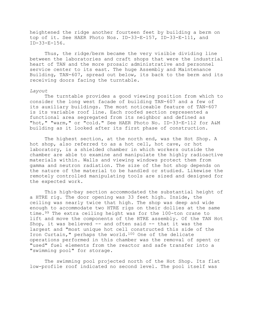heightened the ridge another fourteen feet by building a berm on top of it. See HAER Photo Nos. ID-33-E-157, ID-33-E-111, and ID-33-E-156.

Thus, the ridge/berm became the very visible dividing line between the laboratories and craft shops that were the industrial heart of TAN and the more prosaic administrative and personnel service center to its east. The huge Assembly and Maintenance Building, TAN-607, spread out below, its back to the berm and its receiving doors facing the turntable.

## *Layout*

The turntable provides a good viewing position from which to consider the long west facade of building TAN-607 and a few of its auxiliary buildings. The most noticeable feature of TAN-607 is its variable roof line. Each roofed section represented a functional area segregated from its neighbor and defined as "hot," "warm," or "cold." See HAER Photo No. ID-33-E-112 for A&M building as it looked after its first phase of construction.

The highest section, at the north end, was the Hot Shop. A hot shop, also referred to as a hot cell, hot cave, or hot laboratory, is a shielded chamber in which workers outside the chamber are able to examine and manipulate the highly radioactive materials within. Walls and viewing windows protect them from gamma and neutron radiation. The size of the hot shop depends on the nature of the material to be handled or studied. Likewise the remotely controlled manipulating tools are sized and designed for the expected work.

This high-bay section accommodated the substantial height of a HTRE rig. The door opening was 33 feet high. Inside, the ceiling was nearly twice that high. The shop was deep and wide enough to accommodate two HTRE rigs on their dollies at the same time.99 The extra ceiling height was for the 100-ton crane to lift and move the components of the HTRE assembly. Of the TAN Hot Shop, it was believed -- and often said -- that it was the largest and "most unique hot cell constructed this side of the Iron Curtain," perhaps the world.100 One of the delicate operations performed in this chamber was the removal of spent or "used" fuel elements from the reactor and safe transfer into a "swimming pool" for storage.

The swimming pool projected north of the Hot Shop. Its flat low-profile roof indicated no second level. The pool itself was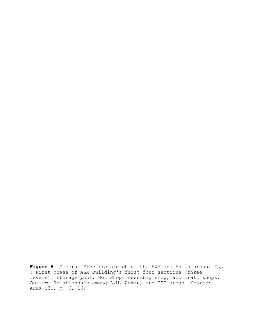**Figure 8.** General Electric sketch of the A&M and Admin areas. *Top* : First phase of A&M Building's first four sections (three levels): storage pool, Hot Shop, Assembly shop, and craft shops. *Bottom*: Relationship among A&M, Admin, and IET areas. *Source*: APEX-131, p. 6, 16.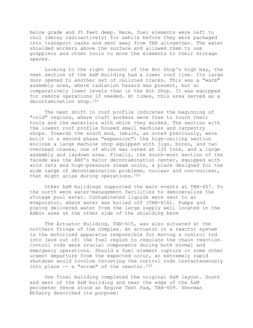below grade and 35 feet deep. Here, fuel elements were left to cool (decay radioactively) for awhile before they were packaged into transport casks and sent away from TAN altogether. The water shielded workers above the surface and allowed them to use grapplers and other tools to move the elements to their storage spaces.

Looking to the right (south) of the Hot Shop's high bay, the next section of the A&M building had a lower roof line. Its large door opened to another set of railroad tracks. This was a "warm" assembly area, where radiation hazard was present, but at comparatively lower levels than in the Hot Shop. It was equipped for remote operations if needed. At times, this area served as a decontamination shop.101

The next shift in roof profile indicates the beginning of "cold" regions, where craft workers were free to touch their tools and the materials with which they worked. The section with the lowest roof profile housed small machines and carpentry shops. Towards the south end, (which, as noted previously, were built in a second phase "expansion") the high-ceiling section enclose a large machine shop equipped with jigs, bores, and two overhead cranes, one of which was rated at 125 tons, and a large assembly and laydown area. Finally, the south-most section of the facade was the ANP's major decontamination center, equipped with acid vats and high-pressure steam units, a place designed for the wide range of decontamination problems, nuclear and non-nuclear, that might arise during operations.102

Other A&M buildings supported the main events at TAN-607. To the north were water-management facilities to demineralize the storage pool water. Contaminated liquids were sent to an evaporator, where water was boiled off (TAN-616). Pumps and piping delivered water from the large supply well located in the Admin area on the other side of the shielding berm

The Actuator Building, TAN-615, was also situated at the northern fringe of the complex. An actuator in a reactor system is the motorized apparatus responsible for moving a control rod into (and out of) the fuel region to regulate the chain reaction. Control rods were crucial components during both normal and emergency operations. Should a fuel element rupture or some other urgent departure from the expected occur, an extremely rapid shutdown would involve thrusting the control rods instantaneously into place  $--$  a "scram" of the reactor.  $103$ 

One final building completed the original A&M layout. South and west of the A&M building and near the edge of the A&M perimeter fence stood an Engine Test Pad, TAN-609. Sherman McGarry described its purpose: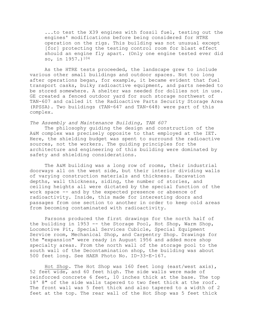...to test the X39 engines with fossil fuel, testing out the engines' modifications before being considered for HTRE operation on the rigs. This building was not unusual except [for] protecting the testing control room for blast effect should an engine fly apart. (Only one engine tested ever did so, in 1957.)104

As the HTRE tests proceeded, the landscape grew to include various other small buildings and outdoor spaces. Not too long after operations began, for example, it became evident that fuel transport casks, bulky radioactive equipment, and parts needed to be stored somewhere. A shelter was needed for dollies not in use. GE created a fenced outdoor yard for such storage northwest of TAN-607 and called it the Radioactive Parts Security Storage Area (RPSSA). Two buildings (TAN-647 and TAN-648) were part of this complex.

*The Assembly and Maintenance Building, TAN 607* 

The philosophy guiding the design and construction of the A&M complex was precisely opposite to that employed at the IET. Here, the shielding budget was spent to surround the radioactive sources, not the workers. The guiding principles for the architecture and engineering of this building were dominated by safety and shielding considerations.

The A&M building was a long row of rooms, their industrial doorways all on the west side, but their interior dividing walls of varying construction materials and thickness. Excavation depths, wall thickness, siding, the number of stories, and ceiling heights all were dictated by the special function of the work space -- and by the expected presence or absence of radioactivity. Inside, this made for interesting doors and passages from one section to another in order to keep cold areas from becoming contaminated with radioactivity.

Parsons produced the first drawings for the north half of the building in 1953 -- the Storage Pool, Hot Shop, Warm Shop, Locomotive Pit, Special Services Cubicle, Special Equipment Service room, Mechanical Shop, and Carpentry Shop. Drawings for the "expansion" were ready in August 1956 and added more shop specialty areas. From the north wall of the storage pool to the south wall of the Decontamination shop, the building was about 500 feet long. See HAER Photo No. ID-33-E-167.

Hot Shop. The Hot Shop was 160 feet long (east/west axis), 52 feet wide, and 60 feet high. The side walls were made of reinforced concrete 6 feet, 10 inches thick at the base. The top 18' 8" of the side walls tapered to two feet thick at the roof. The front wall was 5 feet thick and also tapered to a width of 2 feet at the top. The rear wall of the Hot Shop was 5 feet thick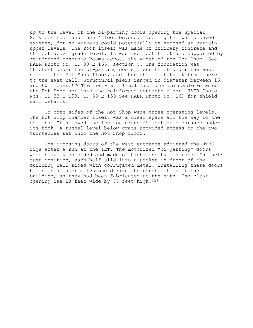up to the level of the bi-parting doors opening the Special Services room and then 4 feet beyond. Tapering the walls saved expense, for no workers could potentially be exposed at certain upper levels. The roof itself was made of ordinary concrete and 60 feet above grade level. It was two feet thick and supported by reinforced concrete beams across the width of the Hot Shop. See HAER Photo No. ID-33-E-165, section C. The foundation was thickest under the bi-parting doors, less thick under the west side of the Hot Shop floor, and then the least thick from there to the east wall. Structural piers ranged in diameter between 16 and 60 inches.105 The four-rail track from the turntable entered the Hot Shop set into the reinforced concrete floor. HAER Photo Nos. ID-33-E-158, ID-33-E-159 See HAER Photo No. 169 for shield wall details.

On both sides of the Hot Shop were three operating levels. The Hot Shop chamber itself was a clear space all the way to the ceiling. It allowed the 100-ton crane 49 feet of clearance under its hook. A tunnel level below grade provided access to the two turntables set into the Hot Shop floor.

The imposing doors of the west entrance admitted the HTRE rigs after a run at the IET. The motorized "bi-parting" doors were heavily shielded and made of high-density concrete. In their open position, each half slid into a pocket in front of the building wall sided with corrugated metal. Installing these doors had been a major milestone during the construction of the building, as they had been fabricated at the site. The clear opening was 28 feet wide by 33 feet high.106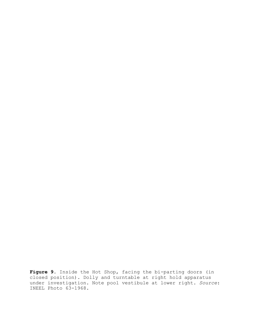**Figure 9.** Inside the Hot Shop, facing the bi-parting doors (in closed position). Dolly and turntable at right hold apparatus under investigation. Note pool vestibule at lower right. *Source*: INEEL Photo 63-1968.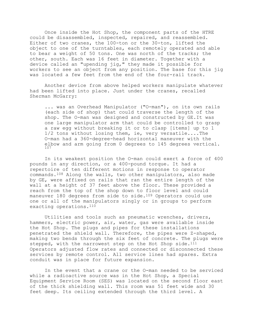Once inside the Hot Shop, the component parts of the HTRE could be disassembled, inspected, repaired, and reassembled. Either of two cranes, the 100-ton or the 30-ton, lifted the object to one of the turntables, each remotely operated and able to bear a weight of 50 tons. One was north of the tracks; the other, south. Each was 16 feet in diameter. Together with a device called an "upending jig," they made it possible for workers to see an object from any position. The base for this jig was located a few feet from the end of the four-rail track.

Another device from above helped workers manipulate whatever had been lifted into place. Just under the cranes, recalled Sherman McGarry:

... was an Overhead Manipulator ("O-man"), on its own rails (each side of shop) that could traverse the length of the shop. The O-man was designed and constructed by GE.It was one large manipulator arm that could be controlled to grasp a raw egg without breaking it or to clasp [items] up to 1 1/2 tons without losing them, ie, very versatile....The O-man had a 360-degree-head horizontal maneuver with the elbow and arm going from 0 degrees to 145 degrees vertical. 107

In its weakest position the O-man could exert a force of 400 pounds in any direction, or a 400-pound torque. It had a repertoire of ten different motions in response to operator commands.108 Along the walls, two other manipulators, also made by GE, were affixed on rails that ran the entire length of the wall at a height of 37 feet above the floor. These provided a reach from the top of the shop down to floor level and could maneuver 180 degrees from side to side.<sup>109</sup> Operators could use one or all of the manipulators singly or in groups to perform exacting operations.110

Utilities and tools such as pneumatic wrenches, drivers, hammers, electric power, air, water, gas were available inside the Hot Shop. The plugs and pipes for these installations penetrated the shield wall. Therefore, the pipes were Z-shaped, making two bends through the six feet of concrete. The plugs were stepped, with the narrowest step on the Hot Shop side.<sup>111</sup> Operators adjusted flow rates and connected or disconnected these services by remote control. All service lines had spares. Extra conduit was in place for future expansion.

In the event that a crane or the O-man needed to be serviced while a radioactive source was in the Hot Shop, a Special Equipment Service Room (SES) was located on the second floor east of the thick shielding wall. This room was 51 feet wide and 30 feet deep. Its ceiling extended through the third level. A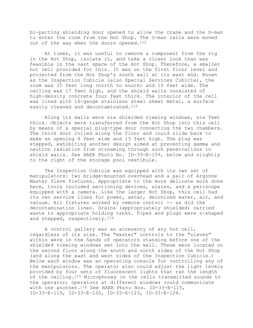bi-parting shielding door opened to allow the crane and the O-man to enter the room from the Hot Shop. The O-man rails were moved out of the way when the doors opened.<sup>112</sup>

At times, it was useful to remove a component from the rig in the Hot Shop, isolate it, and take a closer look than was feasible in the vast space of the Hot Shop. Therefore, a smaller hot cell provided for this. It was on the first floor level and projected from the Hot Shop's south wall at its east end. Known as the Inspection Cubicle (also Special Services Cubicle), the room was 35 feet long (north to south) and 10 feet wide. The ceiling was 17 feet high, and the shield walls consisted of high-density concrete four feet thick. The interior of the cell was lined with 16-gauge stainless steel sheet metal, a surface easily cleaned and decontaminated.<sup>113</sup>

Along its walls were six shielded viewing windows, six feet thick. Objects were transferred from the Hot Shop into this cell by means of a special plug-type door connecting the two chambers. The thick door rolled along the floor and could slide back to make an opening 4 feet wide and 13 feet high. The plug was stepped, exhibiting another design aimed at preventing gamma and neutron radiation from streaming through such penetrations in shield walls. See HAER Photo No. ID-33-E-159, below and slightly to the right of the storage pool vestibule.

The Inspection Cubicle was equipped with its own set of manipulators: two bridge-mounted overhead and a pair of Argonne Master Slave fixtures. Appropriate to the more delicate work done here, tools included sectioning devices, scales, and a periscope equipped with a camera. Like the larger Hot Shop, this cell had its own service lines for power, water, deionized water, air, and vacuum. All fixtures worked by remote control -- as did the decontamination lines. Drains (appropriately shielded) carried waste to appropriate holding tanks. Pipes and plugs were z-shaped and stepped, respectively.<sup>114</sup>

A control gallery was an accessory of any hot cell, regardless of its size. The "master" controls to the "slaves" within were in the hands of operators standing before one of the shielded viewing windows set into the wall. These were located on the second floor along the south and north sides of the Hot Shop (and along the east and west sides of the Inspection Cubicle.) Below each window was an operating console for controlling any of the manipulators. The operator also could adjust the light levels provided by four sets of fluorescent lights that ran the length of the ceiling.115 Microphones in the cells transmitted sounds to the operator; operators at different windows could communicate with one another.116 See HAER Photo Nos. ID-33-E-115, ID-33-E-119, ID-33-E-120, ID-33-E-123, ID-33-E-124.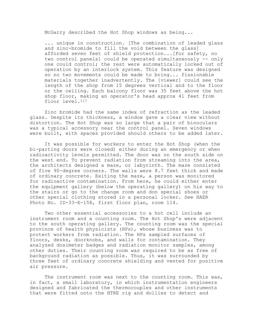McGarry described the Hot Shop windows as being...

... unique in construction. [The combination of leaded glass and zinc-bromide to fill the void between the glass] afforded seven feet of shield protection...[For safety, no two control panels] could be operated simultaneously -- only one could control; the rest were automatically locked out of operation by an interlock system. This feature was designed so no two movements could be made to bring... fissionable materials together inadvertently. The [viewer] could see the length of the shop from 15 degrees vertical and to the floor or the ceiling. Each balcony floor was 35 feet above the hot shop floor, making an operator's head approx 41 feet from floor level.117

Zinc bromide had the same index of refraction as the leaded glass. Despite its thickness, a window gave a clear view without distortion. The Hot Shop was so large that a pair of binoculars was a typical accessory near the control panel. Seven windows were built, with spaces provided should others to be added later.

It was possible for workers to enter the Hot Shop (when the bi-parting doors were closed) either during an emergency or when radioactivity levels permitted. The door was on the south side on the west end. To prevent radiation from streaming into the area, the architects designed a maze, or labyrinth. The maze consisted of five 90-degree corners. The walls were 8.7 feet thick and made of ordinary concrete. Exiting the maze, a person was monitored for radioactive contamination. From here, he could either enter the equipment gallery (below the operating gallery) on his way to the stairs or go to the change room and don special shoes or other special clothing stored in a personal locker. See HAER Photo No. ID-33-E-158, first floor plan, room 114.

Two other essential accessories to a hot cell include an instrument room and a counting room. The Hot Shop's were adjacent to the south operating gallery. The counting room was the special province of health physicists (HPs), whose business was to protect workers from radiation. The HPs sampled surfaces of floors, desks, doorknobs, and walls for contamination. They analyzed dosimeter badges and radiation monitor samples, among other duties. Their counting room was required to be as free of background radiation as possible. Thus, it was surrounded by three feet of ordinary concrete shielding and vented for positive air pressure.

The instrument room was next to the counting room. This was, in fact, a small laboratory, in which instrumentation engineers designed and fabricated the thermocouples and other instruments that were fitted onto the HTRE rig and dollies to detect and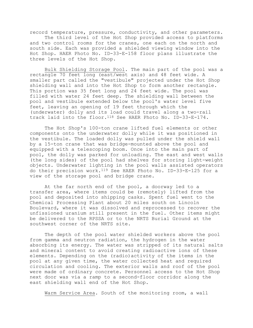record temperature, pressure, conductivity, and other parameters. The third level of the Hot Shop provided access to platforms and two control rooms for the cranes, one each on the north and south side. Each was provided a shielded viewing window into the Hot Shop. HAER Photo No. ID-33-E-158 floor plans illustrate the three levels of the Hot Shop.

Bulk Shielding Storage Pool. The main part of the pool was a rectangle 70 feet long (east/west axis) and 48 feet wide. A smaller part called the "vestibule" projected under the Hot Shop shielding wall and into the Hot Shop to form another rectangle. This portion was 35 feet long and 24 feet wide. The pool was filled with water 24 feet deep. The shielding wall between the pool and vestibule extended below the pool's water level five feet, leaving an opening of 19 feet through which the (underwater) dolly and its load could travel along a two-rail track laid into the floor.<sup>118</sup> See HAER Photo No. ID-33-E-174.

The Hot Shop's 100-ton crane lifted fuel elements or other components onto the underwater dolly while it was positioned in the vestibule. The loaded dolly was pulled under the shield wall by a 15-ton crane that was bridge-mounted above the pool and equipped with a telescoping boom. Once into the main part of pool, the dolly was parked for unloading. The east and west walls (the long sides) of the pool had shelves for storing light-weight objects. Underwater lighting in the pool walls assisted operators do their precision work.119 See HAER Photo No. ID-33-E-125 for a view of the storage pool and bridge crane.

At the far north end of the pool, a doorway led to a transfer area, where items could be (remotely) lifted from the pool and deposited into shipping casks. Spent fuel went to the Chemical Processing Plant about 20 miles south on Lincoln Boulevard, where it was dissolved and reprocessed to recover the unfissioned uranium still present in the fuel. Other items might be delivered to the RPSSA or to the NRTS Burial Ground at the southwest corner of the NRTS site.

The depth of the pool water shielded workers above the pool from gamma and neutron radiation, the hydrogen in the water absorbing its energy. The water was stripped of its natural salts and mineral content to avoid creating radioactive ions of these elements. Depending on the (radio)activity of the items in the pool at any given time, the water collected heat and required circulation and cooling. The exterior walls and roof of the pool were made of ordinary concrete. Personnel access to the Hot Shop next door was via a ramp to a second-floor corridor along the east shielding wall end of the Hot Shop.

Warm Service Area. South of the monitoring room, a wall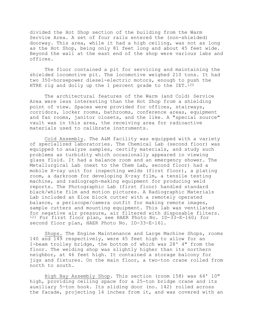divided the Hot Shop section of the building from the Warm Service Area. A set of four rails entered the (non-shielded) doorway. This area, while it had a high ceiling, was not as long as the Hot Shop, being only 81 feet long and about 45 feet wide. Beyond the wall at the east end of the shop were various labs and offices.

The floor contained a pit for servicing and maintaining the shielded locomotive pit. The locomotive weighed 210 tons. It had two 350-horsepower diesel-electric motors, enough to push the HTRE rig and dolly up the 1 percent grade to the  $IET.120$ 

The architectural features of the Warm (and Cold) Service Area were less interesting than the Hot Shop from a shielding point of view. Spaces were provided for offices, stairways, corridors, locker rooms, bathrooms, conference areas, equipment and fan rooms, janitor closets, and the like. A "special source" vault was in this area, the receiving area for radioactive materials used to calibrate instruments.

Cold Assembly. The A&M facility was equipped with a variety of specialized laboratories. The Chemical Lab (second floor) was equipped to analyze samples, certify materials, and study such problems as turbidity which occasionally appeared in viewing glass fluid. It had a balance room and an emergency shower. The Metallurgical Lab (next to the Chem Lab, second floor) had a mobile X-ray unit for inspecting welds (first floor), a plating room, a darkroom for developing X-ray film, a tensile testing machine, and radiograph-making equipment for producing weld reports. The Photographic Lab (first floor) handled standard black/white film and motion pictures. A Radiographic Materials Lab included an Elox block cutter with a remotely operated balance, a periscope/camera outfit for making remote images, sample cutters and mounting equipment. This lab was ventilated for negative air pressure, air filtered with disposable filters. 121 For first floor plan, see HAER Photo No. ID-33-E-160; for second floor plan, HAER Photo No. ID-33-E-161.

Shops. The Engine Maintenance and Large Machine Shops, rooms 140 and 149 respectively, were 45 feet high to allow for an I-beam trolley bridge, the bottom of which was 28' 4" from the floor. The welding shop was slightly higher than its northern neighbor, at 46 feet high. It contained a storage balcony for jigs and fixtures. On the main floor, a two-ton crane rolled from north to south.

High Bay Assembly Shop. This section (room 158) was 64' 10" high, providing ceiling space for a 25-ton bridge crane and its auxiliary 5-ton hook. Its sliding door (no. 142) rolled across the facade, projecting 14 inches from it, and was covered with an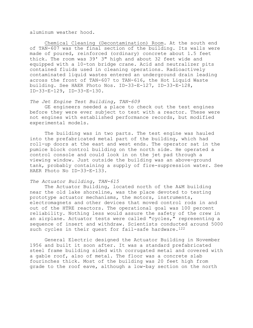aluminum weather hood.

Chemical Cleaning (Decontamination) Room. At the south end of TAN-607 was the final section of the building. Its walls were made of poured, reinforced (ordinary) concrete about 1.5 feet thick. The room was 39' 3" high and about 32 feet wide and equipped with a 10-ton bridge crane. Acid and neutralizer pits contained fluids used in cleaning operations. Radioactively contaminated liquid wastes entered an underground drain leading across the front of TAN-607 to TAN-616, the Hot Liquid Waste building. See HAER Photo Nos. ID-33-E-127, ID-33-E-128, ID-33-E-129, ID-33-E-130.

## *The Jet Engine Test Building, TAN-609*

GE engineers needed a place to check out the test engines before they were ever subject to test with a reactor. These were not engines with established performance records, but modified experimental models.

The building was in two parts. The test engine was hauled into the prefabricated metal part of the building, which had roll-up doors at the east and west ends. The operator sat in the pumice block control building on the north side. He operated a control console and could look in on the jet pad through a viewing window. Just outside the building was an above-ground tank, probably containing a supply of fire-suppression water. See HAER Photo No ID-33-E-133.

## *The Actuator Building, TAN-615*

The Actuator Building, located north of the A&M building near the old lake shoreline, was the place devoted to testing prototype actuator mechanisms, the motors, instruments, electromagnets and other devices that moved control rods in and out of the HTRE reactors. The operational goal was 100 percent reliability. Nothing less would assure the safety of the crew in an airplane. Actuator tests were called "cycles," representing a sequence of insert and withdraw. Scientists conducted around 5000 such cycles in their quest for fail-safe hardware.<sup>122</sup>

General Electric designed the Actuator Building in November 1956 and built it soon after. It was a standard prefabricated steel frame building sided with corrugated metal and covered with a gable roof, also of metal. The floor was a concrete slab fourinches thick. Most of the building was 20 feet high from grade to the roof eave, although a low-bay section on the north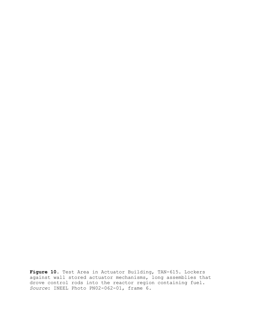**Figure 10**. Test Area in Actuator Building, TAN-615. Lockers against wall stored actuator mechanisms, long assemblies that drove control rods into the reactor region containing fuel. *Source*: INEEL Photo PN02-062-01, frame 6.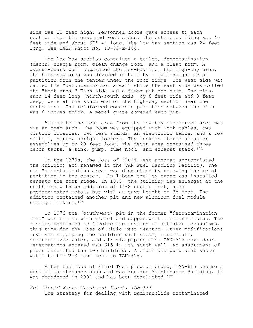side was 10 feet high. Personnel doors gave access to each section from the east and west sides. The entire building was 40 feet wide and about 67' 4" long. The low-bay section was 24 feet long. See HAER Photo No. ID-33-E-184.

The low-bay section contained a toilet, decontamination (decon) change room, clean change room, and a clean room. A gypsum-board wall separated the low-bay from the high-bay area. The high-bay area was divided in half by a full-height metal partition down the center under the roof ridge. The west side was called the "decontamination area," while the east side was called the "test area." Each side had a floor pit and sump. The pits, each 14 feet long (north/south axis) by 8 feet wide and 8 feet deep, were at the south end of the high-bay section near the centerline. The reinforced concrete partition between the pits was 8 inches thick. A metal grate covered each pit.

Access to the test area from the low-bay clean-room area was via an open arch. The room was equipped with work tables, two control consoles, two test stands, an electronic table, and a row of tall, narrow upright lockers. The lockers stored actuator assemblies up to 20 feet long. The decon area contained three decon tanks, a sink, pump, fume hood, and exhaust stack.123

In the 1970s, the Loss of Fluid Test program appropriated the building and renamed it the TAN Fuel Handling Facility. The old "decontamination area" was dismantled by removing the metal partition in the center. An I-beam trolley crane was installed beneath the roof ridge. In 1973, the building was enlarged at the north end with an addition of 1468 square feet, also prefabricated metal, but with an eave height of 35 feet. The addition contained another pit and new aluminum fuel module storage lockers.124

In 1976 the (southwest) pit in the former "decontamination area" was filled with gravel and capped with a concrete slab. The mission continued to involve the testing of actuator mechanisms, this time for the Loss of Fluid Test reactor. Other modifications involved supplying the building with steam, condensate, demineralized water, and air via piping from TAN-616 next door. Penetrations entered TAN-615 in its south wall. An assortment of pipes connected the two buildings. A drain and pump sent waste water to the V-3 tank next to TAN-616.

After the Loss of Fluid Test program ended, TAN-615 became a general maintenance shop and was renamed Maintenance Building. It was abandoned in 2001 and has been demolished.125

*Hot Liquid Waste Treatment Plant, TAN-616* The strategy for dealing with radionuclide-contaminated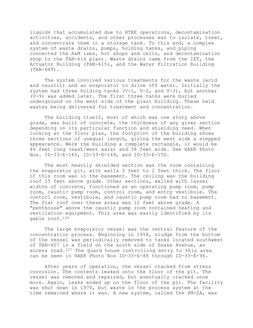liquids that accumulated due to HTRE operations, decontamination activities, accidents, and other processes was to isolate, treat, and concentrate them in a storage tank. To this end, a complex system of waste drains, pumps, holding tanks, and piping connected the A&M labs, hot shops and cells, and decontamination shop to the TAN-616 plant. Waste drains came from the IET, the Actuator Building (TAN-615), and the Water Filtration Building (TAN-649).

The system involved various treatments for the waste (acid and caustic) and an evaporator to drive off water. Initially the system had three holding tanks  $(V-1, V-2,$  and  $V-3)$ , but another (V-9) was added later. The first three tanks were buried underground on the west side of the plant building. These held wastes being delivered for treatment and concentration.

The building itself, most of which was one story above grade, was built of concrete, the thickness of any given section depending on its particular function and shielding need. When looking at the floor plan, the footprint of the building shows three sections of unequal length, giving the west side a stepped appearance. Were the building a complete rectangle, it would be 46 feet long (east/west axis) and 36 feet wide. See HAER Photo Nos. ID-33-E-185, ID-33-E-149, and ID-33-E-150.

The most heavily shielded section was the room containing the evaporator pit, with walls 3 feet to 2 feet thick. The floor of this room was in the basement. The ceiling was the building roof 15 feet above grade. Other sections, walled with lesser widths of concrete, functioned as an operating pump room, pump room, caustic pump room, control room, and entry vestibule. The control room, vestibule, and caustic pump room had no basement. The flat roof over these areas was 12 feet above grade. A "penthouse" above the caustic pump room contained heating and ventilation equipment. This area was easily identified by its gable roof.126

The large evaporator vessel was the central feature of the concentration process. Beginning in 1958, sludge from the bottom of the vessel was periodically removed to tanks located southwest of TAN-607 in a field on the south side of Snake Avenue, an access road.127 The guard house controlling entry to this area can be seen in HAER Photo Nos ID-33-E-88 through ID-33-E-96.

After years of operation, the vessel cracked from stress corrosion. The contents leaked onto the floor of the pit. The vessel was removed and repaired, but eventually cracked once more. Again, leaks ended up on the floor of the pit. The facility was shut down in 1970, but waste in the process system at the time remained where it was. A new system, called the PM-2A, was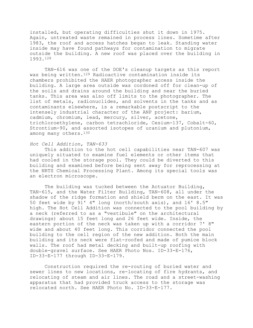installed, but operating difficulties shut it down in 1975. Again, untreated waste remained in process lines. Sometime after 1983, the roof and access hatches began to leak. Standing water inside may have found pathways for contamination to migrate outside the building. A new roof was placed over the building in 1993.128

TAN-616 was one of the DOE's cleanup targets as this report was being written.129 Radioactive contamination inside its chambers prohibited the HAER photographer access inside the building. A large area outside was cordoned off for clean-up of the soils and drains around the building and near the buried tanks. This area was also off limits to the photographer. The list of metals, radionuclides, and solvents in the tanks and as contaminants elsewhere, is a remarkable postscript to the intensely industrial character of the ANP project: barium, cadmium, chromium, lead, mercury, silver, acetone, trichloroethylene, carbon tetrachloride, Cesium-137, Cobalt-60, Strontium-90, and assorted isotopes of uranium and plutonium, among many others.130

## *Hot Cell Addition, TAN-633*

This addition to the hot cell capabilities near TAN-607 was uniquely situated to examine fuel elements or other items that had cooled in the storage pool. They could be diverted to this building and examined before being sent away for reprocessing at the NRTS Chemical Processing Plant. Among its special tools was an electron microscope.

The building was tucked between the Actuator Building, TAN-615, and the Water Filter Building, TAN-608, all under the shadow of the ridge formation and shield berm on the east. It was 50 feet wide by 91' 4" long (north/south axis), and 16' 8.5" high. The Hot Cell Addition was connected to the pool building by a neck (referred to as a "vestibule" on the architectural drawings) about 15 feet long and 26 feet wide. Inside, the eastern portion of the neck was taken up with a corridor 7' 8" wide and about 40 feet long. This corridor connected the pool building to the cell region of the new addition. Both the main building and its neck were flat-roofed and made of pumice block walls. The roof had metal decking and built-up roofing with double-gravel surface. See HAER Photo Nos. ID-33-E-176, ID-33-E-177 through ID-33-E-179.

Construction required the re-routing of buried water and sewer lines to new locations, re-locating of fire hydrants, and relocating of steam and air lines. The road and a street-washing apparatus that had provided truck access to the storage was relocated north. See HAER Photo No. ID-33-E-177.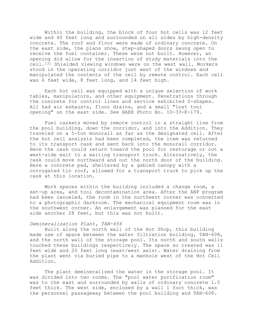Within the building, the block of four hot cells was 12 feet wide and 40 feet long and surrounded on all sides by high-density concrete. The roof and floor were made of ordinary concrete. On the east side, the plans show, step-shaped doors swung open to receive the fuel container. These were not built. However, an opening did allow for the insertion of study materials into the cell.131 Shielded viewing windows were on the west wall. Workers stood in the operating corridor just west of the windows and manipulated the contents of the cell by remote control. Each cell was 6 feet wide, 8 feet long, and 14 feet high.

Each hot cell was equipped with a unique selection of work tables, manipulators, and other equipment. Penetrations through the concrete for control lines and service exhibited Z-shapes. All had air exhausts, floor drains, and a small "lost tool opening" on the east side. See HAER Photo No. ID-33-E-179.

Fuel caskets moved by remote control in a straight line from the pool building, down the corridor, and into the Addition. They traveled on a 5-ton monorail as far as the designated cell. After the hot cell analysis had been completed, the item was returned to its transport cask and sent back into the monorail corridor. Here the cask could return toward the pool for restorage or out a west-side exit to a waiting transport truck. Alternatively, the cask could move northward and out the north door of the building. Here a concrete pad, sheltered by a gabled canopy with a corrugated tin roof, allowed for a transport truck to pick up the cask at this location.

Work spaces within the building included a change room, a set-up area, and tool decontamination area. After the ANP program had been canceled, the room in the northwest corner was converted to a photographic darkroom. The mechanical equipment room was in the southwest corner. An enlargement was planned for the east side another 28 feet, but this was not built.

## *Demineralization Plant, TAN-656*

Built along the north wall of the Hot Shop, this building made use of space between the water filtration building, TAN-608, and the north wall of the storage pool. Its north and south walls touched these buildings respectively. The space so created was 11 feet wide and 20 feet long (east/west axis). Water draining from the plant went via buried pipe to a manhole west of the Hot Cell Addition.

The plant demineralized the water in the storage pool. It was divided into two rooms. The "pool water purification room" was to the east and surrounded by walls of ordinary concrete 1.5 feet thick. The west side, enclosed by a wall 1 foot thick, was the personnel passageway between the pool building and TAN-608.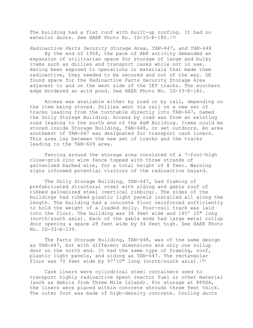The building had a flat roof with built-up roofing. It had no exterior doors. See HAER Photo No. ID-33-E-180.132

*Radioactive Parts Security Storage Area, TAN-647, and TAN-648* By the end of 1958, the pace of ANP activity demanded an expansion of utilitarian space for storage of large and bulky items such as dollies and transport casks while not in use. Having been exposed to operations or materials that made them radioactive, they needed to be secured and out of the way. GE found space for the Radioactive Parts Security Storage Area adjacent to and on the west side of the IET tracks. The southern edge bordered an acid pond. See HAER Photo No. ID-33-E-182.

Access was available either by road or by rail, depending on the item being stored. Dollies went via rail on a new set of tracks leading from the turntable directly into TAN-647, named the Dolly Storage Building. Access by road was from an existing road leading to the north end of the A&M Building. Items could be stored inside Storage Building, TAN-648, or set outdoors. An area southwest of TAN-647 was designated for transport cask liners. This area lay between the new set of tracks and the tracks leading to the TAN-609 area.

Fencing around the storage area consisted of a 7-foot-high close-grid zinc wire fence topped with three strands of galvanized barbed wire, for a total height of 8 feet. Warning signs informed potential visitors of the radioactive hazard.

The Dolly Storage Building, TAN-647, had framing of prefabricated structural steel with siding and gable roof of ribbed galvanized steel (vertical ribbing). The sides of the buildings had ribbed plastic light panels installed all along the length. The building had a concrete floor reinforced sufficiently to hold the weight of a loaded dolly. Four-rail track was laid into the floor. The building was 36 feet wide and 145' 10" long (north/south axis). Each of the gable ends had large metal rollup door opening a space 28 feet wide by 34 feet high. See HAER Photo No. ID-33-E-139.

The Parts Storage Building, TAN-648, was of the same design as TAN-647, but with different dimensions and only one rollup door on the north end. It had the same type of framing, roof, plastic light panels, and siding as TAN-647. The rectangular floor was 70 feet wide by 97'10" long (north/south axis).133

Cask liners were cylindrical steel containers used to transport highly radioactive spent reactor fuel or other material (such as debris from Three Mile Island). For storage at RPSSA, the liners were placed within concrete shrouds three feet thick. The outer foot was made of high-density concrete. Cooling ducts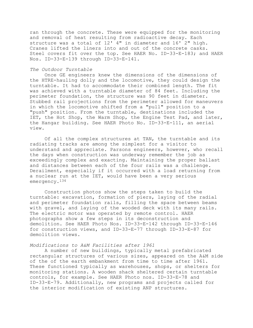ran through the concrete. These were equipped for the monitoring and removal of heat resulting from radioactive decay. Each structure was a total of 12' 4" in diameter and 16' 2" high. Cranes lifted the liners into and out of the concrete casks. Steel covers fit over the top. See HAER No. ID-33-E-183; and HAER Nos. ID-33-E-139 through ID-33-E-141.

#### *The Outdoor Turntable*

Once GE engineers knew the dimensions of the dimensions of the HTRE-hauling dolly and the locomotive, they could design the turntable. It had to accommodate their combined length. The fit was achieved with a turntable diameter of 84 feet. Including the perimeter foundation, the structure was 90 feet in diameter. Stubbed rail projections from the perimeter allowed for maneuvers in which the locomotive shifted from a "pull" position to a "push" position. From the turntable, destinations included the IET, the Hot Shop, the Warm Shop, the Engine Test Pad, and later, the Hangar building. See HAER Photo No. ID-33-E-111, an aerial view.

Of all the complex structures at TAN, the turntable and its radiating tracks are among the simplest for a visitor to understand and appreciate. Parsons engineers, however, who recall the days when construction was underway remember the job as exceedingly complex and exacting. Maintaining the proper ballast and distances between each of the four rails was a challenge. Derailment, especially if it occurred with a load returning from a nuclear run at the IET, would have been a very serious emergency.134

Construction photos show the steps taken to build the turntable: excavation, formation of piers, laying of the radial and perimeter foundation rails, filling the space between beams with gravel, and laying of the wooded deck with its many rails. The electric motor was operated by remote control. HAER photographs show a few steps in its deconstruction and demolition. See HAER Photo Nos. ID-33-E-142 through ID-33-E-146 for construction views, and ID-33-E-77 through ID-33-E-87 for demolition views.

## *Modifications to A&M Facilities after 1961*

A number of new buildings, typically metal prefabricated rectangular structures of various sizes, appeared on the A&M side of the of the earth embankment from time to time after 1961. These functioned typically as warehouses, shops, or shelters for monitoring stations. A wooden shack sheltered certain turntable controls, for example. See HAER Photo nos. ID-33-E-78 and ID-33-E-79. Additionally, new programs and projects called for the interior modification of existing ANP structures.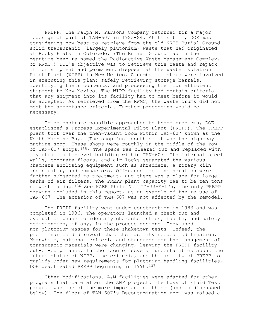PREPP. The Ralph M. Parsons Company returned for a major redesign of part of TAN-607 in 1983-84. At this time, DOE was considering how best to retrieve from the old NRTS Burial Ground solid transuranic (largely plutonium) waste that had originated at Rocky Flats in Colorado. (The Burial Ground had in the meantime been re-named the Radioactive Waste Management Complex, or RWMC.) DOE's objective was to retrieve this waste and repack it for shipment and permanent disposal at the Waste Isolation Pilot Plant (WIPP) in New Mexico. A number of steps were involved in executing this plan: safely retrieving storage barrels, identifying their contents, and processing them for efficient shipment to New Mexico. The WIPP facility had certain criteria that any shipment into its facility had to meet before it would be accepted. As retrieved from the RWMC, the waste drums did not meet the acceptance criteria. Further processing would be necessary.

To demonstrate possible approaches to these problems, DOE established a Process Experimental Pilot Plant (PREPP). The PREPP plant took over the then-vacant room within TAN-607 known as the North Machine Bay. (The shop just south of it was the high-bay machine shop. These shops were roughly in the middle of the row of TAN-607 shops.135) The space was cleared out and replaced with a virtual multi-level building within TAN-607. Its internal steel walls, concrete floors, and air locks separated the various chambers enclosing equipment such as shredders, a rotary kiln incinerator, and compactors. Off-gases from incineration were further subjected to treatment, and there was a place for large banks of air filters. The PREPP plant capacity was to be ten tons of waste a day.136 See HAER Photo No. ID-33-E-175, the only PREPP drawing included in this report, as an example of the re-use of TAN-607. The exterior of TAN-607 was not affected by the remodel.

The PREPP facility went under construction in 1983 and was completed in 1986. The operators launched a check-out and evaluation phase to identify characteristics, faults, and safety deficiencies, if any, in the process designs. They used non-plutonium wastes for these shakedown tests. Indeed, the preliminaries did reveal that the facility needed modification. Meanwhile, national criteria and standards for the management of transuranic materials were changing, leaving the PREPP facility out-of-compliance. In the face of several uncertainties about the future status of WIPP, the criteria, and the ability of PREPP to qualify under new requirements for plutonium-handling facilities, DOE deactivated PREPP beginning in 1990.137

Other Modifications. A&M facilities were adapted for other programs that came after the ANP project. The Loss of Fluid Test program was one of the more important of these (and is discussed below). The floor of TAN-607's Decontamination room was raised a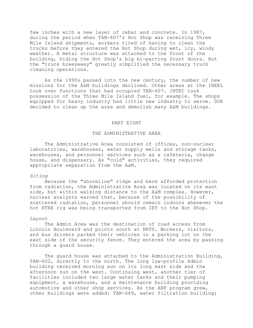few inches with a new layer of rebar and concrete. In 1987, during the period when TAN-607's Hot Shop was receiving Three Mile Island shipments, workers tired of having to clean the trucks before they entered the Hot Shop during wet, icy, windy weather. A metal structure was attached to the front of the building, hiding the Hot Shop's big bi-parting front doors. But the "truck breezeway" greatly simplified the necessary truck cleaning operations.

As the 1990s passed into the new century, the number of new missions for the A&M buildings declined. Other areas at the INEEL took over functions that had occupied TAN-607. INTEC took possession of the Three Mile Island fuel, for example. The shops equipped for heavy industry had little new industry to serve. DOE decided to clean up the area and demolish many A&M buildings.

## PART EIGHT

#### THE ADMINISTRATIVE AREA

The Administrative Area consisted of offices, non-nuclear laboratories, warehouses, water supply wells and storage tanks, warehouses, and personnel services such as a cafeteria, change house, and dispensary. As "cold" activities, they required appropriate separation from the A&M.

#### *Siting*

Because the "shoreline" ridge and berm afforded protection from radiation, the Administrative Area was located on its east side, but within walking distance to the A&M complex. However, nuclear analysts warned that, because of the possibility of scattered radiation, personnel should remain indoors whenever the hot HTRE rig was being transported from IET to the Hot Shop.

## *Layout*

The Admin Area was the destination of road access from Lincoln Boulevard and points south at NRTS. Workers, visitors, and bus drivers parked their vehicles in a parking lot on the east side of the security fence. They entered the area by passing through a guard house.

The guard house was attached to the Administration Building, TAN-602, directly to the north. The long low-profile Admin building received morning sun on its long east side and the afternoon sun on the west. Continuing west, another tier of facilities included two large water tanks and their pumping equipment, a warehouse, and a maintenance building providing automotive and other shop services. As the ANP program grew, other buildings were added: TAN-649, water filtration building;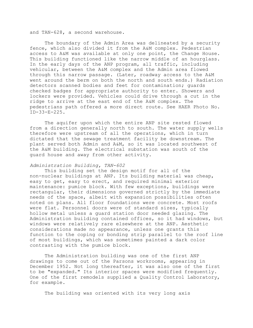and TAN-628, a second warehouse.

The boundary of the Admin Area was delineated by a security fence, which also divided it from the A&M complex. Pedestrian access to A&M was available at only one point, the Change House. This building functioned like the narrow middle of an hourglass. In the early days of the ANP program, all traffic, including vehicular, between the A&M complex and the Admin area flowed through this narrow passage. (Later, roadway access to the A&M went around the berm on both the north and south ends.) Radiation detectors scanned bodies and feet for contamination; guards checked badges for appropriate authority to enter. Showers and lockers were provided. Vehicles could drive through a cut in the ridge to arrive at the east end of the A&M complex. The pedestrians path offered a more direct route. See HAER Photo No. ID-33-E-225.

The aquifer upon which the entire ANP site rested flowed from a direction generally north to south. The water supply wells therefore were upstream of all the operations, which in turn dictated that the sewage treatment facility be downstream. The plant served both Admin and A&M, so it was located southwest of the A&M building. The electrical substation was south of the guard house and away from other activity.

## *Administration Building, TAN-602*

This building set the design motif for all of the non-nuclear buildings at ANP. Its building material was cheap, easy to get, easy to erect, and required minimal exterior maintenance: pumice block. With few exceptions, buildings were rectangular, their dimensions governed strictly by the immediate needs of the space, albeit with expansion possibilities often noted on plans. All floor foundations were concrete. Most roofs were flat. Personnel doors were of standard sizes, typically hollow metal unless a guard station door needed glazing. The Administration building contained offices, so it had windows, but windows were relatively rare elsewhere at the ANP. Aesthetic considerations made no appearance, unless one grants this function to the coping or bonding strip parallel to the roof line of most buildings, which was sometimes painted a dark color contrasting with the pumice block.

The Administration building was one of the first ANP drawings to come out of the Parsons workrooms, appearing in December 1952. Not long thereafter, it was also one of the first to be "expanded." Its interior spaces were modified frequently. One of the first remodels supplied a Quality Control Laboratory, for example.

The building was oriented with its very long axis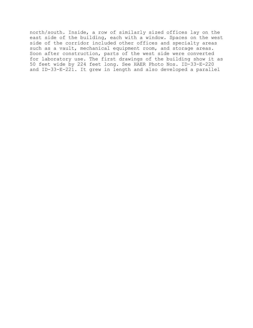north/south. Inside, a row of similarly sized offices lay on the east side of the building, each with a window. Spaces on the west side of the corridor included other offices and specialty areas such as a vault, mechanical equipment room, and storage areas. Soon after construction, parts of the west side were converted for laboratory use. The first drawings of the building show it as 50 feet wide by 224 feet long. See HAER Photo Nos. ID-33-E-220 and ID-33-E-221. It grew in length and also developed a parallel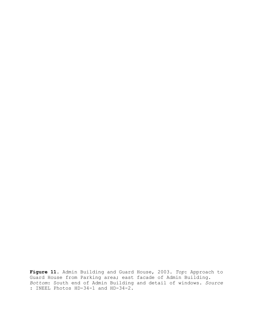**Figure 11.** Admin Building and Guard House, 2003. *Top*: Approach to Guard House from Parking area; east facade of Admin Building. *Bottom*: South end of Admin Building and detail of windows. *Source* : INEEL Photos HD-34-1 and HD-34-2.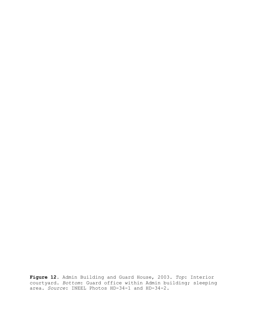**Figure 12**. Admin Building and Guard House, 2003. *Top*: Interior courtyard. *Bottom*: Guard office within Admin building; sleeping area. *Source*: INEEL Photos HD-34-1 and HD-34-2.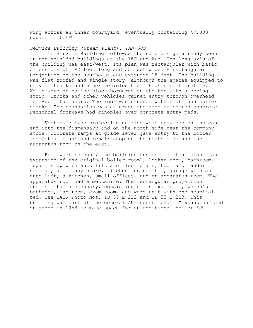wing across an inner courtyard, eventually containing 47,803 square feet.<sup>138</sup>

*Service Building (Steam Plant), TAN-603*

The Service Building followed the same design already seen in non-shielded buildings at the IET and A&M. The long axis of the building was east/west. Its plan was rectangular with basic dimensions of 192 feet long and 35 feet wide. A rectangular projection on the southeast end extended 18 feet. The building was flat-roofed and single-story, although the spaces equipped to service trucks and other vehicles had a higher roof profile. Walls were of pumice block bordered on the top with a coping strip. Trucks and other vehicles gained entry through overhead roll-up metal doors. The roof was studded with vents and boiler stacks. The foundation was at grade and made of poured concrete. Personnel doorways had canopies over concrete entry pads.

Vestibule-type projecting entries were provided on the east end into the dispensary and on the north side near the company store. Concrete ramps at grade level gave entry to the boiler room/steam plant and repair shop on the north side and the apparatus room on the east.

From west to east, the building enclosed a steam plant (an expansion of the original boiler room), locker room, bathroom, repair shop with auto lift and floor drain, tool and ladder storage, a company store, kitchen incinerator, garage with an auto lift, a kitchen, small offices, and an apparatus room. The apparatus room had a mezzanine. The rectangular projection enclosed the dispensary, consisting of an exam room, women's bathroom, lab room, exam room, and ward unit with one hospital bed. See HAER Photo Nos. ID-33-E-212 and ID-33-E-213. This building was part of the general ANP second phase "expansion" and enlarged in 1958 to make space for an additional boiler.<sup>139</sup>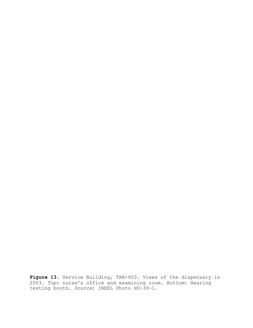**Figure 13.** Service Building, TAN-603. Views of the dispensary in 2003. *Top*: nurse's office and examining room. *Bottom*: Hearing testing booth. *Source*: INEEL Photo HD-39-1.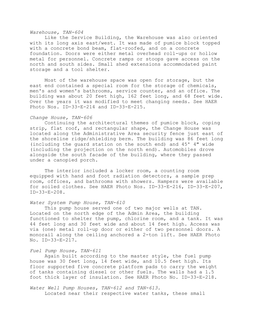## *Warehouse, TAN-604*

Like the Service Building, the Warehouse was also oriented with its long axis east/west. It was made of pumice block topped with a concrete bond beam, flat-roofed, and on a concrete foundation. Doors were either metal overhead roll-ups or hollow metal for personnel. Concrete ramps or stoops gave access on the north and south sides. Small shed extensions accommodated paint storage and a tool shelter.

Most of the warehouse space was open for storage, but the east end contained a special room for the storage of chemicals, men's and women's bathrooms, service counter, and an office. The building was about 20 feet high, 162 feet long, and 68 feet wide. Over the years it was modified to meet changing needs. See HAER Photo Nos. ID-33-E-214 and ID-33-E-215.

### *Change House, TAN-606*

Continuing the architectural themes of pumice block, coping strip, flat roof, and rectangular shape, the Change House was located along the Administrative Area security fence just east of the shoreline ridge/shielding berm. The building was 86 feet long (including the guard station on the south end) and 45' 4" wide (including the projection on the north end). Automobiles drove alongside the south facade of the building, where they passed under a canopied porch.

The interior included a locker room, a counting room equipped with hand and foot radiation detectors, a sample prep room, offices, and bathrooms with showers. Hampers were available for soiled clothes. See HAER Photo Nos. ID-33-E-216, ID-33-E-207, ID-33-E-208.

## *Water System Pump House, TAN-610*

This pump house served one of two major wells at TAN. Located on the north edge of the Admin Area, the building functioned to shelter the pump, chlorine room, and a tank. It was 44 feet long and 30 feet wide and about 14 feet high. Access was via (one) metal roll-up door or either of two personnel doors. A monorail along the ceiling anchored a 2-ton lift. See HAER Photo No. ID-33-E-217.

### *Fuel Pump House, TAN-611*

Again built according to the master style, the fuel pump house was 30 feet long, 14 feet wide, and 10.5 feet high. Its floor supported five concrete platform pads to carry the weight of tanks containing diesel or other fuels. The walls had a 1.5 foot thick layer of insulation. See HAER Photo No. ID-33-E-218.

*Water Well Pump Houses, TAN-612 and TAN-613.* Located near their respective water tanks, these small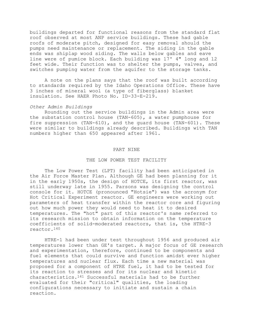buildings departed for functional reasons from the standard flat roof observed at most ANP service buildings. These had gable roofs of moderate pitch, designed for easy removal should the pumps need maintenance or replacement. The siding in the gable ends was shiplap wood siding. The walls below gables and eave line were of pumice block. Each building was 17' 4" long and 12 feet wide. Their function was to shelter the pumps, valves, and switches pumping water from the aquifer to the storage tanks.

A note on the plans says that the roof was built according to standards required by the Idaho Operations Office. These have 3 inches of mineral wool (a type of fiberglass) blanket insulation. See HAER Photo No. ID-33-E-219.

### *Other Admin Buildings*

Rounding out the service buildings in the Admin area were the substation control house (TAN-605), a water pumphouse for fire suppression (TAN-610), and the guard house (TAN-601). These were similar to buildings already described. Buildings with TAN numbers higher than 650 appeared after 1961.

### PART NINE

### THE LOW POWER TEST FACILITY

The Low Power Test (LPT) facility had been anticipated in the Air Force Master Plan. Although GE had been planning for it in the early 1950s, the design of HOTCE, its first reactor, was still underway late in 1955. Parsons was designing the control console for it. HOTCE (pronounced "Hotsie") was the acronym for Hot Critical Experiment reactor. GE engineers were working out parameters of heat transfer within the reactor core and figuring out how much power they would need to heat it to desired temperatures. The "hot" part of this reactor's name referred to its research mission to obtain information on the temperature coefficients of solid-moderated reactors, that is, the HTRE-3 reactor.140

HTRE-1 had been under test throughout 1956 and produced air temperatures lower than GE's target. A major focus of GE research and experimentation, therefore, continued to be components and fuel elements that could survive and function amidst ever higher temperatures and nuclear flux. Each time a new material was proposed for a component of HTRE fuel, it had to be tested for its reaction to stresses and for its nuclear and kinetic characteristics.141 Successful materials had to be further evaluated for their "critical" qualities, the loading configurations necessary to initiate and sustain a chain reaction.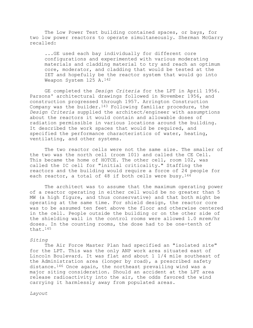The Low Power Test building contained spaces, or bays, for two low power reactors to operate simultaneously. Sherman McGarry recalled:

...GE used each bay individually for different core configurations and experimented with various moderating materials and cladding material to try and reach an optimum core, moderator, and cladding that would be tested at the IET and hopefully be the reactor system that would go into Weapon System 125 A.142

GE completed the *Design Criteria* for the LPT in April 1956. Parsons' architectural drawings followed in November 1956, and construction progressed through 1957. Arrington Construction Company was the builder.143 Following familiar procedure, the *Design Criteria* supplied the architect/engineer with assumptions about the reactors it would contain and allowable doses of radiation permissible in various locations around the building. It described the work spaces that would be required, and specified the performance characteristics of water, heating, ventilating, and other systems.

The two reactor cells were not the same size. The smaller of the two was the north cell (room 101) and called the CE Cell. This became the home of HOTCE. The other cell, room 102, was called the IC cell for "initial criticality." Staffing the reactors and the building would require a force of 24 people for each reactor, a total of 48 if both cells were busy.<sup>144</sup>

The architect was to assume that the maximum operating power of a reactor operating in either cell would be no greater than 5 MW (a high figure, and thus conservative) and that both might be operating at the same time. For shield design, the reactor core was to be assumed ten feet above the floor and otherwise centered in the cell. People outside the building or on the other side of the shielding wall in the control rooms were allowed 1.0 mrem/hr doses. In the counting rooms, the dose had to be one-tenth of that.145

# *Siting*

The Air Force Master Plan had specified an "isolated site" for the LPT. This was the only ANP work area situated east of Lincoln Boulevard. It was flat and about 1 1/4 mile southeast of the Administration area (longer by road), a prescribed safety distance.146 Once again, the northeast prevailing wind was a major siting consideration. Should an accident at the LPT area release radioactivity into the air, the odds favored the wind carrying it harmlessly away from populated areas.

*Layout*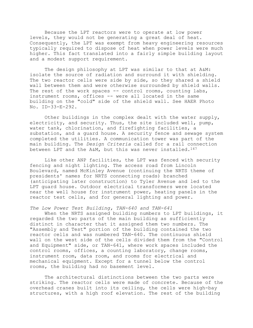Because the LPT reactors were to operate at low power levels, they would not be generating a great deal of heat. Consequently, the LPT was exempt from heavy engineering resources typically required to dispose of heat when power levels were much higher. This fact translated into a fairly simple building layout and a modest support requirement.

The design philosophy at LPT was similar to that at A&M: isolate the source of radiation and surround it with shielding. The two reactor cells were side by side, so they shared a shield wall between them and were otherwise surrounded by shield walls. The rest of the work spaces  $--$  control rooms, counting labs, instrument rooms, offices -- were all located in the same building on the "cold" side of the shield wall. See HAER Photo No. ID-33-E-292.

Other buildings in the complex dealt with the water supply, electricity, and security. Thus, the site included well, pump, water tank, chlorination, and firefighting facilities, a substation, and a guard house. A security fence and sewage system completed the utilities. A communication tower was part of the main building. The *Design Criteria* called for a rail connection between LPT and the A&M, but this was never installed.<sup>147</sup>

Like other ANP facilities, the LPT was fenced with security fencing and night lighting. The access road from Lincoln Boulevard, named McKinley Avenue (continuing the NRTS theme of presidents' names for NRTS connecting roads) branched (anticipating later construction) to Tyler Avenue and led to the LPT guard house. Outdoor electrical transformers were located near the well house for instrument power, heating panels in the reactor test cells, and for general lighting and power.

## *The Low Power Test Building, TAN-640 and TAN-641*

When the NRTS assigned building numbers to LPT buildings, it regarded the two parts of the main building as sufficiently distinct in character that it assigned them two numbers. The "Assembly and Test" portion of the building contained the two reactor cells and was numbered TAN-640. The continuous shield wall on the west side of the cells divided them from the "Control and Equipment" side, or TAN-641, where work spaces included the control rooms, offices, a counting laboratory, change rooms, instrument room, data room, and rooms for electrical and mechanical equipment. Except for a tunnel below the control rooms, the building had no basement level.

The architectural distinctions between the two parts were striking. The reactor cells were made of concrete. Because of the overhead cranes built into its ceiling, the cells were high-bay structures, with a high roof elevation. The rest of the building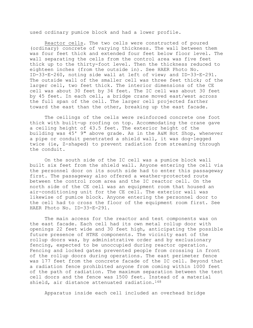used ordinary pumice block and had a lower profile.

Reactor cells. The two cells were constructed of poured (ordinary) concrete of varying thickness. The wall between them was four feet thick and extended four feet below floor level. The wall separating the cells from the control area was five feet thick up to the thirty-foot level. Then the thickness reduced to eighteen inches (from the outside in). See HAER Photo No. ID-33-E-260, noting side wall at left of view; and ID-33-E-291. The outside wall of the smaller cell was three feet thick; of the larger cell, two feet thick. The interior dimensions of the CE cell was about 30 feet by 34 feet. The IC cell was about 30 feet by 45 feet. In each cell, a bridge crane moved east/west across the full span of the cell. The larger cell projected farther toward the east than the other, breaking up the east facade.

The ceilings of the cells were reinforced concrete one foot thick with built-up roofing on top. Accommodating the crane gave a ceiling height of 43.5 feet. The exterior height of the building was 45' 9" above grade. As in the A&M Hot Shop, whenever a pipe or conduit penetrated a shield wall, it was dog-legged twice (ie, Z-shaped) to prevent radiation from streaming through the conduit.

On the south side of the IC cell was a pumice block wall built six feet from the shield wall. Anyone entering the cell via the personnel door on its south side had to enter this passageway first. The passageway also offered a weather-protected route between the control room area and the IC reactor cell. On the north side of the CE cell was an equipment room that housed an air-conditioning unit for the CE cell. The exterior wall was likewise of pumice block. Anyone entering the personnel door to the cell had to cross the floor of the equipment room first. See HAER Photo No. ID-33-E-291.

The main access for the reactor and test components was on the east facade. Each cell had its own metal rollup door with openings 22 feet wide and 30 feet high, anticipating the possible future presence of HTRE components. The vicinity east of the rollup doors was, by administrative order and by exclusionary fencing, expected to be unoccupied during reactor operation. Fencing and locked gates prevented people from crossing in front of the rollup doors during operations. The east perimeter fence was 177 feet from the concrete facade of the IC cell. Beyond that a radiation fence prohibited anyone from coming within 1000 feet of the path of radiation. The maximum separation between the test cell doors and the fence was 1500 feet. Instead of a material shield, air distance attenuated radiation.<sup>148</sup>

Apparatus inside each cell included an overhead bridge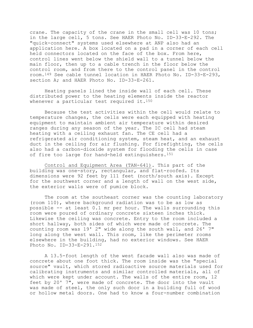crane. The capacity of the crane in the small cell was 10 tons; in the large cell, 5 tons. See HAER Photo No. ID-33-E-292. The "quick-connect" systems used elsewhere at ANP also had an application here. A box located on a pad in a corner of each cell held connectors located on the face of the box. From here, control lines went below the shield wall to a tunnel below the main floor, then up to a cable trench in the floor below the control room, and from there to the control panel in the control room.149 See cable tunnel location in HAER Photo No. ID-33-E-293, section A; and HAER Photo No. ID-33-E-261.

Heating panels lined the inside wall of each cell. These distributed power to the heating elements inside the reactor whenever a particular test required it.<sup>150</sup>

Because the test activities within the cell would relate to temperature changes, the cells were each equipped with heating equipment to maintain ambient air temperature within desired ranges during any season of the year. The IC cell had steam heating with a ceiling exhaust fan. The CE cell had a refrigerated air conditioning system, steam heat, and an exhaust duct in the ceiling for air flushing. For firefighting, the cells also had a carbon-dioxide system for flooding the cells in case of fire too large for hand-held extinguishers.151

Control and Equipment Area (TAN-641). This part of the building was one-story, rectangular, and flat-roofed. Its dimensions were 92 feet by 111 feet (north/south axis). Except for the southwest corner and a length of wall on the west side, the exterior walls were of pumice block.

The room at the southeast corner was the counting laboratory (room 110), where background radiation was to be as low as possible -- at least 0.1 mr per hour. The walls surrounding this room were poured of ordinary concrete sixteen inches thick. Likewise the ceiling was concrete. Entry to the room included a short hallway, both sides of which were made of concrete. The counting room was 19' 2" wide along the south wall, and 26' 7" long along the west wall. This room, like the perimeter rooms elsewhere in the building, had no exterior windows. See HAER Photo No. ID-33-E-291.152

A 13.5-foot length of the west facade wall also was made of concrete about one foot thick. The room inside was the "special source" vault, which stored radioactive source materials used for calibrating instruments and similar controlled materials, all of which were kept under account. The walls of the entire room, 12 feet by 20' 7", were made of concrete. The door into the vault was made of steel, the only such door in a building full of wood or hollow metal doors. One had to know a four-number combination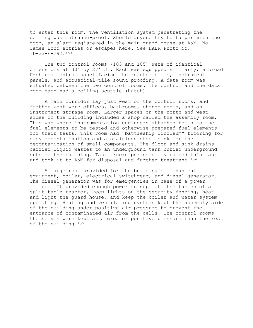to enter this room. The ventilation system penetrating the ceiling was entrance-proof. Should anyone try to tamper with the door, an alarm registered in the main guard house at A&M. No James Bond entries or escapes here. See HAER Photo No. ID-33-E-292.153

The two control rooms (103 and 105) were of identical dimensions at 30' by 27' 3". Each was equipped similarly: a broad U-shaped control panel facing the reactor cells, instrument panels, and acoustical-tile sound proofing. A data room was situated between the two control rooms. The control and the data room each had a ceiling scuttle (hatch).

A main corridor lay just west of the control rooms, and farther west were offices, bathrooms, change rooms, and an instrument storage room. Larger spaces on the north and west sides of the building included a shop called the assembly room. This was where instrumentation engineers attached foils to the fuel elements to be tested and otherwise prepared fuel elements for their tests. This room had "battleship linoleum" flooring for easy decontamination and a stainless steel sink for the decontamination of small components. The floor and sink drains carried liquid wastes to an underground tank buried underground outside the building. Tank trucks periodically pumped this tank and took it to A&M for disposal and further treatment.154

 A large room provided for the building's mechanical equipment, boiler, electrical switchgear, and diesel generator. The diesel generator was for emergencies in case of a power failure. It provided enough power to separate the tables of a split-table reactor, keep lights on the security fencing, heat and light the guard house, and keep the boiler and water system operating. Heating and ventilating systems kept the assembly side of the building under positive air pressure to prevent the entrance of contaminated air from the cells. The control rooms themselves were kept at a greater positive pressure than the rest of the building.155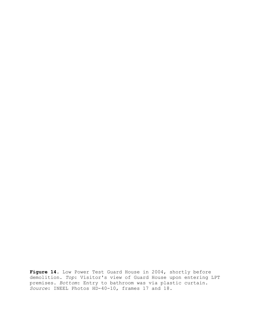Figure 14. Low Power Test Guard House in 2004, shortly before demolition. *Top*: Visitor's view of Guard House upon entering LPT premises. *Bottom*: Entry to bathroom was via plastic curtain. *Source*: INEEL Photos HD-40-10, frames 17 and 18.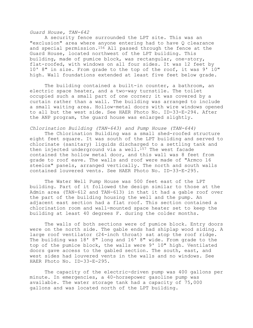# *Guard House, TAN-642*

A security fence surrounded the LPT site. This was an "exclusion" area where anyone entering had to have Q clearance and special permission.156 All passed through the fence at the Guard House, located northwest of the LPT building. This building, made of pumice block, was rectangular, one-story, flat-roofed, with windows on all four sides. It was 12 feet by 10' 8" in size. From grade to the top of the roof, it was 9' 10" high. Wall foundations extended at least five feet below grade.

The building contained a built-in counter, a bathroom, an electric space heater, and a two-way turnstile. The toilet occupied such a small part of one corner; it was covered by a curtain rather than a wall. The building was arranged to include a small waiting area. Hollow-metal doors with wire windows opened to all but the west side. See HAER Photo No. ID-33-E-294. After the ANP program, the guard house was enlarged slightly.

## *Chlorination Building (TAN-643) and Pump House (TAN-644)*

The Chlorination Building was a small shed-roofed structure eight feet square. It was south of the LPT building and served to chlorinate (sanitary) liquids discharged to a settling tank and then injected underground via a well.157 The west facade contained the hollow metal door, and this wall was 8 feet from grade to roof eave. The walls and roof were made of "Armco 16 steelox" panels, arranged vertically. The north and south walls contained louvered vents. See HAER Photo No. ID-33-E-295.

The Water Well Pump House was 500 feet east of the LPT building. Part of it followed the design similar to those at the Admin area (TAN-612 and TAN-613) in that it had a gable roof over the part of the building housing the well and the pump. An adjacent east section had a flat roof. This section contained a chlorination room and wall-mounted space heater set to keep the building at least 40 degrees F. during the colder months.

The walls of both sections were of pumice block. Entry doors were on the north side. The gable ends had shiplap wood siding. A large roof ventilator (24-inch throat) sat atop the roof ridge. The building was 18' 8" long and 16' 8" wide. From grade to the top of the pumice block, the walls were 9' 10" high. Ventilated doors gave access to the gabled section. The south, east, and west sides had louvered vents in the walls and no windows. See HAER Photo No. ID-33-E-295.

The capacity of the electric-driven pump was 400 gallons per minute. In emergencies, a 40-horsepower gasoline pump was available. The water storage tank had a capacity of 75,000 gallons and was located north of the LPT building.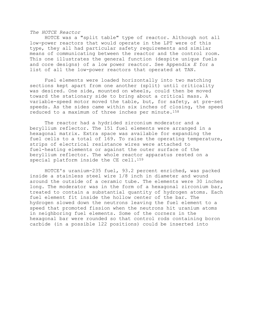*The HOTCE Reactor*

HOTCE was a "split table" type of reactor. Although not all low-power reactors that would operate in the LPT were of this type, they all had particular safety requirements and similar means of communicating between the reactor and the control room. This one illustrates the general function (despite unique fuels and core designs) of a low power reactor. See Appendix *E* for a list of all the low-power reactors that operated at TAN.

Fuel elements were loaded horizontally into two matching sections kept apart from one another (split) until criticality was desired. One side, mounted on wheels, could then be moved toward the stationary side to bring about a critical mass. A variable-speed motor moved the table, but, for safety, at pre-set speeds. As the sides came within six inches of closing, the speed reduced to a maximum of three inches per minute.158

The reactor had a hydrided zirconium moderator and a beryllium reflector. The 151 fuel elements were arranged in a hexagonal matrix. Extra space was available for expanding the fuel cells to a total of 169. To raise the operating temperature, strips of electrical resistance wires were attached to fuel-heating elements or against the outer surface of the beryllium reflector. The whole reactor apparatus rested on a special platform inside the CE cell.159

HOTCE's uranium-235 fuel, 93.2 percent enriched, was packed inside a stainless steel wire 1/8 inch in diameter and wound around the outside of a ceramic tube. The elements were 30 inches long. The moderator was in the form of a hexagonal zirconium bar, treated to contain a substantial quantity of hydrogen atoms. Each fuel element fit inside the hollow center of the bar. The hydrogen slowed down the neutrons leaving the fuel element to a speed that promoted fission when the neutrons hit uranium atoms in neighboring fuel elements. Some of the corners in the hexagonal bar were rounded so that control rods containing boron carbide (in a possible 122 positions) could be inserted into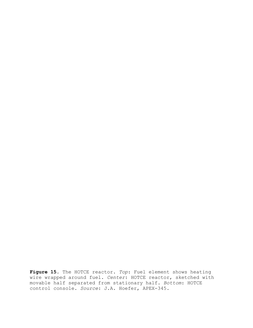**Figure 15.** The HOTCE reactor. *Top*: Fuel element shows heating wire wrapped around fuel. *Center*: HOTCE reactor, sketched with movable half separated from stationary half. *Bottom*: HOTCE control console. *Source*: J.A. Hoefer, APEX-345.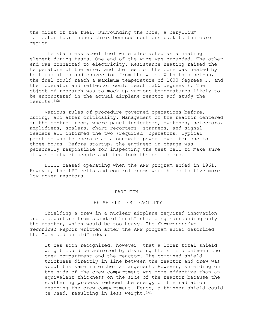the midst of the fuel. Surrounding the core, a beryllium reflector four inches thick bounced neutrons back to the core region.

The stainless steel fuel wire also acted as a heating element during tests. One end of the wire was grounded. The other end was connected to electricity. Resistance heating raised the temperature of the wire, and the rest of the core was heated by heat radiation and convection from the wire. With this set-up, the fuel could reach a maximum temperature of 1600 degrees F, and the moderator and reflector could reach 1300 degrees F. The object of research was to mock up various temperatures likely to be encountered in the actual airplane reactor and study the results.160

Various rules of procedure governed operations before, during, and after criticality. Management of the reactor centered in the control room, where panel indicators, switches, selectors, amplifiers, scalers, chart recorders, scanners, and signal readers all informed the two (required) operators. Typical practice was to operate at a one-watt power level for one to three hours. Before startup, the engineer-in-charge was personally responsible for inspecting the test cell to make sure it was empty of people and then lock the cell doors.

HOTCE ceased operating when the ANP program ended in 1961. However, the LPT cells and control rooms were homes to five more low power reactors.

#### PART TEN

## THE SHIELD TEST FACILITY

Shielding a crew in a nuclear airplane required innovation and a departure from standard "unit" shielding surrounding only the reactor, which would be too heavy. The *Comprehensive Technical Report* written after the ANP program ended described the "divided shield" idea:

It was soon recognized, however, that a lower total shield weight could be achieved by dividing the shield between the crew compartment and the reactor. The combined shield thickness directly in line between the reactor and crew was about the same in either arrangement. However, shielding on the side of the crew compartment was more effective than an equivalent thickness on the side of the reactor because the scattering process reduced the energy of the radiation reaching the crew compartment. Hence, a thinner shield could be used, resulting in less weight.161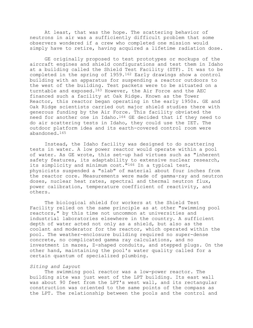At least, that was the hope. The scattering behavior of neutrons in air was a sufficiently difficult problem that some observers wondered if a crew who completed one mission would simply have to retire, having acquired a lifetime radiation dose.

GE originally proposed to test prototypes or mockups of the aircraft engines and shield configurations and test them in Idaho at a building called the Shield Test Facility (STF). It was to be completed in the spring of 1959.162 Early drawings show a control building with an apparatus for suspending a reactor outdoors to the west of the building. Test packets were to be situated on a turntable and exposed.<sup>163</sup> However, the Air Force and the AEC financed such a facility at Oak Ridge. Known as the Tower Reactor, this reactor began operating in the early 1950s. GE and Oak Ridge scientists carried out major shield studies there with generous funding by the Air Force. This facility obviated the need for another one in Idaho.164 GE decided that if they need to do air scattering tests in Idaho, they could use the IET. The outdoor platform idea and its earth-covered control room were abandoned.165

Instead, the Idaho facility was designed to do scattering tests in water. A low power reactor would operate within a pool of water. As GE wrote, this set-up had virtues such as "inherent safety features, its adaptability to extensive nuclear research, its simplicity and minimum cost."166 In a typical test, physicists suspended a "slab" of material about four inches from the reactor core. Measurements were made of gamma-ray and neutron doses, nuclear heat rates, spectral and thermal neutron flux, power calibration, temperature coefficient of reactivity, and others.

The biological shield for workers at the Shield Test Facility relied on the same principle as at other "swimming pool reactors," by this time not uncommon at universities and industrial laboratories elsewhere in the country. A sufficient depth of water acted not only as a shield, but also as the coolant and moderator for the reactor, which operated within the pool. The weather-enclosure building required no super-dense concrete, no complicated gamma ray calculations, and no investment in mazes, Z-shaped conduits, and stepped plugs. On the other hand, maintaining the pool's water quality called for a certain quantum of specialized plumbing.

### *Siting and Layout*

The swimming pool reactor was a low-power reactor. The building site was just west of the LPT building. Its east wall was about 90 feet from the LPT's west wall, and its rectangular construction was oriented to the same points of the compass as the LPT. The relationship between the pools and the control and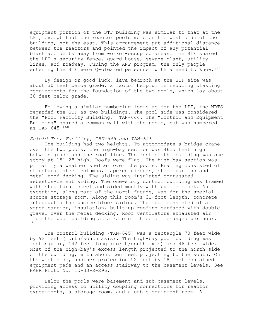equipment portion of the STF building was similar to that at the LPT, except that the reactor pools were on the west side of the building, not the east. This arrangement put additional distance between the reactors and pointed the impact of any potential blast accidents away from worker-occupied areas. The STF shared the LPT's security fence, guard house, sewage plant, utility lines, and roadway. During the ANP program, the only people entering the STF were Q-cleared personnel with a need to know.<sup>167</sup>

By design or good luck, lava bedrock at the STF site was about 30 feet below grade, a factor helpful in reducing blasting requirements for the foundation of the two pools, which lay about 30 feet below grade.

Following a similar numbering logic as for the LPT, the NRTS regarded the STF as two buildings. The pool side was considered the "Pool Facility Building," TAN-646. The "Control and Equipment Building" shared a common wall with the pools, but was numbered as TAN-645.168

# *Shield Test Facility, TAN-645 and TAN-646*

The building had two heights. To accommodate a bridge crane over the two pools, the high-bay section was 46.5 feet high between grade and the roof line. The rest of the building was one story at 15' 2" high. Roofs were flat. The high-bay section was primarily a weather shelter over the pools. Framing consisted of structural steel columns, tapered girders, steel purlins and metal roof decking. The siding was insulated corrugated asbestos-cement siding. The one-story control building was framed with structural steel and sided mostly with pumice block. An exception, along part of the north facade, was for the special source storage room. Along this room's 31-foot length, concrete interrupted the pumice block siding. The roof consisted of a vapor barrier, insulation, built-up roofing surfaced with double gravel over the metal decking. Roof ventilators exhausted air from the pool building at a rate of three air changes per hour. 169

The control building (TAN-645) was a rectangle 70 feet wide by 92 feet (north/south axis). The high-bay pool building was rectangular, 142 feet long (north/south axis) and 46 feet wide. Most of the high-bay's excess length projected to the north side of the building, with about ten feet projecting to the south. On the west side, another projection 52 feet by 18 feet contained equipment pads and an access stairway to the basement levels. See HAER Photo No. ID-33-E-296.

Below the pools were basement and sub-basement levels, providing access to utility coupling connections for reactor experiments, a storage room, and a cable equipment room. A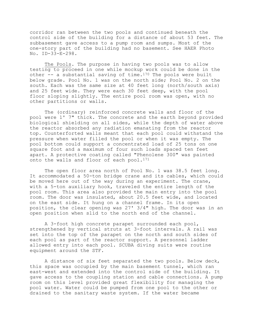corridor ran between the two pools and continued beneath the control side of the building for a distance of about 53 feet. The subbasement gave access to a pump room and sumps. Most of the one-story part of the building had no basement. See HAER Photo No. ID-33-E-298.

The Pools. The purpose in having two pools was to allow testing to proceed in one while mockup work could be done in the other -- a substantial saving of time.170 The pools were built below grade. Pool No. 1 was on the north side; Pool No. 2 on the south. Each was the same size at 40 feet long (north/south axis) and 25 feet wide. They were each 30 feet deep, with the pool floor sloping slightly. The entire pool room was open, with no other partitions or walls.

The (ordinary) reinforced concrete walls and floor of the pool were 1' 7" thick. The concrete and the earth beyond provided biological shielding on all sides, while the depth of water above the reactor absorbed any radiation emanating from the reactor top. Counterforted walls meant that each pool could withstand the pressure when water filled the pool or when it was empty. The pool bottom could support a concentrated load of 25 tons on one square foot and a maximum of four such loads spaced ten feet apart. A protective coating called "Phenolene 300" was painted onto the walls and floor of each pool.<sup>171</sup>

The open floor area north of Pool No. 1 was 38.5 feet long. It accommodated a 50-ton bridge crane and its cables, which could be moved here out of the way during an experiment. The crane, with a 5-ton auxiliary hook, traveled the entire length of the pool room. This area also provided the main entry into the pool room. The door was insulated, about 20.5 feet wide, and located on the east side. It hung on a channel frame. In its open position, the clear opening was 27' 3/4" high. The door was in an open position when slid to the north end of the channel.

A 3-foot high concrete parapet surrounded each pool, strengthened by vertical struts at 3-foot intervals. A rail was set into the top of the parapet on the north and south sides of each pool as part of the reactor support. A personnel ladder allowed entry into each pool. SCUBA diving suits were routine equipment around the STF.

A distance of six feet separated the two pools. Below deck, this space was occupied by the main basement tunnel, which ran east-west and extended into the control side of the building. It gave access to the coupling station and cable connections. A pump room on this level provided great flexibility for managing the pool water. Water could be pumped from one pool to the other or drained to the sanitary waste system. If the water became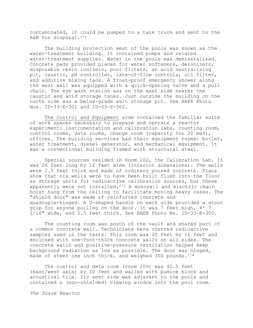contaminated, it could be pumped to a tank truck and sent to the A&M for disposal.172

The building projection west of the pools was known as the water-treatment building. It contained pumps and related water-treatment supplies. Water in the pools was demineralized. Concrete pads provided places for water softeners, deionizers, disposable resin ionizers, pool filters, an acid neutralizing pit, caustic, pH controller, rate-of-flow controls, oil filter, and additive mixing tank. A frost-proof emergency shower along the west wall was equipped with a quick-opening valve and a pull chain. The eye wash station was on the east side nearer the caustic and acid storage tanks. Just outside the building on the north side was a below-grade salt storage pit. See HAER Photo Nos. ID-33-E-301 and ID-33-E-302.

The Control and Equipment side contained the familiar suite of work spaces necessary to prepare and operate a reactor experiment: instrumentation and calibration labs, counting room, control rooms, data rooms, change room (capacity for 20 men), offices. The building services had their equipment rooms: boiler, water treatment, diesel generator, and mechanical equipment. It was a conventional building framed with structural steel.

Special sources resided in Room 102, the Calibration Lab. It was 26 feet long by 16 feet wide (interior dimensions). The walls were 2.5 feet thick and made of ordinary poured concrete. Plans show that six wells were to have been built flush into the floor as storage units for radioactive calibration sources, but these apparently were not installed.173 A monorail and electric chain hoist hung from the ceiling to facilitate moving heavy casks. The "shield door" was made of reinforced concrete and quadruple-hinged. A U-shaped handle on each side provided a stout grip for anyone pulling on the door. It was 7 feet high, 4' 7 1/16" wide, and 2.5 feet thick. See HAER Photo No. ID-33-E-300.

The counting room was south of the vault and shared part of a common concrete wall. Technicians here counted radioactive samples used in the tests. This room was 20 feet by 11 feet and enclosed with one-foot-thick concrete walls on all sides. The concrete walls and positive-pressure ventilation helped keep background radiation as low as possible. The door was hinged, made of steel one inch thick, and weighed 300 pounds.174

The control and data room (room 109) was 42.5 feet (east/west axis) by 20 feet and walled with pumice block and acoustical tile. Its west side was adjacent to the pools and contained a (non-shielded) viewing window into the pool room.

*The Susie Reactor*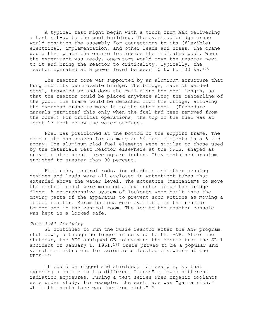A typical test might begin with a truck from A&M delivering a test set-up to the pool building. The overhead bridge crane would position the assembly for connections to its (flexible) electrical, implementation, and other leads and hoses. The crane would then place the entire lot inside the indicated pool. When the experiment was ready, operators would move the reactor next to it and bring the reactor to criticality. Typically, the reactor operated at a power level between 10 kw to 100 kw.175

The reactor core was supported by an aluminum structure that hung from its own movable bridge. The bridge, made of welded steel, traveled up and down the rail along the pool length, so that the reactor could be placed anywhere along the centerline of the pool. The frame could be detached from the bridge, allowing the overhead crane to move it to the other pool. (Procedure manuals permitted this only when the fuel had been removed from the core.) For critical operations, the top of the fuel was at least 17 feet below the water surface.

Fuel was positioned at the bottom of the support frame. The grid plate had spaces for as many as 54 fuel elements in a 6 x 9 array. The aluminum-clad fuel elements were similar to those used by the Materials Test Reactor elsewhere at the NRTS, shaped as curved plates about three square inches. They contained uranium enriched to greater than 90 percent.

Fuel rods, control rods, ion chambers and other sensing devices and leads were all enclosed in watertight tubes that extended above the water level. The actuators (mechanisms to move the control rods) were mounted a few inches above the bridge floor. A comprehensive system of lockouts were built into the moving parts of the apparatus to prevent such actions as moving a loaded reactor. Scram buttons were available on the reactor bridge and in the control room. The key to the reactor console was kept in a locked safe.

# *Post-1961 Activity*

GE continued to run the Susie reactor after the ANP program shut down, although no longer in service to the ANP. After the shutdown, the AEC assigned GE to examine the debris from the SL-1 accident of January 1, 1961.176 Susie proved to be a popular and versatile instrument for scientists located elsewhere at the NRTS.177

It could be rigged and shielded, for example, so that exposing a sample to its different "faces" allowed different radiation exposures. During a test series when organic coolants were under study, for example, the east face was "gamma rich," while the north face was "neutron rich."<sup>178</sup>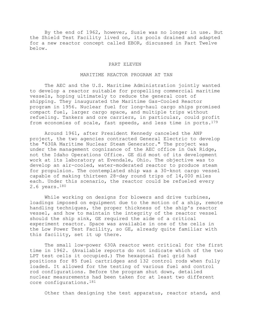By the end of 1962, however, Susie was no longer in use. But the Shield Test Facility lived on, its pools drained and adapted for a new reactor concept called EBOR, discussed in Part Twelve below.

# PART ELEVEN

## MARITIME REACTOR PROGRAM AT TAN

The AEC and the U.S. Maritime Administration jointly wanted to develop a reactor suitable for propelling commercial maritime vessels, hoping ultimately to reduce the general cost of shipping. They inaugurated the Maritime Gas-Cooled Reactor program in 1956. Nuclear fuel for long-haul cargo ships promised compact fuel, larger cargo space, and multiple trips without refueling. Tankers and ore carriers, in particular, could profit from economies of scale, fast speeds, and less time in ports.<sup>179</sup>

Around 1961, after President Kennedy canceled the ANP project, the two agencies contracted General Electric to develop the "630A Maritime Nuclear Steam Generator." The project was under the management cognizance of the AEC office in Oak Ridge, not the Idaho Operations Office. GE did most of its development work at its laboratory at Evendale, Ohio. The objective was to develop an air-cooled, water-moderated reactor to produce steam for propulsion. The contemplated ship was a 30-knot cargo vessel capable of making thirteen 28-day round trips of 14,000 miles each. Under this scenario, the reactor could be refueled every 2.6 years.180

While working on designs for blowers and drive turbines, loadings imposed on equipment due to the motion of a ship, remote handling techniques, the proper thickness of the ship's reactor vessel, and how to maintain the integrity of the reactor vessel should the ship sink, GE required the aide of a critical experiment reactor. Space was available in one of the cells in the Low Power Test Facility, so GE, already quite familiar with this facility, set it up there.

The small low-power 630A reactor went critical for the first time in 1962. (Available reports do not indicate which of the two LPT test cells it occupied.) The hexagonal fuel grid had positions for 85 fuel cartridges and 132 control rods when fully loaded. It allowed for the testing of various fuel and control rod configurations. Before the program shut down, detailed nuclear measurements had been taken for at least two different core configurations.181

Other than designing the test apparatus, reactor stand, and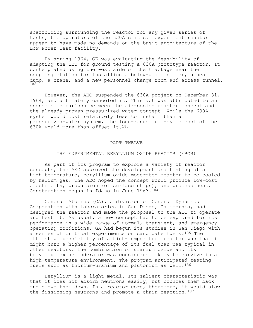scaffolding surrounding the reactor for any given series of tests, the operators of the 630A critical experiment reactor appear to have made no demands on the basic architecture of the Low Power Test facility.

By spring 1964, GE was evaluating the feasibility of adapting the IET for ground testing a 630A prototype reactor. It contemplated using the west side of the trackage near the coupling station for installing a below-grade boiler, a heat dump, a crane, and a new personnel change room and access tunnel. 182

However, the AEC suspended the 630A project on December 31, 1964, and ultimately canceled it. This act was attributed to an economic comparison between the air-cooled reactor concept and the already proven pressurized-water concept. While the 630A system would cost relatively less to install than a pressurized-water system, the long-range fuel-cycle cost of the 630A would more than offset it.183

#### PART TWELVE

### THE EXPERIMENTAL BERYLLIUM OXIDE REACTOR (EBOR)

As part of its program to explore a variety of reactor concepts, the AEC approved the development and testing of a high-temperature, beryllium oxide moderated reactor to be cooled by helium gas. The AEC hoped the concept would produce low-cost electricity, propulsion (of surface ships), and process heat. Construction began in Idaho in June 1963.184

General Atomics (GA), a division of General Dynamics Corporation with laboratories in San Diego, California, had designed the reactor and made the proposal to the AEC to operate and test it. As usual, a new concept had to be explored for its performance in a wide range of normal, transient, and emergency operating conditions. GA had begun its studies in San Diego with a series of critical experiments on candidate fuels.185 The attractive possibility of a high-temperature reactor was that it might burn a higher percentage of its fuel than was typical in other reactors. The combination of uranium oxide and its beryllium oxide moderator was considered likely to survive in a high-temperature environment. The program anticipated testing fuels such as thorium-uranium and plutonium as well.186

Beryllium is a light metal. Its salient characteristic was that it does not absorb neutrons easily, but bounces them back and slows them down. In a reactor core, therefore, it would slow the fissioning neutrons and promote a chain reaction.187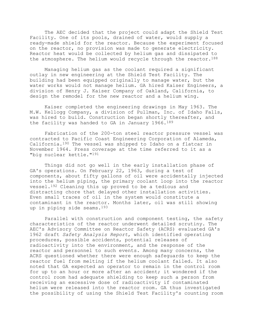The AEC decided that the project could adapt the Shield Test Facility. One of its pools, drained of water, would supply a ready-made shield for the reactor. Because the experiment focused on the reactor, no provision was made to generate electricity. Reactor heat would be collected by helium gas and dissipated to the atmosphere. The helium would recycle through the reactor.<sup>188</sup>

Managing helium gas as the coolant required a significant outlay in new engineering at the Shield Test Facility. The building had been equipped originally to manage water, but the water works would not manage helium. GA hired Kaiser Engineers, a division of Henry J. Kaiser Company of Oakland, California, to design the remodel for the new reactor and a helium wing.

Kaiser completed the engineering drawings in May 1963. The M.W. Kellogg Company, a division of Pullman, Inc. of Idaho Falls, was hired to build. Construction began shortly thereafter, and the facility was handed to GA in January 1966.189

Fabrication of the 200-ton steel reactor pressure vessel was contracted to Pacific Coast Engineering Corporation of Alameda, California.190 The vessel was shipped to Idaho on a flatcar in November 1964. Press coverage at the time referred to it as a "big nuclear kettle."191

Things did not go well in the early installation phase of GA's operations. On February 22, 1963, during a test of components, about fifty gallons of oil were accidentally injected into the helium piping, the primary coolant loop into the reactor vessel.192 Cleaning this up proved to be a tedious and distracting chore that delayed other installation activities. Even small traces of oil in the system would constitute a contaminant in the reactor. Months later, oil was still showing up in piping side seams.193

Parallel with construction and component testing, the safety characteristics of the reactor underwent detailed scrutiny. The AEC's Advisory Committee on Reactor Safety (ACRS) evaluated GA's 1962 draft *Safety Analysis Report*, which identified operating procedures, possible accidents, potential releases of radioactivity into the environment, and the response of the reactor and personnel to such events. Among many concerns, the ACRS questioned whether there were enough safeguards to keep the reactor fuel from melting if the helium coolant failed. It also noted that GA expected an operator to remain in the control room for up to an hour or more after an accident; it wondered if the control room had adequate shielding to keep such a person from receiving an excessive dose of radioactivity if contaminated helium were released into the reactor room. GA thus investigated the possibility of using the Shield Test Facility's counting room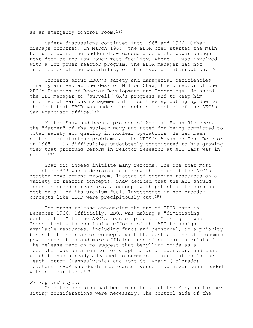as an emergency control room.194

Safety discussions continued into 1965 and 1966. Other mishaps occurred. In March 1965, the EBOR crew started the main helium blower. The sudden draw caused a complete power outage next door at the Low Power Test facility, where GE was involved with a low power reactor program. The EBOR manager had not informed GE of the possibility of this type of interruption.195

Concerns about EBOR's safety and managerial deficiencies finally arrived at the desk of Milton Shaw, the director of the AEC's Division of Reactor Development and Technology. He asked the IDO manager to "surveil" GA's progress and to keep him informed of various management difficulties sprouting up due to the fact that EBOR was under the technical control of the AEC's San Francisco office.196

Milton Shaw had been a protege of Admiral Hyman Rickover, the "father" of the Nuclear Navy and noted for being committed to total safety and quality in nuclear operations. He had been critical of start-up problems at the NRTS's Advanced Test Reactor in 1965. EBOR difficulties undoubtedly contributed to his growing view that profound reform in reactor research at AEC labs was in order.197

Shaw did indeed initiate many reforms. The one that most affected EBOR was a decision to narrow the focus of the AEC's reactor development program. Instead of spending resources on a variety of reactor concepts, Shaw decided that the AEC should focus on breeder reactors, a concept with potential to burn up most or all of its uranium fuel. Investments in non-breeder concepts like EBOR were precipitously cut.198

The press release announcing the end of EBOR came in December 1966. Officially, EBOR was making a "diminishing contribution" to the AEC's reactor program. Closing it was "consistent with continuing efforts of the AEC to assign available resources, including funds and personnel, on a priority basis to those reactor concepts with the best promise of economic power production and more efficient use of nuclear materials." The release went on to suggest that beryllium oxide as a moderator was an alienate for graphite as a moderator, and that graphite had already advanced to commercial application in the Peach Bottom (Pennsylvania) and Fort St. Vrain (Colorado) reactors. EBOR was dead; its reactor vessel had never been loaded with nuclear fuel.199

# *Siting and Layout*

Once the decision had been made to adapt the STF, no further siting considerations were necessary. The control side of the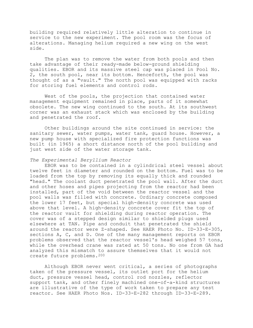building required relatively little alteration to continue in service to the new experiment. The pool room was the focus of alterations. Managing helium required a new wing on the west side.

The plan was to remove the water from both pools and then take advantage of their ready-made below-ground shielding qualities. EBOR and its massive steel cap was placed in Pool No. 2, the south pool, near its bottom. Henceforth, the pool was thought of as a "vault." The north pool was equipped with racks for storing fuel elements and control rods.

West of the pools, the projection that contained water management equipment remained in place, parts of it somewhat obsolete. The new wing continued to the south. At its southwest corner was an exhaust stack which was enclosed by the building and penetrated the roof.

Other buildings around the site continued in service: the sanitary sewer, water pumps, water tank, guard house. However, a new pump house with specialized fire protection functions was built (in 1965) a short distance north of the pool building and just west side of the water storage tank.

### *The Experimental Beryllium Reactor*

EBOR was to be contained in a cylindrical steel vessel about twelve feet in diameter and rounded on the bottom. Fuel was to be loaded from the top by removing its equally thick and rounded "head." The coolant duct penetrated the pool wall. After the duct and other hoses and pipes projecting from the reactor had been installed, part of the void between the reactor vessel and the pool walls was filled with concrete. Ordinary concrete composed the lower 17 feet, but special high-density concrete was used above that level. A high-density concrete cover fit the top of the reactor vault for shielding during reactor operation. The cover was of a stepped design similar to shielded plugs used elsewhere at TAN. Pipe and conduit that penetrated the shield around the reactor were Z-shaped. See HAER Photo No. ID-33-E-305, sections A, C, and D. One of the many management reports on EBOR problems observed that the reactor vessel's head weighed 57 tons, while the overhead crane was rated at 50 tons. No one from GA had analyzed this mismatch to assure themselves that it would not create future problems.200

Although EBOR never went critical, a series of photographs taken of the pressure vessel, its outlet port for the helium duct, pressure vessel head, control rod nozzles, reflector support tank, and other finely machined one-of-a-kind structures are illustrative of the type of work taken to prepare any test reactor. See HAER Photo Nos. ID-33-E-282 through ID-33-E-289.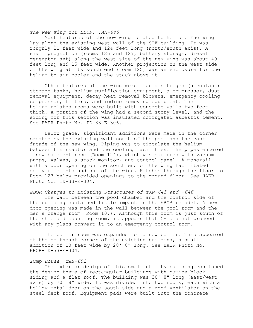### *The New Wing for EBOR, TAN-646*

Most features of the new wing related to helium. The wing lay along the existing west wall of the STF building. It was roughly 21 feet wide and 124 feet long (north/south axis). A small projection (rooms 126 and 127, battery storage, diesel generator set) along the west side of the new wing was about 40 feet long and 15 feet wide. Another projection on the west side of the wing at its south end (room 125) was an enclosure for the helium-to-air cooler and the stack above it.

Other features of the wing were liquid nitrogen (a coolant) storage tanks, helium purification equipment, a compressor, dust removal equipment, decay-heat removal blowers, emergency cooling compressor, filters, and iodine removing equipment. The helium-related rooms were built with concrete walls two feet thick. A portion of the wing had a second story level, and the siding for this section was insulated corrugated asbestos cement. See HAER Photo No. ID-33-E-306.

Below grade, significant additions were made in the corner created by the existing wall south of the pool and the east facade of the new wing. Piping was to circulate the helium between the reactor and the cooling facilities. The pipes entered a new basement room (Room 124), which was equipped with vacuum pumps, valves, a stack monitor, and control panel. A monorail with a door opening on the south end of the wing facilitated deliveries into and out of the wing. Hatches through the floor to Room 123 below provided openings to the ground floor. See HAER Photo No. ID-33-E-304.

*EBOR Changes to Existing Structures of TAN-645 and -646*

The wall between the pool chamber and the control side of the building sustained little impact in the EBOR remodel. A new door opening was made in the wall between the pool room and the men's change room (Room 107). Although this room is just south of the shielded counting room, it appears that GA did not proceed with any plans convert it to an emergency control room.

The boiler room was expanded for a new boiler. This appeared at the southeast corner of the existing building, a small addition of 10 feet wide by 28' 8" long. See HAER Photo No. EBOR-ID-33-E-304.

#### *Pump House, TAN-652*

The exterior design of this small utility building continued the design theme of rectangular buildings with pumice block siding and a flat roof. The building was 30' 8" long (east/west axis) by 20' 8" wide. It was divided into two rooms, each with a hollow metal door on the south side and a roof ventilator on the steel deck roof. Equipment pads were built into the concrete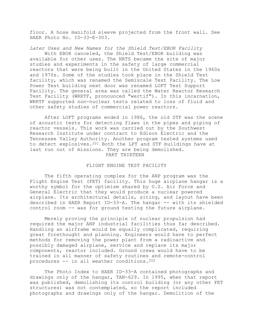floor. A hose manifold sleeve projected from the front wall. See HAER Photo No. ID-33-E-303.

*Later Uses and New Names for the Shield Test/EBOR Facility* With EBOR canceled, the Shield Test/EBOR building was available for other uses. The NRTS became the site of major studies and experiments in the safety of large commercial reactors that were being built in the United States in the 1960s and 1970s. Some of the studies took place in the Shield Test facility, which was renamed the Semiscale Test Facility. The Low Power Test building next door was renamed LOFT Test Support Facility. The general area was called the Water Reactor Research Test Facility (WRRTF, pronounced "wertif"). In this incarnation, WRRTF supported non-nuclear tests related to loss of fluid and other safety studies of commercial power reactors.

 After LOFT programs ended in 1986, the old STF was the scene of acoustic tests for detecting flaws in the pipes and piping of reactor vessels. This work was carried out by the Southwest Research Institute under contract to Edison Electric and the Tennessee Valley Authority. Another program tested systems used to detect explosives.201 Both the LPT and STF buildings have at last run out of missions. They are being demolished. PART THIRTEEN

### FLIGHT ENGINE TEST FACILITY

The fifth operating complex for the ANP program was the Flight Engine Test (FET) facility. This huge airplane hangar is a worthy symbol for the optimism shared by U.S. Air Force and General Electric that they would produce a nuclear powered airplane. Its architectural details, siting, and layout have been described in HAER Report ID-33-A. The hangar -- with its shielded control room -- was for ground testing the future airplane.

Merely proving the principle of nuclear propulsion had required the major ANP industrial facilities thus far described. Handling an airframe would be equally complicated, requiring great forethought and planning. Engineers would have to perfect methods for removing the power plant from a radioactive and possibly damaged airplane, service and replace its major components, reactor included. Ground crews would have to be trained in all manner of safety routines and remote-control procedures -- in all weather conditions.202

The Photo Index to HAER ID-33-A contained photographs and drawings only of the hangar, TAN-629. In 1995, when that report was published, demolishing its control building (or any other FET structures) was not contemplated, so the report included photographs and drawings only of the hangar. Demolition of the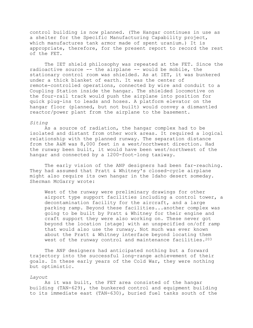control building is now planned. (The Hangar continues in use as a shelter for the Specific Manufacturing Capability project, which manufactures tank armor made of spent uranium.) It is appropriate, therefore, for the present report to record the rest of the FET.

The IET shield philosophy was repeated at the FET. Since the radioactive source -- the airplane -- would be mobile, the stationary control room was shielded. As at IET, it was bunkered under a thick blanket of earth. It was the center of remote-controlled operations, connected by wire and conduit to a Coupling Station inside the hangar. The shielded locomotive on the four-rail track would push the airplane into position for quick plug-ins to leads and hoses. A platform elevator on the hangar floor (planned, but not built) would convey a dismantled reactor/power plant from the airplane to the basement.

### *Siting*

As a source of radiation, the hangar complex had to be isolated and distant from other work areas. It required a logical relationship with the planned runway. The separation distance from the A&M was 8,000 feet in a west/northwest direction. Had the runway been built, it would have been west/northwest of the hangar and connected by a 1200-foot-long taxiway.

The early vision of the ANP designers had been far-reaching. They had assumed that Pratt & Whitney's closed-cycle airplane might also require its own hangar in the Idaho desert someday. Sherman McGarry wrote:

West of the runway were preliminary drawings for other airport type support facilities including a control tower, a decontamination facility for the aircraft, and a large parking ramp. Beyond these facilities...another complex was going to be built by Pratt & Whitney for their engine and craft support they were also working on. These never got beyond the location [stage] with an unspecified on/off ramp that would also use the runway. Not much was ever known about the Pratt & Whitney interface beyond locating them west of the runway control and maintenance facilities.203

The ANP designers had anticipated nothing but a forward trajectory into the successful long-range achievement of their goals. In these early years of the Cold War, they were nothing but optimistic.

#### *Layout*

As it was built, the FET area consisted of the hangar building (TAN-629), the bunkered control and equipment building to its immediate east (TAN-630), buried fuel tanks south of the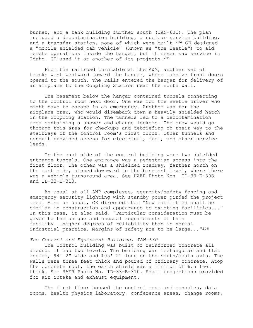bunker, and a tank building further south (TAN-631). The plan included a decontamination building, a nuclear service building, and a transfer station, none of which were built.<sup>204</sup> GE designed a "mobile shielded cab vehicle" (known as "the Beetle") to aid remote operations inside the hangar, but it never saw service in Idaho. GE used it at another of its projects.<sup>205</sup>

From the railroad turntable at the A&M, another set of tracks went westward toward the hangar, whose massive front doors opened to the south. The rails entered the hangar for delivery of an airplane to the Coupling Station near the north wall.

The basement below the hangar contained tunnels connecting to the control room next door. One was for the Beetle driver who might have to escape in an emergency. Another was for the airplane crew, who would disembark down a heavily shielded hatch in the Coupling Station. The tunnels led to a decontamination area containing a shower and change lockers. The crew would go through this area for checkups and debriefing on their way to the stairways of the control room's first floor. Other tunnels and conduit provided access for electrical, fuel, and other service leads.

On the east side of the control building were two shielded entrance tunnels. One entrance was a pedestrian access into the first floor. The other was a shielded roadway, farther north on the east side, sloped downward to the basement level, where there was a vehicle turnaround area. See HAER Photo Nos. ID-33-E-308 and ID-33-E-310.

As usual at all ANP complexes, security/safety fencing and emergency security lighting with standby power girded the project area. Also as usual, GE directed that "New facilities shall be similar in construction and appearance to existing facilities..." In this case, it also said, "Particular consideration must be given to the unique and unusual requirements of this facility...higher degrees of reliability than in normal industrial practice. Margins of safety are to be large..."206

## *The Control and Equipment Building, TAN-630*

The Control building was built of reinforced concrete all around. It had two levels. The building was rectangular and flat roofed, 94' 2" wide and 105' 2" long on the north/south axis. The walls were three feet thick and poured of ordinary concrete. Atop the concrete roof, the earth shield was a minimum of 6.5 feet thick. See HAER Photo No. ID-33-E-310. Small projections provided for air intake and exhaust equipment.

The first floor housed the control room and consoles, data rooms, health physics laboratory, conference areas, change rooms,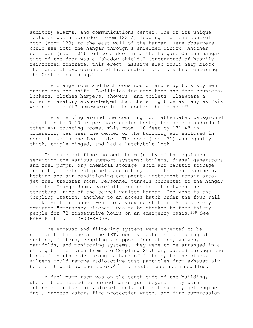auditory alarms, and communications center. One of its unique features was a corridor (room 123 A) leading from the control room (room 123) to the east wall of the hangar. Here observers could see into the hangar through a shielded window. Another corridor (room 104) led to a door into the hangar. On the hangar side of the door was a "shadow shield." Constructed of heavily reinforced concrete, this erect, massive slab would help block the force of explosions and fissionable materials from entering the Control building.207

The change room and bathrooms could handle up to sixty men during any one shift. Facilities included hand and foot counters, lockers, clothes hampers, showers, and toilets. Elsewhere a women's lavatory acknowledged that there might be as many as "six women per shift" somewhere in the control building.208

The shielding around the counting room attenuated background radiation to 0.10 mr per hour during tests, the same standards in other ANP counting rooms. This room, 10 feet by 17' 4" in dimension, was near the center of the building and enclosed in concrete walls one foot thick. The door (door 31) was equally thick, triple-hinged, and had a latch/bolt lock.

The basement floor housed the majority of the equipment servicing the various support systems: boilers, diesel generators and fuel pumps, dry chemical storage, acid and caustic storage and pits, electrical panels and cable, alarm terminal cabinets, heating and air conditioning equipment, instrument repair area, jet fuel transfer room. Personnel tunnels connected to the hangar from the Change Room, carefully routed to fit between the structural ribs of the barrel-vaulted hangar. One went to the Coupling Station, another to an access hatch under the four-rail track. Another tunnel went to a viewing station. A completely equipped "emergency kitchen" was to be stocked to feed thirty people for 72 consecutive hours on an emergency basis.209 See HAER Photo No. ID-33-E-309.

The exhaust and filtering systems were expected to be similar to the one at the IET, costly features consisting of ducting, filters, couplings, support foundations, valves, manifolds, and monitoring systems. They were to be arranged in a straight line north from the Coupling Station, ducted through the hangar's north side through a bank of filters, to the stack. Filters would remove radioactive dust particles from exhaust air before it went up the stack.<sup>210</sup> The system was not installed.

A fuel pump room was on the south side of the building, where it connected to buried tanks just beyond. They were intended for fuel oil, diesel fuel, lubricating oil, jet engine fuel, process water, fire protection water, and fire-suppression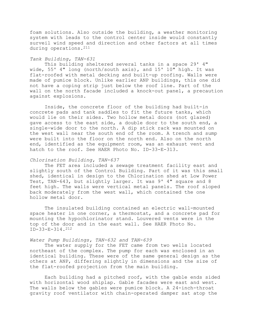foam solutions. Also outside the building, a weather monitoring system with leads to the control center inside would constantly surveil wind speed and direction and other factors at all times during operations.211

### *Tank Building, TAN-631*

This building sheltered several tanks in a space 29' 4" wide, 55' 4" long (north/south axis), and 15' 10" high. It was flat-roofed with metal decking and built-up roofing. Walls were made of pumice block. Unlike earlier ANP buildings, this one did not have a coping strip just below the roof line. Part of the wall on the north facade included a knock-out panel, a precaution against explosions.

Inside, the concrete floor of the building had built-in concrete pads and tank saddles to fit the future tanks, which would lie on their sides. Two hollow metal doors (not glazed) gave access to the east side, a double door to the south end, a single-wide door to the north. A dip stick rack was mounted on the west wall near the south end of the room. A trench and sump were built into the floor on the north end. Also on the north end, identified as the equipment room, was an exhaust vent and hatch to the roof. See HAER Photo No. ID-33-E-313.

## *Chlorination Building, TAN-637*

The FET area included a sewage treatment facility east and slightly south of the Control Building. Part of it was this small shed, identical in design to the Chlorination shed at Low Power Test, TAN-643, but slightly larger. It was 9' 4" square and 8 feet high. The walls were vertical metal panels. The roof sloped back moderately from the west wall, which contained the one hollow metal door.

The insulated building contained an electric wall-mounted space heater in one corner, a thermostat, and a concrete pad for mounting the hypochlorinator stand. Louvered vents were in the top of the door and in the east wall. See HAER Photo No. ID-33-E-314.212

## *Water Pump Buildings, TAN-632 and TAN-639*

The water supply for the FET came from two wells located northeast of the complex. The pump for each was enclosed in an identical building. These were of the same general design as the others at ANP, differing slightly in dimensions and the size of the flat-roofed projection from the main building.

Each building had a pitched roof, with the gable ends sided with horizontal wood shiplap. Gable facades were east and west. The walls below the gables were pumice block. A 24-inch-throat gravity roof ventilator with chain-operated damper sat atop the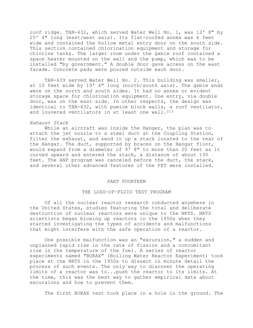roof ridge. TAN-632, which served Water Well No. 1, was 12' 8" by 25' 4" long (east/west axis). Its flat-roofed annex was 6 feet wide and contained the hollow metal entry door on the south side. This section contained chlorination equipment and storage for chlorine tanks. The larger room under the gable roof contained a space heater mounted on the wall and the pump, which was to be installed "by government." A double door gave access on the east facade. Concrete pads were poured outside each door.

TAN-639 served Water Well No. 2. This building was smaller, at 10 feet wide by 19' 4" long (north/south axis). The gable ends were on the north and south sides. It had no annex or evident storage space for chlorination equipment. One entry, via double door, was on the east side. In other respects, the design was identical to TAN-632, with pumice block walls, a roof ventilator, and louvered ventilators in at least one wall.<sup>213</sup>

### *Exhaust Stack*

While an aircraft was inside the Hanger, the plan was to attach the jet nozzle to a steel duct at the Coupling Station, filter the exhaust, and send it up a stack located to the rear of the Hangar. The duct, supported by braces on the Hangar floor, would expand from a diameter of 9' 8" to more than 20 feet as it curved upward and entered the stack, a distance of about 130 feet. The ANP program was canceled before the duct, the stack, and several other advanced features of the FET were installed.

#### PART FOURTEEN

# THE LOSS-OF-FLUID TEST PROGRAM

Of all the nuclear reactor research conducted anywhere in the United States, studies featuring the total and deliberate destruction of nuclear reactors were unique to the NRTS. NRTS scientists began blowing up reactors in the 1950s when they started investigating the types of accidents and malfunctions that might interfere with the safe operation of a reactor.

One possible malfunction was an "excursion," a sudden and unplanned rapid rise in the rate of fission and a concomitant rise in the temperature of the fuel. A series of reactor experiments named "BORAX" (Boiling Water Reactor Experiment) took place at the NRTS in the 1950s to dissect in minute detail the process of such events. The only way to discover the operating limits of a reactor was to...push the reactor to its limits. At the time, this was the best way to gather empirical data about excursions and how to prevent them.

The first BORAX test took place in a hole in the ground. The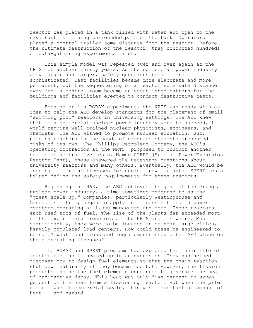reactor was placed in a tank filled with water and open to the sky. Earth shielding surrounded part of the tank. Operators placed a control trailer some distance from the reactor. Before the ultimate destruction of the reactor, they conducted hundreds of data-gathering experiments first.

This simple model was repeated over and over again at the NRTS for another thirty years. As the commercial power industry grew larger and larger, safety questions became more sophisticated. Test facilities became more elaborate and more permanent, but the sequestering of a reactor some safe distance away from a control room became an established pattern for the buildings and facilities erected to conduct destructive tests.

Because of its BORAX experiment, the NRTS was ready with an idea to help the AEC develop standards for the placement of small "swimming pool" reactors in university settings. The AEC knew that if a commercial nuclear power industry were to succeed, it would require well-trained nuclear physicists, engineers, and chemists. The AEC wished to promote nuclear education. But, placing reactors in the hands of graduate students presented risks of its own. The Phillips Petroleum Company, the AEC's operating contractor at the NRTS, proposed to conduct another series of destructive tests. Named SPERT (Special Power Excursion Reactor Test), these answered the necessary questions about university reactors and many others. Eventually, the AEC would be issuing commercial licenses for nuclear power plants. SPERT tests helped define the safety requirements for these reactors.

Beginning in 1963, the AEC achieved its goal of fostering a nuclear power industry, a time sometimes referred to as the "great scale-up." Companies, particularly Westinghouse and General Electric, began to apply for licenses to build power reactors operating at 1,000 megawatts and more. These reactors each used tons of fuel. The size of the plants far exceeded most of the experimental reactors at the NRTS and elsewhere. Most significantly, they were to be located in or near large cities, heavily populated load centers. How could these be engineered to be safe? What conditions and requirements should the AEC place on their operating licenses?

The BORAX and SPERT programs had explored the inner life of reactor fuel as it heated up in an excursion. They had helped discover how to design fuel elements so that the chain reaction shut down naturally if they became too hot. However, the fission products inside the fuel elements continued to generate the heat of radioactive decay. This heat was only five percent to seven percent of the heat from a fissioning reactor. But when the pile of fuel was of commercial scale, this was a substantial amount of heat -- and hazard.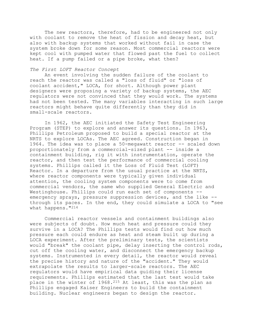The new reactors, therefore, had to be engineered not only with coolant to remove the heat of fission and decay heat, but also with backup systems that worked without fail in case the system broke down for some reason. Most commercial reactors were kept cool with pumped water that flowed past the fuel to collect heat. If a pump failed or a pipe broke, what then?

#### *The First LOFT Reactor Concept*

An event involving the sudden failure of the coolant to reach the reactor was called a "loss of fluid" or "loss of coolant accident," LOCA, for short. Although power plant designers were proposing a variety of backup systems, the AEC regulators were not convinced that they would work. The systems had not been tested. The many variables interacting in such large reactors might behave quite differently than they did in small-scale reactors.

In 1962, the AEC initiated the Safety Test Engineering Program (STEP) to explore and answer its questions. In 1963, Phillips Petroleum proposed to build a special reactor at the NRTS to explore LOCAs. The AEC agreed. Construction began in 1964. The idea was to place a 50-megawatt reactor -- scaled down proportionately from a commercial-sized plant -- inside a containment building, rig it with instrumentation, operate the reactor, and then test the performance of commercial cooling systems. Phillips called it the Loss of Fluid Test (LOFT) Reactor. In a departure from the usual practice at the NRTS, where reactor components were typically given individual attention, the cooling system components were to come from commercial vendors, the same who supplied General Electric and Westinghouse. Phillips could run each set of components - emergency sprays, pressure suppression devices, and the like - through its paces. In the end, they could simulate a LOCA to "see what happens."214

Commercial reactor vessels and containment buildings also were subjects of doubt. How much heat and pressure could they survive in a LOCA? The Phillips tests would find out how much pressure each could endure as heat and steam built up during a LOCA experiment. After the preliminary tests, the scientists would "break" the coolant pipe, delay inserting the control rods, cut off the cooling water, and disconnect the emergency backup systems. Instrumented in every detail, the reactor would reveal the precise history and nature of the "accident." They would extrapolate the results to larger-scale reactors. The AEC regulators would have empirical data guiding their license requirements. Phillips estimated that the last test would take place in the winter of 1968.215 At least, this was the plan as Phillips engaged Kaiser Engineers to build the containment building. Nuclear engineers began to design the reactor.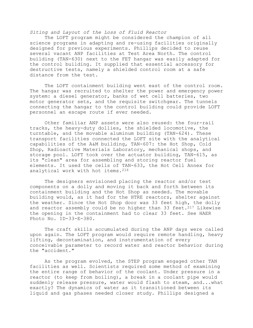# *Siting and Layout of the Loss of Fluid Reactor*

The LOFT program might be considered the champion of all science programs in adapting and re-using facilities originally designed for previous experiments. Phillips decided to reuse several vacant ANP facilities at Test Area North. The control building (TAN-630) next to the FET hangar was easily adapted for the control building. It supplied that essential accessory for destructive tests, namely a shielded control room at a safe distance from the test.

The LOFT containment building went east of the control room. The hangar was recruited to shelter the power and emergency power system: a diesel generator, banks of wet cell batteries, two motor generator sets, and the requisite switchgear. The tunnels connecting the hangar to the control building could provide LOFT personnel an escape route if ever needed.

Other familiar ANP assets were also reused: the four-rail tracks, the heavy-duty dollies, the shielded locomotive, the turntable, and the movable aluminum building (TAN-624). These transport facilities connected the LOFT site with the analytical capabilities of the A&M building, TAN-607: the Hot Shop, Cold Shop, Radioactive Materials Laboratory, mechanical shops, and storage pool. LOFT took over the actuator building, TAN-615, as its "clean" area for assembling and storing reactor fuel elements. It used the cells of TAN-633, the Hot Cell Annex for analytical work with hot items.216

The designers envisioned placing the reactor and/or test components on a dolly and moving it back and forth between its containment building and the Hot Shop as needed. The movable building would, as it had for the HTRE reactors, shelter against the weather. Since the Hot Shop door was 33 feet high, the dolly and reactor assembly could be no higher than 33 feet.<sup>217</sup> Likewise the opening in the containment had to clear 33 feet. See HAER Photo No. ID-33-E-380.

The craft skills accumulated during the ANP days were called upon again. The LOFT program would require remote handling, heavy lifting, decontamination, and instrumentation of every conceivable parameter to record water and reactor behavior during the "accident."

As the program evolved, the STEP program engaged other TAN facilities as well. Scientists required some method of examining the entire range of behavior of the coolant. Under pressure in a reactor (to keep from boiling), a break in a coolant pipe would suddenly release pressure, water would flash to steam, and...what exactly? The dynamics of water as it transitioned between its liquid and gas phases needed closer study. Phillips designed a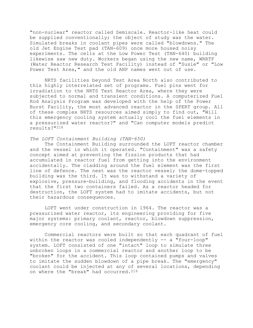"non-nuclear" reactor called Semiscale. Reactor-like heat could be supplied conventionally; the object of study was the water. Simulated breaks in coolant pipes were called "blowdowns." The old Jet Engine Test pad (TAN-609) once more housed noisy experiments. The cells at the Low Power Test (TAN-640) building likewise saw new duty. Workers began using the new name, WRRTF (Water Reactor Research Test Facility) instead of "Susie" or "Low Power Test Area," and the old ANP names went out of use.

NRTS facilities beyond Test Area North also contributed to this highly interrelated set of programs. Fuel pins went for irradiation to the NRTS Test Reactor Area, where they were subjected to normal and transient conditions. A computerized Fuel Rod Analysis Program was developed with the help of the Power Burst Facility, the most advanced reactor in the SPERT group. All of these complex NRTS resources aimed simply to find out, "Will this emergency cooling system actually cool the fuel elements in a pressurized water reactor?" and "Can computer models predict results?"218

#### *The LOFT Containment Building (TAN-650)*

The Containment Building surrounded the LOFT reactor chamber and the vessel in which it operated. "Containment" was a safety concept aimed at preventing the fission products that had accumulated in reactor fuel from getting into the environment accidentally. The cladding around the fuel element was the first line of defence. The next was the reactor vessel; the dome-topped building was the third. It was to withstand a variety of explosive, pressure-building, and flooding accidents in the event that the first two containers failed. As a reactor headed for destruction, the LOFT system had to imitate accidents, but not their hazardous consequences.

LOFT went under construction in 1964. The reactor was a pressurized water reactor, its engineering providing for five major systems: primary coolant, reactor, blowdown suppression, emergency core cooling, and secondary coolant.

Commercial reactors were built so that each quadrant of fuel within the reactor was cooled independently -- a "four-loop" system. LOFT consisted of one "intact" loop to simulate three unbroken loops in a commercial reactor and another loop to be "broken" for the accident. This loop contained pumps and valves to imitate the sudden blowdown of a pipe break. The "emergency" coolant could be injected at any of several locations, depending on where the "break" had occurred.<sup>219</sup>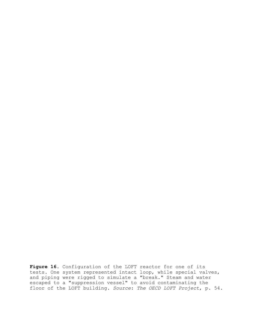Figure 16. Configuration of the LOFT reactor for one of its tests. One system represented intact loop, while special valves, and piping were rigged to simulate a "break." Steam and water escaped to a "suppression vessel" to avoid contaminating the floor of the LOFT building. *Source*: *The OECD LOFT Project*, p. 54.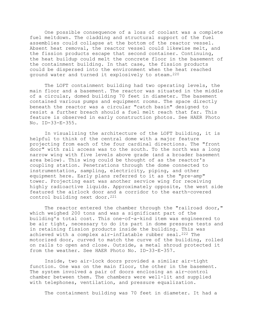One possible consequence of a loss of coolant was a complete fuel meltdown. The cladding and structural support of the fuel assemblies could collapse at the bottom of the reactor vessel. Absent heat removal, the reactor vessel could likewise melt, and the fission products escape that second container. Continuing, the heat buildup could melt the concrete floor in the basement of the containment building. In that case, the fission products could be dispersed into the environment when the heat reached ground water and turned it explosively to steam.220

The LOFT containment building had two operating levels, the main floor and a basement. The reactor was situated in the middle of a circular, domed building 70 feet in diameter. The basement contained various pumps and equipment rooms. The space directly beneath the reactor was a circular "catch basin" designed to resist a further breach should a fuel melt reach that far. This feature is observed in early construction photos. See HAER Photo No. ID-33-E-355.

In visualizing the architecture of the LOFT building, it is helpful to think of the central dome with a major feature projecting from each of the four cardinal directions. The "front door" with rail access was to the south. To the north was a long narrow wing with five levels above grade (and a broader basement area below). This wing could be thought of as the reactor's coupling station. Penetrations through the dome connected to instrumentation, sampling, electricity, piping, and other equipment here. Early plans referred to it as the "pre-amp" tower. Projecting east was another service wing for receiving highly radioactive liquids. Approximately opposite, the west side featured the airlock door and a corridor to the earth-covered control building next door.<sup>221</sup>

The reactor entered the chamber through the "railroad door," which weighed 200 tons and was a significant part of the building's total cost. This one-of-a-kind item was engineered to be air tight, necessary to do its part in dome pressure tests and in retaining fission products inside the building. This was achieved with a complex air-inflatable rubber seal.<sup>222</sup> The motorized door, curved to match the curve of the building, rolled on rails to open and close. Outside, a metal shroud protected it from the weather. See HAER Photo No. ID-33-E-357.

Inside, two air-lock doors provided a similar air-tight function. One was on the main floor, the other in the basement. The system involved a pair of doors enclosing an air-control chamber between them. The chambers were well-lit and supplied with telephones, ventilation, and pressure equalization.

The containment building was 70 feet in diameter. It had a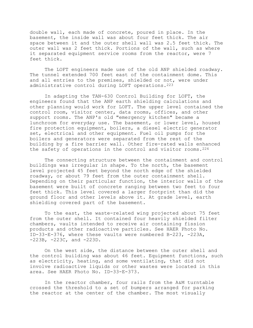double wall, each made of concrete, poured in place. In the basement, the inside wall was about four feet thick. The air space between it and the outer shell wall was 2.5 feet thick. The outer wall was 2 feet thick. Portions of the wall, such as where it separated equipment service rooms from the reactor, were 7 feet thick.

The LOFT engineers made use of the old ANP shielded roadway. The tunnel extended 700 feet east of the containment dome. This and all entries to the premises, shielded or not, were under administrative control during LOFT operations.223

In adapting the TAN-630 Control Building for LOFT, the engineers found that the ANP earth shielding calculations and other planning would work for LOFT. The upper level contained the control room, visitor center, data rooms, offices, and other support rooms. The ANP's old "emergency kitchen" became a lunchroom for everyday use. The basement, or lower level, housed fire protection equipment, boilers, a diesel electric generator set, electrical and other equipment. Fuel oil pumps for the boilers and generators were separated from the rest of the building by a fire barrier wall. Other fire-rated walls enhanced the safety of operations in the control and visitor rooms.<sup>224</sup>

The connecting structure between the containment and control buildings was irregular in shape. To the north, the basement level projected 45 feet beyond the north edge of the shielded roadway, or about 79 feet from the outer containment shell. Depending on their particular function, the interior walls of the basement were built of concrete ranging between two feet to four feet thick. This level covered a larger footprint than did the ground floor and other levels above it. At grade level, earth shielding covered part of the basement.

To the east, the waste-related wing projected about 75 feet from the outer shell. It contained four heavily shielded filter chambers, vaults intended to receive air containing fission products and other radioactive particles. See HAER Photo No. ID-33-E-376, where these vaults were numbered B-223, -223A,  $-223B$ ,  $-223C$ , and  $-223D$ .

On the west side, the distance between the outer shell and the control building was about 46 feet. Equipment functions, such as electricity, heating, and some ventilating, that did not involve radioactive liquids or other wastes were located in this area. See HAER Photo No. ID-33-E-373.

In the reactor chamber, four rails from the A&M turntable crossed the threshold to a set of bumpers arranged for parking the reactor at the center of the chamber. The most visually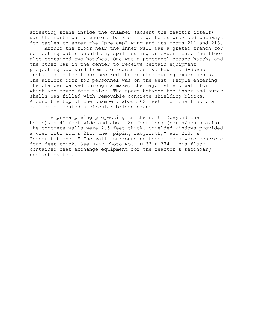arresting scene inside the chamber (absent the reactor itself) was the north wall, where a bank of large holes provided pathways for cables to enter the "pre-amp" wing and its rooms 211 and 213.

Around the floor near the inner wall was a grated trench for collecting water should any spill during an experiment. The floor also contained two hatches. One was a personnel escape hatch, and the other was in the center to receive certain equipment projecting downward from the reactor dolly. Four hold-downs installed in the floor secured the reactor during experiments. The airlock door for personnel was on the west. People entering the chamber walked through a maze, the major shield wall for which was seven feet thick. The space between the inner and outer shells was filled with removable concrete shielding blocks. Around the top of the chamber, about 62 feet from the floor, a rail accommodated a circular bridge crane.

The pre-amp wing projecting to the north (beyond the holes)was 41 feet wide and about 80 feet long (north/south axis). The concrete walls were 2.5 feet thick. Shielded windows provided a view into rooms 211, the "piping labyrinth," and 213, a "conduit tunnel." The walls surrounding these rooms were concrete four feet thick. See HAER Photo No. ID-33-E-374. This floor contained heat exchange equipment for the reactor's secondary coolant system.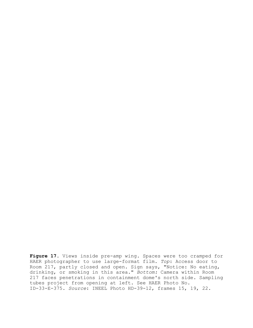**Figure 17.** Views inside pre-amp wing. Spaces were too cramped for HAER photographer to use large-format film. *Top*: Access door to Room 217, partly closed and open. Sign says, "Notice: No eating, drinking, or smoking in this area." *Bottom:* Camera within Room 217 faces penetrations in containment dome's north side. Sampling tubes project from opening at left. See HAER Photo No. ID-33-E-375. *Source*: INEEL Photo HD-39-12, frames 15, 19, 22.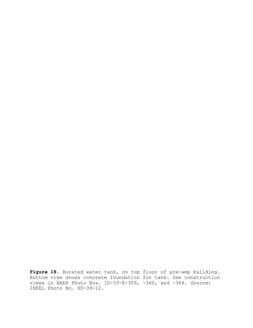**Figure 18**. Borated water tank, on top floor of pre-amp building. Bottom view shows concrete foundation for tank. See construction views in HAER Photo Nos. ID-33-E-359, -360, and -364. *Source*: INEEL Photo No. HD-39-12.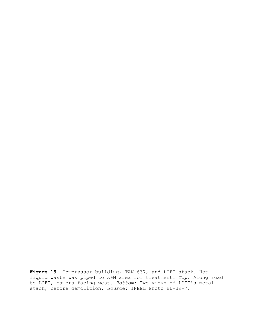**Figure 19.** Compressor building, TAN-637, and LOFT stack. Hot liquid waste was piped to A&M area for treatment. *Top*: Along road to LOFT, camera facing west. *Bottom*: Two views of LOFT's metal stack, before demolition. *Source*: INEEL Photo HD-39-7.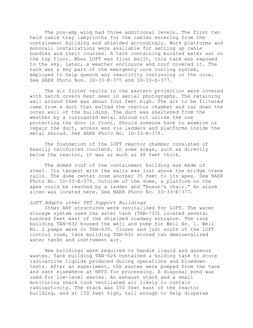The pre-amp wing had three additional levels. The first two held cable tray labyrinths for the cables entering from the containment building and shielded accordingly. Work platforms and monorail installations were available for setting up cable bundles and their courses. A tank containing borated water sat on the top floor. When LOFT was first built, this tank was exposed to the sky. Later, a weather enclosure and roof covered it. The tank was a key part of the emergency core cooling system, employed to help quench any reactivity continuing in the core. See HAER Photo Nos. ID-33-E-375 and ID-33-E-377.

The air filter vaults in the eastern projection were covered with hatch covers best seen in aerial photographs. The retaining wall around them was about four feet high. The air to be filtered came from a duct that exited the reactor chamber and ran down the outer wall of the building. The duct was sheltered from the weather by a corrugated metal shroud not unlike the one protecting the door in front. Should someone have to examine or repair the duct, access was via ladders and platforms inside the metal shroud. See HAER Photo No. ID-33-E-376.

The foundation of the LOFT reactor chamber consisted of heavily reinforced concrete. In some areas, such as directly below the reactor, it was as much as 48 feet thick.

The domed roof of the containment building was made of steel. Its tangent with the walls was just above the bridge crane rails. The dome center rose another 35 feet to its apex. See HAER Photo No. ID-33-E-376. Outside of the dome, a platform on the apex could be reached by a ladder and "bosun's chair." An alarm siren was located here. See HAER Photo No. ID-33-E-377.

### *LOFT Adapts other FET Support Buildings*

Other ANP structures were revitalized for LOFT. The water storage system used the water tank (TAN-733) located several hundred feet east of the shielded roadway entrance. The tank building TAN-632 housed the well and pump for Well No. 1. Well No. 2 pumps were in TAN-639. Closer and just south of the LOFT control room, tank building TAN-631 stored two demineralized water tanks and instrument air.

New buildings were required to handle liquid and gaseous wastes. Tank building TAN-626 contained a holding tank to store radioactive liquids produced during operations and blowdown tests. After an experiment, the wastes were pumped from the tank and sent elsewhere at NRTS for processing. A disposal pond was used for low-level wastes. An exhaust stack and a small monitoring shack took ventilated air likely to contain radioactivity. The stack was 150 feet east of the reactor building, and at 150 feet high, tall enough to help disperse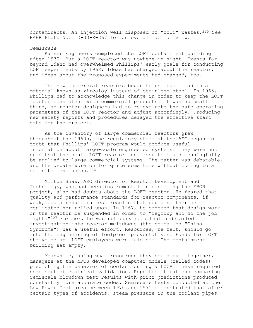contaminants. An injection well disposed of "cold" wastes.225 See HAER Photo No. ID-33-E-367 for an overall aerial view.

#### *Semiscale*

Kaiser Engineers completed the LOFT containment building after 1970. But a LOFT reactor was nowhere in sight. Events far beyond Idaho had overwhelmed Phillips' early goals for conducting LOFT experiments by 1968. Ideas had changed about the reactor, and ideas about the proposed experiments had changed, too.

The new commercial reactors began to use fuel clad in a material known as zircaloy instead of stainless steel. In 1965, Phillips had to acknowledge this change in order to keep the LOFT reactor consistent with commercial products. It was no small thing, as reactor designers had to re-evaluate the safe operating parameters of the LOFT reactor and adjust accordingly. Producing new safety reports and procedures delayed the effective start date for the project.

As the inventory of large commercial reactors grew throughout the 1960s, the regulatory staff at the AEC began to doubt that Phillips' LOFT program would produce useful information about large-scale engineered systems. They were not sure that the small LOFT reactor test results could meaningfully be applied to large commercial systems. The matter was debatable, and the debate wore on for quite some time without coming to a definite conclusion.226

Milton Shaw, AEC director of Reactor Development and Technology, who had been instrumental in canceling the EBOR project, also had doubts about the LOFT reactor. He feared that quality and performance standards for reactor components, if weak, could result in test results that could neither be replicated nor relied upon. In 1967, he ordered that design work on the reactor be suspended in order to "regroup and do the job right."227 Further, he was not convinced that a detailed investigation into reactor meltdowns (the so-called "China Syndrome") was a useful effort. Resources, he felt, should go into the engineering of foolproof preventatives. Funds for LOFT shriveled up. LOFT employees were laid off. The containment building sat empty.

Meanwhile, using what resources they could pull together, managers at the NRTS developed computer models (called codes) predicting the behavior of coolant during a LOCA. These required some sort of empirical validation. Repeated iterations comparing Semiscale blowdown test results with prior predictions produced constantly more accurate codes. Semiscale tests conducted at the Low Power Test area between 1970 and 1971 demonstrated that after certain types of accidents, steam pressure in the coolant pipes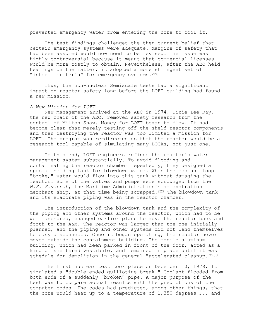prevented emergency water from entering the core to cool it.

The test findings challenged the then-current belief that certain emergency systems were adequate. Margins of safety that had been assumed would now need to be revised. The issue was highly controversial because it meant that commercial licenses would be more costly to obtain. Nevertheless, after the AEC held hearings on the matter, it adopted a more stringent set of "interim criteria" for emergency systems. 228

Thus, the non-nuclear Semiscale tests had a significant impact on reactor safety long before the LOFT building had found a new mission.

### *A New Mission for LOFT*

New management arrived at the AEC in 1974. Dixie Lee Ray, the new chair of the AEC, removed safety research from the control of Milton Shaw. Money for LOFT began to flow. It had become clear that merely testing off-the-shelf reactor components and then destroying the reactor was too limited a mission for LOFT. The program was re-directed so that the reactor would be a research tool capable of simulating many LOCAs, not just one.

To this end, LOFT engineers refined the reactor's water management system substantially. To avoid flooding and contaminating the reactor chamber repeatedly, they designed a special holding tank for blowdown water. When the coolant loop "broke," water would flow into this tank without damaging the reactor. Some of the valves and pumps were scrounged from the *N.S. Savannah*, the Maritime Administration's demonstration merchant ship, at that time being scrapped.229 The blowdown tank and its elaborate piping was in the reactor chamber.

The introduction of the blowdown tank and the complexity of the piping and other systems around the reactor, which had to be well anchored, changed earlier plans to move the reactor back and forth to the A&M. The reactor was larger than the one initially planned, and the piping and other systems did not lend themselves to easy disconnects. Once it began operating, the reactor never moved outside the containment building. The mobile aluminum building, which had been parked in front of the door, acted as a kind of sheltered vestibule, and remained in place until it was schedule for demolition in the general "accelerated cleanup."230

The first nuclear test took place on December 10, 1978. It simulated a "double-ended guillotine break." Coolant flooded from both ends of a suddenly "broken" pipe. A major purpose of the test was to compare actual results with the predictions of the computer codes. The codes had predicted, among other things, that the core would heat up to a temperature of 1,350 degrees F., and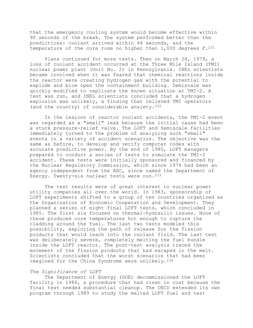that the emergency cooling system would become effective within 90 seconds of the break. The system performed better than the predictions: coolant arrived within 44 seconds, and the temperature of the core rose no higher than  $1,000$  degrees  $F.231$ 

Plans continued for more tests. Then on March 28, 1979, a loss of coolant accident occurred at the Three Mile Island (TMI) nuclear power plant (Unit No. 2) in Pennsylvania. INEL scientists became involved when it was feared that chemical reactions inside the reactor were creating hydrogen gas with the potential to explode and blow open the containment building. Semiscale was quickly modified to replicate the known situation at TMI-2. A test was run, and INEL scientists concluded that a hydrogen explosion was unlikely, a finding that relieved TMI operators (and the country) of considerable anxiety.232

In the lexicon of reactor coolant accidents, the TMI-2 event was regarded as a "small" leak because the initial cause had been a stuck pressure-relief valve. The LOFT and Semiscale facilities immediately turned to the problem of analyzing such "small" events in a variety of accident scenarios. The objective was the same as before, to develop and verify computer codes with accurate predictive power. By the end of 1980, LOFT managers prepared to conduct a series of tests to simulate the TMI-2 accident. These tests were initially sponsored and financed by the Nuclear Regulatory Commission, which since 1974 had been an agency independent from the AEC, since named the Department of Energy. Twenty-six nuclear tests were run.233

The test results were of great interest to nuclear power utility companies all over the world. In 1983, sponsorship of LOFT experiments shifted to a group of ten countries organized as the Organization of Economic Cooperation and Development. They planned a series of eight final LOFT tests, which concluded in 1985. The first six focused on thermal-hydraulic issues. None of these produced core temperatures hot enough to rupture the cladding around the fuel. The last two tests modeled this possibility, exploring the path of release for the fission products that would leach into the coolant fluid. The last test was deliberately severe, completely melting the fuel bundle inside the LOFT reactor. The post-test analysis traced the movement of the fission products that had escaped in the melt. Scientists concluded that the worst scenarios that had been imagined for the China Syndrome were unlikely.<sup>234</sup>

### *The Significance of LOFT*

The Department of Energy (DOE) decommissioned the LOFT facility in 1986, a procedure that had risen in cost because the final test needed substantial cleanup. The OECD extended its own program through 1989 to study the melted LOFT fuel and test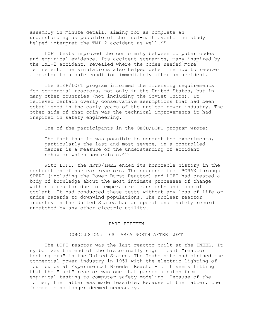assembly in minute detail, aiming for as complete an understanding as possible of the fuel-melt event. The study helped interpret the TMI-2 accident as well.<sup>235</sup>

LOFT tests improved the conformity between computer codes and empirical evidence. Its accident scenarios, many inspired by the TMI-2 accident, revealed where the codes needed more refinement. The simulations also helped determine how to recover a reactor to a safe condition immediately after an accident.

The STEP/LOFT program informed the licensing requirements for commercial reactors, not only in the United States, but in many other countries (not including the Soviet Union). It relieved certain overly conservative assumptions that had been established in the early years of the nuclear power industry. The other side of that coin was the technical improvements it had inspired in safety engineering.

One of the participants in the OECD/LOFT program wrote:

The fact that it was possible to conduct the experiments, particularly the last and most severe, in a controlled manner is a measure of the understanding of accident behavior which now exists.236

With LOFT, the NRTS/INEL ended its honorable history in the destruction of nuclear reactors. The sequence from BORAX through SPERT (including the Power Burst Reactor) and LOFT had created a body of knowledge about the most intimate processes of change within a reactor due to temperature transients and loss of coolant. It had conducted these tests without any loss of life or undue hazards to downwind populations. The nuclear reactor industry in the United States has an operational safety record unmatched by any other electric utility.

#### PART FIFTEEN

## CONCLUSION: TEST AREA NORTH AFTER LOFT

The LOFT reactor was the last reactor built at the INEEL. It symbolizes the end of the historically significant "reactor testing era" in the United States. The Idaho site had birthed the commercial power industry in 1951 with the electric lighting of four bulbs at Experimental Breeder Reactor-1. It seems fitting that the "last" reactor was one that passed a baton from empirical testing to computer safety modeling. Because of the former, the latter was made feasible. Because of the latter, the former is no longer deemed necessary.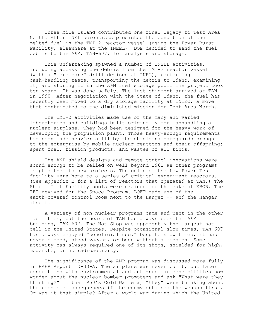Three Mile Island contributed one final legacy to Test Area North. After INEL scientists predicted the condition of the melted fuel in the TMI-2 reactor vessel (using the Power Burst Facility, elsewhere at the INEEL), DOE decided to send the fuel debris to the A&M, TAN-607, for analysis and storage.

This undertaking spawned a number of INEEL activities, including accessing the debris from the TMI-2 reactor vessel (with a "core bore" drill devised at INEL), performing cask-handling tests, transporting the debris to Idaho, examining it, and storing it in the A&M fuel storage pool. The project took ten years. It was done safely. The last shipment arrived at TAN in 1990. After negotiation with the State of Idaho, the fuel has recently been moved to a dry storage facility at INTEC, a move that contributed to the diminished mission for Test Area North.

The TMI-2 activities made use of the many and varied laboratories and buildings built originally for manhandling a nuclear airplane. They had been designed for the heavy work of developing the propulsion plant. Those heavy-enough requirements had been made heavier still by the shielding safeguards brought to the enterprise by mobile nuclear reactors and their offspring: spent fuel, fission products, and wastes of all kinds.

The ANP shield designs and remote-control innovations were sound enough to be relied on well beyond 1961 as other programs adapted them to new projects. The cells of the Low Power Test facility were home to a series of critical experiment reactors. (See Appendix E for a list of reactors that operated at TAN.) The Shield Test Facility pools were drained for the sake of EBOR. The IET revived for the Space Program. LOFT made use of the earth-covered control room next to the Hanger -- and the Hangar itself.

A variety of non-nuclear programs came and went in the other facilities, but the heart of TAN has always been the A&M building, TAN-607. The Hot Shop was apparently the largest hot cell in the United States. Despite occasional slow times, TAN-607 has always enjoyed "beneficial use." Despite slow times, it has never closed, stood vacant, or been without a mission. Some activity has always required one of its shops, shielded for high, moderate, or no radioactivity.

The significance of the ANP program was discussed more fully in HAER Report ID-33-A. The airplane was never built, but later generations with environmental and anti-nuclear sensibilities now wonder about the nuclear bomber promoters and ask "What were they thinking?" In the 1950's Cold War era, "they" were thinking about the possible consequences if the enemy obtained the weapon first. Or was it that simple? After a world war during which the United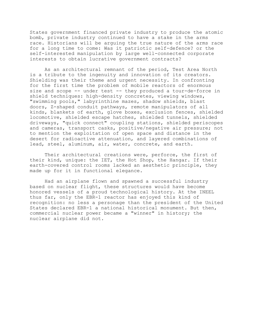States government financed private industry to produce the atomic bomb, private industry continued to have a stake in the arms race. Historians will be arguing the true nature of the arms race for a long time to come: Was it patriotic self-defence? or the self-interested manipulation by large well-connected corporate interests to obtain lucrative government contracts?

As an architectural remnant of the period, Test Area North is a tribute to the ingenuity and innovation of its creators. Shielding was their theme and urgent necessity. In confronting for the first time the problem of mobile reactors of enormous size and scope -- under test -- they produced a tour-de-force in shield techniques: high-density concretes, viewing windows, "swimming pools," labyrinthine mazes, shadow shields, blast doors, Z-shaped conduit pathways, remote manipulators of all kinds, blankets of earth, glove boxes, exclusion fences, shielded locomotive, shielded escape hatches, shielded tunnels, shielded driveways, "quick connect" coupling stations, shielded periscopes and cameras, transport casks, positive/negative air pressure; not to mention the exploitation of open space and distance in the desert for radioactive attenuation, and layered combinations of lead, steel, aluminum, air, water, concrete, and earth.

Their architectural creations were, perforce, the first of their kind, unique: the IET, the Hot Shop, the Hangar. If their earth-covered control rooms lacked an aesthetic principle, they made up for it in functional elegance.

Had an airplane flown and spawned a successful industry based on nuclear flight, these structures would have become honored vessels of a proud technological history. At the INEEL thus far, only the EBR-1 reactor has enjoyed this kind of recognition: no less a personage than the president of the United States declared EBR-1 a national historical monument. But then, commercial nuclear power became a "winner" in history; the nuclear airplane did not.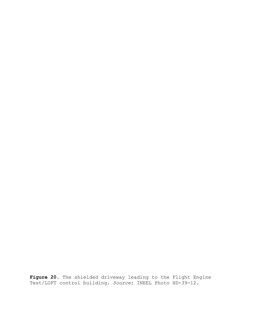**Figure 20**. The shielded driveway leading to the Flight Engine Test/LOFT control building. *Source*: INEEL Photo HD-39-12.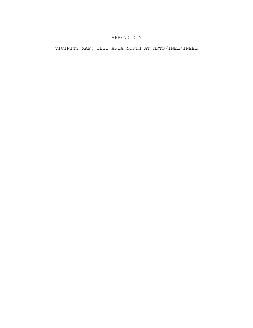# APPENDIX A

VICINITY MAP: TEST AREA NORTH AT NRTS/INEL/INEEL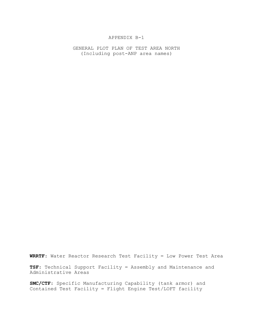GENERAL PLOT PLAN OF TEST AREA NORTH (Including post-ANP area names)

**WRRTF**: Water Reactor Research Test Facility = Low Power Test Area

**TSF**: Technical Support Facility = Assembly and Maintenance and Administrative Areas

**SMC/CTF**: Specific Manufacturing Capability (tank armor) and Contained Test Facility = Flight Engine Test/LOFT facility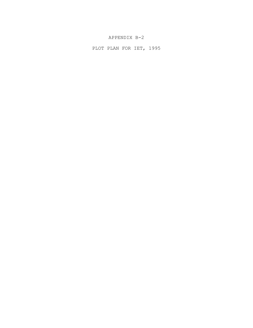PLOT PLAN FOR IET, 1995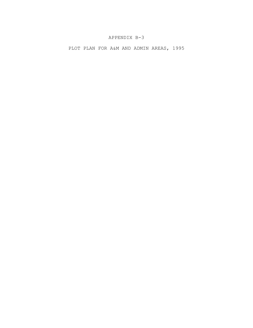PLOT PLAN FOR A&M AND ADMIN AREAS, 1995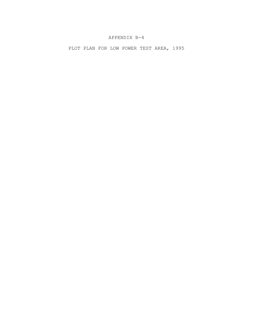PLOT PLAN FOR LOW POWER TEST AREA, 1995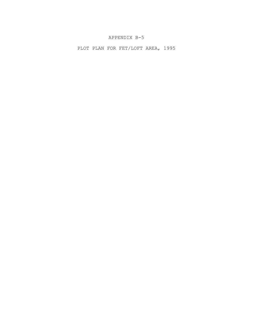PLOT PLAN FOR FET/LOFT AREA, 1995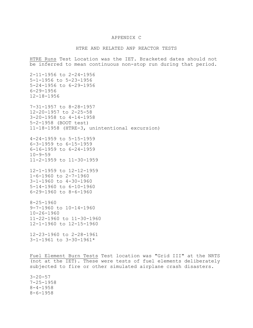### APPENDIX C

#### HTRE AND RELATED ANP REACTOR TESTS

HTRE Runs Test Location was the IET. Bracketed dates should not be inferred to mean continuous non-stop run during that period.

2-11-1956 to 2-24-1956 5-1-1956 to 5-23-1956 5-24-1956 to 6-29-1956 6-29-1956 12-18-1956 7-31-1957 to 8-28-1957 12-20-1957 to 2-25-58 3-20-1958 to 4-14-1958 5-2-1958 (BOOT test) 11-18-1958 (HTRE-3, unintentional excursion) 4-24-1959 to 5-15-1959 6-3-1959 to 6-15-1959 6-16-1959 to 6-24-1959  $10 - 9 - 59$ 11-2-1959 to 11-30-1959 12-1-1959 to 12-12-1959 1-6-1960 to 2-7-1960 3-1-1960 to 4-30-1960 5-14-1960 to 6-10-1960 6-29-1960 to 8-6-1960 8-25-1960 9-7-1960 to 10-14-1960 10-26-1960 11-22-1960 to 11-30-1960 12-1-1960 to 12-15-1960 12-23-1960 to 2-28-1961 3-1-1961 to 3-30-1961\*

Fuel Element Burn Tests Test location was "Grid III" at the NRTS (not at the IET). These were tests of fuel elements deliberately subjected to fire or other simulated airplane crash disasters.

 $3 - 20 - 57$ 7-25-1958 8-4-1958 8-6-1958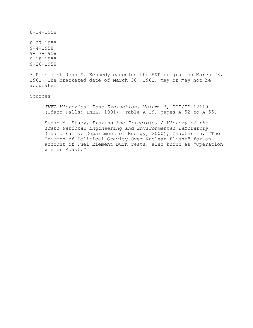8-14-1958

8-27-1958 9-4-1958 9-17-1958 9-18-1958 9-26-1958

\* President John F. Kennedy canceled the ANP program on March 28, 1961. The bracketed date of March 30, 1961, may or may not be accurate.

Sources:

*INEL Historical Dose Evaluation, Volume 1*, DOE/ID-12119 (Idaho Falls: INEL, 1991), Table A-19, pages A-52 to A-55.

Susan M. Stacy, *Proving the Principle, A History of the Idaho National Engineering and Environmental Laboratory* (Idaho Falls: Department of Energy, 2000), Chapter 15, "The Triumph of Political Gravity Over Nuclear Flight" for an account of Fuel Element Burn Tests, also known as "Operation Wiener Roast."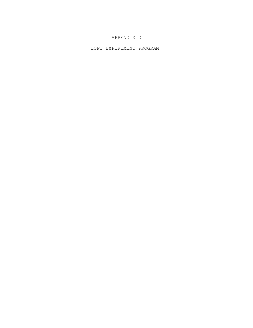# APPENDIX D

LOFT EXPERIMENT PROGRAM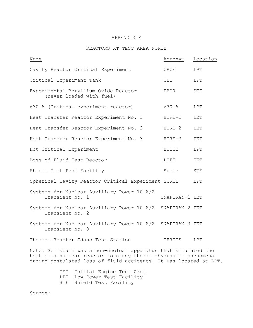# APPENDIX E

# REACTORS AT TEST AREA NORTH

| Name                                                                                                                                                                                                  | Acronym        | Location |
|-------------------------------------------------------------------------------------------------------------------------------------------------------------------------------------------------------|----------------|----------|
| Cavity Reactor Critical Experiment                                                                                                                                                                    | CRCE           | LPT      |
| Critical Experiment Tank                                                                                                                                                                              | CET            | LPT      |
| Experimental Beryllium Oxide Reactor<br>(never loaded with fuel)                                                                                                                                      | EBOR           | STF      |
| 630 A (Critical experiment reactor)                                                                                                                                                                   | 630 A          | LPT      |
| Heat Transfer Reactor Experiment No. 1                                                                                                                                                                | $HTRE-1$       | IET      |
| Heat Transfer Reactor Experiment No. 2                                                                                                                                                                | $HTRE-2$       | IET      |
| Heat Transfer Reactor Experiment No. 3                                                                                                                                                                | $HTRE-3$       | IET      |
| Hot Critical Experiment                                                                                                                                                                               | HOTCE          | LPT      |
| Loss of Fluid Test Reactor                                                                                                                                                                            | LOFT           | FET      |
| Shield Test Pool Facility                                                                                                                                                                             | Susie          | STF      |
| Spherical Cavity Reactor Critical Experiment SCRCE                                                                                                                                                    |                | LPT      |
| Systems for Nuclear Auxiliary Power 10 A/2<br>Transient No. 1                                                                                                                                         | SNAPTRAN-1 IET |          |
| Systems for Nuclear Auxiliary Power 10 A/2 SNAPTRAN-2 IET<br>Transient No. 2                                                                                                                          |                |          |
| Systems for Nuclear Auxiliary Power 10 A/2 SNAPTRAN-3 IET<br>Transient No. 3                                                                                                                          |                |          |
| Thermal Reactor Idaho Test Station                                                                                                                                                                    | THRITS         | LPT      |
| Note: Semiscale was a non-nuclear apparatus that simulated the<br>heat of a nuclear reactor to study thermal-hydraulic phenomena<br>during postulated loss of fluid accidents. It was located at LPT. |                |          |
| Initial Engine Test Area<br>IET<br>Low Power Test Facility<br>LPT                                                                                                                                     |                |          |

STF Shield Test Facility

Source: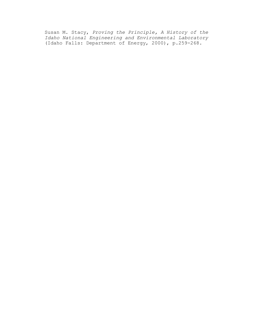Susan M. Stacy, *Proving the Principle, A History of the Idaho National Engineering and Environmental Laboratory* (Idaho Falls: Department of Energy, 2000), p.259-268.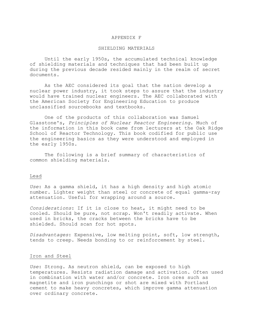#### APPENDIX F

#### SHIELDING MATERIALS

Until the early 1950s, the accumulated technical knowledge of shielding materials and techniques that had been built up during the previous decade resided mainly in the realm of secret documents.

As the AEC considered its goal that the nation develop a nuclear power industry, it took steps to assure that the industry would have trained nuclear engineers. The AEC collaborated with the American Society for Engineering Education to produce unclassified sourcebooks and textbooks.

One of the products of this collaboration was Samuel Glasstone's, *Principles of Nuclear Reactor Engineering*. Much of the information in this book came from lecturers at the Oak Ridge School of Reactor Technology. This book codified for public use the engineering basics as they were understood and employed in the early 1950s.

The following is a brief summary of characteristics of common shielding materials.

#### Lead

*Use*: As a gamma shield, it has a high density and high atomic number. Lighter weight than steel or concrete of equal gamma-ray attenuation. Useful for wrapping around a source.

*Considerations*: If it is close to heat, it might need to be cooled. Should be pure, not scrap. Won't readily activate. When used in bricks, the cracks between the bricks have to be shielded. Should scan for hot spots.

*Disadvantages*: Expensive, low melting point, soft, low strength, tends to creep. Needs bonding to or reinforcement by steel.

### Iron and Steel

*Use*: Strong. As neutron shield, can be exposed to high temperatures. Resists radiation damage and activation. Often used in combination with water and/or concrete. Iron ores such as magnetite and iron punchings or shot are mixed with Portland cement to make heavy concretes, which improve gamma attenuation over ordinary concrete.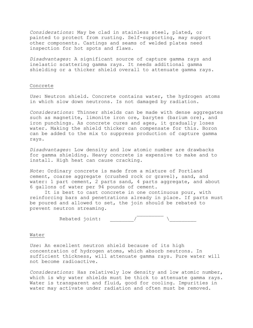*Considerations*: May be clad in stainless steel, plated, or painted to protect from rusting. Self-supporting, may support other components. Castings and seams of welded plates need inspection for hot spots and flaws.

*Disadvantages*: A significant source of capture gamma rays and inelastic scattering gamma rays. It needs additional gamma shielding or a thicker shield overall to attenuate gamma rays.

### Concrete

*Use*: Neutron shield. Concrete contains water, the hydrogen atoms in which slow down neutrons. Is not damaged by radiation.

*Considerations*: Thinner shields can be made with dense aggregates such as magnetite, limonite iron ore, barytes (barium ore), and iron punchings. As concrete cures and ages, it gradually loses water. Making the shield thicker can compensate for this. Boron can be added to the mix to suppress production of capture gamma rays.

*Disadvantages*: Low density and low atomic number are drawbacks for gamma shielding. Heavy concrete is expensive to make and to install. High heat can cause cracking.

*Note*: Ordinary concrete is made from a mixture of Portland cement, coarse aggregate (crushed rock or gravel), sand, and water: 1 part cement, 2 parts sand, 4 parts aggregate, and about 6 gallons of water per 94 pounds of cement.

It is best to cast concrete in one continuous pour, with reinforcing bars and penetrations already in place. If parts must be poured and allowed to set, the join should be rebated to prevent neutron streaming.

| Rebated joint: |  |  |
|----------------|--|--|

### Water

*Use*: An excellent neutron shield because of its high concentration of hydrogen atoms, which absorb neutrons. In sufficient thickness, will attenuate gamma rays. Pure water will not become radioactive.

*Considerations*: Has relatively low density and low atomic number, which is why water shields must be thick to attenuate gamma rays. Water is transparent and fluid, good for cooling. Impurities in water may activate under radiation and often must be removed.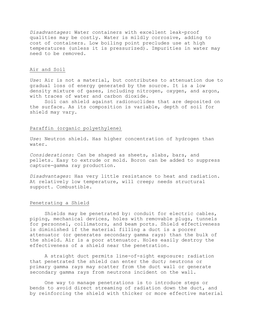*Disadvantages*: Water containers with excellent leak-proof qualities may be costly. Water is mildly corrosive, adding to cost of containers. Low boiling point precludes use at high temperatures (unless it is pressurized). Impurities in water may need to be removed.

### Air and Soil

*Use*: Air is not a material, but contributes to attenuation due to gradual loss of energy generated by the source. It is a low density mixture of gases, including nitrogen, oxygen, and argon, with traces of water and carbon dioxide.

Soil can shield against radionuclides that are deposited on the surface. As its composition is variable, depth of soil for shield may vary.

### Paraffin (organic polyethylene)

*Use*: Neutron shield. Has higher concentration of hydrogen than water.

*Considerations*: Can be shaped as sheets, slabs, bars, and pellets. Easy to extrude or mold. Boron can be added to suppress capture-gamma ray production.

*Disadvantages*: Has very little resistance to heat and radiation. At relatively low temperature, will creep; needs structural support. Combustible.

### Penetrating a Shield

Shields may be penetrated by: conduit for electric cables, piping, mechanical devices, holes with removable plugs, tunnels for personnel, collimators, and beam ports. Shield effectiveness is diminished if the material filling a duct is a poorer attenuator (or generates secondary gamma rays) than the bulk of the shield. Air is a poor attenuator. Holes easily destroy the effectiveness of a shield near the penetration.

A straight duct permits line-of-sight exposure: radiation that penetrated the shield can enter the duct; neutrons or primary gamma rays may scatter from the duct wall or generate secondary gamma rays from neutrons incident on the wall.

One way to manage penetrations is to introduce steps or bends to avoid direct streaming of radiation down the duct, and by reinforcing the shield with thicker or more effective material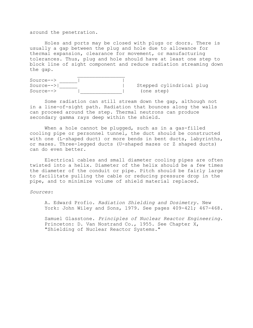around the penetration.

Holes and ports may be closed with plugs or doors. There is usually a gap between the plug and hole due to allowance for thermal expansion, clearance for movement, or manufacturing tolerances. Thus, plug and hole should have at least one step to block line of sight component and reduce radiation streaming down the gap.

| Source $\rightarrow$ |  |
|----------------------|--|
| Source-->            |  |
| Source $\rightarrow$ |  |

Stepped cylindrical plug (one step)

Some radiation can still stream down the gap, although not in a line-of-sight path. Radiation that bounces along the walls can proceed around the step. Thermal neutrons can produce secondary gamma rays deep within the shield.

When a hole cannot be plugged, such as in a gas-filled cooling pipe or personnel tunnel, the duct should be constructed with one (L-shaped duct) or more bends in bent ducts, labyrinths, or mazes. Three-legged ducts (U-shaped mazes or Z shaped ducts) can do even better.

Electrical cables and small diameter cooling pipes are often twisted into a helix. Diameter of the helix should be a few times the diameter of the conduit or pipe. Pitch should be fairly large to facilitate pulling the cable or reducing pressure drop in the pipe, and to minimize volume of shield material replaced.

*Sources*:

A. Edward Profio. *Radiation Shielding and Dosimetry*. New York: John Wiley and Sons, 1979. See pages 409-421; 467-468.

Samuel Glasstone. *Principles of Nuclear Reactor Engineering*. Princeton: D. Van Nostrand Co., 1955. See Chapter X, "Shielding of Nuclear Reactor Systems."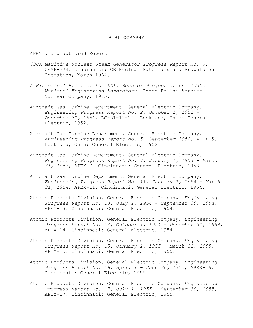#### BIBLIOGRAPHY

### APEX and Unauthored Reports

- *630A Maritime Nuclear Steam Generator Progress Report No. 7*, GEMP-274. Cincinnati: GE Nuclear Materials and Propulsion Operation, March 1964.
- *A Historical Brief of the LOFT Reactor Project at the Idaho National Engineering Laboratory*. Idaho Falls: Aerojet Nuclear Company, 1975.
- Aircraft Gas Turbine Department, General Electric Company. *Engineering Progress Report No. 2, October 1, 1951 - December 31, 1951*, DC-51-12-25. Lockland, Ohio: General Electric, 1952.
- Aircraft Gas Turbine Department, General Electric Company. *Engineering Progress Report No. 5, September 1952*, APEX-5. Lockland, Ohio: General Electric, 1952.
- Aircraft Gas Turbine Department, General Electric Company. *Engineering Progress Report No. 7, January 1, 1953 - March 31, 1953*, APEX-7. Cincinnati: General Electric, 1953.
- Aircraft Gas Turbine Department, General Electric Company. *Engineering Progress Report No. 11, January 1, 1954 - March 31, 1954*, APEX-11. Cincinnati: General Electric, 1954.
- Atomic Products Division, General Electric Company. *Engineering Progress Report No. 13, July 1, 1954 - September 30, 1954*, APEX-13. Cincinnati: General Electric, 1954.
- Atomic Products Division, General Electric Company. *Engineering Progress Report No. 14, October 1, 1954 - December 31, 1954*, APEX-14. Cincinnati: General Electric, 1954.
- Atomic Products Division, General Electric Company. *Engineering Progress Report No. 15, January 1, 1955 - March 31, 1955*, APEX-15. Cincinnati: General Electric, 1955.
- Atomic Products Division, General Electric Company. *Engineering Progress Report No. 16, April 1 - June 30, 1955*, APEX-16. Cincinnati: General Electric, 1955.
- Atomic Products Division, General Electric Company. *Engineering Progress Report No. 17, July 1, 1955 - September 30, 1955,* APEX-17. Cincinnati: General Electric, 1955.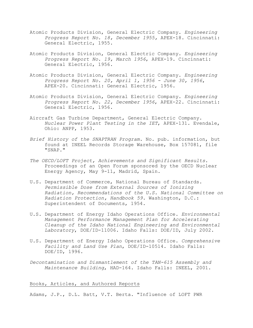- Atomic Products Division, General Electric Company. *Engineering Progress Report No. 18, December 1955,* APEX-18. Cincinnati: General Electric, 1955.
- Atomic Products Division, General Electric Company. *Engineering Progress Report No. 19, March 1956*, APEX-19. Cincinnati: General Electric, 1956.
- Atomic Products Division, General Electric Company. *Engineering Progress Report No. 20, April 1, 1956 - June 30, 1956*, APEX-20. Cincinnati: General Electric, 1956.
- Atomic Products Division, General Electric Company. *Engineering Progress Report No. 22, December 1956*, APEX-22. Cincinnati: General Electric, 1956.
- Aircraft Gas Turbine Department, General Electric Company. *Nuclear Power Plant Testing in the IET*, APEX-131. Evendale, Ohio: ANPP, 1953.
- *Brief History of the SNAPTRAN Program*. No. pub. information, but found at INEEL Records Storage Warehouse, Box 157081, file "SNAP."
- *The OECD/LOFT Project, Achievements and Significant Results*. Proceedings of an Open Forum sponsored by the OECD Nuclear Energy Agency, May 9-11, Madrid, Spain.
- U.S. Department of Commerce, National Bureau of Standards. *Permissible Dose from External Sources of Ionizing Radiation, Recommendations of the U.S. National Committee on Radiation Protection, Handbook 59*. Washington, D.C.: Superintendent of Documents, 1954.
- U.S. Department of Energy Idaho Operations Office. *Environmental Management Performance Management Plan for Accelerating Cleanup of the Idaho National Engineering and Environmental Laboratory*, DOE/ID-11006. Idaho Falls: DOE/ID, July 2002.
- U.S. Department of Energy Idaho Operations Office. *Comprehensive Facility and Land Use Plan*, DOE/ID-10514. Idaho Falls: DOE/ID, 1996.
- *Decontamination and Dismantlement of the TAN-615 Assembly and Maintenance Building*, HAD-164. Idaho Falls: INEEL, 2001.

### Books, Articles, and Authored Reports

Adams, J.P., D.L. Batt, V.T. Berta. "Influence of LOFT PWR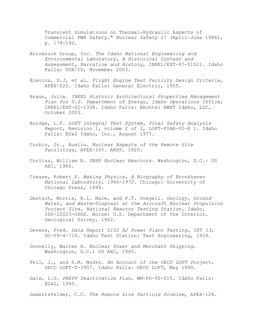Transient Simulations on Thermal-Hydraulic Aspects of Commercial PWR Safety." *Nuclear Safety* 27 (April-June 1986), p. 179-192.

- Arrowrock Group, Inc. *The Idaho National Engineering and Environmental Laboratory, A Historical Context and Assessment, Narrative and History*, INEEL/EXT-97-01021. Idaho Falls: DOE/ID, November 2003.
- Blevins, D.J, et al. *Flight Engine Test Facility Design Criteria*, APEX-225. Idaho Falls: General Electric, 1955.
- Braun, Julie. *INEEL Historic Architectural Properties Management Plan for U.S. Department of Energy, Idaho Operations Office*, INEEL/EXT-02-1338. Idaho Falls: Bechtel BWXT Idaho, LLC, October 2003.
- Burdge, L.F. *LOFT Integral Test System, Final Safety Analysis Report*, Revision 1, volume 2 of 3, LOFT-FSAR-V2-R 1. Idaho Falls: EG&G Idaho, Inc., August 1977.
- Corbin, Jr., Austin. *Nuclear Aspects of the Remote Site Facilities*, APEX-105. ANPP, 1920.
- Corliss, William R. *SNAP Nuclear Reactors*. Washington, D.C.: US AEC, 1966.
- Crease, Robert P. *Making Physics, A Biography of Brookhaven National Laboratory, 1946-1972*. Chicago: University of Chicago Press, 1999.
- Deutsch, Morris, R.L. Nace, and P.T. Voegeli. *Geology, Ground Water, and Waste-Disposal at the Aircraft Nuclear Propulsion Project Site, National Reactor Testing Station, Idaho*, IDO-22023-USGS. Boise: U.S. Department of the Interior, Geological Survey, 1952.
- Devens, Fred. *Data Report D102 A2 Power Plant Testing, IET 13*, DC-59-4-710. Idaho Test Station: Test Engineering, 1959.
- Donnelly, Warren H. *Nuclear Power and Merchant Shipping*. Washington, D.C.: US AEC, 1965.
- Fell, J., and S.M. Modro. *An Account of the OECD LOFT Project*, OECD LOFT-T-3907. Idaho Falls: OECD LOFT, May 1990.
- Gale, L.G. *PREPP Deactivation Plan*, WM-PD-90-015. Idaho Falls: EG&G, 1990.
- Gamertsfelder, C.C. *The Remote Site Particle Problem*, APEX-124.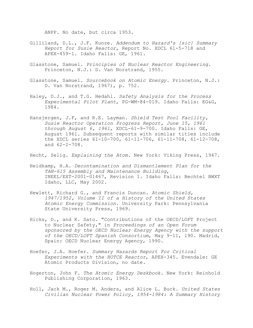ANPP. No date, but circa 1953.

- Gilliland, D.L., J.F. Kunze. *Addendum to Hazard's [sic] Summary Report for Susie Reactor*, Report No. XDCL 61-5-718 and APEX-459-1. Idaho Falls: GE, 1961.
- Glasstone, Samuel. *Principles of Nuclear Reactor Engineering*. Princeton, N.J.: D. Van Norstrand, 1955.
- Glasstone, Samuel. *Sourcebook on Atomic Energy.* Princeton, N.J.: D. Van Norstrand, 1967), p. 752.
- Haley, D.J., and T.G. Hedahl. *Safety Analysis for the Process Experimental Pilot Plant*, PG-WM-84-019. Idaho Falls: EG&G, 1984.
- Hansjergen, J.F, and R.E. Layman. *Shield Test Pool Facility, Susie Reactor Operation Progress Report, June 15, 1961 through August 6, 1961*, XDCL-61-9-700. Idaho Falls: GE, August 1961. Subsequent reports with similar titles include the XDCL series 61-10-700, 61-11-706, 61-11-708, 61-12-708, and 62-2-708.
- Hecht, Selig. *Explaining the Atom*. New York: Viking Press, 1947.
- Heidkamp, H.A. *Decontamination and Dismantlement Plan for the TAN-615 Assembly and Maintenance Building*, INEEL/EXT-2001-01467, Revision 1. Idaho Falls: Bechtel BWXT Idaho, LLC, May 2002.
- Hewlett, Richard G., and Francis Duncan. *Atomic Shield, 1947/1952, Volume II of a History of the United States Atomic Energy Commission*. University Park: Pennsylvania State University Press, 1969.
- Hicks, D., and K. Sato. "Contributions of the OECD/LOFT Project to Nuclear Safety," in *Proceedings of an Open Forum sponsored by the OECD Nuclear Energy Agency with the support of the OECD/LOFT Spanish Consortium*, May 9-11, 190. Madrid, Spain: OECD Nuclear Energy Agency, 1990.
- Hoefer, J.A. Hoefer. *Summary Hazards Report For Critical Experiments with the HOTCE Reactor*, APEX-345. Evendale: GE Atomic Products Division, no date.
- Hogerton, John F. *The Atomic Energy Deskbook*. New York: Reinhold Publishing Corporation, 1963.
- Holl, Jack M., Roger M. Anders, and Alice L. Buck. *United States Civilian Nuclear Power Policy, 1954-1984: A Summary History*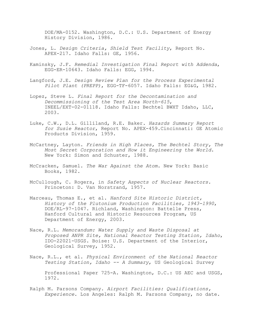DOE/MA-0152. Washington, D.C.: U.S. Department of Energy History Division, 1986.

- Jones, L. *Design Criteria, Shield Test Facility*, Report No. APEX-217. Idaho Falls: GE, 1956.
- Kaminsky, J.F. *Remedial Investigation Final Report with Addenda*, EGG-ER-10643. Idaho Falls: EGG, 1994.
- Langford, J.E. *Design Review Plan for the Process Experimental Pilot Plant (PREPP)*, EGG-TF-6057. Idaho Falls: EG&G, 1982.
- Lopez, Steve L. *Final Report for the Decontamination and Decommissioning of the Test Area North-615*, INEEL/EXT-02-01118. Idaho Falls: Bechtel BWXT Idaho, LLC, 2003.
- Luke, C.W., D.L. Gilliland, R.E. Baker. *Hazards Summary Report for Susie Reactor*, Report No. APEX-459.Cincinnati: GE Atomic Products Division, 1959.
- McCartney, Layton. *Friends in High Places, The Bechtel Story, The Most Secret Corporation and How it Engineering the World*. New York: Simon and Schuster, 1988.
- McCracken, Samuel. *The War Against the Atom*. New York: Basic Books, 1982.
- McCullough, C. Rogers, in *Safety Aspects of Nuclear Reactors*. Princeton: D. Van Norstrand, 1957.
- Marceau, Thomas E., et al. *Hanford Site Historic District, History of the Plutonium Production Facilities, 1943-1990*, DOE/RL-97-1047. Richland, Washington: Battelle Press, Hanford Cultural and Historic Resources Program, US Department of Energy, 2003.
- Nace, R.L. *Memorandum: Water Supply and Waste Disposal at Proposed ANPR Site, National Reactor Testing Station, Idaho*, IDO-22021-USGS. Boise: U.S. Department of the Interior, Geological Survey, 1952.
- Nace, R.L., et al. *Physical Environment of the National Reactor Testing Station, Idaho -- A Summary*, US Geological Survey Professional Paper 725-A. Washington, D.C.: US AEC and USGS, 1972.
- Ralph M. Parsons Company. *Airport Facilities: Qualifications, Experience*. Los Angeles: Ralph M. Parsons Company, no date.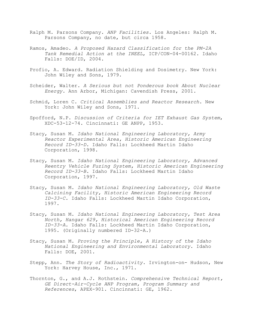- Ralph M. Parsons Company. *ANP Facilities*. Los Angeles: Ralph M. Parsons Company, no date, but circa 1958.
- Ramos, Amadeo. *A Proposed Hazard Classification for the PM-2A Tank Remedial Action at the INEEL*, ICP/CON-04-00162. Idaho Falls: DOE/ID, 2004.
- Profio, A. Edward. Radiation Shielding and Dosimetry. New York: John Wiley and Sons, 1979.
- Scheider, Walter. *A Serious but not Ponderous book About Nuclear Energy*. Ann Arbor, Michigan: Cavendish Press, 2001.
- Schmid, Loren C. *Critical Assemblies and Reactor Research*. New York: John Wiley and Sons, 1971.
- Spofford, N.P. *Discussion of Criteria for IET Exhaust Gas System*, XDC-53-12-74. Cincinnati: GE ANPP, 1953.
- Stacy, Susan M. *Idaho National Engineering Laboratory, Army Reactor Experimental Area, Historic American Engineering Record ID-33-D.* Idaho Falls: Lockheed Martin Idaho Corporation, 1998.
- Stacy, Susan M. *Idaho National Engineering Laboratory, Advanced Reentry Vehicle Fuzing System, Historic American Engineering Record ID-33-B.* Idaho Falls: Lockheed Martin Idaho Corporation, 1997.
- Stacy, Susan M. *Idaho National Engineering Laboratory, Old Waste Calcining Facility, Historic American Engineering Record ID-33-C.* Idaho Falls: Lockheed Martin Idaho Corporation, 1997.
- Stacy, Susan M. *Idaho National Engineering Laboratory, Test Area North, Hangar 629, Historical American Engineering Record ID-33-A.* Idaho Falls: Lockheed Martin Idaho Corporation, 1995. (Originally numbered ID-32-A.)
- Stacy, Susan M. *Proving the Principle, A History of the Idaho National Engineering and Environmental Laboratory*. Idaho Falls: DOE, 2001.
- Stepp, Ann. *The Story of Radioactivity*. Irvington-on- Hudson, New York: Harvey House, Inc., 1971.
- Thornton, G., and A.J. Rothstein. *Comprehensive Technical Report, GE Direct-Air-Cycle ANP Program, Program Summary and References*, APEX-901. Cincinnati: GE, 1962.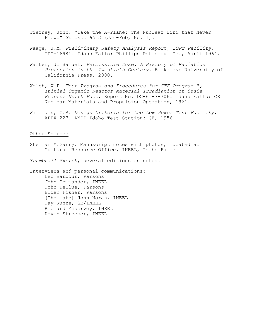- Tierney, John. "Take the A-Plane: The Nuclear Bird that Never Flew." *Science 82* 3 (Jan-Feb, No. 1).
- Waage, J.M. *Preliminary Safety Analysis Report, LOFT Facility*, IDO-16981. Idaho Falls: Phillips Petroleum Co., April 1964.
- Walker, J. Samuel. *Permissible Dose, A History of Radiation Protection in the Twentieth Century*. Berkeley: University of California Press, 2000.
- Walsh, W.P. *Test Program and Procedures for STF Program A, Initial Organic Reactor Material Irradiation on Susie Reactor North Face*, Report No. DC-61-7-706. Idaho Falls: GE Nuclear Materials and Propulsion Operation, 1961.
- Williams, G.R. *Design Criteria for the Low Power Test Facility*, APEX-227. ANPP Idaho Test Station: GE, 1956.

# Other Sources

Sherman McGarry. Manuscript notes with photos, located at Cultural Resource Office, INEEL, Idaho Falls.

*Thumbnail Sketch*, several editions as noted.

Interviews and personal communications: Leo Barbour, Parsons John Commander, INEEL John DeClue, Parsons Elden Fisher, Parsons (The late) John Horan, INEEL Jay Kunze, GE/INEEL Richard Meservey, INEEL Kevin Streeper, INEEL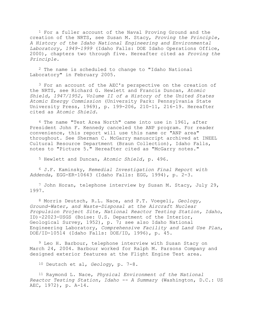1 For a fuller account of the Naval Proving Ground and the creation of the NRTS, see Susan M. Stacy, *Proving the Principle, A History of the Idaho National Engineering and Environmental Laboratory, 1949-1999* (Idaho Falls: DOE Idaho Operations Office, 2000), chapters two through five. Hereafter cited as *Proving the Principle*.

 2 The name is scheduled to change to "Idaho National Laboratory" in February 2005.

 $3$  For an account of the AEC's perspective on the creation of the NRTS, see Richard G. Hewlett and Francis Duncan, *Atomic Shield, 1947/1952, Volume II of a History of the United States Atomic Energy Commission* (University Park: Pennsylvania State University Press, 1969), p. 199-206, 210-11, 216-19. Hereafter cited as *Atomic Shield*.

 4 The name "Test Area North" came into use in 1961, after President John F. Kennedy canceled the ANP program. For reader convenience, this report will use this name or "ANP area" throughout. See Sherman C. McGarry manuscript archived at INEEL Cultural Resource Department (Braun Collection), Idaho Falls, notes to "Picture 5." Hereafter cited as "McGarry notes."

5 Hewlett and Duncan, *Atomic Shield,* p. 496.

 6 J.F. Kaminsky, *Remedial Investigation Final Report with Addenda*, EGG-ER-10643 (Idaho Falls: EGG, 1994), p. 2-3.

 7 John Horan, telephone interview by Susan M. Stacy, July 29, 1997.

 8 Morris Deutsch, R.L. Nace, and P.T. Voegeli, *Geology, Ground-Water, and Waste-Disposal at the Aircraft Nuclear Propulsion Project Site, National Reactor Testing Station, Idaho*, ID)-22023-USGS (Boise: U.S. Department of the Interior, Geological Survey, 1952), p. 7; see also Idaho National Engineering Laboratory, *Comprehensive Facility and Land Use Plan*, DOE/ID-10514 (Idaho Falls: DOE/ID, 1996), p. 45.

 9 Leo H. Barbour, telephone interview with Susan Stacy on March 24, 2004. Barbour worked for Ralph M. Parsons Company and designed exterior features at the Flight Engine Test area.

10 Deutsch et al, *Geology*, p. 7-8.

 11 Raymond L. Nace, *Physical Environment of the National Reactor Testing Station, Idaho -- A Summary* (Washington, D.C.: US AEC, 1972), p. A-14.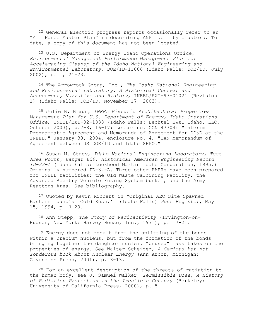12 General Electric progress reports occasionally refer to an "Air Force Master Plan" in describing ANP facility clusters. To date, a copy of this document has not been located.

 13 U.S. Department of Energy Idaho Operations Office, *Environmental Management Performance Management Plan for Accelerating Cleanup of the Idaho National Engineering and Environmental Laboratory*, DOE/ID-11006 (Idaho Falls: DOE/ID, July 2002), p. i, 21-23.

 14 The Arrowrock Group, Inc., *The Idaho National Engineering and Environmental Laboratory, A Historical Context and Assessment, Narrative and History*, INEEL/EXT-97-01021 (Revision 1) (Idaho Falls: DOE/ID, November 17, 2003).

 15 Julie B. Braun, *INEEL Historic Architectural Properties Management Plan for U.S. Department of Energy, Idaho Operations Office*, INEEL/EXT-02-1338 (Idaho Falls: Bechtel BWXT Idaho, LLC, October 2003), p.7-8, 16-17; Letter no. CCN 47704: "Interim Programmatic Agreement and Memoranda of Agreement for DD&D at the INEEL," January 30, 2004, enclosure No. 4, "TAN Memorandum of Agreement between US DOE/ID and Idaho SHPO."

 16 Susan M. Stacy, *Idaho National Engineering Laboratory, Test Area North, Hangar 629, Historical American Engineering Record ID-33-A* (Idaho Falls: Lockheed Martin Idaho Corporation, 1995.) Originally numbered ID-32-A. Three other HAERs have been prepared for INEEL facilities: the Old Waste Calcining Facility, the Advanced Reentry Vehicle Fuzing System bunker, and the Army Reactors Area. See bibliography.

 17 Quoted by Kevin Richert in "Original AEC Site Spawned Eastern Idaho's `Gold Rush,'" (Idaho Falls) *Post Register*, May 15, 1994, p. H-20.

 18 Ann Stepp, *The Story of Radioactivity* (Irvington-on-Hudson, New York: Harvey House, Inc., 1971), p. 17-21.

 19 Energy does not result from the splitting of the bonds within a uranium nucleus, but from the formation of the bonds bringing together the daughter nuclei. "Unused" mass takes on the properties of energy. See Walter Scheider, *A Serious but not Ponderous book About Nuclear Energy* (Ann Arbor, Michigan: Cavendish Press, 2001), p. 3-13.

 20 For an excellent description of the threats of radiation to the human body, see J. Samuel Walker, *Permissible Dose, A History of Radiation Protection in the Twentieth Century* (Berkeley: University of California Press, 2000), p. 5.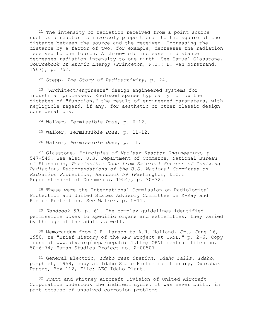21 The intensity of radiation received from a point source such as a reactor is inversely proportional to the square of the distance between the source and the receiver. Increasing the distance by a factor of two, for example, decreases the radiation received to one fourth. A three-fold increase in distance decreases radiation intensity to one ninth. See Samuel Glasstone, *Sourcebook on Atomic Energy* (Princeton, N.J.: D. Van Norstrand, 1967), p. 752.

22 Stepp, *The Story of Radioactivity*, p. 24.

 23 "Architect/engineers" design engineered systems for industrial processes. Enclosed spaces typically follow the dictates of "function," the result of engineered parameters, with negligible regard, if any, for aesthetic or other classic design considerations.

24 Walker, *Permissible Dose*, p. 6-12.

25 Walker, *Permissible Dose*, p. 11-12.

26 Walker, *Permissible Dose*, p. 11.

 27 Glasstone, *Principles of Nuclear Reactor Engineering*, p. 547-549. See also, U.S. Department of Commerce, National Bureau of Standards, *Permissible Dose from External Sources of Ionizing Radiation, Recommendations of the U.S. National Committee on Radiation Protection, Handbook 59* (Washington, D.C.: Superintendent of Documents, 1954), p. 30-32.

 28 These were the International Commission on Radiological Protection and United States Advisory Committee on X-Ray and Radium Protection. See Walker, p. 5-11.

 29 *Handbook 59*, p. 61. The complex guidelines identified permissible doses to specific organs and extremities; they varied by the age of the adult as well.

 30 Memorandum from C.E. Larson to A.H. Holland, Jr., June 16, 1950, re "Brief History of the ANP Project at ORNL," p. 2-6. Copy found at www.ufx.org/nepa/nepahist1.htm; ORNL central files no. 50-6-74; Human Studies Project no. A-00507.

 31 General Electric, *Idaho Test Station, Idaho Falls, Idaho*, pamphlet, 1959, copy at Idaho State Historical Library, Dworshak Papers, Box 112, File: AEC Idaho Plant.

 32 Pratt and Whitney Aircraft Division of United Aircraft Corporation undertook the indirect cycle. It was never built, in part because of unsolved corrosion problems.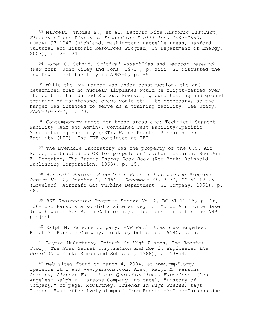33 Marceau, Thomas E., et al. *Hanford Site Historic District, History of the Plutonium Production Facilities, 1943-1990*, DOE/RL-97-1047 (Richland, Washington: Battelle Press, Hanford Cultural and Historic Resources Program, US Department of Energy, 2003), p. 2-1.24.

 34 Loren C. Schmid, *Critical Assemblies and Reactor Research* (New York: John Wiley and Sons, 1971), p. xiii. GE discussed the Low Power Test facility in APEX-5, p. 65.

 35 While the TAN Hangar was under construction, the AEC determined that no nuclear airplanes would be flight-tested over the continental United States. However, ground testing and ground training of maintenance crews would still be necessary, so the hanger was intended to serve as a training facility. See Stacy, *HAER-ID-33-A*, p. 29.

 36 Contemporary names for these areas are: Technical Support Facility (A&M and Admin), Contained Test Facility/Specific Manufacturing Facility (FET), Water Reactor Research Test Facility (LPT). The IET continued as IET.

<sup>37</sup> The Evendale laboratory was the property of the U.S. Air Force, contracted to GE for propulsion/reactor research. See John F. Hogerton, *The Atomic Energy Desk Book* (New York: Reinhold Publishing Corporation, 1963), p. 15.

 38 *Aircraft Nuclear Propulsion Project Engineering Progress Report No. 2, October 1, 1951 - December 31, 1951*, DC-51-12-25 (Loveland: Aircraft Gas Turbine Department, GE Company, 1951), p. 68.

 39 *ANP Engineering Progress Report No. 2,* DC-51-12-25, p. 16, 136-137. Parsons also did a site survey for Muroc Air Force Base (now Edwards A.F.B. in California), also considered for the ANP project.

 40 Ralph M. Parsons Company, *ANP Facilities* (Los Angeles: Ralph M. Parsons Company, no date, but circa 1958), p. 5.

 41 Layton McCartney, *Friends in High Places, The Bechtel Story, The Most Secret Corporation and How it Engineered the World* (New York: Simon and Schuster, 1988), p. 53-54.

 $42$  Web sites found on March 4, 2004, at www.rmpf.org/ rparsons.html and www.parsons.com. Also, Ralph M. Parsons Company, *Airport Facilities: Qualifications, Experience* (Los Angeles: Ralph M. Parsons Company, no date), "History of Company," no page. McCartney, *Friends in High Places*, says Parsons "was effectively dumped" from Bechtel-McCone-Parsons due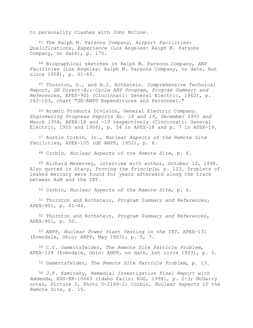to personality clashes with John McCone.

 43 The Ralph M. Parsons Company, *Airport Facilities: Qualifications, Experience* (Los Angeles: Ralph M. Parsons Company, no date), p. 175.

 44 Biographical sketches in Ralph M. Parsons Company, *ANP Facilities* (Los Angeles: Ralph M. Parsons Company, no date, but circa 1958), p. 61-69.

 45 Thornton, G., and A.J. Rothstein. *Comprehensive Technical Report, GE Direct-Air-Cycle ANP Program, Program Summary and References*, APEX-901 (Cincinnati: General Electric, 1962), p. 162-163, chart "GE-ANPD Expenditures and Personnel."

 46 Atomic Products Division, General Electric Company. *Engineering Progress Reports No. 18 and 19, December 1955 and March 1956*, APEX-18 and -19 respectively (Cincinnati: General Electric, 1955 and 1956), p. 54 in APEX-18 and p. 7 in APEX-19.

 47 Austin Corbin, Jr., *Nuclear Aspects of the Remote Site Facilities*, APEX-105 (GE ANPP, 1952), p. 6.

48 Corbin, *Nuclear Aspects of the Remote Site*, p. 6.

 49 Richard Meservey, interview with author, October 12, 1998. Also quoted in Stacy, *Proving the Principle*, p. 123. Droplets of leaked mercury were found for years afterward along the track between A&M and the IET.

50 Corbin, *Nuclear Aspects of the Remote Site*, p. 6.

 51 Thornton and Rothstein, *Program Summary and References,*  APEX-901, p. 41-44.

 52 Thornton and Rothstein, *Program Summary and References*, APEX-901, p. 50.

 53 ANPP, *Nuclear Power Plant Testing in the IET*, APEX-131 (Evendale, Ohio: ANPP, May 1953), p. 5, 7.

 54 C.C. Gamertsfelder, *The Remote Site Particle Problem*, APEX-124 (Evendale, Ohio: ANPP, no date, but circa 1953), p. 3.

55 Gamertsfelder, *The Remote Site Particle Problem*, p. 13.

 56 J.F. Kaminsky, *Remedial Investigation Final Report with Addenda*, EGG-ER-10643 (Idaho Falls: EGG, 1994), p. 2-3; McGarry notes, Picture 2, Photo U-2169-2; Corbin, *Nuclear Aspects of the Remote Site,* p. 15.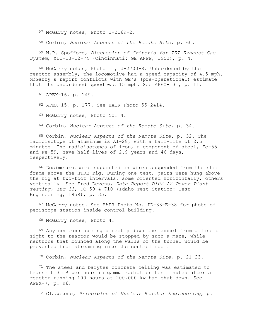57 McGarry notes, Photo U-2169-2.

58 Corbin, *Nuclear Aspects of the Remote Site*, p. 60.

 59 N.P. Spofford, *Discussion of Criteria for IET Exhaust Gas System*, XDC-53-12-74 (Cincinnati: GE ANPP, 1953), p. 4.

 60 McGarry notes, Photo 11, U-2700-8. Unburdened by the reactor assembly, the locomotive had a speed capacity of 4.5 mph. McGarry's report conflicts with GE's (pre-operational) estimate that its unburdened speed was 15 mph. See APEX-131, p. 11.

61 APEX-16, p. 149.

62 APEX-15, p. 177. See HAER Photo 55-2414.

63 McGarry notes, Photo No. 4.

64 Corbin, *Nuclear Aspects of the Remote Site*, p. 34.

 65 Corbin, *Nuclear Aspects of the Remote Site,* p. 32. The radioisotope of aluminum is Al-28, with a half-life of 2.5 minutes. The radioisotopes of iron, a component of steel, Fe-55 and Fe-59, have half-lives of 2.9 years and 46 days, respectively.

 66 Dosimeters were supported on wires suspended from the steel frame above the HTRE rig. During one test, pairs were hung above the rig at two-foot intervals, some oriented horizontally, others vertically. See Fred Devens, *Data Report D102 A2 Power Plant Testing, IET 13*, DC-59-4-710 (Idaho Test Station: Test Engineering, 1959), p. 35.

 67 McGarry notes. See HAER Photo No. ID-33-E-38 for photo of periscope station inside control building.

68 McGarry notes, Photo 4.

 69 Any neutrons coming directly down the tunnel from a line of sight to the reactor would be stopped by such a maze, while neutrons that bounced along the walls of the tunnel would be prevented from streaming into the control room.

70 Corbin, *Nuclear Aspects of the Remote Site*, p. 21-23.

<sup>71</sup> The steel and barytes concrete ceiling was estimated to transmit 3 mR per hour in gamma radiation ten minutes after a reactor running 100 hours at 200,000 kw had shut down. See APEX-7, p. 96.

72 Glasstone, *Principles of Nuclear Reactor Engineering*, p.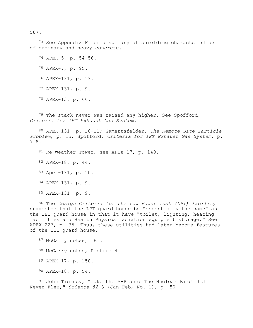587.

<sup>73</sup> See Appendix F for a summary of shielding characteristics of ordinary and heavy concrete.

74 APEX-5, p. 54-56.

75 APEX-7, p. 95.

76 APEX-131, p. 13.

77 APEX-131, p. 9.

78 APEX-13, p. 66.

 $79$  The stack never was raised any higher. See Spofford, *Criteria for IET Exhaust Gas System*.

 80 APEX-131, p. 10-11; Gamertsfelder, *The Remote Site Particle Problem*, p. 15; Spofford, *Criteria for IET Exhaust Gas System*, p.  $7 - 8$ .

81 Re Weather Tower, see APEX-17, p. 149.

82 APEX-18, p. 44.

83 Apex-131, p. 10.

84 APEX-131, p. 9.

85 APEX-131, p. 9.

 86 The *Design Criteria for the Low Power Test (LPT) Facility* suggested that the LPT guard house be "essentially the same" as the IET guard house in that it have "toilet, lighting, heating facilities and Health Physics radiation equipment storage." See APEX-227, p. 35. Thus, these utilities had later become features of the IET guard house.

87 McGarry notes, IET. 88 McGarry notes, Picture 4.

89 APEX-17, p. 150.

90 APEX-18, p. 54.

 91 John Tierney, "Take the A-Plane: The Nuclear Bird that Never Flew," *Science 82* 3 (Jan-Feb, No. 1), p. 50.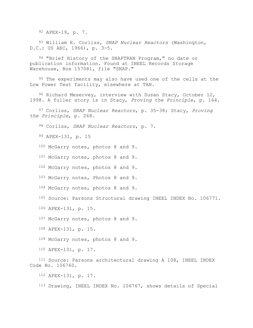92 APEX-19, p. 7.

 93 William R. Corliss, *SNAP Nuclear Reactors* (Washington, D.C.: US AEC, 1966), p. 3-5.

94 "Brief History of the SNAPTRAN Program," no date or publication information. Found at INEEL Records Storage Warehouse, Box 157081, file "SNAP."

<sup>95</sup> The experiments may also have used one of the cells at the Low Power Test facility, elsewhere at TAN.

 96 Richard Meservey, interview with Susan Stacy, October 12, 1998. A fuller story is in Stacy, *Proving the Principle*, p. 164.

 97 Corliss, *SNAP Nuclear Reactors*, p. 35-38; Stacy, *Proving the Principle*, p. 268.

98 Corliss, *SNAP Nuclear Reactors*, p. 7.

99 APEX-131, p. 15

100 McGarry notes, photos 8 and 9.

101 McGarry notes, photos 8 and 9.

102 McGarry notes, photos 8 and 9.

103 McGarry notes, Photos 8 and 9.

104 McGarry notes, photos 8 and 9.

105 Source: Parsons Structural drawing INEEL INDEX No. 106771.

106 APEX-131, p. 15.

107 McGarry notes, photos 8 and 9.

108 APEX-131, p. 15.

109 McGarry notes, photos 8 and 9.

110 APEX-131, p. 17.

 111 Source: Parsons architectural drawing A 108, INEEL INDEX Code No. 106760.

112 APEX-131, p. 17.

113 Drawing, INEEL INDEX No. 106767, shows details of Special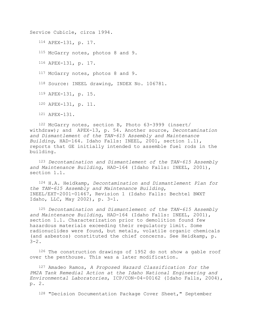Service Cubicle, circa 1994.

114 APEX-131, p. 17.

115 McGarry notes, photos 8 and 9.

116 APEX-131, p. 17.

117 McGarry notes, photos 8 and 9.

118 Source: INEEL drawing, INDEX No. 106781.

119 APEX-131, p. 15.

120 APEX-131, p. 11.

121 APEX-131.

 122 McGarry notes, section B, Photo 63-3999 (insert/ withdraw); and APEX-13, p. 54. Another source, *Decontamination and Dismantlement of the TAN-615 Assembly and Maintenance Building*, HAD-164. Idaho Falls: INEEL, 2001, section 1.1), reports that GE initially intended to assemble fuel rods in the building.

 123 *Decontamination and Dismantlement of the TAN-615 Assembly and Maintenance Building*, HAD-164 (Idaho Falls: INEEL, 2001), section 1.1.

 124 H.A. Heidkamp, *Decontamination and Dismantlement Plan for the TAN-615 Assembly and Maintenance Building*, INEEL/EXT-2001-01467, Revision 1 (Idaho Falls: Bechtel BWXT Idaho, LLC, May 2002), p. 3-1.

 125 *Decontamination and Dismantlement of the TAN-615 Assembly and Maintenance Building*, HAD-164 (Idaho Falls: INEEL, 2001), section 1.1. Characterization prior to demolition found few hazardous materials exceeding their regulatory limit. Some radionuclides were found, but metals, volatile organic chemicals (and asbestos) constituted the chief concerns. See Heidkamp, p.  $3 - 2$ .

126 The construction drawings of 1952 do not show a gable roof over the penthouse. This was a later modification.

 127 Amadeo Ramos, *A Proposed Hazard Classification for the PM2A Tank Remedial Action at the Idaho National Engineering and Environmental Laboratories*, ICP/CON-04-00162 (Idaho Falls, 2004), p. 2.

128 "Decision Documentation Package Cover Sheet," September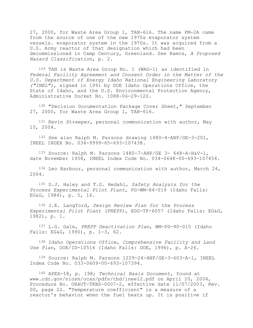27, 2000, for Waste Area Group 1, TAN-616. The name PM-2A came from the source of one of the new 1970s evaporator system vessels. evaporator system in the 1970s. It was acquired from a U.S. Army reactor of that designation which had been decommissioned in Camp Century, Greenland. See Ramos, *A Proposed Hazard Classification*, p. 2.

 129 TAN is Waste Area Group No. 1 (WAG-1) as identified in *Federal Facility Agreement and Consent Order in the Matter of the U.S. Department of Energy Idaho National Engineering Laboratory ("INEL")*, signed in 1991 by DOE Idaho Operations Office, the State of Idaho, and the U.S. Environmental Protection Agency, Administrative Docket No. 1088-06-29-120.

 130 "Decision Documentation Package Cover Sheet," September 27, 2000, for Waste Area Group 1, TAN-616.

 131 Kevin Streeper, personal communication with author, May 10, 2004.

 132 See also Ralph M. Parsons drawing 1480-4-ANP/GE-3-201, INEEL INDEX No. 034-9999-65-693-107438.

 133 Source: Ralph M. Parsons 1480-7-ANP/GE 3- 648-A-H&V-1, date November 1958, INEEL Index Code No. 034-0648-00-693-107454.

 $134$  Leo Barbour, personal communication with author, March 24, 2004.

 135 D.J. Haley and T.G. Hedahl, *Safety Analysis for the Process Experimental Pilot Plant*, PG-WM-84-019 (Idaho Falls: EG&G, 1984), p. 5, 16.

 136 J.E. Langford, *Design Review Plan for the Process Experimental Pilot Plant (PREPP)*, EGG-TF-6057 (Idaho Falls: EG&G, 1982), p. 1.

 137 L.G. Gale, *PREPP Deactivation Plan*, WM-PD-90-015 (Idaho Falls: EG&G, 1990), p. 1-3, 62.

 138 Idaho Operations Office, *Comprehensive Facility and Land Use Plan*, DOE/ID-10514 (Idaho Falls: DOE, 1996), p. A-26.

 139 Source: Ralph M. Parsons 1229-24-ANP/GE-3-603-A-1, INEEL Index Code No. 033-0609-00-693-107394.

 140 APEX-18, p. 198; *Technical Basis Document*, found at www.cdc.gov/niosh/ocas/pdfs/tbd/ineel2.pdf on April 20, 2004, Procedure No. ORAUT-TKBS-0007-2, effective date 11/07/2003, Rev. 00, page 22. "Temperature coefficient" is a measure of a reactor's behavior when the fuel heats up. It is positive if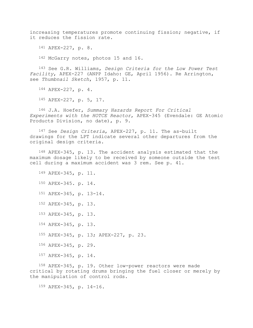increasing temperatures promote continuing fission; negative, if it reduces the fission rate.

141 APEX-227, p. 8.

142 McGarry notes, photos 15 and 16.

 143 See G.R. Williams, *Design Criteria for the Low Power Test Facility*, APEX-227 (ANPP Idaho: GE, April 1956). Re Arrington, see *Thumbnail Sketch*, 1957, p. 11.

144 APEX-227, p. 4.

145 APEX-227, p. 5, 17.

 146 J.A. Hoefer, *Summary Hazards Report For Critical Experiments with the HOTCE Reactor*, APEX-345 (Evendale: GE Atomic Products Division, no date), p. 9.

 147 See *Design Criteria*, APEX-227, p. 11. The as-built drawings for the LPT indicate several other departures from the original design criteria.

 148 APEX-345, p. 13. The accident analysis estimated that the maximum dosage likely to be received by someone outside the test cell during a maximum accident was 3 rem. See p. 41.

 149 APEX-345, p. 11. 150 APEX-345. p. 14. 151 APEX-345, p. 13-14. 152 APEX-345, p. 13. 153 APEX-345, p. 13. 154 APEX-345, p. 13. 155 APEX-345, p. 13; APEX-227, p. 23.

156 APEX-345, p. 29.

157 APEX-345, p. 14.

 158 APEX-345, p. 19. Other low-power reactors were made critical by rotating drums bringing the fuel closer or merely by the manipulation of control rods.

159 APEX-345, p. 14-16.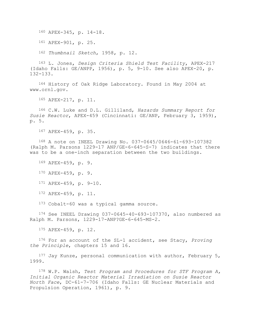160 APEX-345, p. 14-18.

161 APEX-901, p. 25.

162 *Thumbnail Sketch*, 1958, p. 12.

 163 L. Jones, *Design Criteria Shield Test Facility*, APEX-217 (Idaho Falls: GE/ANPP, 1956), p. 5, 9-10. See also APEX-20, p. 132-133.

 164 History of Oak Ridge Laboratory. Found in May 2004 at www.ornl.gov.

165 APEX-217, p. 11.

 166 C.W. Luke and D.L. Gilliland, *Hazards Summary Report for Susie Reactor*, APEX-459 (Cincinnati: GE/ANP, February 3, 1959), p. 5.

167 APEX-459, p. 35.

 168 A note on INEEL Drawing No. 037-0645/0646-61-693-107382 (Ralph M. Parsons 1229-17 ANP/GE-6-645-S-7) indicates that there was to be a one-inch separation between the two buildings.

169 APEX-459, p. 9.

170 APEX-459, p. 9.

171 APEX-459, p. 9-10.

172 APEX-459, p. 11.

173 Cobalt-60 was a typical gamma source.

 174 See INEEL Drawing 037-0645-40-693-107370, also numbered as Ralph M. Parsons, 1229-17-ANP?GE-6-645-MS-2.

175 APEX-459, p. 12.

 176 For an account of the SL-1 accident, see Stacy, *Proving the Principle*, chapters 15 and 16.

 177 Jay Kunze, personal communication with author, February 5, 1999.

 178 W.P. Walsh, *Test Program and Procedures for STF Program A, Initial Organic Reactor Material Irradiation on Susie Reactor North Face*, DC-61-7-706 (Idaho Falls: GE Nuclear Materials and Propulsion Operation, 1961), p. 9.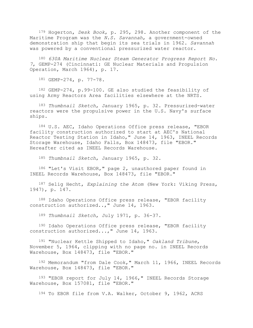179 Hogerton, *Desk Book*, p. 295, 298. Another component of the Maritime Program was the *N.S. Savannah*, a government-owned demonstration ship that begin its sea trials in 1962. *Savannah* was powered by a conventional pressurized water reactor.

 180 *630A Maritime Nuclear Steam Generator Progress Report No. 7*, GEMP-274 (Cincinnati: GE Nuclear Materials and Propulsion Operation, March 1964), p. 17.

181 GEMP-274, p. 77-78.

 182 GEMP-274, p.99-100. GE also studied the feasibility of using Army Reactors Area facilities elsewhere at the NRTS.

 183 *Thumbnail Sketch*, January 1965, p. 32. Pressurized-water reactors were the propulsive power in the U.S. Navy's surface ships.

 184 U.S. AEC, Idaho Operations Office press release, "EBOR facility construction authorized to start at AEC's National Reactor Testing Station in Idaho," June 14, 1963, INEEL Records Storage Warehouse, Idaho Falls, Box 148473, file "EBOR." Hereafter cited as INEEL Records Warehouse.

185 *Thumbnail Sketch*, January 1965, p. 32.

 186 "Let's Visit EBOR," page 2, unauthored paper found in INEEL Records Warehouse, Box 148473, file "EBOR."

 187 Selig Hecht, *Explaining the Atom* (New York: Viking Press, 1947), p. 147.

188 Idaho Operations Office press release, "EBOR facility construction authorized..," June 14, 1963.

189 *Thumbnail Sketch*, July 1971, p. 36-37.

 190 Idaho Operations Office press release, "EBOR facility construction authorized...," June 14, 1963.

 191 "Nuclear Kettle Shipped to Idaho," *Oakland Tribune*, November 5, 1964, clipping with no page no. in INEEL Records Warehouse, Box 148473, file "EBOR."

 192 Memorandum "from Dale Cook," March 11, 1966, INEEL Records Warehouse, Box 148473, file "EBOR."

193 "EBOR report for July 14, 1966," INEEL Records Storage Warehouse, Box 157081, file "EBOR."

194 To EBOR file from V.A. Walker, October 9, 1962, ACRS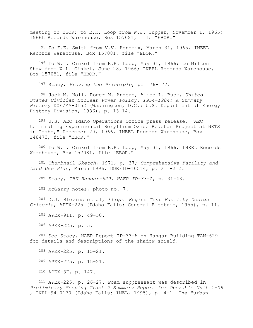meeting on EBOR; to E.K. Loop from W.J. Tupper, November 1, 1965; INEEL Records Warehouse, Box 157081, file "EBOR."

 195 To F.E. Smith from V.V. Hendrix, March 31, 1965, INEEL Records Warehouse, Box 157081, file "EBOR."

 196 To W.L. Ginkel from E.K. Loop, May 31, 1966; to Milton Shaw from W.L. Ginkel, June 28, 1966; INEEL Records Warehouse, Box 157081, file "EBOR."

197 Stacy, *Proving the Principle*, p. 176-177.

 198 Jack M. Holl, Roger M. Anders, Alice L. Buck, *United States Civilian Nuclear Power Policy, 1954-1984: A Summary History* DOE/MA-0152 (Washington, D.C.: U.S. Department of Energy History Division, 1986), p. 13-14.

 199 U.S. AEC Idaho Operations Office press release, "AEC terminating Experimental Beryllium Oxide Reactor Project at NRTS in Idaho," December 20, 1966, INEEL Records Warehouse, Box 148473, file "EBOR."

 200 To W.L. Ginkel from E.K. Loop, May 31, 1966, INEEL Records Warehouse, Box 157081, file "EBOR."

 201 *Thumbnail Sketch*, 1971, p, 37; *Comprehensive Facility and Land Use Plan*, March 1996, DOE/ID-10514, p. 211-212.

202 Stacy, *TAN Hangar-629, HAER ID-33-A*, p. 31-43.

203 McGarry notes, photo no. 7.

 204 D.J. Blevins et al, *Flight Engine Test Facility Design Criteria*, APEX-225 (Idaho Falls: General Electric, 1955), p. 11.

205 APEX-911, p. 49-50.

206 APEX-225, p. 5.

 207 See Stacy, HAER Report ID-33-A on Hangar Building TAN-629 for details and descriptions of the shadow shield.

208 APEX-225, p. 15-21.

209 APEX-225, p. 15-21.

210 APEX-37, p. 147.

 211 APEX-225, p. 26-27. Foam suppressant was described in *Preliminary Scoping Track 2 Summary Report for Operable Unit 1-08* , INEL-94.0170 (Idaho Falls: INEL, 1995), p. 4-1. The "urban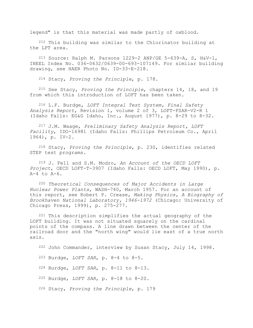legend" is that this material was made partly of oxblood.

 212 This building was similar to the Chlorinator building at the LPT area.

<sup>213</sup> Source: Ralph M. Parsons  $1229-2$  ANP/GE 5-639-A, S, H&V-1, INEEL Index No. 036-0632/0639-00-693-107149. For similar building drawing, see HAER Photo No. ID-33-E-218.

214 Stacy, *Proving the Principle*, p. 178.

 215 See Stacy, *Proving the Principle*, chapters 14, 18, and 19 from which this introduction of LOFT has been taken.

 216 L.F. Burdge, *LOFT Integral Test System, Final Safety Analysis Report*, Revision 1, volume 2 of 3, LOFT-FSAR-V2-R 1 (Idaho Falls: EG&G Idaho, Inc., August 1977), p. 8-29 to 8-32.

 217 J.M. Waage, *Preliminary Safety Analysis Report, LOFT Facility*, IDO-16981 (Idaho Falls: Phillips Petroleum Co., April 1964), p. IV-2.

 218 Stacy, *Proving the Principle*, p. 230, identifies related STEP test programs.

 219 J. Fell and S.M. Modro, *An Account of the OECD LOFT Project*, OECD LOFT-T-3907 (Idaho Falls: OECD LOFT, May 1990), p.  $A-4$  to  $A-6$ .

 220 *Theoretical Consequences of Major Accidents in Large Nuclear Power Plants*, WASH-740, March 1957. For an account of this report, see Robert P. Crease, *Making Physics, A Biography of Brookhaven National Laboratory, 1946-1972* (Chicago: University of Chicago Press, 1999), p. 275-277.

 221 This description simplifies the actual geography of the LOFT building. It was not situated squarely on the cardinal points of the compass. A line drawn between the center of the railroad door and the "north wing" would lie east of a true north axis.

222 John Commander, interview by Susan Stacy, July 14, 1998.

223 Burdge, *LOFT SAR*, p. 8-4 to 8-5.

224 Burdge, *LOFT SAR*, p. 8-11 to 8-13.

225 Burdge, *LOFT SAR*, p. 8-18 to 8-20.

226 Stacy, *Proving the Principle*, p. 179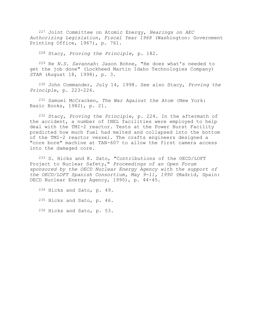227 Joint Committee on Atomic Energy, *Hearings on AEC Authorizing Legislation, Fiscal Year 1968* (Washington: Government Printing Office, 1967), p. 761.

228 Stacy, *Proving the Principle*, p. 182.

 229 Re *N.S. Savannah*: Jason Bohne, "He does what's needed to get the job done" (Lockheed Martin Idaho Technologies Company) *STAR* (August 18, 1998), p. 3.

 230 John Commander, July 14, 1998. See also Stacy, *Proving the Principle*, p. 223-224.

 231 Samuel McCracken, *The War Against the Atom* (New York: Basic Books, 1982), p. 21.

 232 Stacy, *Proving the Principle*, p. 224. In the aftermath of the accident, a number of INEL facilities were employed to help deal with the TMI-2 reactor. Tests at the Power Burst Facility predicted how much fuel had melted and collapsed into the bottom of the TMI-2 reactor vessel. The crafts engineers designed a "core bore" machine at TAN-607 to allow the first camera access into the damaged core.

 233 D. Hicks and K. Sato, "Contributions of the OECD/LOFT Project to Nuclear Safety," *Proceedings of an Open Forum sponsored by the OECD Nuclear Energy Agency with the support of the OECD/LOFT Spanish Consortium, May 9-11, 1990* (Madrid, Spain: OECD Nuclear Energy Agency, 1990), p. 44-45.

 234 Hicks and Sato, p. 49. 235 Hicks and Sato, p. 46. 236 Hicks and Sato, p. 53.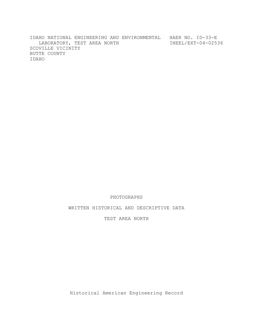IDAHO NATIONAL ENGINEERING AND ENVIRONMENTAL HAER NO. ID-33-E LABORATORY, TEST AREA NORTH INEEL/EXT-04-02536 SCOVILLE VICINITY BUTTE COUNTY IDAHO

## PHOTOGRAPHS

WRITTEN HISTORICAL AND DESCRIPTIVE DATA

TEST AREA NORTH

Historical American Engineering Record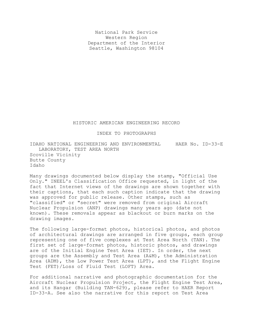National Park Service Western Region Department of the Interior Seattle, Washington 98104

HISTORIC AMERICAN ENGINEERING RECORD

#### INDEX TO PHOTOGRAPHS

IDAHO NATIONAL ENGINEERING AND ENVIRONMENTAL HAER No. ID-33-E LABORATORY, TEST AREA NORTH Scoville Vicinity Butte County Idaho

Many drawings documented below display the stamp, "Official Use Only." INEEL's Classification Office requested, in light of the fact that Internet views of the drawings are shown together with their captions, that each such caption indicate that the drawing was approved for public release. Other stamps, such as "classified" or "secret" were removed from original Aircraft Nuclear Propulsion (ANP) drawings many years ago (date not known). These removals appear as blackout or burn marks on the drawing images.

The following large-format photos, historical photos, and photos of architectural drawings are arranged in five groups, each group representing one of five complexes at Test Area North (TAN). The first set of large-format photos, historic photos, and drawings are of the Initial Engine Test Area (IET). In order, the next groups are the Assembly and Test Area (A&M), the Administration Area (ADM), the Low Power Test Area (LPT), and the Flight Engine Test (FET)/Loss of Fluid Test (LOFT) Area.

For additional narrative and photographic documentation for the Aircraft Nuclear Propulsion Project, the Flight Engine Test Area, and its Hangar (Building TAN-629), please refer to HAER Report ID-33-A. See also the narrative for this report on Test Area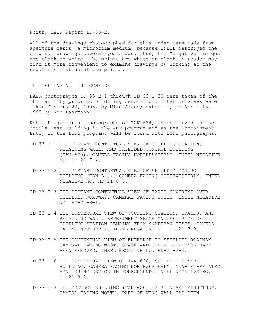North, HAER Report ID-33-E.

All of the drawings photographed for this index were made from aperture cards (a microfilm medium) because INEEL destroyed the original drawings several years ago. Thus, the "negative" images are black-on-white. The prints are white-on-black. A reader may find it more convenient to examine drawings by looking at the negatives instead of the prints.

### INITIAL ENGINE TEST COMPLEX

HAER photographs ID-33-E-1 through ID-33-E-30 were taken of the IET facility prior to or during demolition. Interior views were taken January 22, 1998, by Mike Crane; exterior, on April 13, 1998 by Ron Paarmann.

Note: Large-format photographs of TAN-624, which served as the Mobile Test Building in the ANP program and as the Containment Entry in the LOFT program, will be found with LOFT photographs.

- ID-33-E-1 IET DISTANT CONTEXTUAL VIEW OF COUPLING STATION, RETAINING WALL, AND SHIELDED CONTROL BUILDING (TAN-620). CAMERA FACING NORTHEASTERLY. INEEL NEGATIVE NO. HD-21-7-4.
- ID-33-E-2 IET DISTANT CONTEXTUAL VIEW OF SHIELDED CONTROL BUILDING (TAN-620). CAMERA FACING SOUTHWESTERLY. INEEL NEGATIVE NO. HD-21-8-3.
- ID-33-E-3 IET DISTANT CONTEXTUAL VIEW OF EARTH COVERING OVER SHIELDED ROADWAY. CAMERAL FACING SOUTH. INEEL NEGATIVE NO. HD-21-9-1.
- ID-33-E-4 IET CONTEXTUAL VIEW OF COUPLING STATION, TRACKS, AND RETAINING WALL. EXPERIMENT SHACK ON LEFT SIDE OF COUPLING STATION REMAINS FROM SNAPTRAN TESTS. CAMERA FACING NORTHERLY. INEEL NEGATIVE NO. HD-21-7-3.
- ID-33-E-5 IET CONTEXTUAL VIEW OF ENTRANCE TO SHIELDED ROADWAY. CAMERAL FACING WEST. STACK AND OTHER BUILDINGS HAVE BEEN REMOVED. INEEL NEGATIVE NO. HD-21-7-2.
- ID-33-E-6 IET CONTEXTUAL VIEW OF TAN-620, SHIELDED CONTROL BUILDING. CAMERA FACING NORTHWESTERLY. NON-IET-RELATED MONITORING DEVICE IN FOREGROUND. INEEL NEGATIVE NO.  $HD-21-8-2.$
- ID-33-E-7 IET CONTROL BUILDING (TAN-620). AIR INTAKE STRUCTURE. CAMERA FACING NORTH. PART OF WING WALL HAS BEEN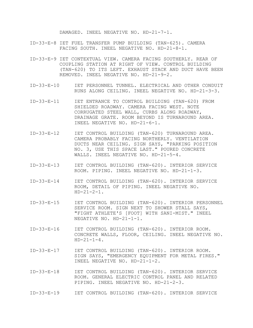DAMAGED. INEEL NEGATIVE NO. HD-21-7-1.

- ID-33-E-8 IET FUEL TRANSFER PUMP BUILDING (TAN-625). CAMERA FACING SOUTH. INEEL NEGATIVE NO. HD-21-8-1.
- ID-33-E-9 IET CONTEXTUAL VIEW. CAMERA FACING SOUTHERLY. REAR OF COUPLING STATION AT RIGHT OF VIEW. CONTROL BUILDING (TAN-620) TO ITS LEFT. EXHAUST STACK AND DUCT HAVE BEEN REMOVED. INEEL NEGATIVE NO. HD-21-9-2.
- ID-33-E-10 IET PERSONNEL TUNNEL. ELECTRICAL AND OTHER CONDUIT RUNS ALONG CEILING. INEEL NEGATIVE NO. HD-21-3-3.
- ID-33-E-11 IET ENTRANCE TO CONTROL BUILDING (TAN-620) FROM SHIELDED ROADWAY. CAMERA FACING WEST. NOTE CORRUGATED STEEL WALL, CURBS ALONG ROADWAY, DRAINAGE GRATE. ROOM BEYOND IS TURNAROUND AREA. INEEL NEGATIVE NO. HD-21-6-1.
- ID-33-E-12 IET CONTROL BUILDING (TAN-620) TURNAROUND AREA. CAMERA PROBABLY FACING NORTHERLY. VENTILATION DUCTS NEAR CEILING. SIGN SAYS, "PARKING POSITION NO. 3, USE THIS SPACE LAST." POURED CONCRETE WALLS. INEEL NEGATIVE NO. HD-21-5-4.
- ID-33-E-13 IET CONTROL BUILDING (TAN-620). INTERIOR SERVICE ROOM. PIPING. INEEL NEGATIVE NO. HD-21-1-3.
- ID-33-E-14 IET CONTROL BUILDING (TAN-620). INTERIOR SERVICE ROOM, DETAIL OF PIPING. INEEL NEGATIVE NO.  $HD-21-2-1.$
- ID-33-E-15 IET CONTROL BUILDING (TAN-620). INTERIOR PERSONNEL SERVICE ROOM. SIGN NEXT TO SHOWER STALL SAYS, "FIGHT ATHLETE'S [FOOT] WITH SANI-MIST." INEEL NEGATIVE NO. HD-21-1-1.
- ID-33-E-16 IET CONTROL BUILDING (TAN-620). INTERIOR ROOM. CONCRETE WALLS, FLOOR, CEILING. INEEL NEGATIVE NO.  $HD-21-1-4.$
- ID-33-E-17 IET CONTROL BUILDING (TAN-620). INTERIOR ROOM. SIGN SAYS, "EMERGENCY EQUIPMENT FOR METAL FIRES." INEEL NEGATIVE NO. HD-21-1-2.
- ID-33-E-18 IET CONTROL BUILDING (TAN-620). INTERIOR SERVICE ROOM. GENERAL ELECTRIC CONTROL PANEL AND RELATED PIPING. INEEL NEGATIVE NO. HD-21-2-3.
- ID-33-E-19 IET CONTROL BUILDING (TAN-620). INTERIOR SERVICE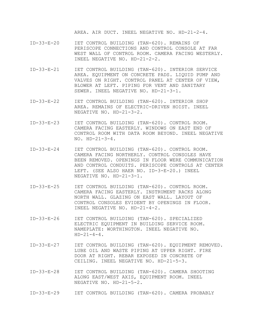AREA. AIR DUCT. INEEL NEGATIVE NO. HD-21-2-4.

- ID-33-E-20 IET CONTROL BUILDING (TAN-620). REMAINS OF PERISCOPE CONNECTIONS AND CONTROL CONSOLE AT FAR WEST WALL OF CONTROL ROOM. CAMERA FACING WESTERLY. INEEL NEGATIVE NO. HD-21-2-2.
- ID-33-E-21 IET CONTROL BUILDING (TAN-620). INTERIOR SERVICE AREA. EQUIPMENT ON CONCRETE PADS. LIQUID PUMP AND VALVES ON RIGHT. CONTROL PANEL AT CENTER OF VIEW, BLOWER AT LEFT. PIPING FOR VENT AND SANITARY SEWER. INEEL NEGATIVE NO. HD-21-3-1.
- ID-33-E-22 IET CONTROL BUILDING (TAN-620). INTERIOR SHOP AREA. REMAINS OF ELECTRIC-DRIVEN HOIST. INEEL NEGATIVE NO. HD-21-3-2.
- ID-33-E-23 IET CONTROL BUILDING (TAN-620). CONTROL ROOM. CAMERA FACING EASTERLY. WINDOWS ON EAST END OF CONTROL ROOM WITH DATA ROOM BEYOND. INEEL NEGATIVE  $NO. HD-21-3-4.$
- ID-33-E-24 IET CONTROL BUILDING (TAN-620). CONTROL ROOM. CAMERA FACING NORTHERLY. CONTROL CONSOLES HAVE BEEN REMOVED. OPENINGS IN FLOOR WERE COMMUNICATION AND CONTROL CONDUITS. PERISCOPE CONTROLS AT CENTER LEFT. (SEE ALSO HAER NO. ID-3-E-20.) INEEL NEGATIVE NO. HD-21-3-1.
- ID-33-E-25 IET CONTROL BUILDING (TAN-620). CONTROL ROOM. CAMERA FACING EASTERLY. INSTRUMENT RACKS ALONG NORTH WALL. GLAZING ON EAST WALL. LAYOUT OF CONTROL CONSOLES EVIDENT BY OPENINGS IN FLOOR. INEEL NEGATIVE NO. HD-21-4-2.
- ID-33-E-26 IET CONTROL BUILDING (TAN-620). SPECIALIZED ELECTRIC EQUIPMENT IN BUILDING SERVICE ROOM. NAMEPLATE: WORTHINGTON. INEEL NEGATIVE NO.  $HD-21-4-4.$
- ID-33-E-27 IET CONTROL BUILDING (TAN-620). EQUIPMENT REMOVED. LUBE OIL AND WASTE PIPING AT UPPER RIGHT. FIRE DOOR AT RIGHT. REBAR EXPOSED IN CONCRETE OF CEILING. INEEL NEGATIVE NO. HD-21-5-3.
- ID-33-E-28 IET CONTROL BUILDING (TAN-620). CAMERA SHOOTING ALONG EAST/WEST AXIS, EQUIPMENT ROOM. INEEL NEGATIVE NO. HD-21-5-2.
- ID-33-E-29 IET CONTROL BUILDING (TAN-620). CAMERA PROBABLY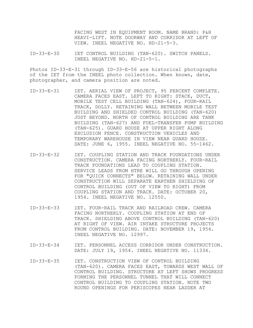FACING WEST IN EQUIPMENT ROOM. NAME BRAND: P&H HEAVI-LIFT. NOTE DOORWAY AND CORRIDOR AT LEFT OF VIEW. INEEL NEGATIVE NO. HD-21-5-3.

ID-33-E-30 IET CONTROL BUILDING (TAN-620). SWITCH PANELS. INEEL NEGATIVE NO. HD-21-5-1.

Photos ID-33-E-31 through ID-33-E-56 are historical photographs of the IET from the INEEL photo collection. When known, date, photographer, and camera position are noted.

- ID-33-E-31 IET. AERIAL VIEW OF PROJECT, 95 PERCENT COMPLETE. CAMERA FACES EAST. LEFT TO RIGHT: STACK, DUCT, MOBILE TEST CELL BUILDING (TAN-624), FOUR-RAIL TRACK, DOLLY. RETAINING WALL BETWEEN MOBILE TEST BUILDING AND SHIELDED CONTROL BUILDING (TAN-620) JUST BEYOND. NORTH OF CONTROL BUILDING ARE TANK BUILDING (TAN-627) AND FUEL-TRANSFER PUMP BUILDING (TAN-625). GUARD HOUSE AT UPPER RIGHT ALONG EXCLUSION FENCE. CONSTRUCTION VEHICLES AND TEMPORARY WAREHOUSE IN VIEW NEAR GUARD HOUSE. DATE: JUNE 6, 1955. INEEL NEGATIVE NO. 55-1462.
- ID-33-E-32 IET. COUPLING STATION AND TRACK FOUNDATIONS UNDER CONSTRUCTION. CAMERA FACING NORTHERLY. FOUR-RAIL TRACK FOUNDATIONS LEAD TO COUPLING STATION. SERVICE LEADS FROM HTRE WILL GO THROUGH OPENING FOR "QUICK CONNECTS" BELOW. RETAINING WALL UNDER CONSTRUCTION WILL SEPARATE EARTHEN SHIELDING OF CONTROL BUILDING (OUT OF VIEW TO RIGHT) FROM COUPLING STATION AND TRACK. DATE: OCTOBER 20, 1954. INEEL NEGATIVE NO. 12550.
- ID-33-E-33 IET. FOUR-RAIL TRACK AND RAILROAD CREW. CAMERA FACING NORTHERLY. COUPLING STATION AT END OF TRACK. SHIELDING ABOVE CONTROL BUILDING (TAN-620) AT RIGHT OF VIEW. AIR INTAKE STRUCTURE PROJECTS FROM CONTROL BUILDING. DATE: NOVEMBER 19, 1954. INEEL NEGATIVE NO. 12997.
- ID-33-E-34 IET. PERSONNEL ACCESS CORRIDOR UNDER CONSTRUCTION. DATE: JULY 19, 1954. INEEL NEGATIVE NO. 11334.
- ID-33-E-35 IET. CONSTRUCTION VIEW OF CONTROL BUILDING (TAN-620). CAMERA FACES EAST, TOWARDS WEST WALL OF CONTROL BUILDING. STRUCTURE AT LEFT SHOWS PROGRESS FORMING THE PERSONNEL TUNNEL THAT WILL CONNECT CONTROL BUILDING TO COUPLING STATION. NOTE TWO ROUND OPENINGS FOR PERISCOPES NEAR LADDER AT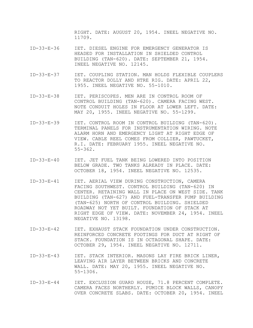RIGHT. DATE: AUGUST 20, 1954. INEEL NEGATIVE NO. 11709.

- ID-33-E-36 IET. DIESEL ENGINE FOR EMERGENCY GENERATOR IS HEADED FOR INSTALLATION IN SHIELDED CONTROL BUILDING (TAN-620). DATE: SEPTEMBER 21, 1954. INEEL NEGATIVE NO. 12145.
- ID-33-E-37 IET. COUPLING STATION. MAN HOLDS FLEXIBLE COUPLERS TO REACTOR DOLLY AND HTRE RIG. DATE: APRIL 22, 1955. INEEL NEGATIVE NO. 55-1010.
- ID-33-E-38 IET. PERISCOPES. MEN ARE IN CONTROL ROOM OF CONTROL BUILDING (TAN-620). CAMERA FACING WEST. NOTE CONDUIT HOLES IN FLOOR AT LOWER LEFT. DATE: MAY 20, 1955. INEEL NEGATIVE NO. 55-1299.
- ID-33-E-39 IET. CONTROL ROOM IN CONTROL BUILDING (TAN-620). TERMINAL PANELS FOR INSTRUMENTATION WIRING. NOTE ALARM HORN AND EMERGENCY LIGHT AT RIGHT EDGE OF VIEW. CABLE REEL COMES FROM COLLIER, PAWTUCKET, R.I. DATE: FEBRUARY 1955. INEEL NEGATIVE NO. 55-362.
- ID-33-E-40 IET. JET FUEL TANK BEING LOWERED INTO POSITION BELOW GRADE. TWO TANKS ALREADY IN PLACE. DATE: OCTOBER 18, 1954. INEEL NEGATIVE NO. 12535.
- ID-33-E-41 IET. AERIAL VIEW DURING CONSTRUCTION, CAMERA FACING SOUTHWEST. CONTROL BUILDING (TAN-620) IN CENTER. RETAINING WALL IN PLACE ON WEST SIDE. TANK BUILDING (TAN-627) AND FUEL-TRANSFER PUMP BUILDING (TAN-625) NORTH OF CONTROL BUILDING. SHIELDED ROADWAY NOT YET BUILT. FOUNDATION OF STACK AT RIGHT EDGE OF VIEW. DATE: NOVEMBER 24, 1954. INEEL NEGATIVE NO. 13198.
- ID-33-E-42 IET. EXHAUST STACK FOUNDATION UNDER CONSTRUCTION. REINFORCED CONCRETE FOOTINGS FOR DUCT AT RIGHT OF STACK. FOUNDATION IS IN OCTAGONAL SHAPE. DATE: OCTOBER 29, 1954. INEEL NEGATIVE NO. 12711.
- ID-33-E-43 IET. STACK INTERIOR. MASONS LAY FIRE BRICK LINER, LEAVING AIR LAYER BETWEEN BRICKS AND CONCRETE WALL. DATE: MAY 20, 1955. INEEL NEGATIVE NO. 55-1306.
- ID-33-E-44 IET. EXCLUSION GUARD HOUSE, 71.8 PERCENT COMPLETE. CAMERA FACES NORTHERLY. PUMICE BLOCK WALLS, CANOPY OVER CONCRETE SLABS. DATE: OCTOBER 20, 1954. INEEL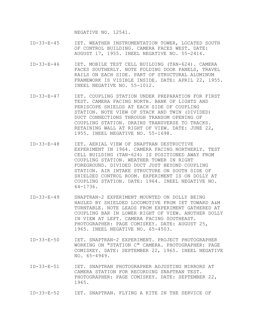NEGATIVE NO. 12541.

- ID-33-E-45 IET. WEATHER INSTRUMENTATION TOWER, LOCATED SOUTH OF CONTROL BUILDING. CAMERA FACES WEST. DATE: AUGUST 17, 1955. INEEL NEGATIVE NO. 55-2414.
- ID-33-E-46 IET. MOBILE TEST CELL BUILDING (TAN-624). CAMERA FACES SOUTHERLY. NOTE FOLDING DOOR PANELS, TRAVEL RAILS ON EACH SIDE. PART OF STRUCTURAL ALUMINUM FRAMEWORK IS VISIBLE INSIDE. DATE: APRIL 22, 1955. INEEL NEGATIVE NO. 55-1012.
- ID-33-E-47 IET. COUPLING STATION UNDER PREPARATION FOR FIRST TEST. CAMERA FACING NORTH. BANK OF LIGHTS AND PERISCOPE SHIELDS AT EACH SIDE OF COUPLING STATION. NOTE VIEW OF STACK AND TWIN (DIVIDED) DUCT CONNECTIONS THROUGH TRANSOM OPENING OF COUPLING STATION. DRAINS TRANSVERSE TO TRACKS. RETAINING WALL AT RIGHT OF VIEW. DATE: JUNE 22, 1955. INEEL NEGATIVE NO. 55-1698.
- ID-33-E-48 IET. AERIAL VIEW OF SNAPTRAN DESTRUCTIVE EXPERIMENT IN 1964. CAMERA FACING NORTHERLY. TEST CELL BUILDING (TAN-624) IS POSITIONED AWAY FROM COUPLING STATION. WEATHER TOWER IN RIGHT FOREGROUND. DIVIDED DUCT JUST BEYOND COUPLING STATION. AIR INTAKE STRUCTURE ON SOUTH SIDE OF SHIELDED CONTROL ROOM. EXPERIMENT IS ON DOLLY AT COUPLING STATION. DATE: 1964. INEEL NEGATIVE NO. 64-1736.
- ID-33-E-49 SNAPTRAN-2 EXPERIMENT MOUNTED ON DOLLY BEING HAULED BY SHIELDED LOCOMOTIVE FROM IET TOWARD A&M TURNTABLE. NOTE LEADS FROM EXPERIMENT GATHERED AT COUPLING BAR IN LOWER RIGHT OF VIEW. ANOTHER DOLLY IN VIEW AT LEFT. CAMERA FACING SOUTHEAST. PHOTOGRAPHER: PAGE COMISKEY. DATE: AUGUST 25, 1965. INEEL NEGATIVE NO. 65-4503.
- ID-33-E-50 IET. SNAPTRAN-2 EXPERIMENT. PROJECT PHOTOGRAPHER WORKING ON "STATION C" CAMERA. PHOTOGRAPHER: PAGE COMISKEY. DATE: SEPTEMBER 22, 1965. INEEL NEGATIVE NO. 65-4949.
- ID-33-E-51 IET. SNAPTRAN PHOTOGRAPHER ADJUSTING MIRRORS AT CAMERA STATION FOR RECORDING SNAPTRAN TEST. PHOTOGRAPHER: PAGE COMISKEY. DATE: SEPTEMBER 22, 1965.
- ID-33-E-52 IET. SNAPTRAN. FLYING A KITE IN THE SERVICE OF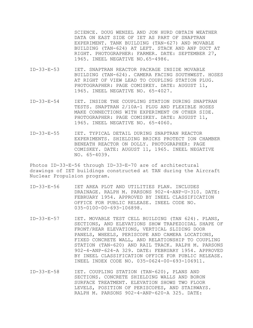SCIENCE. DOUG WENZEL AND JON HURD OBTAIN WEATHER DATA ON EAST SIDE OF IET AS PART OF SNAPTRAN EXPERIMENT. TANK BUILDING (TAN-627) AND MOVABLE BUILDING (TAN-624) AT LEFT. STACK AND ANP DUCT AT RIGHT. PHOTOGRAPHER: FARMER. DATE: SEPTEMBER 27, 1965. INEEL NEGATIVE NO.65-4986.

- ID-33-E-53 IET. SNAPTRAN REACTOR PACKAGE INSIDE MOVABLE BUILDING (TAN-624). CAMERA FACING SOUTHWEST. HOSES AT RIGHT OF VIEW LEAD TO COUPLING STATION PLUG. PHOTOGRAPHER: PAGE COMISKEY. DATE: AUGUST 11, 1965. INEEL NEGATIVE NO. 65-4027.
- ID-33-E-54 IET. INSIDE THE COUPLING STATION DURING SNAPTRAN TESTS. SNAPTRAN 2/10A-1 PLUG AND FLEXIBLE HOSES MAKE CONNECTIONS WITH EXPERIMENT ON OTHER SIDE. PHOTOGRAPHER: PAGE COMISKEY. DATE: AUGUST 11, 1965. INEEL NEGATIVE NO. 65-4060.
- ID-33-E-55 IET. TYPICAL DETAIL DURING SNAPTRAN REACTOR EXPERIMENTS. SHIELDING BRICKS PROTECT ION CHAMBER BENEATH REACTOR ON DOLLY. PHOTOGRAPHER: PAGE COMISKEY. DATE: AUGUST 11, 1965. INEEL NEGATIVE NO. 65-4039.

Photos ID-33-E-56 through ID-33-E-70 are of architectural drawings of IET buildings constructed at TAN during the Aircraft Nuclear Propulsion program.

- ID-33-E-56 IET AREA PLOT AND UTILITIES PLAN. INCLUDES DRAINAGE. RALPH M. PARSONS 902-4-ANP-U-310. DATE: FEBRUARY 1954. APPROVED BY INEEL CLASSIFICATION OFFICE FOR PUBLIC RELEASE. INEEL CODE NO. 035-0100-00-693-106898.
- ID-33-E-57 IET. MOVABLE TEST CELL BUILDING (TAN 624). PLANS, SECTIONS, AND ELEVATIONS SHOW TRAPEZOIDAL SHAPE OF FRONT/REAR ELEVATIONS, VERTICAL SLIDING DOOR PANELS, WHEELS, PERISCOPE AND CAMERA LOCATIONS, FIXED CONCRETE WALL, AND RELATIONSHIP TO COUPLING STATION (TAN-620) AND RAIL TRACK. RALPH M. PARSONS 902-4-ANP-624-A 329. DATE: FEBRUARY 1954. APPROVED BY INEEL CLASSIFICATION OFFICE FOR PUBLIC RELEASE. INEEL INDEX CODE NO. 035-0624-00-693-106911.
- ID-33-E-58 IET. COUPLING STATION (TAN-620), PLANS AND SECTIONS. CONCRETE SHIELDING WALLS AND BORON SURFACE TREATMENT. ELEVATION SHOWS TWO FLOOR LEVELS, POSITION OF PERISCOPES, AND STAIRWAYS. RALPH M. PARSONS 902-4-ANP-620-A 325. DATE: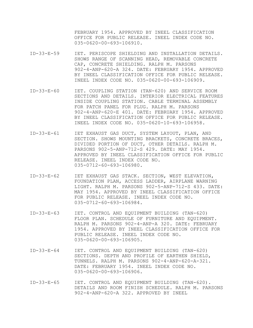FEBRUARY 1954. APPROVED BY INEEL CLASSIFICATION OFFICE FOR PUBLIC RELEASE. INEEL INDEX CODE NO. 035-0620-00-693-106910.

- ID-33-E-59 IET. PERISCOPE SHIELDING AND INSTALLATION DETAILS. SHOWS RANGE OF SCANNING HEAD, REMOVABLE CONCRETE CAP, CONCRETE SHIELDING. RALPH M. PARSONS 902-4-ANP-620-A 324. DATE: FEBRUARY 1954. APPROVED BY INEEL CLASSIFICATION OFFICE FOR PUBLIC RELEASE. INEEL INDEX CODE NO. 035-0620-00-693-106909.
- ID-33-E-60 IET. COUPLING STATION (TAN-620) AND SERVICE ROOM SECTIONS AND DETAILS. INTERIOR ELECTRICAL FEATURES INSIDE COUPLING STATION. CABLE TERMINAL ASSEMBLY FOR PATCH PANEL FOR PLUG. RALPH M. PARSONS 902-4-ANP-620-E 401. DATE: FEBRUARY 1954. APPROVED BY INEEL CLASSIFICATION OFFICE FOR PUBLIC RELEASE. INEEL INDEX CODE NO. 035-0620-10-693-106958.
- ID-33-E-61 IET EXHAUST GAS DUCT, SYSTEM LAYOUT, PLAN, AND SECTION. SHOWS MOUNTING BRACKETS, CONCRETE BRACES, DIVIDED PORTION OF DUCT, OTHER DETAILS. RALPH M. PARSONS 902-5-ANP-712-S 429. DATE: MAY 1954. APPROVED BY INEEL CLASSIFICATION OFFICE FOR PUBLIC RELEASE. INEEL INDEX CODE NO. 035-0712-60-693-106980.
- ID-33-E-62 IET EXHAUST GAS STACK. SECTION, WEST ELEVATION, FOUNDATION PLAN, ACCESS LADDER, AIRPLANE WARNING LIGHT. RALPH M. PARSONS 902-5-ANP-712-S 433. DATE: MAY 1954. APPROVED BY INEEL CLASSIFICATION OFFICE FOR PUBLIC RELEASE. INEEL INDEX CODE NO. 035-0712-60-693-106984.
- ID-33-E-63 IET. CONTROL AND EQUIPMENT BUILDING (TAN-620) FLOOR PLAN. SCHEDULE OF FURNITURE AND EQUIPMENT. RALPH M. PARSONS 902-4-ANP-A 320. DATE: FEBRUARY 1954. APPROVED BY INEEL CLASSIFICATION OFFICE FOR PUBLIC RELEASE. INEEL INDEX CODE NO. 035-0620-00-693-106905.
- ID-33-E-64 IET. CONTROL AND EQUIPMENT BUILDING (TAN-620) SECTIONS. DEPTH AND PROFILE OF EARTHEN SHIELD, TUNNELS. RALPH M. PARSONS 902-4-ANP-620-A-321. DATE: FEBRUARY 1954. INEEL INDEX CODE NO. 035-0620-00-693-106906.
- ID-33-E-65 IET. CONTROL AND EQUIPMENT BUILDING (TAN-620). DETAILS AND ROOM FINISH SCHEDULE. RALPH M. PARSONS 902-4-ANP-620-A 322. APPROVED BY INEEL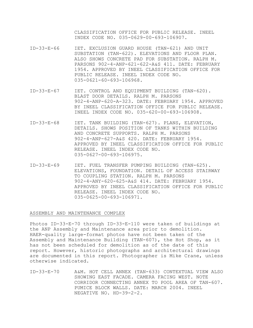CLASSIFICATION OFFICE FOR PUBLIC RELEASE. INEEL INDEX CODE NO. 035-0629-00-693-106907.

- ID-33-E-66 IET. EXCLUSION GUARD HOUSE (TAN-621) AND UNIT SUBSTATION (TAN-622). ELEVATIONS AND FLOOR PLAN. ALSO SHOWS CONCRETE PAD FOR SUBSTATION. RALPH M. PARSONS 902-4-ANP-621-622-A&S 411. DATE: FEBRUARY 1954. APPROVED BY INEEL CLASSIFICATION OFFICE FOR PUBLIC RELEASE. INEEL INDEX CODE NO. 035-0621-60-693-106968.
- ID-33-E-67 IET. CONTROL AND EQUIPMENT BUILDING (TAN-620). BLAST DOOR DETAILS. RALPH M. PARSONS 902-4-ANP-620-A-323. DATE: FEBRUARY 1954. APPROVED BY INEEL CLASSIFICATION OFFICE FOR PUBLIC RELEASE. INEEL INDEX CODE NO. 035-620-00-693-106908.
- ID-33-E-68 IET. TANK BUILDING (TAN-627). PLANS, ELEVATION, DETAILS. SHOWS POSITION OF TANKS WITHIN BUILDING AND CONCRETE SUPPORTS. RALPH M. PARSONS 902-4-ANP-627-A&S 420. DATE: FEBRUARY 1954. APPROVED BY INEEL CLASSIFICATION OFFICE FOR PUBLIC RELEASE. INEEL INDEX CODE NO. 035-0627-00-693-106975.
- ID-33-E-69 IET. FUEL TRANSFER PUMPING BUILDING (TAN-625). ELEVATIONS, FOUNDATION. DETAIL OF ACCESS STAIRWAY TO COUPLING STATION. RALPH M. PARSONS 902-4-ANY-620-625-A&S 414. DATE: FEBRUARY 1954. APPROVED BY INEEL CLASSIFICATION OFFICE FOR PUBLIC RELEASE. INEEL INDEX CODE NO. 035-0625-00-693-106971.

### ASSEMBLY AND MAINTENANCE COMPLEX

Photos ID-33-E-70 through ID-33-E-110 were taken of buildings at the ANP Assembly and Maintenance area prior to demolition. HAER-quality large-format photos have not been taken of the Assembly and Maintenance Building (TAN-607), the Hot Shop, as it has not been scheduled for demolition as of the date of this report. However, historic photographs and architectural drawings are documented in this report. Photographer is Mike Crane, unless otherwise indicated.

ID-33-E-70 A&M. HOT CELL ANNEX (TAN-633) CONTEXTUAL VIEW ALSO SHOWING EAST FACADE. CAMERA FACING WEST. NOTE CORRIDOR CONNECTING ANNEX TO POOL AREA OF TAN-607. PUMICE BLOCK WALLS. DATE: MARCH 2004. INEEL NEGATIVE NO. HD-39-2-2.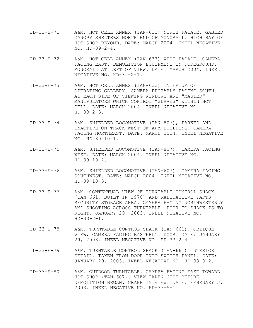- ID-33-E-71 A&M. HOT CELL ANNEX (TAN-633) NORTH FACADE. GABLED CANOPY SHELTERS NORTH END OF MONORAIL. HIGH BAY OF HOT SHOP BEYOND. DATE: MARCH 2004. INEEL NEGATIVE NO. HD-39-2-4.
- ID-33-E-72 A&M. HOT CELL ANNEX (TAN-633) WEST FACADE. CAMERA FACING EAST. DEMOLITION EQUIPMENT IN FOREGROUND. MONORAIL AT LEFT OF VIEW. DATE: MARCH 2004. INEEL NEGATIVE NO. HD-39-2-1.
- ID-33-E-73 A&M. HOT CELL ANNEX (TAN-633) INTERIOR OF OPERATING GALLERY. CAMERA PROBABLY FACING SOUTH. AT EACH SIDE OF VIEWING WINDOWS ARE "MASTER" MANIPULATORS WHICH CONTROL "SLAVES" WITHIN HOT CELL. DATE: MARCH 2004. INEEL NEGATIVE NO.  $HD-39-2-3.$
- ID-33-E-74 A&M. SHIELDED LOCOMOTIVE (TAN-807), PARKED AND INACTIVE ON TRACK WEST OF A&M BUILDING. CAMERA FACING NORTHEAST. DATE: MARCH 2004. INEEL NEGATIVE NO. HD-39-10-1.
- ID-33-E-75 A&M. SHIELDED LOCOMOTIVE (TAN-807). CAMERA FACING WEST. DATE: MARCH 2004. INEEL NEGATIVE NO.  $HD-39-10-2.$
- ID-33-E-76 A&M. SHIELDED LOCOMOTIVE (TAN-607). CAMERA FACING SOUTHWEST. DATE: MARCH 2004. INEEL NEGATIVE NO.  $HD-39-10-3.$
- ID-33-E-77 A&M. CONTEXTUAL VIEW OF TURNTABLE CONTROL SHACK (TAN-661, BUILT IN 1970) AND RADIOACTIVE PARTS SECURITY STORAGE AREA. CAMERA FACING NORTHWESTERLY AND SHOOTING ACROSS TURNTABLE. DOOR TO SHACK IS TO RIGHT. JANUARY 29, 2003. INEEL NEGATIVE NO.  $HD-33-2-1.$
- ID-33-E-78 A&M. TURNTABLE CONTROL SHACK (TAN-661). OBLIQUE VIEW, CAMERA FACING EASTERLY. DOOR. DATE: JANUARY 29, 2003. INEEL NEGATIVE NO. HD-33-2-4.
- ID-33-E-79 A&M. TURNTABLE CONTROL SHACK (TAN-661) INTERIOR DETAIL. TAKEN FROM DOOR INTO SWITCH PANEL. DATE: JANUARY 29, 2003. INEEL NEGATIVE NO. HD-33-3-2.
- ID-33-E-80 A&M. OUTDOOR TURNTABLE. CAMERA FACING EAST TOWARD HOT SHOP (TAN-607). VIEW TAKEN JUST BEFORE DEMOLITION BEGAN. CRANE IN VIEW. DATE: FEBRUARY 3, 2003. INEEL NEGATIVE NO. HD-37-5-1.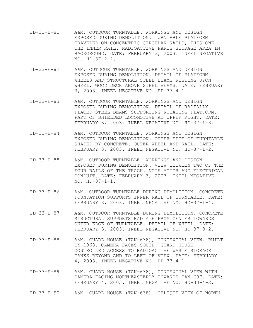- ID-33-E-81 A&M. OUTDOOR TURNTABLE. WORKINGS AND DESIGN EXPOSED DURING DEMOLITION. TURNTABLE PLATFORM TRAVELED ON CONCENTRIC CIRCULAR RAILS, THIS ONE THE INNER RAIL. RADIOACTIVE PARTS STORAGE AREA IN BACKGROUND. DATE: FEBRUARY 3, 2003. INEEL NEGATIVE NO. HD-37-2-2.
- ID-33-E-82 A&M. OUTDOOR TURNTABLE. WORKINGS AND DESIGN EXPOSED DURING DEMOLITION. DETAIL OF PLATFORM WHEELS AND STRUCTURAL STEEL BEAMS RESTING UPON WHEEL. WOOD DECK ABOVE STEEL BEAMS. DATE: FEBRUARY 3, 2003. INEEL NEGATIVE NO. HD-37-4-1.
- ID-33-E-83 A&M. OUTDOOR TURNTABLE. WORKINGS AND DESIGN EXPOSED DURING DEMOLITION. DETAIL OF RADIALLY PLACED STEEL BEAMS SUPPORTING ROTATING PLATFORM. PART OF SHIELDED LOCOMOTIVE AT UPPER RIGHT. DATE: FEBRUARY 3, 2003. INEEL NEGATIVE NO. HD-37-1-3.
- ID-33-E-84 A&M. OUTDOOR TURNTABLE. WORKINGS AND DESIGN EXPOSED DURING DEMOLITION. OUTER EDGE OF TURNTABLE SHAPED BY CONCRETE. OUTER WHEEL AND RAIL. DATE: FEBRUARY 3, 2003. INEEL NEGATIVE NO. HD-37-1-2.
- ID-33-E-85 A&M. OUTDOOR TURNTABLE. WORKINGS AND DESIGN EXPOSED DURING DEMOLITION. VIEW BETWEEN TWO OF THE FOUR RAILS OF THE TRACK. NOTE MOTOR AND ELECTRICAL CONDUIT. DATE: FEBRUARY 3, 2003. INEEL NEGATIVE NO. HD-37-1-1.
- ID-33-E-86 A&M. OUTDOOR TURNTABLE DURING DEMOLITION. CONCRETE FOUNDATION SUPPORTS INNER RAIL OF TURNTABLE. DATE: FEBRUARY 3, 2003. INEEL NEGATIVE NO. HD-37-1-4.
- ID-33-E-87 A&M. OUTDOOR TURNTABLE DURING DEMOLITION. CONCRETE STRUCTURAL SUPPORTS RADIATE FROM CENTER TOWARDS OUTER EDGE OF TURNTABLE. DETAIL OF WHEEL. DATE: FEBRUARY 3, 2003. INEEL NEGATIVE NO. HD-37-3-2.
- ID-33-E-88 A&M. GUARD HOUSE (TAN-638), CONTEXTUAL VIEW. BUILT IN 1968. CAMERA FACES SOUTH. GUARD HOUSE CONTROLLED ACCESS TO RADIOACTIVE WASTE STORAGE TANKS BEYOND AND TO LEFT OF VIEW. DATE: FEBRUARY 4, 2003. INEEL NEGATIVE NO. HD-33-4-1.
- ID-33-E-89 A&M. GUARD HOUSE (TAN-638), CONTEXTUAL VIEW WITH CAMERA FACING NORTHEASTERLY TOWARDS TAN-607. DATE: FEBRUARY 4, 2003. INEEL NEGATIVE NO. HD-33-4-2.
- ID-33-E-90 A&M. GUARD HOUSE (TAN-638). OBLIQUE VIEW OF NORTH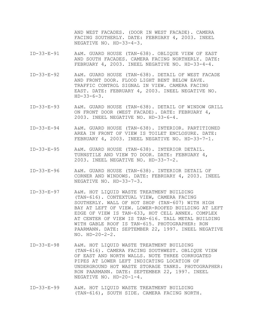AND WEST FACADES. (DOOR IN WEST FACADE). CAMERA FACING SOUTHERLY. DATE: FEBRUARY 4, 2003. INEEL NEGATIVE NO. HD-33-4-3.

- ID-33-E-91 A&M. GUARD HOUSE (TAN-638). OBLIQUE VIEW OF EAST AND SOUTH FACADES. CAMERA FACING NORTHERLY. DATE: FEBRUARY 4, 2003. INEEL NEGATIVE NO. HD-33-4-4.
- ID-33-E-92 A&M. GUARD HOUSE (TAN-638). DETAIL OF WEST FACADE AND FRONT DOOR. FLOOD LIGHT BENT BELOW EAVE. TRAFFIC CONTROL SIGNAL IN VIEW. CAMERA FACING EAST. DATE: FEBRUARY 4, 2003. INEEL NEGATIVE NO.  $HD-33-6-3.$
- ID-33-E-93 A&M. GUARD HOUSE (TAN-638). DETAIL OF WINDOW GRILL ON FRONT DOOR (WEST FACADE). DATE: FEBRUARY 4, 2003. INEEL NEGATIVE NO. HD-33-6-4.
- ID-33-E-94 A&M. GUARD HOUSE (TAN-638). INTERIOR. PARTITIONED AREA IN FRONT OF VIEW IS TOILET ENCLOSURE. DATE: FEBRUARY 4, 2003. INEEL NEGATIVE NO. HD-33-7-1.
- ID-33-E-95 A&M. GUARD HOUSE (TAN-638). INTERIOR DETAIL. TURNSTILE AND VIEW TO DOOR. DATE: FEBRUARY 4, 2003. INEEL NEGATIVE NO. HD-33-7-2.
- ID-33-E-96 A&M. GUARD HOUSE (TAN-638). INTERIOR DETAIL OF CORNER AND WINDOWS. DATE: FEBRUARY 4, 2003. INEEL NEGATIVE NO. HD-33-7-3.
- ID-33-E-97 A&M. HOT LIQUID WASTE TREATMENT BUILDING (TAN-616). CONTEXTUAL VIEW, CAMERA FACING SOUTHERLY. WALL OF HOT SHOP (TAN-607) WITH HIGH BAY AT LEFT OF VIEW. LOWER-ROOFED BUILDING AT LEFT EDGE OF VIEW IS TAN-633, HOT CELL ANNEX. COMPLEX AT CENTER OF VIEW IS TAN-616. TALL METAL BUILDING WITH GABLE ROOF IS TAN-615. PHOTOGRAPHER: RON PAARMANN. DATE: SEPTEMBER 22, 1997. INEEL NEGATIVE NO. HD-20-2-2.
- ID-33-E-98 A&M. HOT LIQUID WASTE TREATMENT BUILDING (TAN-616). CAMERA FACING SOUTHWEST. OBLIQUE VIEW OF EAST AND NORTH WALLS. NOTE THREE CORRUGATED PIPES AT LOWER LEFT INDICATING LOCATION OF UNDERGROUND HOT WASTE STORAGE TANKS. PHOTOGRAPHER: RON PAARMANN. DATE: SEPTEMBER 22, 1997. INEEL NEGATIVE NO. HD-20-1-4.
- ID-33-E-99 A&M. HOT LIQUID WASTE TREATMENT BUILDING (TAN-616), SOUTH SIDE. CAMERA FACING NORTH.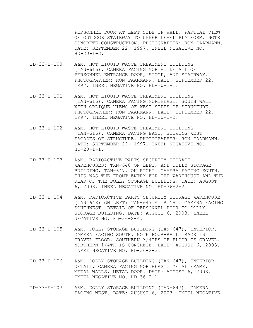PERSONNEL DOOR AT LEFT SIDE OF WALL. PARTIAL VIEW OF OUTDOOR STAIRWAY TO UPPER LEVEL PLATFORM. NOTE CONCRETE CONSTRUCTION. PHOTOGRAPHER: RON PAARMANN. DATE: SEPTEMBER 22, 1997. INEEL NEGATIVE NO.  $HD-20-1-3.$ 

- ID-33-E-100 A&M. HOT LIQUID WASTE TREATMENT BUILDING (TAN-616). CAMERA FACING NORTH. DETAIL OF PERSONNEL ENTRANCE DOOR, STOOP, AND STAIRWAY. PHOTOGRAPHER: RON PAARMANN. DATE: SEPTEMBER 22, 1997. INEEL NEGATIVE NO. HD-20-2-1.
- ID-33-E-101 A&M. HOT LIQUID WASTE TREATMENT BUILDING (TAN-616). CAMERA FACING NORTHEAST. SOUTH WALL WITH OBLIQUE VIEWS OF WEST SIDES OF STRUCTURE. PHOTOGRAPHER: RON PAARMANN. DATE: SEPTEMBER 22, 1997. INEEL NEGATIVE NO. HD-20-1-2.
- ID-33-E-102 A&M. HOT LIQUID WASTE TREATMENT BUILDING (TAN-616). CAMERA FACING EAST, SHOWING WEST FACADES OF STRUCTURE. PHOTOGRAPHER: RON PAARMANN. DATE: SEPTEMBER 22, 1997. INEEL NEGATIVE NO.  $HD-20-1-1.$
- ID-33-E-103 A&M. RADIOACTIVE PARTS SECURITY STORAGE WAREHOUSES: TAN-648 ON LEFT, AND DOLLY STORAGE BUILDING, TAN-647, ON RIGHT. CAMERA FACING SOUTH. THIS WAS THE FRONT ENTRY FOR THE WAREHOUSE AND THE REAR OF THE DOLLY STORAGE BUILDING. DATE: AUGUST 6, 2003. INEEL NEGATIVE NO. HD-36-2-2.
- ID-33-E-104 A&M. RADIOACTIVE PARTS SECURITY STORAGE WAREHOUSE (TAN 648) ON LEFT; TAN-647 AT RIGHT. CAMERA FACING SOUTHWEST. DETAIL OF PERSONNEL DOOR TO DOLLY STORAGE BUILDING. DATE: AUGUST 6, 2003. INEEL NEGATIVE NO. HD-36-2-4.
- ID-33-E-105 A&M. DOLLY STORAGE BUILDING (TAN-647), INTERIOR. CAMERA FACING SOUTH. NOTE FOUR-RAIL TRACK IN GRAVEL FLOOR. SOUTHERN 3/4THS OF FLOOR IS GRAVEL. NORTHERN 1/4TH IS CONCRETE. DATE: AUGUST 6, 2003. INEEL NEGATIVE NO. HD-36-2-3.
- ID-33-E-106 A&M. DOLLY STORAGE BUILDING (TAN-647), INTERIOR DETAIL. CAMERA FACING NORTHEAST. METAL FRAME, METAL WALLS, METAL DOOR. DATE: AUGUST 6, 2003. INEEL NEGATIVE NO. HD-36-2-1.
- ID-33-E-107 A&M. DOLLY STORAGE BUILDING (TAN-647). CAMERA FACING WEST. DATE: AUGUST 6, 2003. INEEL NEGATIVE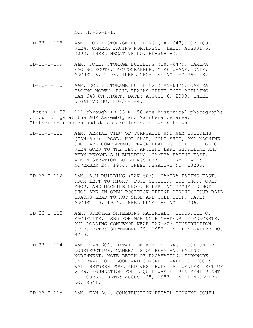NO. HD-36-1-1.

- ID-33-E-108 A&M. DOLLY STORAGE BUILDING (TAN-647). OBLIQUE VIEW, CAMERA FACING NORTHWEST. DATE: AUGUST 6, 2003. INEEL NEGATIVE NO. HD-36-1-2.
- ID-33-E-109 A&M. DOLLY STORAGE BUILDING (TAN-647). CAMERA FACING SOUTH. PHOTOGRAPHER: MIKE CRANE. DATE: AUGUST 6, 2003. INEEL NEGATIVE NO. HD-36-1-3.
- ID-33-E-110 A&M. DOLLY STORAGE BUILDING (TAN-647). CAMERA FACING NORTH. RAIL TRACKS CURVE INTO BUILDING. TAN-648 ON RIGHT. DATE: AUGUST 6, 2003. INEEL NEGATIVE NO. HD-36-1-4.

Photos ID-33-E-111 through ID-33-E-156 are historical photographs of buildings at the ANP Assembly and Maintenance area. Photographer names and dates are indicated when known.

- ID-33-E-111 A&M. AERIAL VIEW OF TURNTABLE AND A&M BUILDING (TAN-607). POOL, HOT SHOP, COLD SHOP, AND MACHINE SHOP ARE COMPLETED. TRACK LEADING TO LEFT EDGE OF VIEW GOES TO THE IET. ANCIENT LAKE SHORELINE AND BERM BEYOND A&M BUILDING. CAMERA FACING EAST. ADMINISTRATION BUILDINGS BEYOND BERM. DATE: NOVEMBER 24, 1954. INEEL NEGATIVE NO. 13205.
- ID-33-E-112 A&M. A&M BUILDING (TAN-607). CAMERA FACING EAST. FROM LEFT TO RIGHT, POOL SECTION, HOT SHOP, COLD SHOP, AND MACHINE SHOP. BIPARTING DOORS TO HOT SHOP ARE IN OPEN POSITION BEHIND SHROUD. FOUR-RAIL TRACKS LEAD TO HOT SHOP AND COLD SHOP. DATE: AUGUST 20, 1954. INEEL NEGATIVE NO. 11706.
- ID-33-E-113 A&M. SPECIAL SHIELDING MATERIALS. STOCKPILE OF MAGNETITE, USED FOR MAKING HIGH-DENSITY CONCRETE, AND LOADING CONVEYOR NEAR TAN-607 CONSTRUCTION SITE. DATE: SEPTEMBER 25, 1953. INEEL NEGATIVE NO. 8710.
- ID-33-E-114 A&M. TAN-607. DETAIL OF FUEL STORAGE POOL UNDER CONSTRUCTION. CAMERA IS ON BERM AND FACING NORTHWEST. NOTE DEPTH OF EXCAVATION. FORMWORK UNDERWAY FOR FLOOR AND CONCRETE WALLS OF POOL; WALL BETWEEN POOL AND VESTIBULE. AT CENTER LEFT OF VIEW, FOUNDATION FOR LIQUID WASTE TREATMENT PLANT IS POURED. DATE: AUGUST 25, 1953. INEEL NEGATIVE NO. 8541.

ID-33-E-115 A&M. TAN-607. CONSTRUCTION DETAIL SHOWING SOUTH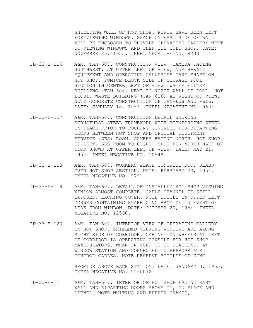SHIELDING WALL OF HOT SHOP. PORTS HAVE BEEN LEFT FOR VIEWING WINDOWS. SPACE ON EAST SIDE OF WALL WILL BE ENCLOSED TO PROVIDE OPERATING GALLERY NEXT TO VIEWING WINDOWS AND THEN THE COLD SHOP. DATE: NOVEMBER 25, 1953. INEEL NEGATIVE NO. 9233

- ID-33-E-116 A&M. TAN-607. CONSTRUCTION VIEW. CAMERA FACING SOUTHWEST. AT UPPER LEFT OF VIEW, NORTH-WALL EQUIPMENT AND OPERATING GALLERIES TAKE SHAPE ON HOT SHOP. PUMICE-BLOCK SIDE OF STORAGE POOL SECTION IN CENTER LEFT OF VIEW. WATER FILTER BUILDING (TAN-608) NEXT TO NORTH WALL OF POOL. HOT LIQUID WASTE BUILDING (TAN-616) AT RIGHT OF VIEW. NOTE CONCRETE CONSTRUCTION OF TAN-608 AND -616. DATE: JANUARY 18, 1954. INEEL NEGATIVE NO. 9604.
- ID-33-E-117 A&M. TAN-607. CONSTRUCTION DETAIL SHOWING STRUCTURAL STEEL FRAMEWORK WITH REINFORCING STEEL IN PLACE PRIOR TO POURING CONCRETE FOR BIPARTING DOORS BETWEEN HOT SHOP AND SPECIAL EQUIPMENT SERVICE (SES) ROOM. CAMERA FACING NORTH. HOT SHOP TO LEFT, SES ROOM TO RIGHT. SLOT FOR NORTH HALF OF DOOR SHOWS AT UPPER LEFT OF VIEW. DATE: MAY 21, 1954. INEEL NEGATIVE NO. 10548.
- ID-33-E-118 A&M. TAN-607. WORKERS PLACE CONCRETE ROOF SLABS OVER HOT SHOP SECTION. DATE: FEBRUARY 23, 1954. INEEL NEGATIVE NO. 9791.
- ID-33-E-119 A&M. TAN-607. DETAIL OF INSTALLED HOT SHOP VIEWING WINDOW ALMOST COMPLETE. CABLE CHANNEL IS STILL EXPOSED, LACKING COVER. NOTE BOTTLE IN UPPER LEFT CORNER CONTAINING SPARE ZINC BROMIDE IN EVENT OF LEAK FROM WINDOW. DATE: OCTOBER 20, 1954. INEEL NEGATIVE NO. 12560.
- ID-33-E-120 A&M. TAN-607. INTERIOR VIEW OF OPERATING GALLERY IN HOT SHOP. SHIELDED VIEWING WINDOWS ARE ALONG RIGHT SIDE OF CORRIDOR. CABINET ON WHEELS AT LEFT OF CORRIDOR IS OPERATING CONSOLE FOR HOT SHOP MANIPULATORS. WHEN IN USE, IT IS STATIONED AT WINDOW STATION AND CONNECTED TO APPROPRIATE CONTROL CABLES. NOTE RESERVE BOTTLES OF ZINC

 BROMIDE ABOVE EACH STATION. DATE: JANUARY 3, 1955. INEEL NEGATIVE NO. 55-0072.

ID-33-E-121 A&M. TAN-607. INTERIOR OF HOT SHOP FACING EAST WALL AND BIPARTING DOORS ABOVE IT, IN PLACE AND OPENED. NOTE WHITING AND EDERER CRANES,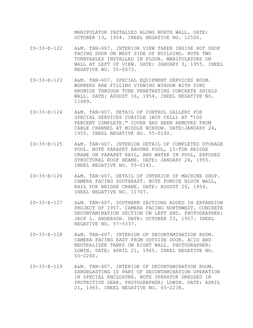MANIPULATOR INSTALLED ALONG NORTH WALL. DATE: OCTOBER 13, 1954. INEEL NEGATIVE NO. 12506.

- ID-33-E-122 A&M. TAN-607. INTERIOR VIEW TAKEN INSIDE HOT SHOP FACING DOOR ON WEST SIDE OF BUILDING. NOTE TWO TURNTABLES INSTALLED IN FLOOR. MANIPULATORS ON WALL AT LEFT OF VIEW. DATE: JANUARY 3, 1955. INEEL NEGATIVE NO. 55-0073.
- ID-33-E-123 A&M. TAN-607. SPECIAL EQUIPMENT SERVICES ROOM. WORKERS ARE FILLING VIEWING WINDOW WITH ZINC BROMIDE THROUGH TUBE PENETRATING CONCRETE SHIELD WALL. DATE: AUGUST 16, 1954. INEEL NEGATIVE NO. 11689.
- ID-33-E-124 A&M. TAN-607. DETAIL OF CONTROL GALLERY FOR SPECIAL SERVICES CUBICLE (HOT CELL) AT "100 PERCENT COMPLETE." COVER HAS BEEN REMOVED FROM CABLE CHANNEL AT MIDDLE WINDOW. DATE:JANUARY 24, 1955. INEEL NEGATIVE NO. 55-0140.
- ID-33-E-125 A&M. TAN-607. INTERIOR DETAIL OF COMPLETED STORAGE POOL. NOTE PARAPET AROUND POOL, 15-TON BRIDGE CRANE ON PARAPET RAIL, AND WATER IN POOL, EXPOSED STRUCTURAL ROOF BEAMS. DATE: JANUARY 24, 1955. INEEL NEGATIVE NO. 55-0141.
- ID-33-E-126 A&M. TAN-607. DETAIL OF INTERIOR OF MACHINE SHOP. CAMERA FACING SOUTHEAST. NOTE PUMICE BLOCK WALL, RAIL FOR BRIDGE CRANE. DATE: AUGUST 20, 1954. INEEL NEGATIVE NO. 11707.
- ID-33-E-127 A&M. TAN-607. SOUTHERN SECTIONS ADDED IN EXPANSION PROJECT OF 1957. CAMERA FACING NORTHWEST. CONCRETE DECONTAMINATION SECTION ON LEFT END. PHOTOGRAPHER: JACK L. ANDERSON. DATE: OCTOBER 23, 1957. INEEL NEGATIVE NO. 57-5337.
- ID-33-E-128 A&M. TAN-607. INTERIOR OF DECONTAMINATION ROOM. CAMERA FACING EAST FROM OUTSIDE DOOR. ACID AND NEUTRALIZER TANKS ON RIGHT WALL. PHOTOGRAPHER: LOWIN. DATE: APRIL 21, 1965. INEEL NEGATIVE NO. 65-2240.
- ID-33-E-129 A&M. TAN-607. INTERIOR OF DECONTAMINATION ROOM. SANDBLASTING IS PART OF DECONTAMINATION OPERATION IN SPECIAL ENCLOSURE. NOTE OPERATOR DRESSED IN PROTECTIVE GEAR. PHOTOGRAPHER: LOWIN. DATE: APRIL 21, 1965. INEEL NEGATIVE NO. 65-2238.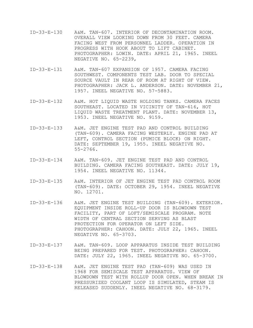- ID-33-E-130 A&M. TAN-607. INTERIOR OF DECONTAMINATION ROOM. OVERALL VIEW LOOKING DOWN FROM 30 FEET. CAMERA FACING WEST FROM PERSONNEL LADDER. OPERATION IN PROGRESS WITH HOOK ABOUT TO LIFT CABINET. PHOTOGRAPHER: LOWIN. DATE: APRIL 21, 1965. INEEL NEGATIVE NO. 65-2239,
- ID-33-E-131 A&M. TAN-607 EXPANSION OF 1957. CAMERA FACING SOUTHWEST. COMPONENTS TEST LAB. DOOR TO SPECIAL SOURCE VAULT IN REAR OF ROOM AT RIGHT OF VIEW. PHOTOGRAPHER: JACK L. ANDERSON. DATE: NOVEMBER 21, 1957. INEEL NEGATIVE NO. 57-5883.
- ID-33-E-132 A&M. HOT LIQUID WASTE HOLDING TANKS. CAMERA FACES SOUTHEAST. LOCATED IN VICINITY OF TAN-616, HOT LIQUID WASTE TREATMENT PLANT. DATE: NOVEMBER 13, 1953. INEEL NEGATIVE NO. 9159.
- ID-33-E-133 A&M. JET ENGINE TEST PAD AND CONTROL BUILDING (TAN-609). CAMERA FACING WESTERLY. ENGINE PAD AT LEFT, CONTROL SECTION (PUMICE BLOCK) ON RIGHT. DATE: SEPTEMBER 19, 1955. INEEL NEGATIVE NO. 55-2766.
- ID-33-E-134 A&M. TAN-609. JET ENGINE TEST PAD AND CONTROL BUILDING. CAMERA FACING SOUTHEAST. DATE: JULY 19, 1954. INEEL NEGATIVE NO. 11344.
- ID-33-E-135 A&M. INTERIOR OF JET ENGINE TEST PAD CONTROL ROOM (TAN-609). DATE: OCTOBER 29, 1954. INEEL NEGATIVE NO. 12701.
- ID-33-E-136 A&M. JET ENGINE TEST BUILDING (TAN-609). EXTERIOR. EQUIPMENT INSIDE ROLL-UP DOOR IS BLOWDOWN TEST FACILITY, PART OF LOFT/SEMISCALE PROGRAM. NOTE WIDTH OF CENTRAL SECTION SERVING AS BLAST PROTECTION FOR OPERATOR ON LEFT SIDE. PHOTOGRAPHER: CAHOON. DATE: JULY 22, 1965. INEEL NEGATIVE NO. 65-3703.
- ID-33-E-137 A&M. TAN-609. LOOP APPARATUS INSIDE TEST BUILDING BEING PREPARED FOR TEST. PHOTOGRAPHER: CAHOON. DATE: JULY 22, 1965. INEEL NEGATIVE NO. 65-3700.
- ID-33-E-138 A&M. JET ENGINE TEST PAD (TAN-609) WAS USED IN 1968 FOR SEMISCALE TEST APPARATUS. VIEW OF BLOWDOWN TEST WITH ROLLUP DOOR OPEN. WHEN BREAK IN PRESSURIZED COOLANT LOOP IS SIMULATED, STEAM IS RELEASED SUDDENLY. INEEL NEGATIVE NO. 68-3179.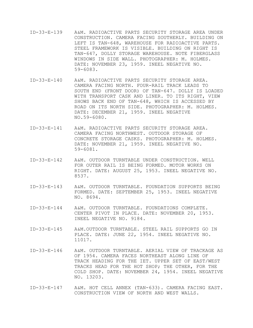- ID-33-E-139 A&M. RADIOACTIVE PARTS SECURITY STORAGE AREA UNDER CONSTRUCTION. CAMERA FACING SOUTHERLY. BUILDING ON LEFT IS TAN-648, WAREHOUSE FOR RADIOACTIVE PARTS. STEEL FRAMEWORK IS VISIBLE. BUILDING ON RIGHT IS TAN-647, DOLLY STORAGE WAREHOUSE. NOTE FIBERGLASS WINDOWS IN SIDE WALL. PHOTOGRAPHER: M. HOLMES. DATE: NOVEMBER 23, 1959. INEEL NEGATIVE NO. 59-6083.
- ID-33-E-140 A&M. RADIOACTIVE PARTS SECURITY STORAGE AREA. CAMERA FACING NORTH. FOUR-RAIL TRACK LEADS TO SOUTH END (FRONT DOOR) OF TAN-647. DOLLY IS LOADED WITH TRANSPORT CASK AND LINER. TO ITS RIGHT, VIEW SHOWS BACK END OF TAN-648, WHICH IS ACCESSED BY ROAD ON ITS NORTH SIDE. PHOTOGRAPHER: M. HOLMES. DATE: DECEMBER 21, 1959. INEEL NEGATIVE NO.59-6080.
- ID-33-E-141 A&M. RADIOACTIVE PARTS SECURITY STORAGE AREA. CAMERA FACING NORTHWEST. OUTDOOR STORAGE OF CONCRETE STORAGE CASKS. PHOTOGRAPHER: M. HOLMES. DATE: NOVEMBER 21, 1959. INEEL NEGATIVE NO. 59-6081.
- ID-33-E-142 A&M. OUTDOOR TURNTABLE UNDER CONSTRUCTION. WELL FOR OUTER RAIL IS BEING FORMED. MOTOR WORKS ON RIGHT. DATE: AUGUST 25, 1953. INEEL NEGATIVE NO. 8537.
- ID-33-E-143 A&M. OUTDOOR TURNTABLE. FOUNDATION SUPPORTS BEING FORMED. DATE: SEPTEMBER 25, 1953. INEEL NEGATIVE NO. 8694.
- ID-33-E-144 A&M. OUTDOOR TURNTABLE. FOUNDATIONS COMPLETE. CENTER PIVOT IN PLACE. DATE: NOVEMBER 20, 1953. INEEL NEGATIVE NO. 9184.
- ID-33-E-145 A&M.OUTDOOR TURNTABLE. STEEL RAIL SUPPORTS GO IN PLACE. DATE: JUNE 22, 1954. INEEL NEGATIVE NO. 11017.
- ID-33-E-146 A&M. OUTDOOR TURNTABLE. AERIAL VIEW OF TRACKAGE AS OF 1954. CAMERA FACES NORTHEAST ALONG LINE OF TRACK HEADING FOR THE IET. UPPER SET OF EAST/WEST TRACKS HEAD FOR THE HOT SHOP; THE OTHER, FOR THE COLD SHOP. DATE: NOVEMBER 24, 1954. INEEL NEGATIVE NO. 13203.
- ID-33-E-147 A&M. HOT CELL ANNEX (TAN-633). CAMERA FACING EAST. CONSTRUCTION VIEW OF NORTH AND WEST WALLS.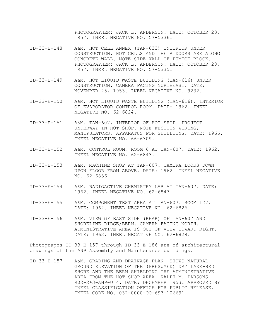PHOTOGRAPHER: JACK L. ANDERSON. DATE: OCTOBER 23, 1957. INEEL NEGATIVE NO. 57-5336.

- ID-33-E-148 A&M. HOT CELL ANNEX (TAN-633) INTERIOR UNDER CONSTRUCTION. HOT CELLS AND THEIR DOORS ARE ALONG CONCRETE WALL. NOTE SIDE WALL OF PUMICE BLOCK. PHOTOGRAPHER: JACK L. ANDERSON. DATE: OCTOBER 28, 1957. INEEL NEGATIVE NO. 57-5335.
- ID-33-E-149 A&M. HOT LIQUID WASTE BUILDING (TAN-616) UNDER CONSTRUCTION. CAMERA FACING NORTHEAST. DATE: NOVEMBER 25, 1953. INEEL NEGATIVE NO. 9232.
- ID-33-E-150 A&M. HOT LIQUID WASTE BUILDING (TAN-616). INTERIOR OF EVAPORATOR CONTROL ROOM. DATE: 1962. INEEL NEGATIVE NO. 62-6824.
- ID-33-E-151 A&M. TAN-607, INTERIOR OF HOT SHOP. PROJECT UNDERWAY IN HOT SHOP. NOTE FESTOON WIRING, MANIPULATORS, APPARATUS FOR SHIELDING. DATE: 1966. INEEL NEGATIVE NO. 66-6309.
- ID-33-E-152 A&M. CONTROL ROOM, ROOM 6 AT TAN-607. DATE: 1962. INEEL NEGATIVE NO. 62-6843.
- ID-33-E-153 A&M. MACHINE SHOP AT TAN-607. CAMERA LOOKS DOWN UPON FLOOR FROM ABOVE. DATE: 1962. INEEL NEGATIVE NO. 62-6836
- ID-33-E-154 A&M. RADIOACTIVE CHEMISTRY LAB AT TAN-607. DATE: 1962. INEEL NEGATIVE NO. 62-6847.
- ID-33-E-155 A&M. COMPONENT TEST AREA AT TAN-607. ROOM 127. DATE: 1962. INEEL NEGATIVE NO. 62-6826.
- ID-33-E-156 A&M. VIEW OF EAST SIDE (REAR) OF TAN-607 AND SHORELINE RIDGE/BERM. CAMERA FACING NORTH. ADMINISTRATIVE AREA IS OUT OF VIEW TOWARD RIGHT. DATE: 1962. INEEL NEGATIVE NO. 62-6829.

Photographs ID-33-E-157 through ID-33-E-186 are of architectural drawings of the ANP Assembly and Maintenance buildings.

ID-33-E-157 A&M. GRADING AND DRAINAGE PLAN. SHOWS NATURAL GROUND ELEVATION OF THE (PRESUMED) DRY LAKE-BED SHORE AND THE BERM SHIELDING THE ADMINISTRATIVE AREA FROM THE HOT SHOP AREA. RALPH M. PARSONS 902-2&3-ANP-U 4. DATE: DECEMBER 1953. APPROVED BY INEEL CLASSIFICATION OFFICE FOR PUBLIC RELEASE. INEEL CODE NO. 032-0000-OO-693-106691.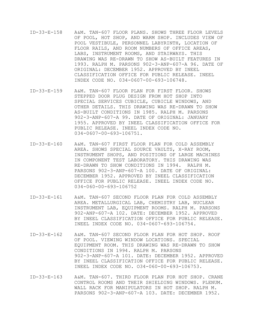- ID-33-E-158 A&M. TAN-607 FLOOR PLANS. SHOWS THREE FLOOR LEVELS OF POOL, HOT SHOP, AND WARM SHOP. INCLUDES VIEW OF POOL VESTIBULE, PERSONNEL LABYRINTH, LOCATION OF FLOOR RAILS, AND ROOM NUMBERS OF OFFICE AREAS, LABS, INSTRUMENT ROOMS, AND STAIRWAYS. THIS DRAWING WAS RE-DRAWN TO SHOW AS-BUILT FEATURES IN 1993. RALPH M. PARSONS 902-3-ANP-607-A 96. DATE OF ORIGINAL: DECEMBER 1952. APPROVED BY INEEL CLASSIFICATION OFFICE FOR PUBLIC RELEASE. INEEL INDEX CODE NO. 034-0607-00-693-106748.
- ID-33-E-159 A&M. TAN-607 FLOOR PLAN FOR FIRST FLOOR. SHOWS STEPPED DOOR PLUG DESIGN FROM HOT SHOP INTO SPECIAL SERVICES CUBICLE, CUBICLE WINDOWS, AND OTHER DETAILS. THIS DRAWING WAS RE-DRAWN TO SHOW AS-BUILT CONDITIONS IN 1985. RALPH M. PARSONS 902-3-ANP-607-A 99. DATE OF ORIGINAL: JANUARY 1955. APPROVED BY INEEL CLASSIFICATION OFFICE FOR PUBLIC RELEASE. INEEL INDEX CODE NO. 034-0607-00-693-106751.
- ID-33-E-160 A&M. TAN-607 FIRST FLOOR PLAN FOR COLD ASSEMBLY AREA. SHOWS SPECIAL SOURCE VAULTS, X-RAY ROOM, INSTRUMENT SHOPS, AND POSITIONS OF LARGE MACHINES IN COMPONENT TEST LABORATORY. THIS DRAWING WAS RE-DRAWN TO SHOW CONDITIONS IN 1994. RALPH M. PARSONS 902-3-ANP-607-A 100. DATE OF ORIGINAL: DECEMBER 1952. APPROVED BY INEEL CLASSIFICATION OFFICE FOR PUBLIC RELEASE. INEEL INDEX CODE NO. 034-060-00-693-106752
- ID-33-E-161 A&M. TAN-607 SECOND FLOOR PLAN FOR COLD ASSEMBLY AREA. METALLURGICAL LAB, CHEMISTRY LAB, NUCLEAR INSTRUMENT LAB, EQUIPMENT ROOMS. RALPH M. PARSONS 902-ANP-607-A 102. DATE: DECEMBER 1952. APPROVED BY INEEL CLASSIFICATION OFFICE FOR PUBLIC RELEASE. INEEL INDEX CODE NO. 034-0607-693-106754.
- ID-33-E-162 A&M. TAN-607 SECOND FLOOR PLAN FOR HOT SHOP. ROOF OF POOL. VIEWING WINDOW LOCATIONS. SPECIAL EQUIPMENT ROOM. THIS DRAWING WAS RE-DRAWN TO SHOW CONDITIONS IN 1994. RALPH M. PARSONS 902-3-ANP-607-A 101. DATE: DECEMBER 1952. APPROVED BY INEEL CLASSIFICATION OFFICE FOR PUBLIC RELEASE. INEEL INDEX CODE NO. O34-060-00-693-106753.
- ID-33-E-163 A&M. TAN-607. THIRD FLOOR PLAN FOR HOT SHOP. CRANE CONTROL ROOMS AND THEIR SHIELDING WINDOWS. PLENUM. WALL RACK FOR MANIPULATORS IN HOT SHOP. RALPH M. PARSONS 902-3-ANP-607-A 103. DATE: DECEMBER 1952.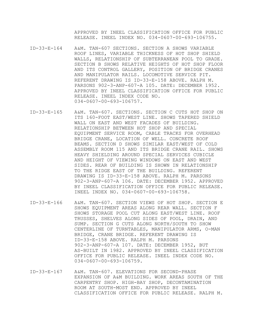APPROVED BY INEEL CLASSIFICATION OFFICE FOR PUBLIC RELEASE. INEEL INDEX NO. 034-0607-00-693-106755.

- ID-33-E-164 A&M. TAN-607 SECTIONS. SECTION A SHOWS VARIABLE ROOF LINES, VARIABLE THICKNESS OF HOT SHOP SHIELD WALLS, RELATIONSHIP OF SUBTERRANEAN POOL TO GRADE. SECTION B SHOWS RELATIVE HEIGHTS OF HOT SHOP FLOOR AND ITS CONTROL GALLERY, POSITION OF BRIDGE CRANES AND MANIPULATOR RAILS. LOCOMOTIVE SERVICE PIT. REFERENT DRAWING IS ID-33-E-158 ABOVE. RALPH M. PARSONS 902-3-ANP-607-A 105. DATE: DECEMBER 1952. APPROVED BY INEEL CLASSIFICATION OFFICE FOR PUBLIC RELEASE. INEEL INDEX CODE NO. 034-0607-00-693-106757.
- ID-33-E-165 A&M. TAN-607. SECTIONS. SECTION C CUTS HOT SHOP ON ITS 160-FOOT EAST/WEST LINE. SHOWS TAPERED SHIELD WALL ON EAST AND WEST FACADES OF BUILDING. RELATIONSHIP BETWEEN HOT SHOP AND SPECIAL EQUIPMENT SERVICE ROOM, CABLE TRACKS FOR OVERHEAD BRIDGE CRANE, LOCATION OF WELL. CONCRETE ROOF BEAMS. SECTION D SHOWS SIMILAR EAST/WEST OF COLD ASSEMBLY ROOM 115 AND ITS BRIDGE CRANE RAIL. SHOWS HEAVY SHIELDING AROUND SPECIAL SERVICES CUBICLE AND HEIGHT OF VIEWING WINDOWS ON EAST AND WEST SIDES. REAR OF BUILDING IS SHOWN IN RELATIONSHIP TO THE RIDGE EAST OF THE BUILDING. REFERENT DRAWING IS ID-33-E-158 ABOVE. RALPH M. PARSONS 902-3-ANP-607-A 106. DATE: DECEMBER 1952. APPROVED BY INEEL CLASSIFICATION OFFICE FOR PUBLIC RELEASE. INEEL INDEX NO. 034-0607-00-693-106758.
- ID-33-E-166 A&M. TAN-607. SECTION VIEWS OF HOT SHOP. SECTION E SHOWS EQUIPMENT AREAS ALONG REAR WALL. SECTION F SHOWS STORAGE POOL CUT ALONG EAST/WEST LINE. ROOF TRUSSES, SHELVES ALONG SIDES OF POOL, DRAIN, AND SUMP. SECTION G CUTS ALONG NORTH/SOUTH TO SHOW CENTERLINE OF TURNTABLES, MANIPULATOR ARMS, O-MAN BRIDGE, CRANE BRIDGE. REFERENT DRAWING IS ID-33-E-158 ABOVE. RALPH M. PARSONS 902-3-ANP-607-A 107. DATE: DECEMBER 1952, BUT AS-BUILT IN 1982. APPROVED BY INEEL CLASSIFICATION OFFICE FOR PUBLIC RELEASE. INEEL INDEX CODE NO. 034-0607-00-693-106759.
- ID-33-E-167 A&M. TAN-607. ELEVATIONS FOR SECOND-PHASE EXPANSION OF A&M BUILDING. WORK AREAS SOUTH OF THE CARPENTRY SHOP. HIGH-BAY SHOP, DECONTAMINATION ROOM AT SOUTH-MOST END. APPROVED BY INEEL CLASSIFICATION OFFICE FOR PUBLIC RELEASE. RALPH M.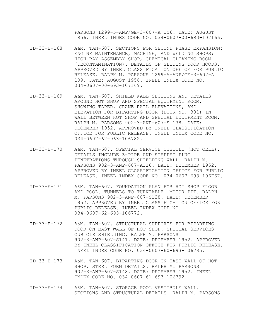PARSONS 1299-5-ANP/GE-3-607-A 106. DATE: AUGUST 1956. INEEL INDEX CODE NO. 034-0607-00-693-107166.

- ID-33-E-168 A&M. TAN-607. SECTIONS FOR SECOND PHASE EXPANSION: ENGINE MAINTENANCE, MACHINE, AND WELDING SHOPS; HIGH BAY ASSEMBLY SHOP, CHEMICAL CLEANING ROOM (DECONTAMINATION). DETAILS OF SLIDING DOOR HOODS. APPROVED BY INEEL CLASSIFICATION OFFICE FOR PUBLIC RELEASE. RALPH M. PARSONS 1299-5-ANP/GE-3-607-A 109. DATE: AUGUST 1956. INEEL INDEX CODE NO. 034-0607-00-693-107169.
- ID-33-E-169 A&M. TAN-607. SHIELD WALL SECTIONS AND DETAILS AROUND HOT SHOP AND SPECIAL EQUIPMENT ROOM, SHOWING TAPER, CRANE RAIL ELEVATIONS, AND ELEVATION FOR BIPARTING DOOR (DOOR NO. 301) IN WALL BETWEEN HOT SHOP AND SPECIAL EQUIPMENT ROOM. RALPH M. PARSONS 902-3-ANP-607-S 138. DATE: DECEMBER 1952. APPROVED BY INEEL CLASSIFICATION OFFICE FOR PUBLIC RELEASE. INEEL INDEX CODE NO. 034-0607-62-963-106782.
- ID-33-E-170 A&M. TAN-607. SPECIAL SERVICE CUBICLE (HOT CELL). DETAILS INCLUDE Z-PIPE AND STEPPED PLUG PENETRATIONS THROUGH SHIELDING WALL. RALPH M. PARSONS 902-3-ANP-607-A116. DATE: DECEMBER 1952. APPROVED BY INEEL CLASSIFICATION OFFICE FOR PUBLIC RELEASE. INEEL INDEX CODE NO. 034-0607-693-106767.
- ID-33-E-171 A&M. TAN-607. FOUNDATION PLAN FOR HOT SHOP FLOOR AND POOL. TUNNELS TO TURNTABLE. MOTOR PIT. RALPH M. PARSONS 902-3-ANP-607-S128. DATE: DECEMBER 1952. APPROVED BY INEEL CLASSIFICATION OFFICE FOR PUBLIC RELEASE. INEEL INDEX CODE NO. 034-0607-62-693-106772.
- ID-33-E-172 A&M. TAN-607. STRUCTURAL SUPPORTS FOR BIPARTING DOOR ON EAST WALL OF HOT SHOP. SPECIAL SERVICES CUBICLE SHIELDING. RALPH M. PARSONS 902-3-ANP-607-S141. DATE: DECEMBER 1952. APPROVED BY INEEL CLASSIFICATION OFFICE FOR PUBLIC RELEASE. INEEL INDEX CODE NO. 034-0607-60-693-106785.
- ID-33-E-173 A&M. TAN-607. BIPARTING DOOR ON EAST WALL OF HOT SHOP. STEEL FORM DETAILS. RALPH M. PARSONS 902-3-ANP-607-S148. DATE: DECEMBER 1952. INEEL INDEX CODE NO. 034-0607-61-693-106792.
- ID-33-E-174 A&M. TAN-607. STORAGE POOL VESTIBULE WALL. SECTIONS AND STRUCTURAL DETAILS. RALPH M. PARSONS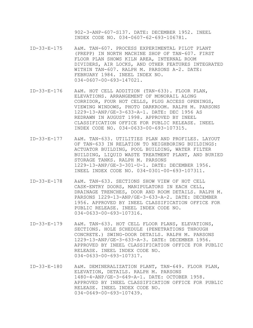902-3-ANP-607-S137. DATE: DECEMBER 1952. INEEL INDEX CODE NO. 034-0607-62-693-106781.

- ID-33-E-175 A&M. TAN-607. PROCESS EXPERIMENTAL PILOT PLANT (PREPP) IN NORTH MACHINE SHOP OF TAN-607. FIRST FLOOR PLAN SHOWS KILN AREA, INTERNAL ROOM DIVIDERS, AIR LOCKS, AND OTHER FEATURES INTEGRATED WITHIN TAN-607. RALPH M. PARSONS A-2. DATE: FEBRUARY 1984. INEEL INDEX NO. 034-0607-00-693-147021.
- ID-33-E-176 A&M. HOT CELL ADDITION (TAN-633). FLOOR PLAN, ELEVATIONS. ARRANGEMENT OF MONORAIL ALONG CORRIDOR, FOUR HOT CELLS, PLUG ACCESS OPENINGS, VIEWING WINDOWS, PHOTO DARKROOM. RALPH M. PARSONS 1229-13-ANP/GE-3-633-A-1. DATE: DEC 1956 AS REDRAWN IN AUGUST 1998. APPROVED BY INEEL CLASSIFICATION OFFICE FOR PUBLIC RELEASE. INEEL INDEX CODE NO. 034-0633-00-693-107315.
- ID-33-E-177 A&M. TAN-633. UTILITIES PLAN AND PROFILES. LAYOUT OF TAN-633 IN RELATION TO NEIGHBORING BUILDINGS: ACTUATOR BUILDING, POOL BUILDING, WATER FILTER BUILDING, LIQUID WASTE TREATMENT PLANT, AND BURIED STORAGE TANKS. RALPH M. PARSONS 1229-13-ANP/GE-3-301-U-1. DATE: DECEMBER 1956. INEEL INDEX CODE NO. 034-0301-00-693-107311.
- ID-33-E-178 A&M. TAN-633. SECTIONS SHOW VIEW OF HOT CELL CASK-ENTRY DOORS, MANIPULATORS IN EACH CELL, DRAINAGE TRENCHES, DOOR AND ROOM DETAILS. RALPH M. PARSONS 1229-13-ANP/GE-3-633-A-2. DATE: DECEMBER 1956. APPROVED BY INEEL CLASSIFICATION OFFICE FOR PUBLIC RELEASE. INEEL INDEX CODE NO. 034-0633-00-693-107316.
- ID-33-E-179 A&M. TAN-633. HOT CELL FLOOR PLANS, ELEVATIONS, SECTIONS. HOLE SCHEDULE (PENETRATIONS THROUGH CONCRETE.) SWING-DOOR DETAILS. RALPH M. PARSONS 1229-13-ANP/GE-3-633-A-3. DATE: DECEMBER 1956. APPROVED BY INEEL CLASSIFICATION OFFICE FOR PUBLIC RELEASE. INEEL INDEX CODE NO. 034-0633-00-693-107317.
- ID-33-E-180 A&M. DEMINERALIZATION PLANT, TAN-649. FLOOR PLAN, ELEVATION, DETAILS. RALPH M. PARSONS 1480-4-ANP/GE-3-649-A-1. DATE: OCTOBER 1958. APPROVED BY INEEL CLASSIFICATION OFFICE FOR PUBLIC RELEASE. INEEL INDEX CODE NO. 034-0649-00-693-107439.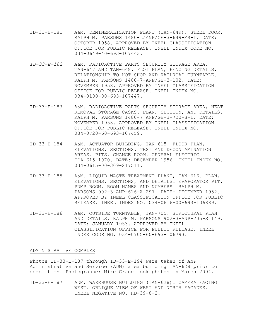- ID-33-E-181 A&M. DEMINERALIZATION PLANT (TAN-649). STEEL DOOR. RALPH M. PARSONS 1480-L/ANP/GE-3-649-MS-1. DATE: OCTOBER 1958. APPROVED BY INEEL CLASSIFICATION OFFICE FOR PUBLIC RELEASE. INEEL INDEX CODE NO. 034-0649-40-693-107443.
- *ID-33-E-182* A&M. RADIOACTIVE PARTS SECURITY STORAGE AREA, TAN-647 AND TAN-648. PLOT PLAN, FENCING DETAILS. RELATIONSHIP TO HOT SHOP AND RAILROAD TURNTABLE. RALPH M. PARSONS 1480-7-ANP/GE-3-102. DATE: NOVEMBER 1958. APPROVED BY INEEL CLASSIFICATION OFFICE FOR PUBLIC RELEASE. INEEL INDEX NO. 034-0100-00-693-107447.
- ID-33-E-183 A&M. RADIOACTIVE PARTS SECURITY STORAGE AREA, HEAT REMOVAL STORAGE CASKS. PLAN, SECTION, AND DETAILS. RALPH M. PARSONS 1480-7 ANP/GE-3-720-S-1. DATE: NOVEMBER 1958. APPROVED BY INEEL CLASSIFICATION OFFICE FOR PUBLIC RELEASE. INEEL INDEX NO. 034-0720-60-693-107459.
- ID-33-E-184 A&M. ACTUATOR BUILDING, TAN-615. FLOOR PLAN, ELEVATIONS, SECTIONS. TEST AND DECONTAMINATION AREAS. PITS. CHANGE ROOM. GENERAL ELECTRIC IDA-615-1070. DATE: DECEMBER 1956. INEEL INDEX NO. 034-0615-00-309-217511.
- ID-33-E-185 A&M. LIQUID WASTE TREATMENT PLANT, TAN-616. PLAN, ELEVATIONS, SECTIONS, AND DETAILS. EVAPORATOR PIT. PUMP ROOM. ROOM NAMES AND NUMBERS. RALPH M. PARSONS 902-3-ANP-616-A 297. DATE: DECEMBER 1952. APPROVED BY INEEL CLASSIFICATION OFFICE FOR PUBLIC RELEASE. INEEL INDEX NO. 034-0616-00-693-106889.
- ID-33-E-186 A&M. OUTSIDE TURNTABLE, TAN-705. STRUCTURAL PLAN AND DETAILS. RALPH M. PARSONS 902-3-ANP-705-S 149. DATE: JANUARY 1953. APPROVED BY INEEL CLASSIFICATION OFFICE FOR PUBLIC RELEASE. INEEL INDEX CODE NO. 034-0705-60-693-106793.

## ADMINISTRATIVE COMPLEX

Photos ID-33-E-187 through ID-33-E-194 were taken of ANP Administrative and Service (ADM) area building TAN-628 prior to demolition. Photographer Mike Crane took photos in March 2004.

ID-33-E-187 ADM. WAREHOUSE BUILDING (TAN-628). CAMERA FACING WEST. OBLIQUE VIEW OF WEST AND NORTH FACADES. INEEL NEGATIVE NO. HD-39-8-2.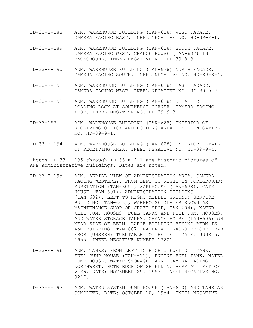- ID-33-E-188 ADM. WAREHOUSE BUILDING (TAN-628) WEST FACADE. CAMERA FACING EAST. INEEL NEGATIVE NO. HD-39-8-1.
- ID-33-E-189 ADM. WAREHOUSE BUILDING (TAN-628) SOUTH FACADE. CAMERA FACING WEST. CHANGE HOUSE (TAN-607) IN BACKGROUND. INEEL NEGATIVE NO. HD-39-8-3.
- ID-33-E-190 ADM. WAREHOUSE BUILDING (TAN-628) NORTH FACADE. CAMERA FACING SOUTH. INEEL NEGATIVE NO. HD-39-8-4.
- ID-33-E-191 ADM. WAREHOUSE BUILDING (TAN-628) EAST FACADE. CAMERA FACING WEST. INEEL NEGATIVE NO. HD-39-9-2.
- ID-33-E-192 ADM. WAREHOUSE BUILDING (TAN-628) DETAIL OF LOADING DOCK AT SOUTHEAST CORNER. CAMERA FACING WEST. INEEL NEGATIVE NO. HD-39-9-3.
- ID-33-193 ADM. WAREHOUSE BUILDING (TAN-628) INTERIOR OF RECEIVING OFFICE AND HOLDING AREA. INEEL NEGATIVE NO. HD-39-9-1.
- ID-33-E-194 ADM. WAREHOUSE BUILDING (TAN-628) INTERIOR DETAIL OF RECEIVING AREA. INEEL NEGATIVE NO. HD-39-9-4.

Photos ID-33-E-195 through ID-33-E-211 are historic pictures of ANP Administrative buildings. Dates are noted.

- ID-33-E-195 ADM. AERIAL VIEW OF ADMINISTRATION AREA. CAMERA FACING WESTERLY. FROM LEFT TO RIGHT IN FOREGROUND: SUBSTATION (TAN-605), WAREHOUSE (TAN-628), GATE HOUSE (TAN-601), ADMINISTRATION BUILDING (TAN-602). LEFT TO RIGHT MIDDLE GROUND: SERVICE BUILDING (TAN-603), WAREHOUSE (LATER KNOWN AS MAINTENANCE SHOP OR CRAFT SHOP, TAN-604), WATER WELL PUMP HOUSES, FUEL TANKS AND FUEL PUMP HOUSES, AND WATER STORAGE TANKS. CHANGE HOUSE (TAN-606) ON NEAR SIDE OF BERM. LARGE BUILDING BEYOND BERM IS A&M BUILDING, TAN-607. RAILROAD TRACKS BEYOND LEAD FROM (UNSEEN) TURNTABLE TO THE IET. DATE: JUNE 6, 1955. INEEL NEGATIVE NUMBER 13201.
- ID-33-E-196 ADM. TANKS: FROM LEFT TO RIGHT: FUEL OIL TANK, FUEL PUMP HOUSE (TAN-611), ENGINE FUEL TANK, WATER PUMP HOUSE, WATER STORAGE TANK. CAMERA FACING NORTHWEST. NOTE EDGE OF SHIELDING BERM AT LEFT OF VIEW. DATE: NOVEMBER 25, 1953. INEEL NEGATIVE NO. 9217.
- ID-33-E-197 ADM. WATER SYSTEM PUMP HOUSE (TAN-610) AND TANK AS COMPLETE. DATE: OCTOBER 10, 1954. INEEL NEGATIVE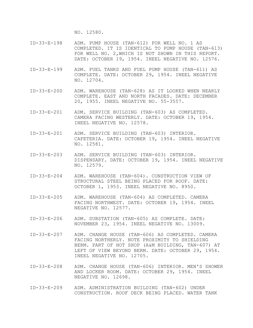NO. 12580.

- ID-33-E-198 ADM. PUMP HOUSE (TAN-612) FOR WELL NO. 1 AS COMPLETED. IT IS IDENTICAL TO PUMP HOUSE (TAN-613) FOR WELL NO. 2,WHICH IS NOT SHOWN IN THIS REPORT. DATE: OCTOBER 19, 1954. INEEL NEGATIVE NO. 12576.
- ID-33-E-199 ADM. FUEL TANKS AND FUEL PUMP HOUSE (TAN-611) AS COMPLETE. DATE: OCTOBER 29, 1954. INEEL NEGATIVE NO. 12704.
- ID-33-E-200 ADM. WAREHOUSE (TAN-628) AS IT LOOKED WHEN NEARLY COMPLETE. EAST AND NORTH FACADES. DATE: DECEMBER 20, 1955. INEEL NEGATIVE NO. 55-3557.
- ID-33-E-201 ADM. SERVICE BUILDING (TAN-603) AS COMPLETED. CAMERA FACING WESTERLY. DATE: OCTOBER 19, 1954. INEEL NEGATIVE NO. 12578.
- ID-33-E-201 ADM. SERVICE BUILDING (TAN-603) INTERIOR. CAFETERIA. DATE: OCTOBER 19, 1954. INEEL NEGATIVE NO. 12581.
- ID-33-E-203 ADM. SERVICE BUILDING (TAN-603) INTERIOR. DISPENSARY. DATE: OCTOBER 19, 1954. INEEL NEGATIVE NO. 12579.
- ID-33-E-204 ADM. WAREHOUSE (TAN-604). CONSTRUCTION VIEW OF STRUCTURAL STEEL BEING PLACED FOR ROOF. DATE: OCTOBER 1, 1953. INEEL NEGATIVE NO. 8950.
- ID-33-E-205 ADM. WAREHOUSE (TAN-604) AS COMPLETED. CAMERA FACING NORTHWEST. DATE: OCTOBER 19, 1954. INEEL NEGATIVE NO. 12577.
- ID-33-E-206 ADM. SUBSTATION (TAN-605) AS COMPLETE. DATE: NOVEMBER 23, 1954. INEEL NEGATIVE NO. 13009.
- ID-33-E-207 ADM. CHANGE HOUSE (TAN-606) AS COMPLETED. CAMERA FACING NORTHERLY. NOTE PROXIMITY TO SHIELDING BERM. PART OF HOT SHOP (A&M BUILDING, TAN-607) AT LEFT OF VIEW BEYOND BERM. DATE: OCTOBER 29, 1954. INEEL NEGATIVE NO. 12705.
- ID-33-E-208 ADM. CHANGE HOUSE (TAN-606) INTERIOR. MEN'S SHOWER AND LOCKER ROOM. DATE: OCTOBER 29, 1954. INEEL NEGATIVE NO. 12698.
- ID-33-E-209 ADM. ADMINISTRATION BUILDING (TAN-602) UNDER CONSTRUCTION. ROOF DECK BEING PLACED. WATER TANK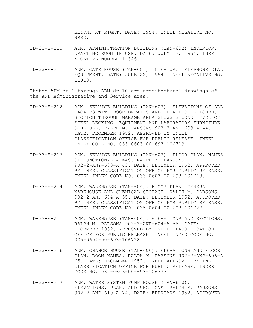BEYOND AT RIGHT. DATE: 1954. INEEL NEGATIVE NO. 8982.

- ID-33-E-210 ADM. ADMINISTRATION BUILDING (TAN-602) INTERIOR. DRAFTING ROOM IN USE. DATE: JULY 12, 1954. INEEL NEGATIVE NUMBER 11346.
- ID-33-E-211 ADM. GATE HOUSE (TAN-601) INTERIOR. TELEPHONE DIAL EQUIPMENT. DATE: JUNE 22, 1954. INEEL NEGATIVE NO. 11019.

Photos ADM-dr-1 through ADM-dr-10 are architectural drawings of the ANP Administrative and Service area.

- ID-33-E-212 ADM. SERVICE BUILDING (TAN-603). ELEVATIONS OF ALL FACADES WITH DOOR DETAILS AND DETAIL OF KITCHEN. SECTION THROUGH GARAGE AREA SHOWS SECOND LEVEL OF STEEL DECKING. EQUIPMENT AND LABORATORY FURNITURE SCHEDULE. RALPH M. PARSONS 902-2-ANP-603-A 44. DATE: DECEMBER 1952. APPROVED BY INEEL CLASSIFICATION OFFICE FOR PUBLIC RELEASE. INEEL INDEX CODE NO. 033-0603-00-693-106719.
- ID-33-E-213 ADM. SERVICE BUILDING (TAN-603). FLOOR PLAN. NAMES OF FUNCTIONAL AREAS. RALPH M. PARSONS 902-2-ANY-603-A 43. DATE: DECEMBER 1952. APPROVED BY INEEL CLASSIFICATION OFFICE FOR PUBLIC RELEASE. INEEL INDEX CODE NO. 033-0603-00-693-106718.
- ID-33-E-214 ADM. WAREHOUSE (TAN-604). FLOOR PLAN. GENERAL WAREHOUSE AND CHEMICAL STORAGE. RALPH M. PARSONS 902-2-ANP-604-A 55. DATE: DECEMBER 1952. APPROVED BY INEEL CLASSIFICATION OFFICE FOR PUBLIC RELEASE. INEEL INDEX CODE NO. 035-0604-00-693-106727.
- ID-33-E-215 ADM. WAREHOUSE (TAN-604). ELEVATIONS AND SECTIONS. RALPH M. PARSONS 902-2-ANP-604-A 56. DATE: DECEMBER 1952. APPROVED BY INEEL CLASSIFICATION OFFICE FOR PUBLIC RELEASE. INEEL INDEX CODE NO. 035-0604-00-693-106728.
- ID-33-E-216 ADM. CHANGE HOUSE (TAN-606). ELEVATIONS AND FLOOR PLAN. ROOM NAMES. RALPH M. PARSONS 902-2-ANP-606-A 65. DATE: DECEMBER 1952. INEEL APPROVED BY INEEL CLASSIFICATION OFFICE FOR PUBLIC RELEASE. INDEX CODE NO. 035-0606-00-693-106733.
- ID-33-E-217 ADM. WATER SYSTEM PUMP HOUSE (TAN-610). ELEVATIONS, PLAN, AND SECTIONS. RALPH M. PARSONS 902-2-ANP-610-A 74. DATE: FEBRUARY 1952. APPROVED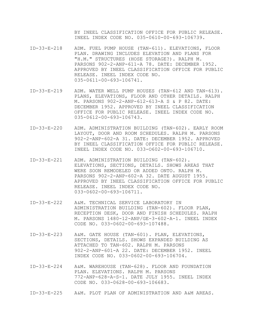BY INEEL CLASSIFICATION OFFICE FOR PUBLIC RELEASE. INEEL INDEX CODE NO. 035-0610-00-693-106739.

- ID-33-E-218 ADM. FUEL PUMP HOUSE (TAN-611). ELEVATIONS, FLOOR PLAN. DRAWING INCLUDES ELEVATION AND PLANS FOR "H.M." STRUCTURES (HOSE STORAGE?). RALPH M. PARSONS 902-2-ANP-611-A 78. DATE: DECEMBER 1952. APPROVED BY INEEL CLASSIFICATION OFFICE FOR PUBLIC RELEASE. INEEL INDEX CODE NO. 035-0611-00-693-106741.
- ID-33-E-219 ADM. WATER WELL PUMP HOUSES (TAN-612 AND TAN-613). PLANS, ELEVATIONS, FLOOR AND OTHER DETAILS. RALPH M. PARSONS 902-2-ANP-612-613-A S & P 82. DATE: DECEMBER 1952. APPROVED BY INEEL CLASSIFICATION OFFICE FOR PUBLIC RELEASE. INEEL INDEX CODE NO. 035-0612-00-693-106743.
- ID-33-E-220 ADM. ADMINISTRATION BUILDING (TAN-602). EARLY ROOM LAYOUT, DOOR AND ROOM SCHEDULES. RALPH M. PARSONS 902-2-ANP-602-A 31. DATE: DECEMBER 1952. APPROVED BY INEEL CLASSIFICATION OFFICE FOR PUBLIC RELEASE. INEEL INDEX CODE NO. 033-O602-00-693-106710.
- ID-33-E-221 ADM. ADMINISTRATION BUILDING (TAN-602). ELEVATIONS, SECTIONS, DETAILS. SHOWS AREAS THAT WERE SOON REMODELED OR ADDED ONTO. RALPH M. PARSONS 902-2-ANP-602-A 32. DATE AUGUST 1955. APPROVED BY INEEL CLASSIFICATION OFFICE FOR PUBLIC RELEASE. INEEL INDEX CODE NO. 033-0602-00-693-106711.
- ID-33-E-222 A&M. TECHNICAL SERVICE LABORATORY IN ADMINISTRATION BUILDING (TAN-602). FLOOR PLAN, RECEPTION DESK, DOOR AND FINISH SCHEDULES. RALPH M. PARSONS 1480-12-ANP/GE-3-602-A-1. INEEL INDEX CODE NO. 033-0602-00-693-107488.
- ID-33-E-223 A&M. GATE HOUSE (TAN-601). PLAN, ELEVATIONS, SECTIONS, DETAILS. SHOWS EXPANDED BUILDING AS ATTACHED TO TAN-602. RALPH M. PARSONS 902-2-ANP-601-A 22. DATE: DECEMBER 1952. INEEL INDEX CODE NO. 033-0602-00-693-106704.
- ID-33-E-224 A&M. WAREHOUSE (TAN-628). FLOOR AND FOUNDATION PLAN. ELEVATIONS. RALPH M. PARSONS 772-ANP-628-A-S-1. DATE JULY 1955. INEEL INDEX CODE NO. 033-0628-00-693-106683.

ID-33-E-225 A&M. PLOT PLAN OF ADMINISTRATION AND A&M AREAS.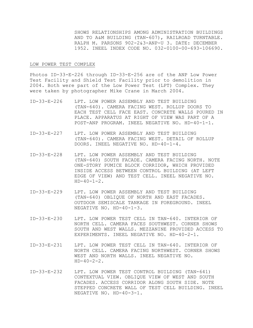SHOWS RELATIONSHIPS AMONG ADMINISTRATION BUILDINGS AND TO A&M BUILDING (TAN-607), RAILROAD TURNTABLE. RALPH M. PARSONS 902-2&3-ANP-U 3. DATE: DECEMBER 1952. INEEL INDEX CODE NO. 032-0100-00-693-106690.

## LOW POWER TEST COMPLEX

Photos ID-33-E-226 through ID-33-E-256 are of the ANP Low Power Test Facility and Shield Test Facility prior to demolition in 2004. Both were part of the Low Power Test (LPT) Complex. They were taken by photographer Mike Crane in March 2004.

- ID-33-E-226 LPT. LOW POWER ASSEMBLY AND TEST BUILDING (TAN-640). CAMERA FACING WEST. ROLLUP DOORS TO EACH TEST CELL FACE EAST. CONCRETE WALLS POURED IN PLACE. APPARATUS AT RIGHT OF VIEW WAS PART OF A POST-ANP PROGRAM. INEEL NEGATIVE NO. HD-40-1-1.
- ID-33-E-227 LPT. LOW POWER ASSEMBLY AND TEST BUILDING (TAN-640). CAMERA FACING WEST. DETAIL OF ROLLUP DOORS. INEEL NEGATIVE NO. HD-40-1-4.
- ID-33-E-228 LPT. LOW POWER ASSEMBLY AND TEST BUILDING (TAN-640) SOUTH FACADE. CAMERA FACING NORTH. NOTE ONE-STORY PUMICE BLOCK CORRIDOR, WHICH PROVIDED INSIDE ACCESS BETWEEN CONTROL BUILDING (AT LEFT EDGE OF VIEW) AND TEST CELL. INEEL NEGATIVE NO.  $HD-40-1-2.$
- ID-33-E-229 LPT. LOW POWER ASSEMBLY AND TEST BUILDING (TAN-640) OBLIQUE OF NORTH AND EAST FACADES. OUTDOOR SEMISCALE TANKAGE IN FOREGROUND. INEEL NEGATIVE NO. HD-40-1-3.
- ID-33-E-230 LPT. LOW POWER TEST CELL IN TAN-640. INTERIOR OF NORTH CELL. CAMERA FACES SOUTHWEST. CORNER SHOWS SOUTH AND WEST WALLS. MEZZANINE PROVIDED ACCESS TO EXPERIMENTS. INEEL NEGATIVE NO. HD-40-2-1.
- ID-33-E-231 LPT. LOW POWER TEST CELL IN TAN-640. INTERIOR OF NORTH CELL. CAMERA FACING NORTHWEST. CORNER SHOWS WEST AND NORTH WALLS. INEEL NEGATIVE NO.  $HD-40-2-2.$
- ID-33-E-232 LPT. LOW POWER TEST CONTROL BUILDING (TAN-641) CONTEXTUAL VIEW. OBLIQUE VIEW OF WEST AND SOUTH FACADES. ACCESS CORRIDOR ALONG SOUTH SIDE. NOTE STEPPED CONCRETE WALL OF TEST CELL BUILDING. INEEL NEGATIVE NO. HD-40-3-1.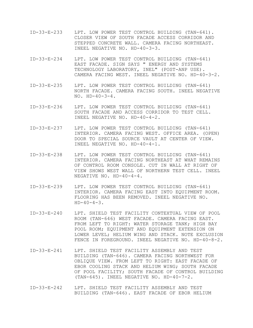- ID-33-E-233 LPT. LOW POWER TEST CONTROL BUILDING (TAN-641). CLOSER VIEW OF SOUTH FACADE ACCESS CORRIDOR AND STEPPED CONCRETE WALL. CAMERA FACING NORTHEAST. INEEL NEGATIVE NO. HD-40-3-3.
- ID-33-E-234 LPT. LOW POWER TEST CONTROL BUILDING (TAN-641) EAST FACADE. SIGN SAYS " ENERGY AND SYSTEMS TECHNOLOGY LABORATORY, INEL" (POST-ANP USE). CAMERA FACING WEST. INEEL NEGATIVE NO. HD-40-3-2.
- ID-33-E-235 LPT. LOW POWER TEST CONTROL BUILDING (TAN-641) NORTH FACADE. CAMERA FACING SOUTH. INEEL NEGATIVE NO. HD-40-3-4.
- ID-33-E-236 LPT. LOW POWER TEST CONTROL BUILDING (TAN-641) SOUTH FACADE AND ACCESS CORRIDOR TO TEST CELL. INEEL NEGATIVE NO. HD-40-4-2.
- ID-33-E-237 LPT. LOW POWER TEST CONTROL BUILDING (TAN-641) INTERIOR. CAMERA FACING WEST. OFFICE AREA. (OPEN) DOOR TO SPECIAL SOURCE VAULT AT CENTER OF VIEW. INEEL NEGATIVE NO. HD-40-4-1.
- ID-33-E-238 LPT. LOW POWER TEST CONTROL BUILDING (TAN-641) INTERIOR. CAMERA FACING NORTHEAST AT WHAT REMAINS OF CONTROL ROOM CONSOLE. CUT IN WALL AT RIGHT OF VIEW SHOWS WEST WALL OF NORTHERN TEST CELL. INEEL NEGATIVE NO. HD-40-4-4.
- ID-33-E-239 LPT. LOW POWER TEST CONTROL BUILDING (TAN-641) INTERIOR. CAMERA FACING EAST INTO EQUIPMENT ROOM. FLOORING HAS BEEN REMOVED. INEEL NEGATIVE NO.  $HD-40-4-3.$
- ID-33-E-240 LPT. SHIELD TEST FACILITY CONTEXTUAL VIEW OF POOL ROOM (TAN-646) WEST FACADE. CAMERA FACING EAST. FROM LEFT TO RIGHT: WATER STORAGE TANK; HIGH BAY POOL ROOM; EQUIPMENT AND EQUIPMENT EXTENSION ON LOWER LEVEL; HELIUM WING AND STACK. NOTE EXCLUSION FENCE IN FOREGROUND. INEEL NEGATIVE NO. HD-40-8-2.
- ID-33-E-241 LPT. SHIELD TEST FACILITY ASSEMBLY AND TEST BUILDING (TAN-646). CAMERA FACING NORTHWEST FOR OBLIQUE VIEW. FROM LEFT TO RIGHT: EAST FACADE OF EBOR COOLING STACK AND HELIUM WING; SOUTH FACADE OF POOL FACILITY; SOUTH FACADE OF CONTROL BUILDING (TAN-645). INEEL NEGATIVE NO. HD-40-7-2.
- ID-33-E-242 LPT. SHIELD TEST FACILITY ASSEMBLY AND TEST BUILDING (TAN-646). EAST FACADE OF EBOR HELIUM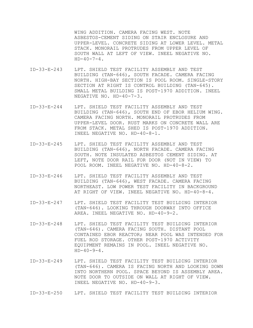WING ADDITION. CAMERA FACING WEST. NOTE ASBESTOS-CEMENT SIDING ON STAIR ENCLOSURE AND UPPER-LEVEL. CONCRETE SIDING AT LOWER LEVEL. METAL STACK. MONORAIL PROTRUDES FROM UPPER LEVEL OF SOUTH WALL AT LEFT OF VIEW. INEEL NEGATIVE NO.  $HD-40-7-4.$ 

- ID-33-E-243 LPT. SHIELD TEST FACILITY ASSEMBLY AND TEST BUILDING (TAN-646), SOUTH FACADE. CAMERA FACING NORTH. HIGH-BAY SECTION IS POOL ROOM. SINGLE-STORY SECTION AT RIGHT IS CONTROL BUILDING (TAN-645). SMALL METAL BUILDING IS POST-1970 ADDITION. INEEL NEGATIVE NO. HD-40-7-3.
- ID-33-E-244 LPT. SHIELD TEST FACILITY ASSEMBLY AND TEST BUILDING (TAN-646), SOUTH END OF EBOR HELIUM WING. CAMERA FACING NORTH. MONORAIL PROTRUDES FROM UPPER-LEVEL DOOR. RUST MARKS ON CONCRETE WALL ARE FROM STACK. METAL SHED IS POST-1970 ADDITION. INEEL NEGATIVE NO. HD-40-8-1.
- ID-33-E-245 LPT. SHIELD TEST FACILITY ASSEMBLY AND TEST BUILDING (TAN-646), NORTH FACADE. CAMERA FACING SOUTH. NOTE INSULATED ASBESTOS CEMENT SIDING. AT LEFT, NOTE DOOR RAIL FOR DOOR (NOT IN VIEW) TO POOL ROOM. INEEL NEGATIVE NO. HD-40-8-2.
- ID-33-E-246 LPT. SHIELD TEST FACILITY ASSEMBLY AND TEST BUILDING (TAN-646), WEST FACADE. CAMERA FACING NORTHEAST. LOW POWER TEST FACILITY IN BACKGROUND AT RIGHT OF VIEW. INEEL NEGATIVE NO. HD-40-8-4.
- ID-33-E-247 LPT. SHIELD TEST FACILITY TEST BUILDING INTERIOR (TAN-646). LOOKING THROUGH DOORWAY INTO OFFICE AREA. INEEL NEGATIVE NO. HD-40-9-2.
- ID-33-E-248 LPT. SHIELD TEST FACILITY TEST BUILDING INTERIOR (TAN-646). CAMERA FACING SOUTH. DISTANT POOL CONTAINED EBOR REACTOR; NEAR POOL WAS INTENDED FOR FUEL ROD STORAGE. OTHER POST-1970 ACTIVITY EQUIPMENT REMAINS IN POOL. INEEL NEGATIVE NO.  $HD-40-9-4.$
- ID-33-E-249 LPT. SHIELD TEST FACILITY TEST BUILDING INTERIOR (TAN-646). CAMERA IS FACING NORTH AND LOOKING DOWN INTO NORTHERN POOL. SPACE BEYOND IS ASSEMBLY AREA. NOTE DOOR TO OUTSIDE ON WALL AT RIGHT OF VIEW. INEEL NEGATIVE NO. HD-40-9-3.

ID-33-E-250 LPT. SHIELD TEST FACILITY TEST BUILDING INTERIOR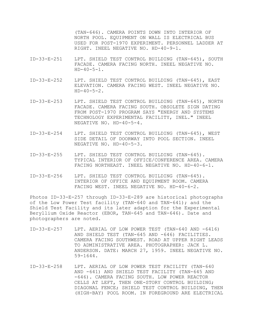(TAN-646). CAMERA POINTS DOWN INTO INTERIOR OF NORTH POOL. EQUIPMENT ON WALL IS ELECTRICAL BUS USED FOR POST-1970 EXPERIMENT. PERSONNEL LADDER AT RIGHT. INEEL NEGATIVE NO. HD-40-9-1.

- ID-33-E-251 LPT. SHIELD TEST CONTROL BUILDING (TAN-645), SOUTH FACADE. CAMERA FACING NORTH. INEEL NEGATIVE NO.  $HD-40-5-1.$
- ID-33-E-252 LPT. SHIELD TEST CONTROL BUILDING (TAN-645), EAST ELEVATION. CAMERA FACING WEST. INEEL NEGATIVE NO.  $HD-40-5-2.$
- ID-33-E-253 LPT. SHIELD TEST CONTROL BUILDING (TAN-645), NORTH FACADE. CAMERA FACING SOUTH. OBSOLETE SIGN DATING FROM POST-1970 PROGRAM SAYS "ENERGY AND SYSTEMS TECHNOLOGY EXPERIMENTAL FACILITY, INEL." INEEL NEGATIVE NO. HD-40-5-4.
- ID-33-E-254 LPT. SHIELD TEST CONTROL BUILDING (TAN-645), WEST SIDE DETAIL OF DOORWAY INTO POOL SECTION. INEEL NEGATIVE NO. HD-40-5-3.
- ID-33-E-255 LPT. SHIELD TEST CONTROL BUILDING (TAN-645). TYPICAL INTERIOR OF OFFICE/CONFERENCE AREA. CAMERA FACING NORTHEAST. INEEL NEGATIVE NO. HD-40-6-1.
- ID-33-E-256 LPT. SHIELD TEST CONTROL BUILDING (TAN-645). INTERIOR OF OFFICE AND EQUIPMENT ROOM. CAMERA FACING WEST. INEEL NEGATIVE NO. HD-40-6-2.

Photos ID-33-E-257 through ID-33-E-289 are historical photographs of the Low Power Test facility (TAN-640 and TAN-641); and the Shield Test Facility and its later adaption for the Experimental Beryllium Oxide Reactor (EBOR, TAN-645 and TAN-646). Date and photographers are noted.

- ID-33-E-257 LPT. AERIAL OF LOW POWER TEST (TAN-640 AND -6416) AND SHIELD TEST (TAN-645 AND -646) FACILITIES. CAMERA FACING SOUTHWEST. ROAD AT UPPER RIGHT LEADS TO ADMINISTRATIVE AREA. PHOTOGRAPHER: JACK L. ANDERSON. DATE: MARCH 27, 1959. INEEL NEGATIVE NO. 59-1644.
- ID-33-E-258 LPT. AERIAL OF LOW POWER TEST FACILITY (TAN-640 AND -641) AND SHIELD TEST FACILITY (TAN-645 AND -646). CAMERA FACING SOUTH. LOW POWER REACTOR CELLS AT LEFT, THEN ONE-STORY CONTROL BUILDING; DIAGONAL FENCE; SHIELD TEST CONTROL BUILDING, THEN (HIGH-BAY) POOL ROOM. IN FOREGROUND ARE ELECTRICAL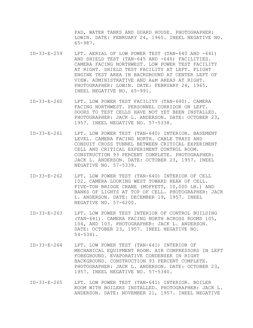PAD, WATER TANKS AND GUARD HOUSE. PHOTOGRAPHER: LOWIN. DATE: FEBRUARY 24, 1965. INEEL NEGATIVE NO. 65-987.

- ID-33-E-259 LPT. AERIAL OF LOW POWER TEST (TAN-640 AND -641) AND SHIELD TEST (TAN-645 AND -646) FACILITIES. CAMERA FACING NORTHWEST. LOW POWER TEST FACILITY AT RIGHT. SHIELD TEST FACILITY AT LEFT. FLIGHT ENGINE TEST AREA IN BACKGROUND AT CENTER LEFT OF VIEW. ADMINISTRATIVE AND A&M AREAS AT RIGHT. PHOTOGRAPHER: LOWIN. DATE: FEBRUARY 24, 1965. INEEL NEGATIVE NO. 65-991.
- ID-33-E-260 LPT. LOW POWER TEST FACILITY (TAN-640). CAMERA FACING NORTHWEST. PERSONNEL CORRIDOR ON LEFT. DOORS TO TEST CELLS HAVE NOT YET BEEN INSTALLED. PHOTOGRAPHER: JACK L. ANDERSON. DATE: OCTOBER 23, 1957. INEEL NEGATIVE NO. 57-5338.
- ID-33-E-261 LPT. LOW POWER TEST (TAN-640) INTERIOR. BASEMENT LEVEL. CAMERA FACING NORTH. CABLE TRAYS AND CONDUIT CROSS TUNNEL BETWEEN CRITICAL EXPERIMENT CELL AND CRITICAL EXPERIMENT CONTROL ROOM. CONSTRUCTION 93 PERCENT COMPLETE. PHOTOGRAPHER: JACK L. ANDERSON. DATE: OCTOBER 23, 1957. INEEL NEGATIVE NO. 57-5339.
- ID-33-E-262 LPT. LOW POWER TEST (TAN-640) INTERIOR OF CELL 102. CAMERA LOOKING WEST TOWARD REAR OF CELL. FIVE-TON BRIDGE CRANE (MOFFETT, 10,000 LB.) AND BANKS OF LIGHTS AT TOP OF CELL. PHOTOGRAPHER: JACK L. ANDERSON. DATE: DECEMBER 19, 1957. INEEL NEGATIVE NO. 57-6200.
- ID-33-E-263 LPT. LOW POWER TEST INTERIOR OF CONTROL BUILDING (TAN-641). CAMERA FACING NORTH ACROSS ROOMS 105, 104, AND 103. PHOTOGRAPHER: JACK L. ANDERSON. DATE: OCTOBER 23, 1957. INEEL NEGATIVE NO. 54-5341.
- ID-33-E-264 LPT. LOW POWER TEST (TAN-641) INTERIOR OF MECHANICAL EQUIPMENT ROOM. AIR COMPRESSORS IN LEFT FOREGROUND. EVAPORATIVE CONDENSER IN RIGHT BACKGROUND. CONSTRUCTION 93 PERCENT COMPLETE. PHOTOGRAPHER: JACK L. ANDERSON. DATE: OCTOBER 23, 1957. INEEL NEGATIVE NO. 57-5340.
- ID-33-E-265 LPT. LOW POWER TEST (TAN-641) INTERIOR. BOILER ROOM WITH BOILERS INSTALLED. PHOTOGRAPHER: JACK L. ANDERSON. DATE: NOVEMBER 21, 1957. INEEL NEGATIVE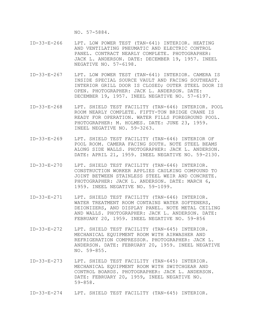NO. 57-5884.

- ID-33-E-266 LPT. LOW POWER TEST (TAN-641) INTERIOR. HEATING AND VENTILATING PNEUMATIC AND ELECTRIC CONTROL PANEL. CONTRACT NEARLY COMPLETE. PHOTOGRAPHER: JACK L. ANDERSON. DATE: DECEMBER 19, 1957. INEEL NEGATIVE NO. 57-6198.
- ID-33-E-267 LPT. LOW POWER TEST (TAN-641) INTERIOR. CAMERA IS INSIDE SPECIAL SOURCE VAULT AND FACING SOUTHEAST. INTERIOR GRILL DOOR IS CLOSED; OUTER STEEL DOOR IS OPEN. PHOTOGRAPHER: JACK L. ANDERSON. DATE: DECEMBER 19, 1957. INEEL NEGATIVE NO. 57-6197.
- ID-33-E-268 LPT. SHIELD TEST FACILITY (TAN-646) INTERIOR. POOL ROOM NEARLY COMPLETE. FIFTY-TON BRIDGE CRANE IS READY FOR OPERATION. WATER FILLS FOREGROUND POOL. PHOTOGRAPHER: M. HOLMES. DATE: JUNE 23, 1959. INEEL NEGATIVE NO. 59-3263.
- ID-33-E-269 LPT. SHIELD TEST FACILITY (TAN-646) INTERIOR OF POOL ROOM. CAMERA FACING SOUTH. NOTE STEEL BEAMS ALONG SIDE WALLS. PHOTOGRAPHER: JACK L. ANDERSON. DATE: APRIL 21, 1959. INEEL NEGATIVE NO. 59-2130.
- ID-33-E-270 LPT. SHIELD TEST FACILITY (TAN-646) INTERIOR. CONSTRUCTION WORKER APPLIES CAULKING COMPOUND TO JOINT BETWEEN STAINLESS STEEL WEIR AND CONCRETE. PHOTOGRAPHER: JACK L. ANDERSON. DATE: MARCH 6, 1959. INEEL NEGATIVE NO. 59-1099.
- ID-33-E-271 LPT. SHIELD TEST FACILITY (TAN-646) INTERIOR. WATER TREATMENT ROOM CONTAINS WATER SOFTENERS, DEIONIZERS, AND DISPLAY PANEL. NOTE METAL CEILING AND WALLS. PHOTOGRAPHER: JACK L. ANDERSON. DATE: FEBRUARY 20, 1959. INEEL NEGATIVE NO. 59-856
- ID-33-E-272 LPT. SHIELD TEST FACILITY (TAN-645) INTERIOR. MECHANICAL EQUIPMENT ROOM WITH AIRWASHER AND REFRIGERATION COMPRESSOR. PHOTOGRAPHER: JACK L. ANDERSON. DATE: FEBRUARY 20, 1959. INEEL NEGATIVE NO. 59-855.
- ID-33-E-273 LPT. SHIELD TEST FACILITY (TAN-645) INTERIOR. MECHANICAL EQUIPMENT ROOM WITH SWITCHGEAR AND CONTROL BOARDS. PHOTOGRAPHER: JACK L. ANDERSON. DATE: FEBRUARY 20, 1959, INEEL NEGATIVE NO. 59-858.

ID-33-E-274 LPT. SHIELD TEST FACILITY (TAN-645) INTERIOR.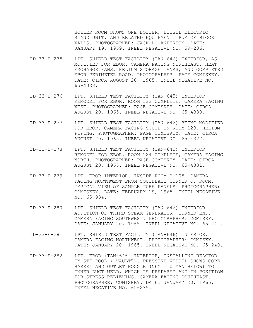BOILER ROOM SHOWS ONE BOILER, DIESEL ELECTRIC STAND UNIT, AND RELATED EQUIPMENT. PUMICE BLOCK WALLS. PHOTOGRAPHER: JACK L. ANDERSON. DATE: JANUARY 19, 1959. INEEL NEGATIVE NO. 59-286.

- ID-33-E-275 LPT. SHIELD TEST FACILITY (TAN-646) EXTERIOR, AS MODIFIED FOR EBOR. CAMERA FACING NORTHEAST. HEAT EXCHANGE FANS, HELIUM STORAGE TANKS, AND COMPLETED EBOR PERIMETER ROAD. PHOTOGRAPHER: PAGE COMISKEY. DATE: CIRCA AUGUST 20, 1965. INEEL NEGATIVE NO. 65-4328.
- ID-33-E-276 LPT. SHIELD TEST FACILITY (TAN-645) INTERIOR REMODEL FOR EBOR. ROOM 122 COMPLETE. CAMERA FACING WEST. PHOTOGRAPHER: PAGE COMISKEY. DATE: CIRCA AUGUST 20, 1965. INEEL NEGATIVE NO. 65-4330.
- ID-33-E-277 LPT. SHIELD TEST FACILITY (TAN-646) BEING MODIFIED FOR EBOR. CAMERA FACING SOUTH IN ROOM 123. HELIUM PIPING. PHOTOGRAPHER: PAGE COMISKEY. DATE: CIRCA AUGUST 20, 1965. INEEL NEGATIVE NO. 65-4327.
- ID-33-E-278 LPT. SHIELD TEST FACILITY (TAN-645) INTERIOR REMODEL FOR EBOR. ROOM 124 COMPLETE, CAMERA FACING NORTH. PHOTOGRAPHER: PAGE COMISKEY. DATE: CIRCA AUGUST 20, 1965. INEEL NEGATIVE NO. 65-4331.
- ID-33-E-279 LPT. EBOR INTERIOR. INSIDE ROOM B 105. CAMERA FACING NORTHWEST FROM SOUTHEAST CORNER OF ROOM. TYPICAL VIEW OF SAMPLE TUBE PANELS. PHOTOGRAPHER: COMISKEY. DATE: FEBRUARY 19, 1965. INEEL NEGATIVE NO. 65-934.
- ID-33-E-280 LPT. SHIELD TEST FACILITY (TAN-646) INTERIOR. ADDITION OF THIRD STEAM GENERATOR. BURNER END. CAMERA FACING SOUTHWEST. PHOTOGRAPHER: COMISKY. DATE: JANUARY 20, 1965. INEEL NEGATIVE NO. 65-242.
- ID-33-E-281 LPT. SHIELD TEST FACILITY (TAN-646) INTERIOR. CAMERA FACING NORTHWEST. PHOTOGRAPHER: COMISKY. DATE: JANUARY 20, 1965. INEEL NEGATIVE NO. 65-240.
- ID-33-E-282 LPT. EBOR (TAN-646) INTERIOR, INSTALLING REACTOR IN STF POOL ("VAULT"). PRESSURE VESSEL SHOWS CORE BARREL AND OUTLET NOZZLE (NEXT TO MAN BELOW) TO INNER DUCT WELD, WHICH IS PREPARED AND IN POSITION FOR STRESS RELIEVING. CAMERA FACING SOUTHEAST. PHOTOGRAPHER: COMISKEY. DATE: JANUARY 20, 1965. INEEL NEGATIVE NO. 65-239.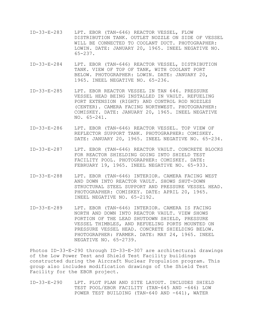- ID-33-E-283 LPT. EBOR (TAN-646) REACTOR VESSEL, FLOW DISTRIBUTION TANK. OUTLET NOZZLE ON SIDE OF VESSEL WILL BE CONNECTED TO COOLANT DUCT. PHOTOGRAPHER: LOWIN. DATE: JANUARY 20, 1965. INEEL NEGATIVE NO. 65-237.
- ID-33-E-284 LPT. EBOR (TAN-646) REACTOR VESSEL, DISTRIBUTION TANK. VIEW OF TOP OF TANK, WITH COOLANT PORT BELOW. PHOTOGRAPHER: LOWIN. DATE: JANUARY 20, 1965. INEEL NEGATIVE NO. 65-236.
- ID-33-E-285 LPT. EBOR REACTOR VESSEL IN TAN 646. PRESSURE VESSEL HEAD BEING INSTALLED IN VAULT. REFUELING PORT EXTENSION (RIGHT) AND CONTROL ROD NOZZLES (CENTER). CAMERA FACING NORTHWEST. PHOTOGRAPHER: COMISKEY. DATE: JANUARY 20, 1965. INEEL NEGATIVE NO. 65-241.
- ID-33-E-286 LPT. EBOR (TAN-646) REACTOR VESSEL. TOP VIEW OF REFLECTOR SUPPORT TANK. PHOTOGRAPHER: COMISKEY. DATE: JANUARY 20, 1965. INEEL NEGATIVE NO. 65-234.
- ID-33-E-287 LPT. EBOR (TAN-646) REACTOR VAULT. CONCRETE BLOCKS FOR REACTOR SHIELDING GOING INTO SHIELD TEST FACILITY POOL. PHOTOGRAPHER: COMISKEY. DATE: FEBRUARY 19, 1965. INEEL NEGATIVE NO. 65-933.
- ID-33-E-288 LPT. EBOR (TAN-646) INTERIOR. CAMERA FACING WEST AND DOWN INTO REACTOR VAULT. SHOWS SHUT-DOWN STRUCTURAL STEEL SUPPORT AND PRESSURE VESSEL HEAD. PHOTOGRAPHER: COMISKEY. DATE: APRIL 20, 1965. INEEL NEGATIVE NO. 65-2192.
- ID-33-E-289 LPT. EBOR (TAN-646) INTERIOR. CAMERA IS FACING NORTH AND DOWN INTO REACTOR VAULT. VIEW SHOWS PORTION OF THE LEAD SHUTDOWN SHIELD, PRESSURE VESSEL THIMBLES, AND REFUELING PORTS MOUNTED ON PRESSURE VESSEL HEAD. CONCRETE SHIELDING BELOW. PHOTOGRAPHER: FARMER. DATE: MAY 24, 1965. INEEL NEGATIVE NO. 65-2739.

Photos ID-33-E-290 through ID-33-E-307 are architectural drawings of the Low Power Test and Shield Test Facility buildings constructed during the Aircraft Nuclear Propulsion program. This group also includes modification drawings of the Shield Test Facility for the EBOR project.

ID-33-E-290 LPT. PLOT PLAN AND SITE LAYOUT. INCLUDES SHIELD TEST POOL/EBOR FACILITY (TAN-645 AND -646) LOW POWER TEST BUILDING (TAN-640 AND -641), WATER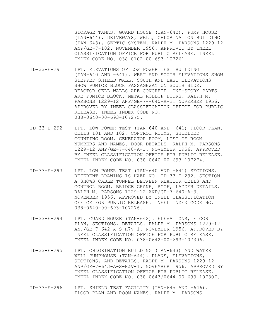STORAGE TANKS, GUARD HOUSE (TAN-642), PUMP HOUSE (TAN-644), DRIVEWAYS, WELL, CHLORINATION BUILDING (TAN-643), SEPTIC SYSTEM. RALPH M. PARSONS 1229-12 ANP/GE-7-102. NOVEMBER 1956. APPROVED BY INEEL CLASSIFICATION OFFICE FOR PUBLIC RELEASE. INEEL INDEX CODE NO. 038-0102-00-693-107261.

- ID-33-E-291 LPT. ELEVATIONS OF LOW POWER TEST BUILDING (TAN-640 AND -641). WEST AND SOUTH ELEVATIONS SHOW STEPPED SHIELD WALL. SOUTH AND EAST ELEVATIONS SHOW PUMICE BLOCK PASSAGEWAY ON SOUTH SIDE. REACTOR CELL WALLS ARE CONCRETE. ONE-STORY PARTS ARE PUMICE BLOCK. METAL ROLLUP DOORS. RALPH M. PARSONS 1229-12 ANP/GE-7--640-A-2. NOVEMBER 1956. APPROVED BY INEEL CLASSIFICATION OFFICE FOR PUBLIC RELEASE. INEEL INDEX CODE NO. 038-0640-00-693-107275.
- ID-33-E-292 LPT. LOW POWER TEST (TAN-640 AND -641) FLOOR PLAN. CELLS 101 AND 102, CONTROL ROOMS, SHIELDED COUNTING ROOM, GENERATOR ROOM, LIST OF ROOM NUMBERS AND NAMES. DOOR DETAILS. RALPH M. PARSONS 1229-12 ANP/GE-7-640-A-1. NOVEMBER 1956. APPROVED BY INEEL CLASSIFICATION OFFICE FOR PUBLIC RELEASE. INEEL INDEX CODE NO. 038-0640-00-693-107274.
- ID-33-E-293 LPT. LOW POWER TEST (TAN-640 AND -641) SECTIONS. REFERENT DRAWING IS HAER NO. ID-33-E-292. SECTION A SHOWS CABLE TUNNEL BETWEEN REACTOR CELLS AND CONTROL ROOM. BRIDGE CRANE, ROOF, LADDER DETAILS. RALPH M. PARSONS 1229-12 ANP/GE-7-640-A-3. NOVEMBER 1956. APPROVED BY INEEL CLASSIFICATION OFFICE FOR PUBLIC RELEASE. INEEL INDEX CODE NO. 038-0640-00-693-107276.
- ID-33-E-294 LPT. GUARD HOUSE (TAN-642). ELEVATIONS, FLOOR PLAN, SECTIONS, DETAILS. RALPH M. PARSONS 1229-12 ANP/GE-7-642-A-S-H7V-1. NOVEMBER 1956. APPROVED BY INEEL CLASSIFICATION OFFICE FOR PUBLIC RELEASE. INEEL INDEX CODE NO. 038-0642-00-693-107306.
- ID-33-E-295 LPT. CHLORINATION BUILDING (TAN-643) AND WATER WELL PUMPHOUSE (TAN-644). PLANS, ELEVATIONS, SECTIONS, AND DETAILS. RALPH M. PARSONS 1229-12 ANP/GE-7-643-A-S-H&V-1. NOVEMBER 1956. APPROVED BY INEEL CLASSIFICATION OFFICE FOR PUBLIC RELEASE. INEEL INDEX CODE NO. 038-0643/0644-00-693-107307.
- ID-33-E-296 LPT. SHIELD TEST FACILITY (TAN-645 AND -646). FLOOR PLAN AND ROOM NAMES. RALPH M. PARSONS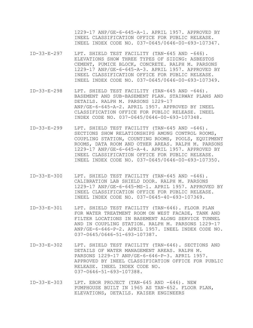1229-17 ANP/GE-6-645-A-1. APRIL 1957. APPROVED BY INEEL CLASSIFICATION OFFICE FOR PUBLIC RELEASE. INEEL INDEX CODE NO. 037-0645/0646-00-693-107347.

- ID-33-E-297 LPT. SHIELD TEST FACILITY (TAN-645 AND -646). ELEVATIONS SHOW THREE TYPES OF SIDING: ASBESTOS CEMENT, PUMICE BLOCK, CONCRETE. RALPH M. PARSONS 1229-17 ANP/GE-6-645-A-3. APRIL 1957. APPROVED BY INEEL CLASSIFICATION OFFICE FOR PUBLIC RELEASE. INEEL INDEX CODE NO. 037-0645/0646-00-693-107349.
- ID-33-E-298 LPT. SHIELD TEST FACILITY (TAN-645 AND -646). BASEMENT AND SUB-BASEMENT PLAN. STAIRWAY PLANS AND DETAILS. RALPH M. PARSONS 1229-17 ANP/GE-6-645-A-2. APRIL 1957. APPROVED BY INEEL CLASSIFICATION OFFICE FOR PUBLIC RELEASE. INEEL INDEX CODE NO. 037-0645/0646-00-693-107348.
- ID-33-E-299 LPT. SHIELD TEST FACILITY (TAN-645 AND -646). SECTIONS SHOW RELATIONSHIPS AMONG CONTROL ROOMS, COUPLING STATION, COUNTING ROOMS, POOLS, EQUIPMENT ROOMS, DATA ROOM AND OTHER AREAS. RALPH M. PARSONS 1229-17 ANP/GE-6-645-A-4. APRIL 1957. APPROVED BY INEEL CLASSIFICATION OFFICE FOR PUBLIC RELEASE. INEEL INDEX CODE NO. 037-0645/0646-00-693-107350.
- ID-33-E-300 LPT. SHIELD TEST FACILITY (TAN-645 AND -646). CALIBRATION LAB SHIELD DOOR. RALPH M. PARSONS 1229-17 ANP/GE-6-645-MS-1. APRIL 1957. APPROVED BY INEEL CLASSIFICATION OFFICE FOR PUBLIC RELEASE. INEEL INDEX CODE NO. 037-0645-40-693-107369.
- ID-33-E-301 LPT. SHIELD TEST FACILITY (TAN-646). FLOOR PLAN FOR WATER TREATMENT ROOM ON WEST FACADE, TANK AND FILTER LOCATIONS IN BASEMENT ALONG SERVICE TUNNEL AND IN COUPLING STATION. RALPH M. PARSONS 1229-17 ANP/GE-6-646-P-2. APRIL 1957. INEEL INDEX CODE NO. 037-0645/0646-51-693-107387.
- ID-33-E-302 LPT. SHIELD TEST FACILITY (TAN-646). SECTIONS AND DETAILS OF WATER MANAGEMENT AREAS. RALPH M. PARSONS 1229-17 ANP/GE-6-646-P-3. APRIL 1957. APPROVED BY INEEL CLASSIFICATION OFFICE FOR PUBLIC RELEASE. INEEL INDEX CODE NO. 037-0646-51-693-107388.
- ID-33-E-303 LPT. EBOR PROJECT (TAN-645 AND -646). NEW PUMPHOUSE BUILT IN 1965 AS TAN-652. FLOOR PLAN, ELEVATIONS, DETAILS. KAISER ENGINEERS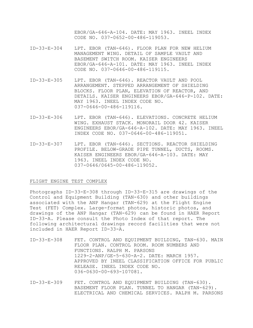EBOR/GA-646-A-104. DATE: MAY 1963. INEEL INDEX CODE NO. 037-0652-00-486-119053.

- ID-33-E-304 LPT. EBOR (TAN-646). FLOOR PLAN FOR NEW HELIUM MANAGEMENT WING. DETAIL OF SAMPLE VAULT AND BASEMENT SWITCH ROOM. KAISER ENGINEERS EBOR/GA-646-A-101. DATE: MAY 1963. INEEL INDEX CODE NO. 037-0646-00-486-119115.
- ID-33-E-305 LPT. EBOR (TAN-646). REACTOR VAULT AND POOL ARRANGEMENT. STEPPED ARRANGEMENT OF SHIELDING BLOCKS. FLOOR PLAN, ELEVATION OF REACTOR, AND DETAILS. KAISER ENGINEERS EBOR/GA-646-P-102. DATE: MAY 1963. INEEL INDEX CODE NO. 037-0646-00-486-119116.
- ID-33-E-306 LPT. EBOR (TAN-646). ELEVATIONS. CONCRETE HELIUM WING. EXHAUST STACK. MONORAIL DOOR 42. KAISER ENGINEERS EBOR/GA-646-A-102. DATE: MAY 1963. INEEL INDEX CODE NO. 037-0646-00-486-119051.
- ID-33-E-307 LPT. EBOR (TAN-646). SECTIONS. REACTOR SHIELDING PROFILE. BELOW-GRADE PIPE TUNNEL, DUCTS, ROOMS. KAISER ENGINEERS EBOR/GA-646-A-103. DATE: MAY 1963. INEEL INDEX CODE NO. 037-0646/0645-00-486-119052.

## FLIGHT ENGINE TEST COMPLEX

Photographs ID-33-E-308 through ID-33-E-315 are drawings of the Control and Equipment Building (TAN-630) and other buildings associated with the ANP Hangar (TAN-629) at the Flight Engine Test (FET) Complex. Large-format photos, historic photos, and drawings of the ANP Hangar (TAN-629) can be found in HAER Report ID-33-A. Please consult the Photo Index of that report. The following architectural drawings record facilities that were not included in HAER Report ID-33-A.

- ID-33-E-308 FET. CONTROL AND EQUIPMENT BUILDING, TAN-630. MAIN FLOOR PLAN. CONTROL ROOM. ROOM NUMBERS AND FUNCTIONS. RALPH M. PARSONS 1229-2-ANP/GE-5-630-A-2. DATE: MARCH 1957. APPROVED BY INEEL CLASSIFICATION OFFICE FOR PUBLIC RELEASE. INEEL INDEX CODE NO. 036-0630-00-693-107081.
- ID-33-E-309 FET. CONTROL AND EQUIPMENT BUILDING (TAN-630). BASEMENT FLOOR PLAN. TUNNEL TO HANGAR (TAN-629). ELECTRICAL AND CHEMICAL SERVICES. RALPH M. PARSONS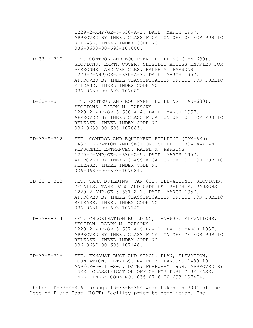1229-2-ANP/GE-5-630-A-1. DATE: MARCH 1957. APPROVED BY INEEL CLASSIFICATION OFFICE FOR PUBLIC RELEASE. INEEL INDEX CODE NO. 036-0630-00-693-107080.

- ID-33-E-310 FET. CONTROL AND EQUIPMENT BUILDING (TAN-630). SECTIONS. EARTH COVER. SHIELDED ACCESS ENTRIES FOR PERSONNEL AND VEHICLES. RALPH M. PARSONS 1229-2-ANP/GE-5-630-A-3. DATE: MARCH 1957. APPROVED BY INEEL CLASSIFICATION OFFICE FOR PUBLIC RELEASE. INEEL INDEX CODE NO. 036-0630-00-693-107082.
- ID-33-E-311 FET. CONTROL AND EQUIPMENT BUILDING (TAN-630). SECTIONS. RALPH M. PARSONS 1229-2-ANP/GE-5-630-A-4. DATE: MARCH 1957. APPROVED BY INEEL CLASSIFICATION OFFICE FOR PUBLIC RELEASE. INEEL INDEX CODE NO. 036-0630-00-693-107083.
- ID-33-E-312 FET. CONTROL AND EQUIPMENT BUILDING (TAN-630). EAST ELEVATION AND SECTION. SHIELDED ROADWAY AND PERSONNEL ENTRANCES. RALPH M. PARSONS 1229-2-ANP/GE-5-630-A-5. DATE: MARCH 1957. APPROVED BY INEEL CLASSIFICATION OFFICE FOR PUBLIC RELEASE. INEEL INDEX CODE NO. 036-0630-00-693-107084.
- ID-33-E-313 FET. TANK BUILDING, TAN-631. ELEVATIONS, SECTIONS, DETAILS. TANK PADS AND SADDLES. RALPH M. PARSONS 1229-2-ANP/GE-5-631-A-1. DATE: MARCH 1957. APPROVED BY INEEL CLASSIFICATION OFFICE FOR PUBLIC RELEASE. INEEL INDEX CODE NO. 036-0631-00-693-107142.
- ID-33-E-314 FET. CHLORINATION BUILDING, TAN-637. ELEVATIONS, SECTION. RALPH M. PARSONS 1229-2-ANP/GE-5-637-A-S-H&V-1. DATE: MARCH 1957. APPROVED BY INEEL CLASSIFICATION OFFICE FOR PUBLIC RELEASE. INEEL INDEX CODE NO. 036-0637-00-693-107148.
- ID-33-E-315 FET. EXHAUST DUCT AND STACK. PLAN, ELEVATION, FOUNDATION, DETAILS. RALPH M. PARSONS 1480-10 ANP/GE-5-716-S-3. DATE: FEBRUARY 1959. APPROVED BY INEEL CLASSIFICATION OFFICE FOR PUBLIC RELEASE. INEEL INDEX CODE NO. 036-0716-00-693-107474.

Photos ID-33-E-316 through ID-33-E-354 were taken in 2004 of the Loss of Fluid Test (LOFT) facility prior to demolition. The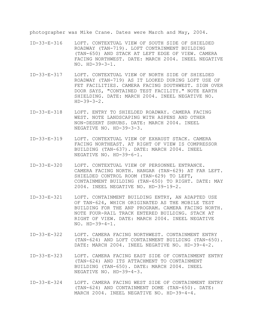photographer was Mike Crane. Dates were March and May, 2004.

- ID-33-E-316 LOFT. CONTEXTUAL VIEW OF SOUTH SIDE OF SHIELDED ROADWAY (TAN-719). LOFT CONTAINMENT BUILDING (TAN-650) AND STACK AT LEFT EDGE OF VIEW. CAMERA FACING NORTHWEST. DATE: MARCH 2004. INEEL NEGATIVE NO. HD-39-3-1.
- ID-33-E-317 LOFT. CONTEXTUAL VIEW OF NORTH SIDE OF SHIELDED ROADWAY (TAN-719) AS IT LOOKED DURING LOFT USE OF FET FACILITIES. CAMERA FACING SOUTHWEST. SIGN OVER DOOR SAYS, "CONTAINED TEST FACILITY." NOTE EARTH SHIELDING. DATE: MARCH 2004. INEEL NEGATIVE NO.  $HD-39-3-2.$
- ID-33-E-318 LOFT. ENTRY TO SHIELDED ROADWAY. CAMERA FACING WEST. NOTE LANDSCAPING WITH ASPENS AND OTHER NON-DESERT SHRUBS. DATE: MARCH 2004. INEEL NEGATIVE NO. HD-39-3-3.
- ID-33-E-319 LOFT. CONTEXTUAL VIEW OF EXHAUST STACK. CAMERA FACING NORTHEAST. AT RIGHT OF VIEW IS COMPRESSOR BUILDING (TAN-637). DATE: MARCH 2004. INEEL NEGATIVE NO. HD-39-6-1.
- ID-33-E-320 LOFT. CONTEXTUAL VIEW OF PERSONNEL ENTRANCE. CAMERA FACING NORTH. HANGAR (TAN-629) AT FAR LEFT. SHIELDED CONTROL ROOM (TAN-629) TO LEFT, CONTAINMENT BUILDING (TAN-650) TO RIGHT. DATE: MAY 2004. INEEL NEGATIVE NO. HD-39-19-2.
- ID-33-E-321 LOFT. CONTAINMENT BUILDING ENTRY, AN ADAPTED USE OF TAN-624, WHICH ORIGINATED AS THE MOBILE TEST BUILDING FOR THE ANP PROGRAM. CAMERA FACING NORTH. NOTE FOUR-RAIL TRACK ENTERED BUILDING. STACK AT RIGHT OF VIEW. DATE: MARCH 2004. INEEL NEGATIVE NO. HD-39-4-1.
- ID-33-E-322 LOFT. CAMERA FACING NORTHWEST. CONTAINMENT ENTRY (TAN-624) AND LOFT CONTAINMENT BUILDING (TAN-650). DATE: MARCH 2004. INEEL NEGATIVE NO. HD-39-4-2.
- ID-33-E-323 LOFT. CAMERA FACING EAST SIDE OF CONTAINMENT ENTRY (TAN-624) AND ITS ATTACHMENT TO CONTAINMENT BUILDING (TAN-650). DATE: MARCH 2004. INEEL NEGATIVE NO. HD-39-4-3.
- ID-33-E-324 LOFT. CAMERA FACING WEST SIDE OF CONTAINMENT ENTRY (TAN-624) AND CONTAINMENT DOME (TAN-650). DATE: MARCH 2004. INEEL NEGATIVE NO. HD-39-4-4.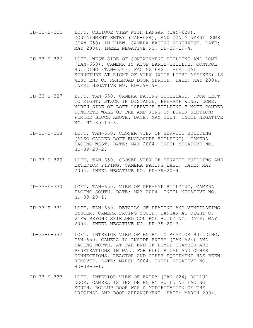- ID-33-E-325 LOFT. OBLIQUE VIEW WITH HANGAR (TAN-629), CONTAINMENT ENTRY (TAN-624), AND CONTAINMENT DOME (TAN-650) IN VIEW. CAMERA FACING NORTHWEST. DATE: MAY 2004. INEEL NEGATIVE NO. HD-39-19-4.
- ID-33-E-326 LOFT. WEST SIDE OF CONTAINMENT BUILDING AND DOME (TAN-650). CAMERA IS ATOP EARTH-SHIELDED CONTROL BUILDING (TAN-630), FACING EAST. VERTICAL STRUCTURE AT RIGHT OF VIEW (WITH LIGHT AFFIXED) IS WEST END OF RAILROAD DOOR SHROUD. DATE: MAY 2004. INEEL NEGATIVE NO. HD-39-19-1.
- ID-33-E-327 LOFT, TAN-650. CAMERA FACING SOUTHEAST. FROM LEFT TO RIGHT: STACK IN DISTANCE, PRE-AMP WING, DOME, NORTH SIDE OF LOFT "SERVICE BUILDING." NOTE POURED CONCRETE WALL OF PRE-AMP WING ON LOWER SECTION; PUMICE BLOCK ABOVE. DATE: MAY 2004. INEEL NEGATIVE NO. HD-39-19-3.
- ID-33-E-328 LOFT, TAN-650. CLOSER VIEW OF SERVICE BUILDING (ALSO CALLED LOFT ENCLOSURE BUILDING). CAMERA FACING WEST. DATE: MAY 2004. INEEL NEGATIVE NO.  $HD-39-20-2.$
- ID-33-E-329 LOFT, TAN-650. CLOSER VIEW OF SERVICE BUILDING AND EXTERIOR PIPING. CAMERA FACING EAST. DATE: MAY 2004. INEEL NEGATIVE NO. HD-39-20-4.
- ID-33-E-330 LOFT, TAN-650. VIEW OF PRE-AMP BUILDING, CAMERA FACING SOUTH. DATE: MAY 2004. INEEL NEGATIVE NO.  $HD-39-20-1$ .
- ID-33-E-331 LOFT, TAN-650. DETAILS OF HEATING AND VENTILATING SYSTEM. CAMERA FACING SOUTH. HANGAR AT RIGHT OF VIEW BEYOND SHIELDED CONTROL BUILDING. DATE: MAY 2004. INEEL NEGATIVE NO. HD-39-20-3.
- ID-33-E-332 LOFT. INTERIOR VIEW OF ENTRY TO REACTOR BUILDING, TAN-650. CAMERA IS INSIDE ENTRY (TAN-624) AND FACING NORTH. AT FAR END OF DOMED CHAMBER ARE PENETRATIONS IN WALL FOR ELECTRICAL AND OTHER CONNECTIONS. REACTOR AND OTHER EQUIPMENT HAS BEEN REMOVED. DATE: MARCH 2004. INEEL NEGATIVE NO.  $HD-39-5-1.$
- ID-33-E-333 LOFT. INTERIOR VIEW OF ENTRY (TAN-624) ROLLUP DOOR. CAMERA IS INSIDE ENTRY BUILDING FACING SOUTH. ROLLUP DOOR WAS A MODIFICATION OF THE ORIGINAL ANP DOOR ARRANGEMENT. DATE: MARCH 2004.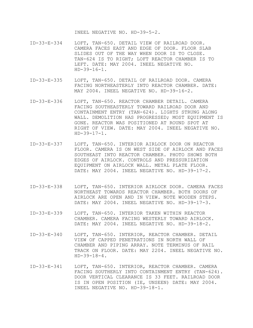INEEL NEGATIVE NO. HD-39-5-2.

- ID-33-E-334 LOFT, TAN-650. DETAIL VIEW OF RAILROAD DOOR. CAMERA FACES EAST AND EDGE OF DOOR. FLOOR SLAB SLIDES OUT OF THE WAY WHEN DOOR IS TO CLOSE. TAN-624 IS TO RIGHT; LOFT REACTOR CHAMBER IS TO LEFT. DATE: MAY 2004. INEEL NEGATIVE NO.  $HD-39-16-1.$
- ID-33-E-335 LOFT, TAN-650. DETAIL OF RAILROAD DOOR. CAMERA FACING NORTHEASTERLY INTO REACTOR CHAMBER. DATE: MAY 2004. INEEL NEGATIVE NO. HD-39-16-2.
- ID-33-E-336 LOFT, TAN-650. REACTOR CHAMBER DETAIL. CAMERA FACING SOUTHEASTERLY TOWARD RAILROAD DOOR AND CONTAINMENT ENTRY (TAN-624). LIGHTS STRUNG ALONG WALL. DEMOLITION HAS PROGRESSED; MOST EQUIPMENT IS GONE. REACTOR WAS POSITIONED AT ROUND SPOT AT RIGHT OF VIEW. DATE: MAY 2004. INEEL NEGATIVE NO.  $HD-39-17-1.$
- ID-33-E-337 LOFT, TAN-650. INTERIOR AIRLOCK DOOR ON REACTOR FLOOR. CAMERA IS ON WEST SIDE OF AIRLOCK AND FACES SOUTHEAST INTO REACTOR CHAMBER. PHOTO SHOWS BOTH EDGES OF AIRLOCK. CONTROLS AND PRESSURIZATION EQUIPMENT ON AIRLOCK WALL. METAL PLATE FLOOR. DATE: MAY 2004. INEEL NEGATIVE NO. HD-39-17-2.
- ID-33-E-338 LOFT, TAN-650. INTERIOR AIRLOCK DOOR. CAMERA FACES NORTHEAST TOWARDS REACTOR CHAMBER. BOTH DOORS OF AIRLOCK ARE OPEN AND IN VIEW. NOTE WOODEN STEPS. DATE: MAY 2004. INEEL NEGATIVE NO. HD-39-17-3.
- ID-33-E-339 LOFT, TAN-650. INTERIOR TAKEN WITHIN REACTOR CHAMBER. CAMERA FACING WESTERLY TOWARD AIRLOCK. DATE: MAY 2004. INEEL NEGATIVE NO. HD-39-18-2.
- ID-33-E-340 LOFT, TAN-650. INTERIOR, REACTOR CHAMBER. DETAIL VIEW OF CAPPED PENETRATIONS IN NORTH WALL OF CHAMBER AND PIPING ARRAY. NOTE TERMINUS OF RAIL TRACK ON FLOOR. DATE: MAY 2204. INEEL NEGATIVE NO.  $HD-39-18-4.$
- ID-33-E-341 LOFT, TAN-650. INTERIOR, REACTOR CHAMBER. CAMERA FACING SOUTHERLY INTO CONTAINMENT ENTRY (TAN-624). DOOR VERTICAL CLEARANCE IS 33 FEET. RAILROAD DOOR IS IN OPEN POSITION (IE, UNSEEN) DATE: MAY 2004. INEEL NEGATIVE NO. HD-39-18-1.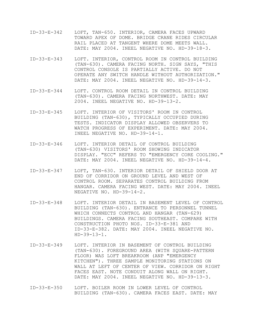- ID-33-E-342 LOFT, TAN-650. INTERIOR, CAMERA FACES UPWARD TOWARD APEX OF DOME. BRIDGE CRANE RIDES CIRCULAR RAIL PLACED AT TANGENT WHERE DOME MEETS WALL. DATE: MAY 2004. INEEL NEGATIVE NO. HD-39-18-3.
- ID-33-E-343 LOFT. INTERIOR, CONTROL ROOM IN CONTROL BUILDING (TAN-630). CAMERA FACING NORTH. SIGN SAYS, "THIS CONTROL CONSOLE IS PARTIALLY ACTIVE. DO NOT OPERATE ANY SWITCH HANDLE WITHOUT AUTHORIZATION." DATE: MAY 2004. INEEL NEGATIVE NO. HD-39-14-3.
- ID-33-E-344 LOFT. CONTROL ROOM DETAIL IN CONTROL BUILDING (TAN-630). CAMERA FACING NORTHWEST. DATE: MAY 2004. INEEL NEGATIVE NO. HD-39-13-2.
- ID-33-E-345 LOFT. INTERIOR OF VISITORS' ROOM IN CONTROL BUILDING (TAN-630), TYPICALLY OCCUPIED DURING TESTS. INDICATOR DISPLAY ALLOWED OBSERVERS TO WATCH PROGRESS OF EXPERIMENT. DATE: MAY 2004. INEEL NEGATIVE NO. HD-39-14-1.
- ID-33-E-346 LOFT. INTERIOR DETAIL OF CONTROL BUILDING (TAN-630) VISITORS' ROOM SHOWING INDICATOR DISPLAY. "ECC" REFERS TO "EMERGENCY CORE COOLING." DATE: MAY 2004. INEEL NEGATIVE NO. HD-39-14-4.
- ID-33-E-347 LOFT, TAN-630. INTERIOR DETAIL OF SHIELD DOOR AT END OF CORRIDOR ON GROUND LEVEL AND WEST OF CONTROL ROOM. SEPARATES CONTROL BUILDING FROM HANGAR. CAMERA FACING WEST. DATE: MAY 2004. INEEL NEGATIVE NO. HD-39-14-2.
- ID-33-E-348 LOFT. INTERIOR DETAIL IN BASEMENT LEVEL OF CONTROL BUILDING (TAN-630). ENTRANCE TO PERSONNEL TUNNEL WHICH CONNECTS CONTROL AND HANGAR (TAN-629) BUILDINGS. CAMERA FACING SOUTHEAST. COMPARE WITH CONSTRUCTION PHOTO NOS. ID-33-E-381 AND ID-33-E-382. DATE: MAY 2004. INEEL NEGATIVE NO.  $HD-39-13-1.$
- ID-33-E-349 LOFT. INTERIOR IN BASEMENT OF CONTROL BUILDING (TAN-630). FOREGROUND AREA (WITH SQUARE-PATTERN FLOOR) WAS LOFT BREAKROOM (ANP "EMERGENCY KITCHEN"). THREE SAMPLE MONITORING STATIONS ON WALL AT LEFT OF CENTER OF VIEW. CORRIDOR ON RIGHT FACES EAST. NOTE CONDUIT ALONG WALL ON RIGHT. DATE: MAY 2004. INEEL NEGATIVE NO. HD-39-13-3.
- ID-33-E-350 LOFT. BOILER ROOM IN LOWER LEVEL OF CONTROL BUILDING (TAN-630). CAMERA FACES EAST. DATE: MAY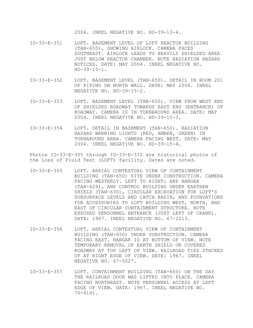2004. INEEL NEGATIVE NO. HD-39-13-4.

- ID-33-E-351 LOFT. BASEMENT LEVEL OF LOFT REACTOR BUILDING (TAN-650), SHOWING AIRLOCK. CAMERA FACES SOUTHEAST. AIRLOCK LEADS TO HEAVILY SHIELDED AREA JUST BELOW REACTOR CHAMBER. NOTE RADIATION HAZARD NOTICES. DATE: MAY 2004. INEEL NEGATIVE NO. HD-39-15-1.
- ID-33-E-352 LOFT. BASEMENT LEVEL (TAN-650). DETAIL IN ROOM 201 OF PIPING ON NORTH WALL. DATE: MAY 2004. INEEL NEGATIVE NO. HD-39-15-2.
- ID-33-E-353 LOFT. BASEMENT LEVEL (TAN-650). VIEW FROM WEST END OF SHIELDED ROADWAY TOWARDS EAST END (ENTRANCE) OF ROADWAY. CAMERA IS IN TURNAROUND AREA. DATE: MAY 2004. INEEL NEGATIVE NO. HD-39-15-3.
- ID-33-E-354 LOFT. DETAIL IN BASEMENT (TAN-650). RADIATION HAZARD WARNING LIGHTS (RED, AMBER, GREEN) IN TURNAROUND AREA. CAMERA FACING WEST. DATE: MAY 2004. INEEL NEGATIVE NO. HD-39-15-4.

Photos ID-33-E-355 through ID-33-E-372 are historical photos of the Loss of Fluid Test (LOFT) facility. Dates are noted.

- ID-33-E-355 LOFT. AERIAL CONTEXTUAL VIEW OF CONTAINMENT BUILDING (TAN-650) SITE UNDER CONSTRUCTION. CAMERA FACING WESTERLY. LEFT TO RIGHT: ANP HANGAR (TAN-629), ANP CONTROL BUILDING UNDER EARTHEN SHIELD (TAN-630), CIRCULAR EXCAVATION FOR LOFT'S SUBSURFACE LEVELS AND CATCH BASIN, AND FOUNDATIONS FOR ACCESSORIES TO LOFT BUILDING WEST, NORTH, AND EAST OF CIRCULAR CONTAINMENT STRUCTURE. NOTE EXPOSED PERSONNEL ENTRANCE (JUST LEFT OF CRANE). DATE: 1967. INEEL NEGATIVE NO. 67-2213.
- ID-33-E-356 LOFT. AERIAL CONTEXTUAL VIEW OF CONTAINMENT BUILDING (TAN-650) UNDER CONSTRUCTION. CAMERA FACING EAST. HANGAR IS AT BOTTOM OF VIEW. NOTE TEMPORARY REMOVAL OF EARTH SHIELD ON COVERED ROADWAY AT TOP LEFT OF VIEW. RAILROAD TIES STACKED UP AT RIGHT EDGE OF VIEW. DATE: 1967. INEEL NEGATIVE NO. 67-5027.
- ID-33-E-357 LOFT. CONTAINMENT BUILDING (TAN-650) ON THE DAY THE RAILROAD DOOR WAS LIFTED INTO PLACE. CAMERA FACING NORTHEAST. NOTE PERSONNEL ACCESS AT LEFT EDGE OF VIEW. DATE: 1967. INEEL NEGATIVE NO. 70-4141.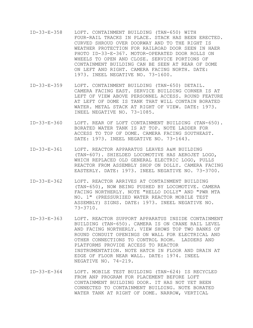- ID-33-E-358 LOFT. CONTAINMENT BUILDING (TAN-650) WITH FOUR-RAIL TRACKS IN PLACE. STACK HAS BEEN ERECTED. CURVED SHROUD OVER DOORWAY AND TO THE RIGHT IS WEATHER PROTECTION FOR RAILROAD DOOR SEEN IN HAER PHOTO ID-33-E-367. MOTOR-OPERATED DOOR ROLLS ON WHEELS TO OPEN AND CLOSE. SERVICE PORTIONS OF CONTAINMENT BUILDING CAN BE SEEN AT REAR OF DOME ON LEFT AND RIGHT. CAMERA FACING NORTH. DATE: 1973. INEEL NEGATIVE NO. 73-1600.
- ID-33-E-359 LOFT. CONTAINMENT BUILDING (TAN-650) DETAIL. CAMERA FACING EAST. SERVICE BUILDING CORNER IS AT LEFT OF VIEW ABOVE PERSONNEL ACCESS. ROUND FEATURE AT LEFT OF DOME IS TANK THAT WILL CONTAIN BORATED WATER. METAL STACK AT RIGHT OF VIEW. DATE: 1973. INEEL NEGATIVE NO. 73-1085.
- ID-33-E-360 LOFT. REAR OF LOFT CONTAINMENT BUILDING (TAN-650). BORATED WATER TANK IS AT TOP. NOTE LADDER FOR ACCESS TO TOP OF DOME. CAMERA FACING SOUTHEAST. DATE: 1973. INEEL NEGATIVE NO. 73-1643.
- ID-33-E-361 LOFT. REACTOR APPARATUS LEAVES A&M BUILDING (TAN-607). SHIELDED LOCOMOTIVE HAS AEROJET LOGO, WHICH REPLACED OLD GENERAL ELECTRIC LOGO, PULLS REACTOR FROM ASSEMBLY SHOP ON DOLLY. CAMERA FACING EASTERLY. DATE: 1973. INEEL NEGATIVE NO. 73-3700.
- ID-33-E-362 LOFT. REACTOR ARRIVES AT CONTAINMENT BUILDING (TAN-650), NOW BEING PUSHED BY LOCOMOTIVE. CAMERA FACING NORTHERLY. NOTE "HELLO DOLLY" AND "PWR MTA NO. 1" (PRESSURIZED WATER REACTOR MOBILE TEST ASSEMBLY) SIGNS. DATE: 1973. INEEL NEGATIVE NO. 73-3710.
- ID-33-E-363 LOFT. REACTOR SUPPORT APPARATUS INSIDE CONTAINMENT BUILDING (TAN-650). CAMERA IS ON CRANE RAIL LEVEL AND FACING NORTHERLY. VIEW SHOWS TOP TWO BANKS OF ROUND CONDUIT OPENINGS ON WALL FOR ELECTRICAL AND OTHER CONNECTIONS TO CONTROL ROOM. LADDERS AND PLATFORMS PROVIDE ACCESS TO REACTOR INSTRUMENTATION. NOTE HATCH IN FLOOR AND DRAIN AT EDGE OF FLOOR NEAR WALL. DATE: 1974. INEEL NEGATIVE NO. 74-219.
- ID-33-E-364 LOFT. MOBILE TEST BUILDING (TAN-624) IS RECYCLED FROM ANP PROGRAM FOR PLACEMENT BEFORE LOFT CONTAINMENT BUILDING DOOR. IT HAS NOT YET BEEN CONNECTED TO CONTAINMENT BUILDING. NOTE BORATED WATER TANK AT RIGHT OF DOME. NARROW, VERTICAL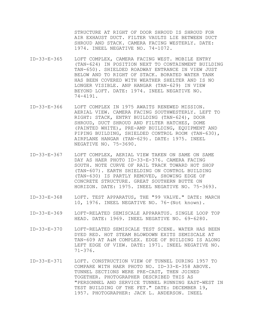STRUCTURE AT RIGHT OF DOOR SHROUD IS SHROUD FOR AIR EXHAUST DUCT. FILTER VAULTS LIE BETWEEN DUCT SHROUD AND STACK. CAMERA FACING WESTERLY. DATE: 1974. INEEL NEGATIVE NO. 74-1072.

- ID-33-E-365 LOFT COMPLEX, CAMERA FACING WEST. MOBILE ENTRY (TAN-624) IN POSITION NEXT TO CONTAINMENT BUILDING TAN-650). SHIELDED ROADWAY ENTRANCE IN VIEW JUST BELOW AND TO RIGHT OF STACK. BORATED WATER TANK HAS BEEN COVERED WITH WEATHER SHELTER AND IS NO LONGER VISIBLE. ANP HANGAR (TAN-629) IN VIEW BEYOND LOFT. DATE: 1974. INEEL NEGATIVE NO. 74-4191.
- ID-33-E-366 LOFT COMPLEX IN 1975 AWAITS RENEWED MISSION. AERIAL VIEW. CAMERA FACING SOUTHWESTERLY. LEFT TO RIGHT: STACK, ENTRY BUILDING (TAN-624), DOOR SHROUD, DUCT SHROUD AND FILTER HATCHES, DOME (PAINTED WHITE), PRE-AMP BUILDING, EQUIPMENT AND PIPING BUILDING, SHIELDED CONTROL ROOM (TAN-630), AIRPLANE HANGAR (TAN-629). DATE: 1975. INEEL NEGATIVE NO. 75-3690.
- ID-33-E-367 LOFT COMPLEX, AERIAL VIEW TAKEN ON SAME ON SAME DAY AS HAER PHOTO ID-33-E-376. CAMERA FACING SOUTH. NOTE CURVE OF RAIL TRACK TOWARD HOT SHOP (TAN-607). EARTH SHIELDING ON CONTROL BUILDING (TAN-630) IS PARTLY REMOVED, SHOWING EDGE OF CONCRETE STRUCTURE. GREAT SOUTHERN BUTTE ON HORIZON. DATE: 1975. INEEL NEGATIVE NO. 75-3693.
- ID-33-E-368 LOFT. TEST APPARATUS, THE "99 VALVE." DATE: MARCH 10, 1976. INEEL NEGATIVE NO. 76-(Not known).
- ID-33-E-369 LOFT-RELATED SEMISCALE APPARATUS. SINGLE LOOP TOP HEAD. DATE: 1969. INEEL NEGATIVE NO. 69-6280.
- ID-33-E-370 LOFT-RELATED SEMISCALE TEST SCENE. WATER HAS BEEN DYED RED. HOT STEAM BLOWDOWN EXITS SEMISCALE AT TAN-609 AT A&M COMPLEX. EDGE OF BUILDING IS ALONG LEFT EDGE OF VIEW. DATE: 1971. INEEL NEGATIVE NO. 71-376.
- ID-33-E-371 LOFT. CONSTRUCTION VIEW OF TUNNEL DURING 1957 TO COMPARE WITH HAER PHOTO NO. ID-33-E-358 ABOVE. TUNNEL SECTIONS WERE PRE-CAST, THEN JOINED TOGETHER. PHOTOGRAPHER DESCRIBED THIS AS "PERSONNEL AND SERVICE TUNNEL RUNNING EAST-WEST IN TEST BUILDING OF THE FET." DATE: DECEMBER 19, 1957. PHOTOGRAPHER: JACK L. ANDERSON. INEEL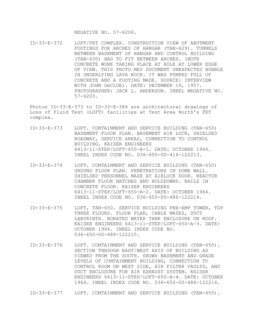NEGATIVE NO. 57-6206.

ID-33-E-372 LOFT/FET COMPLEX. CONSTRUCTION VIEW OF ABUTMENT FOOTINGS FOR ARCHES OF HANGAR (TAN-629). TUNNELS BETWEEN BASEMENT OF HANGAR AND CONTROL BUILDING (TAN-630) HAD TO FIT BETWEEN ARCHES. (NOTE CONCRETE WORK TAKING PLACE AT HOLE AT LOWER EDGE OF VIEW. THIS PHOTO MAY DOCUMENT UNEXPECTED BUBBLE IN UNDERLYING LAVA ROCK. IT WAS PUMPED FULL OF CONCRETE AND A FOOTING MADE. SOURCE: INTERVIEW WITH JOHN DeCLUE). DATE: DECEMBER 19, 1957. PHOTOGRAPHER: JACK L. ANDERSON. INEEL NEGATIVE NO. 57-6203.

Photos ID-33-E-373 to ID-33-E-384 are architectural drawings of Loss of Fluid Test (LOFT) facilities at Test Area North's FET complex.

- ID-33-E-373 LOFT. CONTAINMENT AND SERVICE BUILDING (TAN-650) BASEMENT FLOOR PLAN. BASEMENT AIR LOCK, SHIELDED ROADWAY, SERVICE AREAS, CONNECTION TO CONTROL BUILDING. KAISER ENGINEERS 6413-11-STEP/LOFT-650-A-1. DATE: OCTOBER 1964. INEEL INDEX CODE NO. 036-650-00-416-122213.
- ID-33-E-374 LOFT. CONTAINMENT AND SERVICE BUILDING (TAN-650) GROUND FLOOR PLAN. PENETRATIONS IN DOME WALL. SHIELDED PERSONNEL MAZE AT AIRLOCK DOOR. REACTOR CHAMBER FLOOR HATCHES AND HOLDDOWNS. RAILS IN CONCRETE FLOOR. KAISER ENGINEERS 6413-11-STEP/LOFT-650-A-2. DATE: OCTOBER 1964. INEEL INDEX CODE NO. 036-650-00-486-122214.
- ID-33-E-375 LOFT, TAN-650. SERVICE BUILDING PRE-AMP TOWER, TOP THREE FLOORS. FLOOR PLAN, CABLE MAZES, DUCT LABYRINTH. BORATED WATER TANK ENCLOSURE ON ROOF. KAISER ENGINEERS 6413-11-STEP/LOFT-650-A-3. DATE: OCTOBER 1964. INEEL INDEX CODE NO. 036-650-00-486-122215.
- ID-33-E-376 LOFT. CONTAINMENT AND SERVICE BUILDING (TAN-650). SECTION THROUGH EAST/WEST AXIS OF BUILDING AS VIEWED FROM THE SOUTH. SHOWS BASEMENT AND GRADE LEVELS OF CONTAINMENT BUILDING, CONNECTION TO CONTROL ROOM ON WEST SIDE, AIR FILTER VAULTS, AND DUCT ENCLOSURE FOR AIR EXHAUST SYSTEM. KAISER ENGINEERS 6413-11-STEP/LOFT-650-A-4. DATE: OCTOBER 1964. INEEL INDEX CODE NO. 036-650-00-486-122216.

ID-33-E-377 LOFT. CONTAINMENT AND SERVICE BUILDING (TAN-650).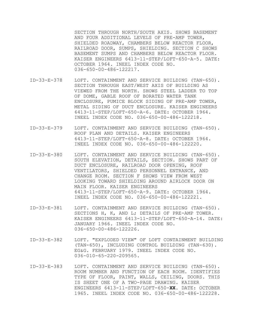SECTION THROUGH NORTH/SOUTH AXIS. SHOWS BASEMENT AND FOUR ADDITIONAL LEVELS OF PRE-AMP TOWER, SHIELDED ROADWAY, CHAMBERS BELOW REACTOR FLOOR, RAILROAD DOOR, SUMPS, SHIELDING. SECTION C SHOWS BASEMENT SUMPS AND CHAMBERS BELOW REACTOR FLOOR. KAISER ENGINEERS 6413-11-STEP/LOFT-650-A-5. DATE: OCTOBER 1964. INEEL INDEX CODE NO. 036-650-00-486-122217.

- ID-33-E-378 LOFT. CONTAINMENT AND SERVICE BUILDING (TAN-650). SECTION THROUGH EAST/WEST AXIS OF BUILDING AS VIEWED FROM THE NORTH. SHOWS STEEL LADDER TO TOP OF DOME, GABLE ROOF OF BORATED WATER TANK ENCLOSURE, PUMICE BLOCK SIDING OF PRE-AMP TOWER, METAL SIDING OF DUCT ENCLOSURE. KAISER ENGINEERS 6413-11-STEP/LOFT-650-A-6. DATE: OCTOBER 1964. INEEL INDEX CODE NO. 036-650-00-486-122218.
- ID-33-E-379 LOFT. CONTAINMENT AND SERVICE BUILDING (TAN-650). ROOF PLAN AND DETAILS. KAISER ENGINEERS 6413-11-STEP/LOFT-650-A-8. DATE: OCTOBER 1964. INEEL INDEX CODE NO. 036-650-00-486-122220.
- ID-33-E-380 LOFT. CONTAINMENT AND SERVICE BUILDING (TAN-650). SOUTH ELEVATION, DETAILS, SECTION. SHOWS PART OF DUCT ENCLOSURE, RAILROAD DOOR OPENING, ROOF VENTILATORS, SHIELDED PERSONNEL ENTRANCE, AND CHANGE ROOM. SECTION F SHOWS VIEW FROM WEST LOOKING TOWARD SHIELDING AROUND AIRLOCK DOOR ON MAIN FLOOR. KAISER ENGINEERS 6413-11-STEP/LOFT-650-A-9. DATE: OCTOBER 1964. INEEL INDEX CODE NO. 036-650-00-486-122221.
- ID-33-E-381 LOFT. CONTAINMENT AND SERVICE BUILDING (TAN-650). SECTIONS H, K, AND L; DETAILS OF PRE-AMP TOWER. KAISER ENGINEERS 6413-11-STEP/LOFT-650-A-14. DATE: JANUARY 1966. INEEL INDEX CODE NO. 036-650-00-486-122226.
- ID-33-E-382 LOFT. "EXPLODED VIEW" OF LOFT CONTAINMENT BUILDING (TAN-650), INCLUDING CONTROL BUILDING (TAN-630). EG&G. FEBRUARY 1979. INEEL INDEX CODE NO. 036-010-65-220-209565.
- ID-33-E-383 LOFT. CONTAINMENT AND SERVICE BUILDING (TAN-650). ROOM NUMBER AND FUNCTION OF EACH ROOM. IDENTIFIES TYPE OF FLOOR, PAINT, WALLS, CEILING, DOORS. THIS IS SHEET ONE OF A TWO-PAGE DRAWING. KAISER ENGINEERS 6413-11-STEP/LOFT-650-**XX**. DATE: OCTOBER 1965. INEEL INDEX CODE NO. 036-650-00-486-122228.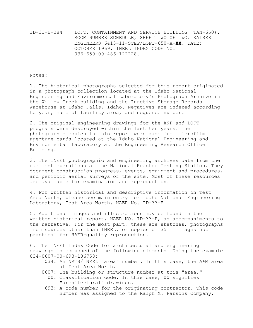ID-33-E-384 LOFT. CONTAINMENT AND SERVICE BUILDING (TAN-650). ROOM NUMBER SCHEDULE, SHEET TWO OF TWO. KAISER ENGINEERS 6413-11-STEP/LOFT-650-A-**XX**. DATE: OCTOBER 1969. INEEL INDEX CODE NO. 036-650-00-486-122228.

Notes:

1. The historical photographs selected for this report originated in a photograph collection located at the Idaho National Engineering and Environmental Laboratory's Photograph Archive in the Willow Creek building and the Inactive Storage Records Warehouse at Idaho Falls, Idaho. Negatives are indexed according to year, name of facility area, and sequence number.

2. The original engineering drawings for the ANP and LOFT programs were destroyed within the last ten years. The photographic copies in this report were made from microfilm aperture cards located at the Idaho National Engineering and Environmental Laboratory at the Engineering Research Office Building.

3. The INEEL photographic and engineering archives date from the earliest operations at the National Reactor Testing Station. They document construction progress, events, equipment and procedures, and periodic aerial surveys of the site. Most of these resources are available for examination and reproduction.

4. For written historical and descriptive information on Test Area North, please see main entry for Idaho National Engineering Laboratory, Test Area North, HAER No. ID-33-E.

5. Additional images and illustrations may be found in the written historical report, HAER NO. ID-33-E, as accompaniments to the narrative. For the most part, these are sketches, photographs from sources other than INEEL, or copies of 35 mm images not practical for HAER-quality reproduction.

6. The INEEL Index Code for architectural and engineering drawings is composed of the following elements. Using the example 034-0607-00-693-106758:

- 034: An NRTS/INEEL "area" number. In this case, the A&M area at Test Area North.
- 0607: The building or structure number at this "area." 00: Classification code. In this case, 00 signifies
	- "architectural" drawings.
	- 693: A code number for the originating contractor. This code number was assigned to the Ralph M. Parsons Company.